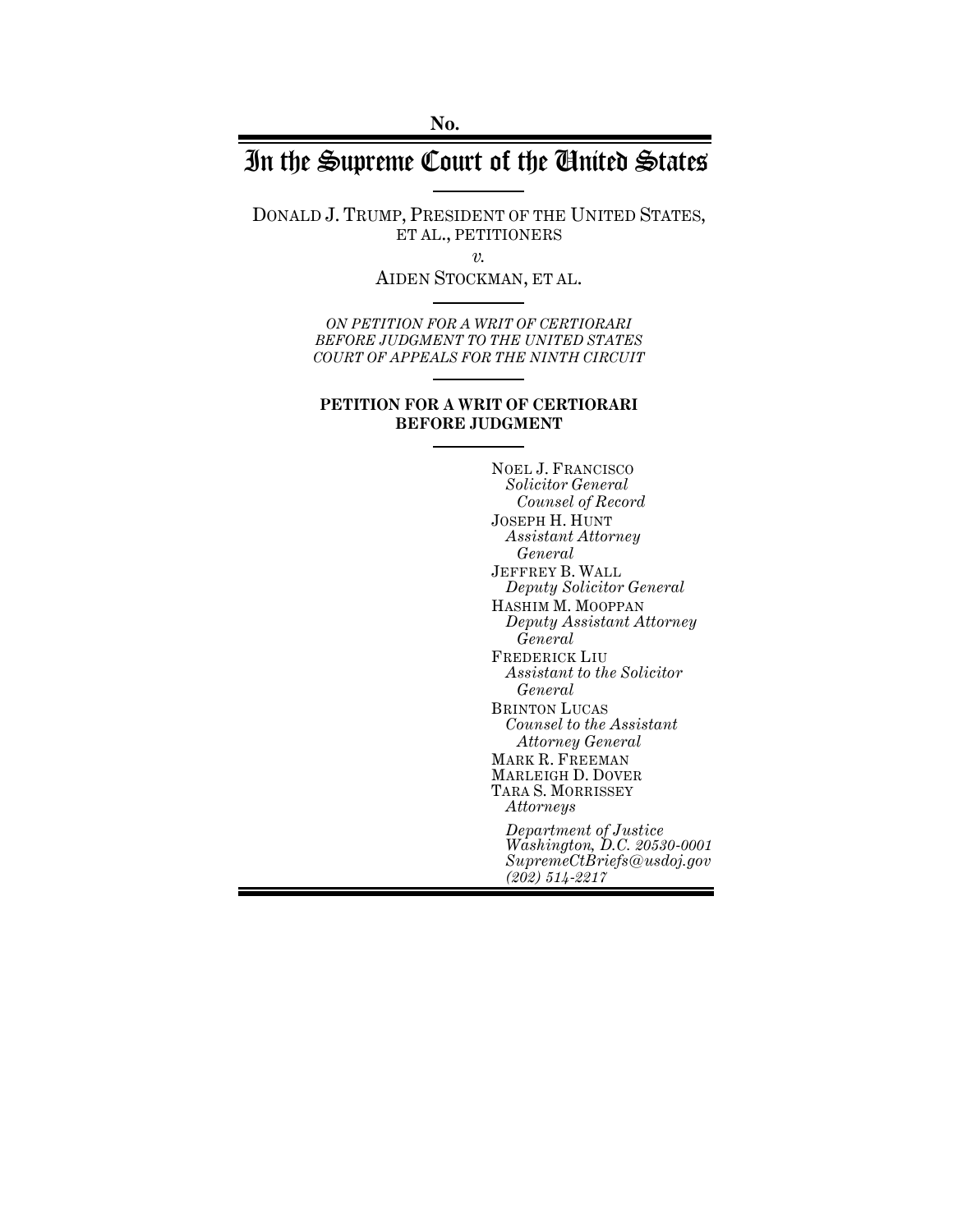# In the Supreme Court of the United States

DONALD J. TRUMP, PRESIDENT OF THE UNITED STATES, ET AL., PETITIONERS

*v.*

AIDEN STOCKMAN, ET AL.

*ON PETITION FOR A WRIT OF CERTIORARI BEFORE JUDGMENT TO THE UNITED STATES COURT OF APPEALS FOR THE NINTH CIRCUIT*

#### **PETITION FOR A WRIT OF CERTIORARI BEFORE JUDGMENT**

NOEL J. FRANCISCO *Solicitor General Counsel of Record* JOSEPH H. HUNT *Assistant Attorney General* JEFFREY B. WALL *Deputy Solicitor General* HASHIM M. MOOPPAN *Deputy Assistant Attorney General* FREDERICK LIU *Assistant to the Solicitor General* BRINTON LUCAS *Counsel to the Assistant Attorney General* MARK R. FREEMAN MARLEIGH D. DOVER TARA S. MORRISSEY *Attorneys Department of Justice Washington, D.C. 20530-0001 SupremeCtBriefs@usdoj.gov (202) 514-2217*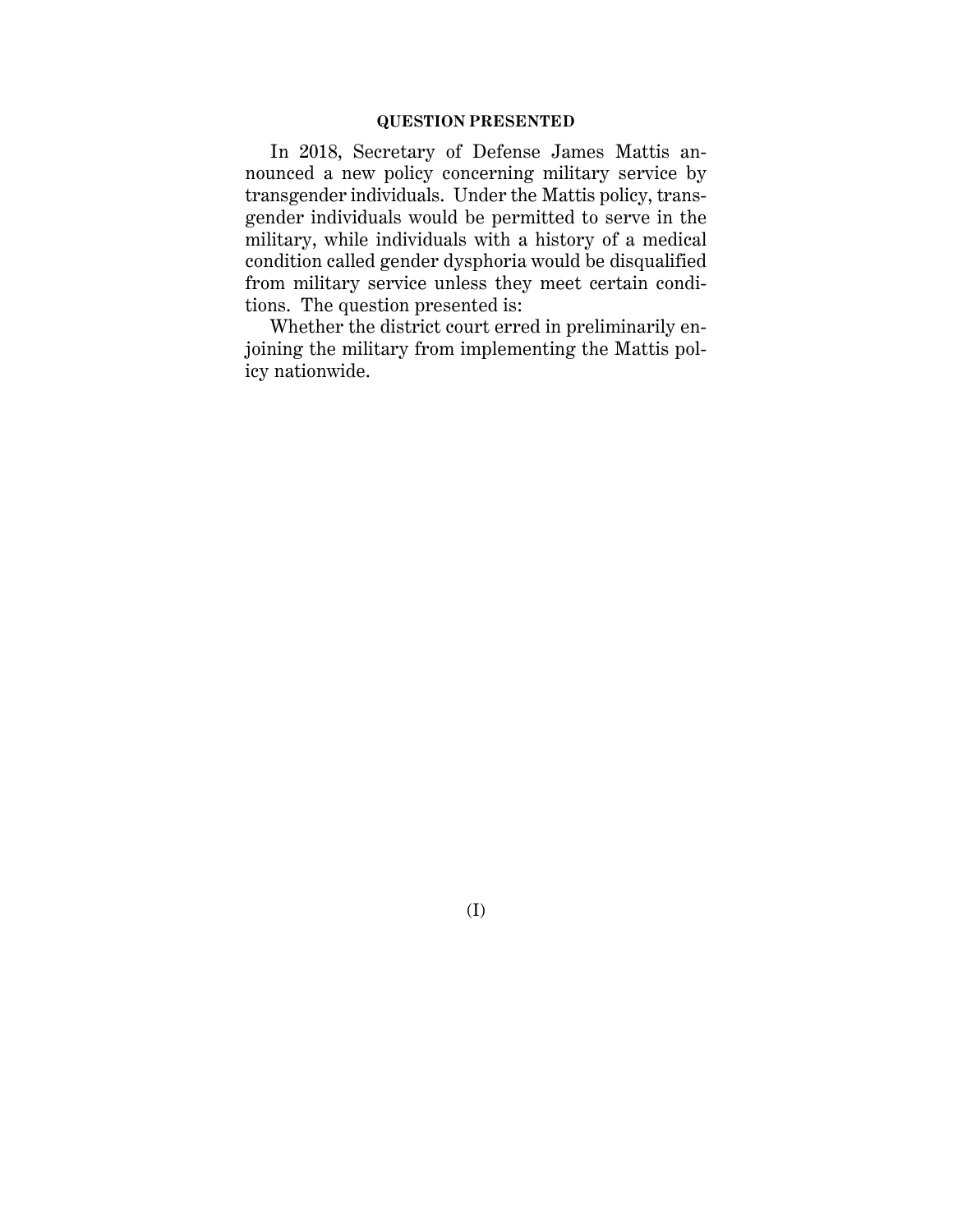# **QUESTION PRESENTED**

In 2018, Secretary of Defense James Mattis announced a new policy concerning military service by transgender individuals. Under the Mattis policy, transgender individuals would be permitted to serve in the military, while individuals with a history of a medical condition called gender dysphoria would be disqualified from military service unless they meet certain conditions. The question presented is:

Whether the district court erred in preliminarily enjoining the military from implementing the Mattis policy nationwide.

(I)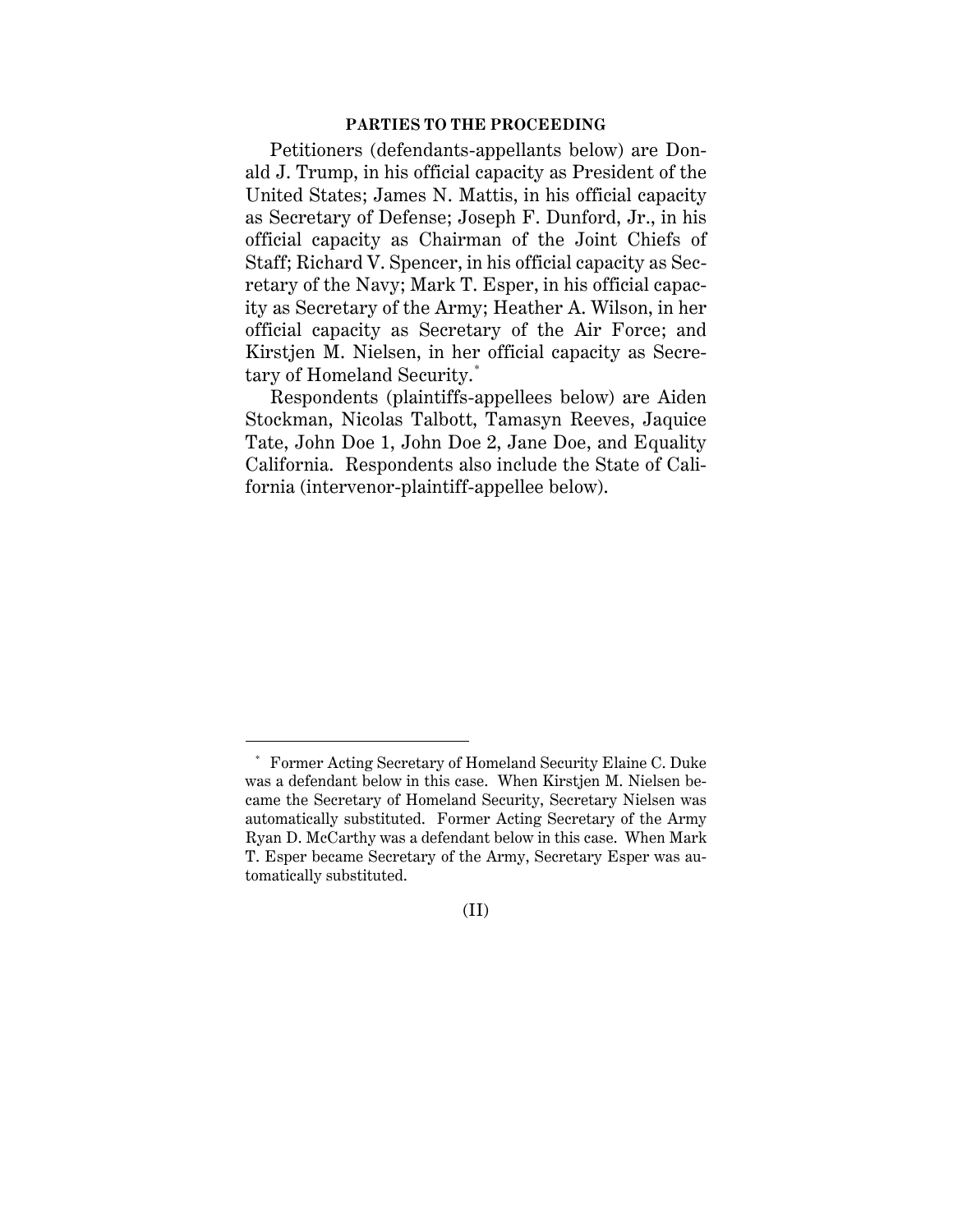#### **PARTIES TO THE PROCEEDING**

Petitioners (defendants-appellants below) are Donald J. Trump, in his official capacity as President of the United States; James N. Mattis, in his official capacity as Secretary of Defense; Joseph F. Dunford, Jr., in his official capacity as Chairman of the Joint Chiefs of Staff; Richard V. Spencer, in his official capacity as Secretary of the Navy; Mark T. Esper, in his official capacity as Secretary of the Army; Heather A. Wilson, in her official capacity as Secretary of the Air Force; and Kirstjen M. Nielsen, in her official capacity as Secretary of Homeland Security.[\\*](#page-2-0)

Respondents (plaintiffs-appellees below) are Aiden Stockman, Nicolas Talbott, Tamasyn Reeves, Jaquice Tate, John Doe 1, John Doe 2, Jane Doe, and Equality California. Respondents also include the State of California (intervenor-plaintiff-appellee below).

 $\overline{a}$ 

 $(II)$ 

<span id="page-2-0"></span><sup>\*</sup> Former Acting Secretary of Homeland Security Elaine C. Duke was a defendant below in this case. When Kirstjen M. Nielsen became the Secretary of Homeland Security, Secretary Nielsen was automatically substituted. Former Acting Secretary of the Army Ryan D. McCarthy was a defendant below in this case. When Mark T. Esper became Secretary of the Army, Secretary Esper was automatically substituted.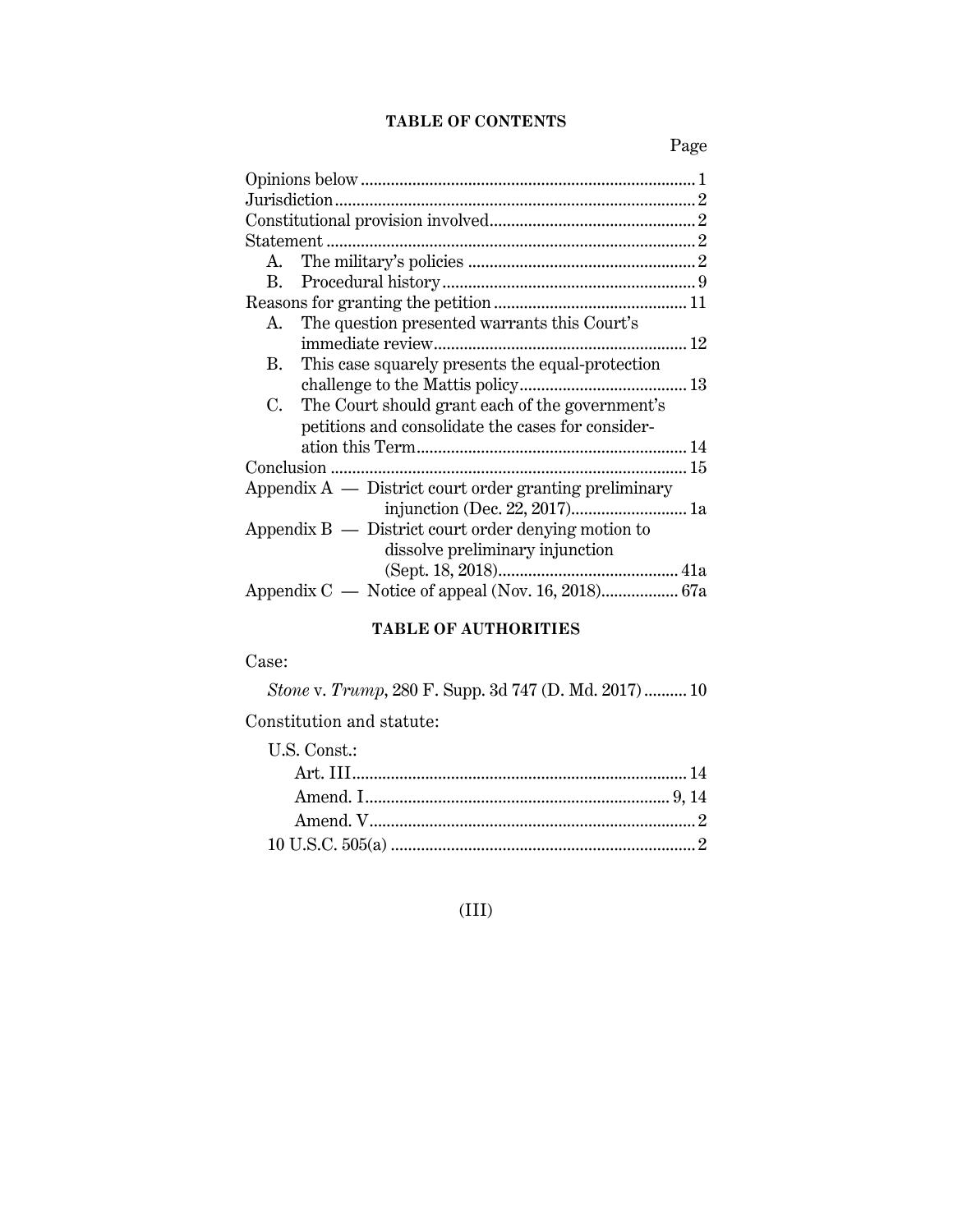# **TABLE OF CONTENTS**

Page

| А.                                                       |  |  |
|----------------------------------------------------------|--|--|
|                                                          |  |  |
|                                                          |  |  |
| The question presented warrants this Court's<br>А.       |  |  |
|                                                          |  |  |
| This case squarely presents the equal-protection<br>В.   |  |  |
|                                                          |  |  |
| The Court should grant each of the government's<br>C.    |  |  |
| petitions and consolidate the cases for consider-        |  |  |
|                                                          |  |  |
|                                                          |  |  |
| Appendix $A$ — District court order granting preliminary |  |  |
|                                                          |  |  |
| Appendix $B -$ District court order denying motion to    |  |  |
| dissolve preliminary injunction                          |  |  |
|                                                          |  |  |
|                                                          |  |  |

# **TABLE OF AUTHORITIES**

# Case:

*Stone* v. *Trump*, 280 F. Supp. 3d 747 (D. Md. 2017).......... 10

Constitution and statute:

| U.S. Const.: |  |
|--------------|--|
|              |  |
|              |  |
|              |  |
|              |  |

# (III)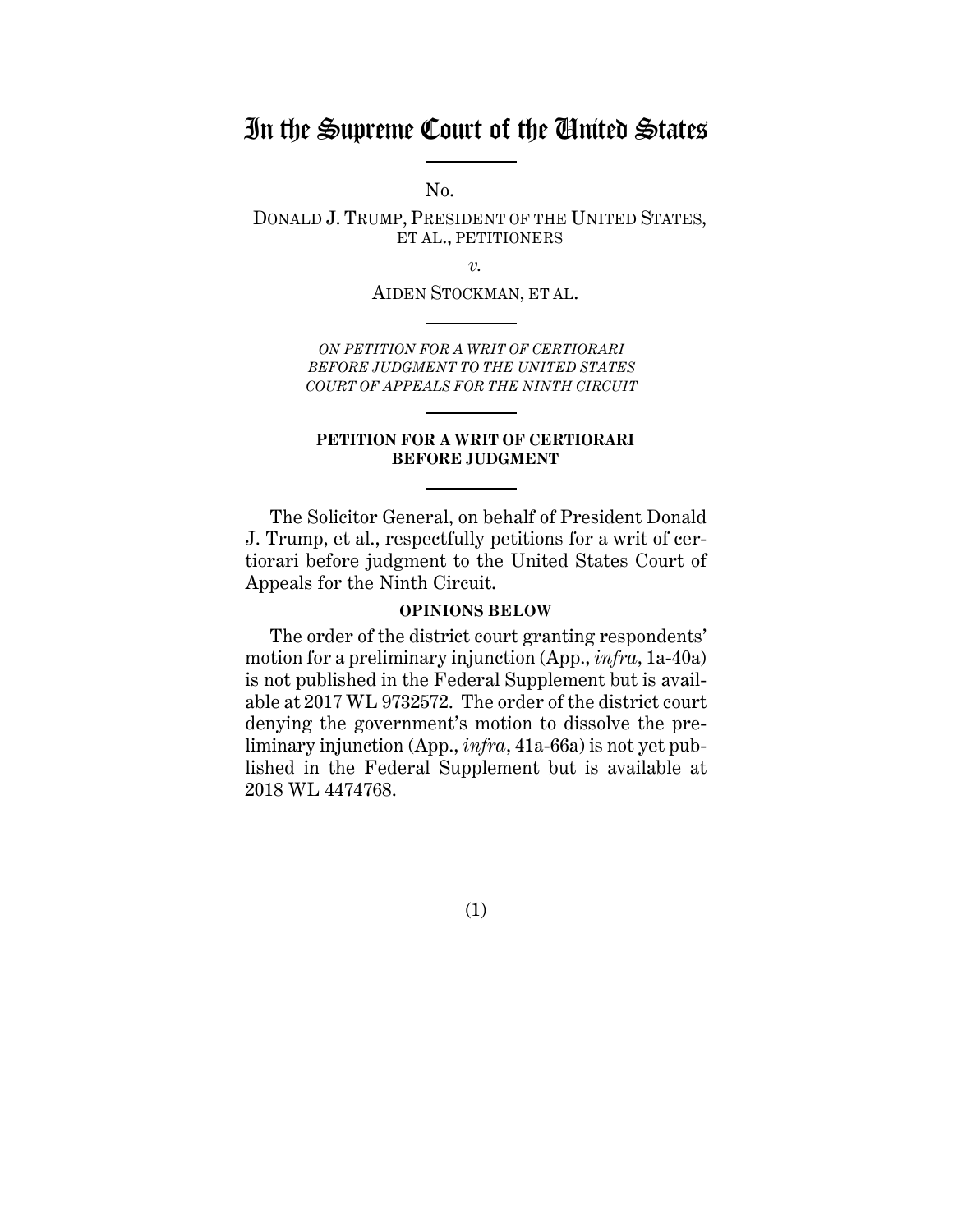# In the Supreme Court of the United States

 $No.$ 

DONALD J. TRUMP, PRESIDENT OF THE UNITED STATES, ET AL., PETITIONERS

*v.*

AIDEN STOCKMAN, ET AL.

*ON PETITION FOR A WRIT OF CERTIORARI BEFORE JUDGMENT TO THE UNITED STATES COURT OF APPEALS FOR THE NINTH CIRCUIT*

#### **PETITION FOR A WRIT OF CERTIORARI BEFORE JUDGMENT**

The Solicitor General, on behalf of President Donald J. Trump, et al., respectfully petitions for a writ of certiorari before judgment to the United States Court of Appeals for the Ninth Circuit.

#### **OPINIONS BELOW**

<span id="page-4-0"></span>The order of the district court granting respondents' motion for a preliminary injunction (App., *infra*, 1a-40a) is not published in the Federal Supplement but is available at 2017 WL 9732572. The order of the district court denying the government's motion to dissolve the preliminary injunction (App., *infra*, 41a-66a) is not yet published in the Federal Supplement but is available at 2018 WL 4474768.

(1)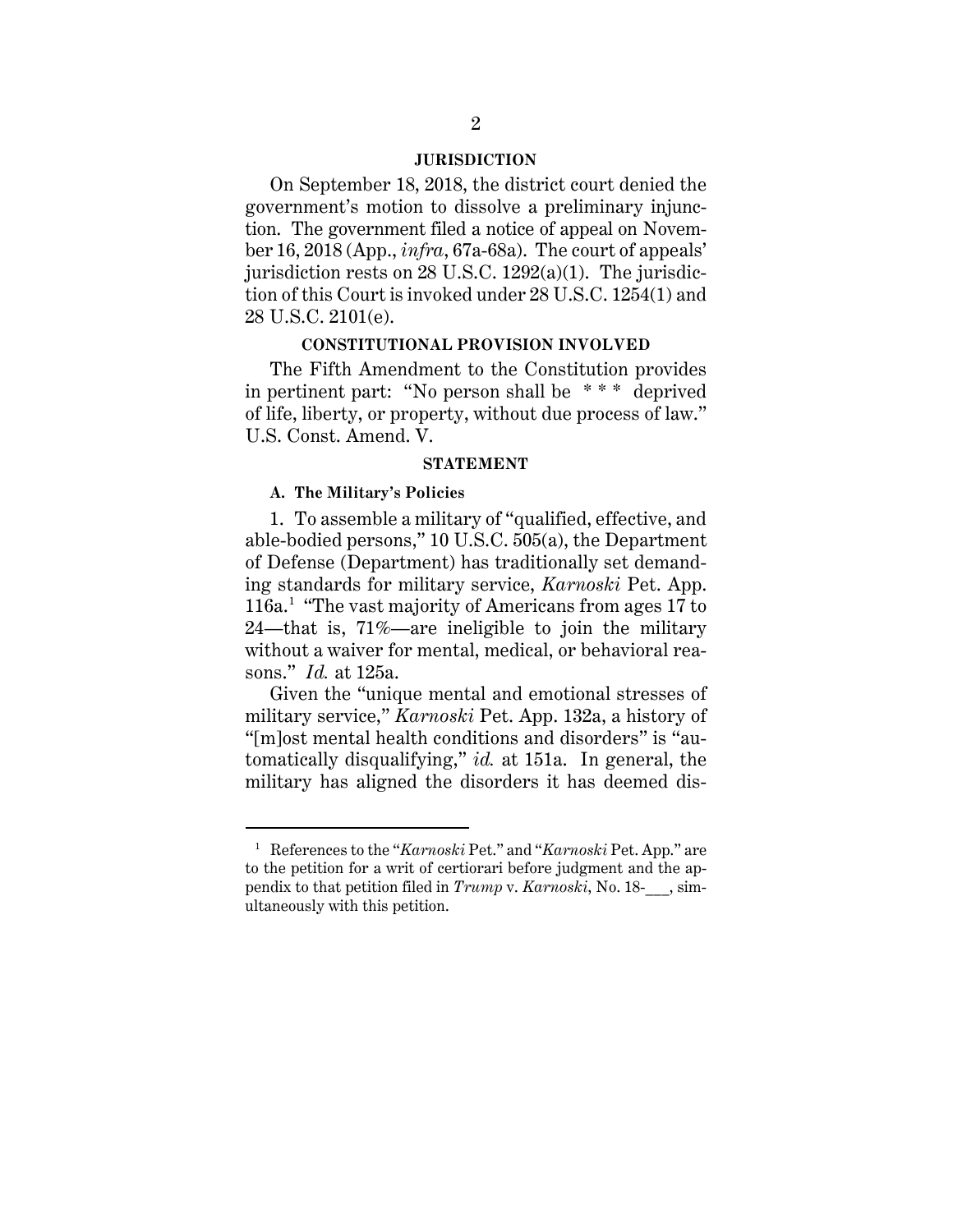#### **JURISDICTION**

<span id="page-5-0"></span>On September 18, 2018, the district court denied the government's motion to dissolve a preliminary injunction. The government filed a notice of appeal on November 16, 2018 (App., *infra*, 67a-68a). The court of appeals' jurisdiction rests on 28 U.S.C. 1292(a)(1). The jurisdiction of this Court is invoked under 28 U.S.C. 1254(1) and 28 U.S.C. 2101(e).

#### **CONSTITUTIONAL PROVISION INVOLVED**

<span id="page-5-1"></span>The Fifth Amendment to the Constitution provides in pertinent part: "No person shall be \* \* \* deprived of life, liberty, or property, without due process of law." U.S. Const. Amend. V.

#### **STATEMENT**

#### <span id="page-5-3"></span><span id="page-5-2"></span>**A. The Military's Policies**

 $\overline{a}$ 

1. To assemble a military of "qualified, effective, and able-bodied persons," 10 U.S.C. 505(a), the Department of Defense (Department) has traditionally set demanding standards for military service, *Karnoski* Pet. App. [1](#page-5-4)16a.<sup>1</sup> "The vast majority of Americans from ages 17 to 24—that is, 71%—are ineligible to join the military without a waiver for mental, medical, or behavioral reasons." *Id.* at 125a.

Given the "unique mental and emotional stresses of military service," *Karnoski* Pet. App. 132a, a history of "[m]ost mental health conditions and disorders" is "automatically disqualifying," *id.* at 151a. In general, the military has aligned the disorders it has deemed dis-

<span id="page-5-4"></span><sup>&</sup>lt;sup>1</sup> References to the "*Karnoski* Pet." and "*Karnoski* Pet. App." are to the petition for a writ of certiorari before judgment and the appendix to that petition filed in *Trump* v. *Karnoski*, No. 18-\_\_\_, simultaneously with this petition.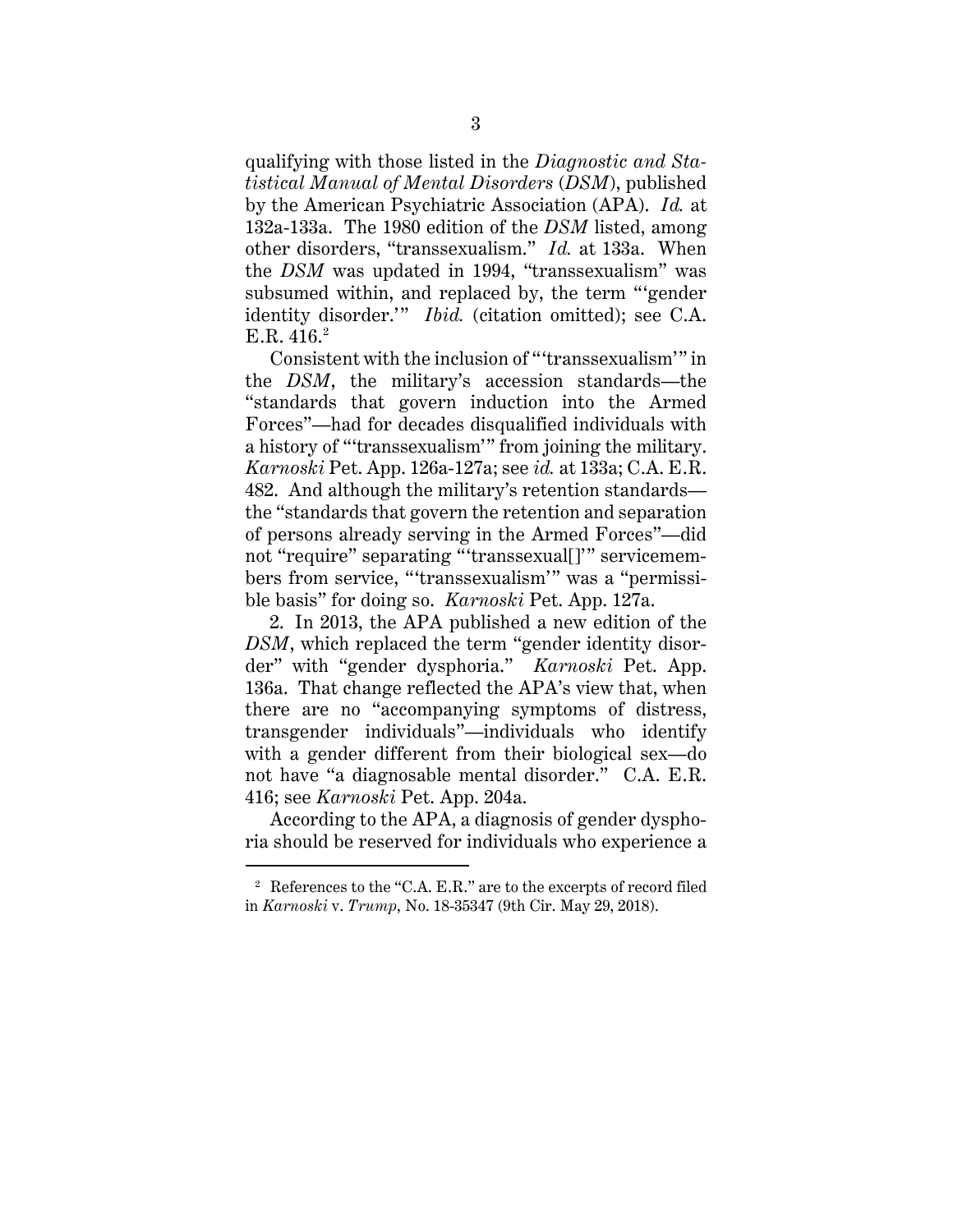qualifying with those listed in the *Diagnostic and Statistical Manual of Mental Disorders* (*DSM*), published by the American Psychiatric Association (APA). *Id.* at 132a-133a. The 1980 edition of the *DSM* listed, among other disorders, "transsexualism." *Id.* at 133a. When the *DSM* was updated in 1994, "transsexualism" was subsumed within, and replaced by, the term "'gender identity disorder.'" *Ibid.* (citation omitted); see C.A. E.R.  $416.2$  $416.2$ 

Consistent with the inclusion of "'transsexualism'" in the *DSM*, the military's accession standards—the "standards that govern induction into the Armed Forces"—had for decades disqualified individuals with a history of "'transsexualism'" from joining the military. *Karnoski* Pet. App. 126a-127a; see *id.* at 133a; C.A. E.R. 482. And although the military's retention standards the "standards that govern the retention and separation of persons already serving in the Armed Forces"—did not "require" separating "'transsexual[]'" servicemembers from service, "'transsexualism'" was a "permissible basis" for doing so. *Karnoski* Pet. App. 127a.

2. In 2013, the APA published a new edition of the *DSM*, which replaced the term "gender identity disorder" with "gender dysphoria." *Karnoski* Pet. App. 136a. That change reflected the APA's view that, when there are no "accompanying symptoms of distress, transgender individuals"—individuals who identify with a gender different from their biological sex—do not have "a diagnosable mental disorder." C.A. E.R. 416; see *Karnoski* Pet. App. 204a.

According to the APA, a diagnosis of gender dysphoria should be reserved for individuals who experience a

 $\overline{a}$ 

<span id="page-6-0"></span><sup>2</sup> References to the "C.A. E.R." are to the excerpts of record filed in *Karnoski* v. *Trump*, No. 18-35347 (9th Cir. May 29, 2018).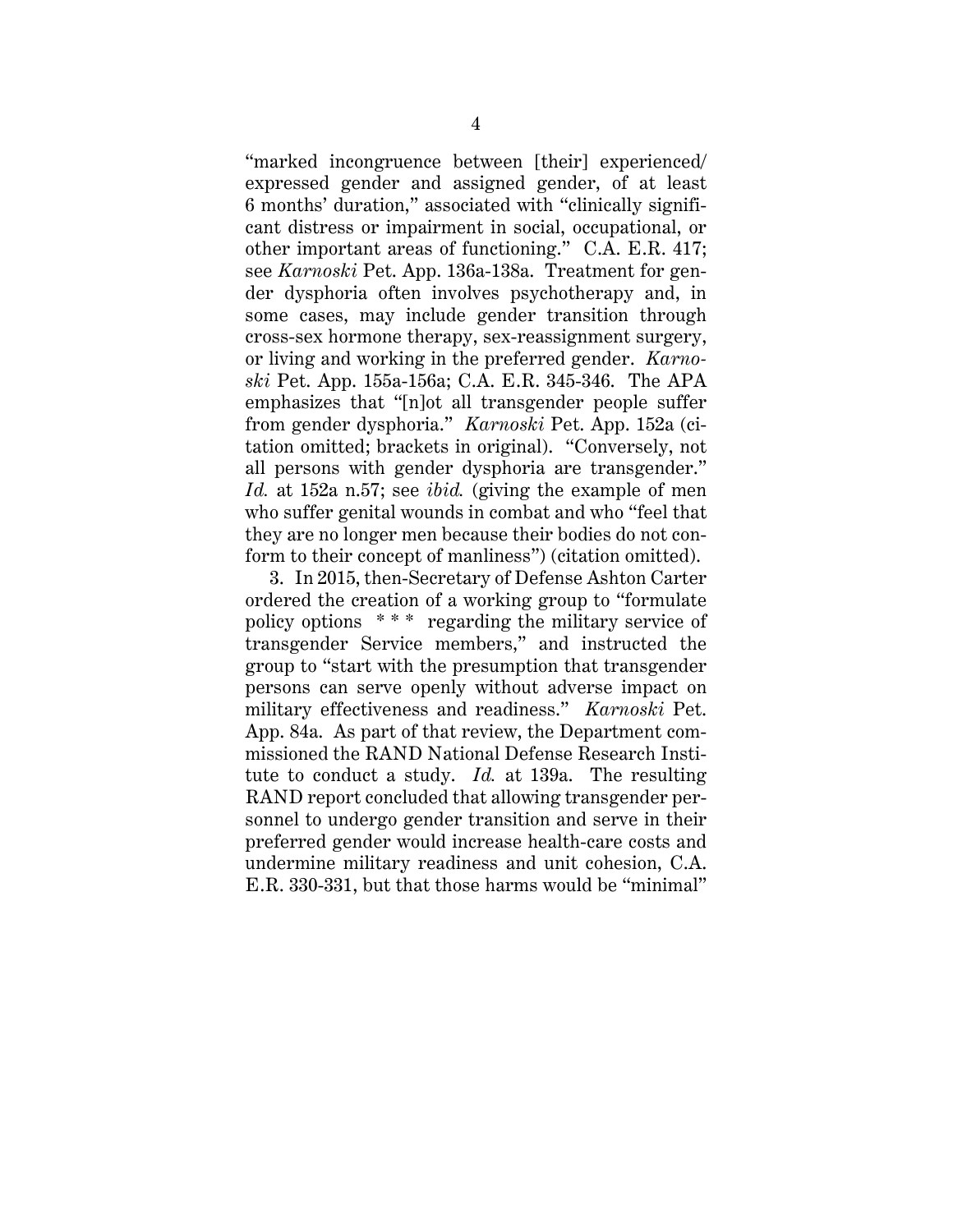"marked incongruence between [their] experienced/ expressed gender and assigned gender, of at least 6 months' duration," associated with "clinically significant distress or impairment in social, occupational, or other important areas of functioning." C.A. E.R. 417; see *Karnoski* Pet. App. 136a-138a. Treatment for gender dysphoria often involves psychotherapy and, in some cases, may include gender transition through cross-sex hormone therapy, sex-reassignment surgery, or living and working in the preferred gender. *Karnoski* Pet. App. 155a-156a; C.A. E.R. 345-346. The APA emphasizes that "[n]ot all transgender people suffer from gender dysphoria." *Karnoski* Pet. App. 152a (citation omitted; brackets in original). "Conversely, not all persons with gender dysphoria are transgender." *Id.* at 152a n.57; see *ibid.* (giving the example of men who suffer genital wounds in combat and who "feel that they are no longer men because their bodies do not conform to their concept of manliness") (citation omitted).

3. In 2015, then-Secretary of Defense Ashton Carter ordered the creation of a working group to "formulate policy options \* \* \* regarding the military service of transgender Service members," and instructed the group to "start with the presumption that transgender persons can serve openly without adverse impact on military effectiveness and readiness." *Karnoski* Pet. App. 84a. As part of that review, the Department commissioned the RAND National Defense Research Institute to conduct a study. *Id.* at 139a. The resulting RAND report concluded that allowing transgender personnel to undergo gender transition and serve in their preferred gender would increase health-care costs and undermine military readiness and unit cohesion, C.A. E.R. 330-331, but that those harms would be "minimal"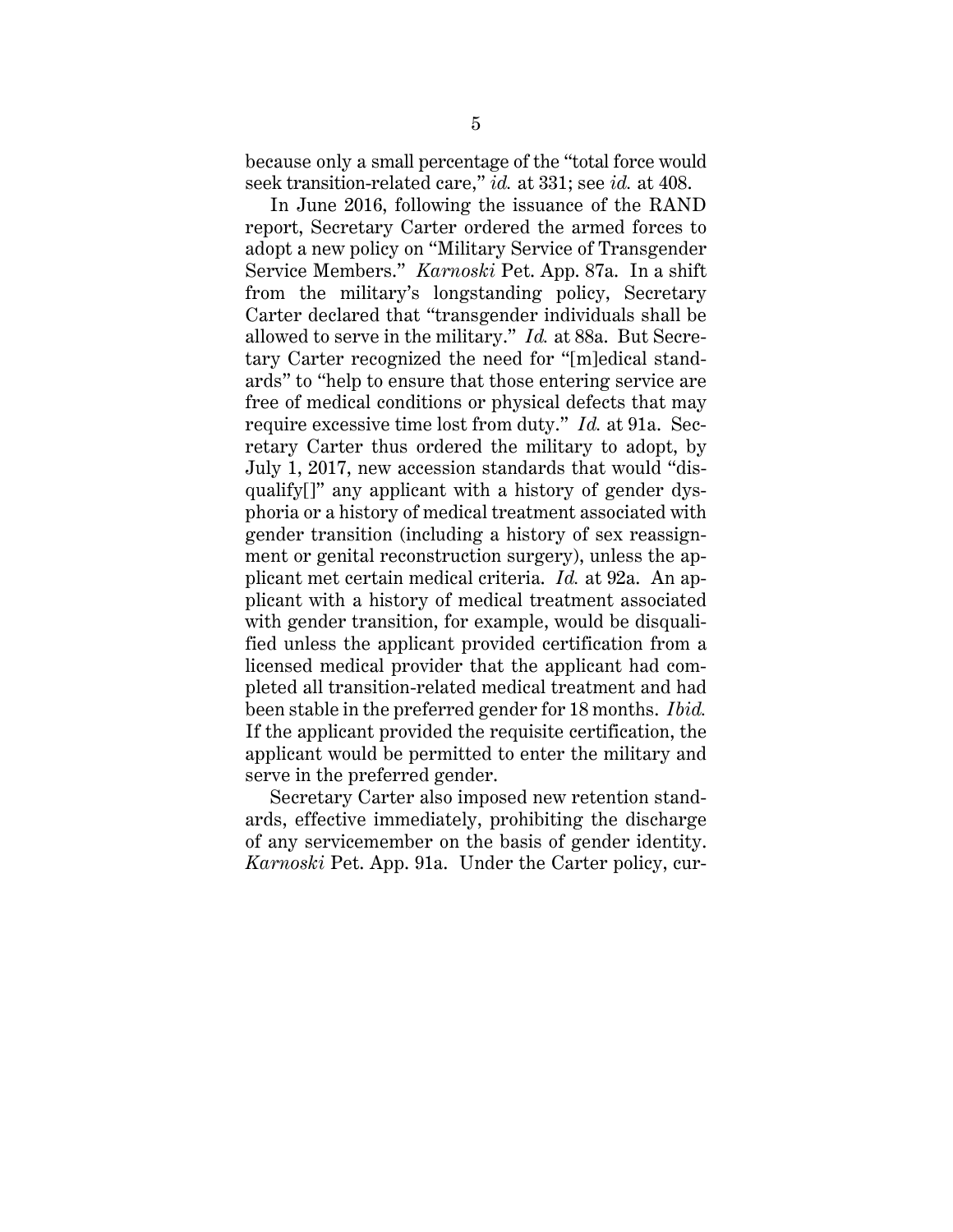because only a small percentage of the "total force would seek transition-related care," *id.* at 331; see *id.* at 408.

In June 2016, following the issuance of the RAND report, Secretary Carter ordered the armed forces to adopt a new policy on "Military Service of Transgender Service Members." *Karnoski* Pet. App. 87a. In a shift from the military's longstanding policy, Secretary Carter declared that "transgender individuals shall be allowed to serve in the military." *Id.* at 88a. But Secretary Carter recognized the need for "[m]edical standards" to "help to ensure that those entering service are free of medical conditions or physical defects that may require excessive time lost from duty." *Id.* at 91a. Secretary Carter thus ordered the military to adopt, by July 1, 2017, new accession standards that would "disqualify[]" any applicant with a history of gender dysphoria or a history of medical treatment associated with gender transition (including a history of sex reassignment or genital reconstruction surgery), unless the applicant met certain medical criteria. *Id.* at 92a. An applicant with a history of medical treatment associated with gender transition, for example, would be disqualified unless the applicant provided certification from a licensed medical provider that the applicant had completed all transition-related medical treatment and had been stable in the preferred gender for 18 months. *Ibid.* If the applicant provided the requisite certification, the applicant would be permitted to enter the military and serve in the preferred gender.

Secretary Carter also imposed new retention standards, effective immediately, prohibiting the discharge of any servicemember on the basis of gender identity. *Karnoski* Pet. App. 91a. Under the Carter policy, cur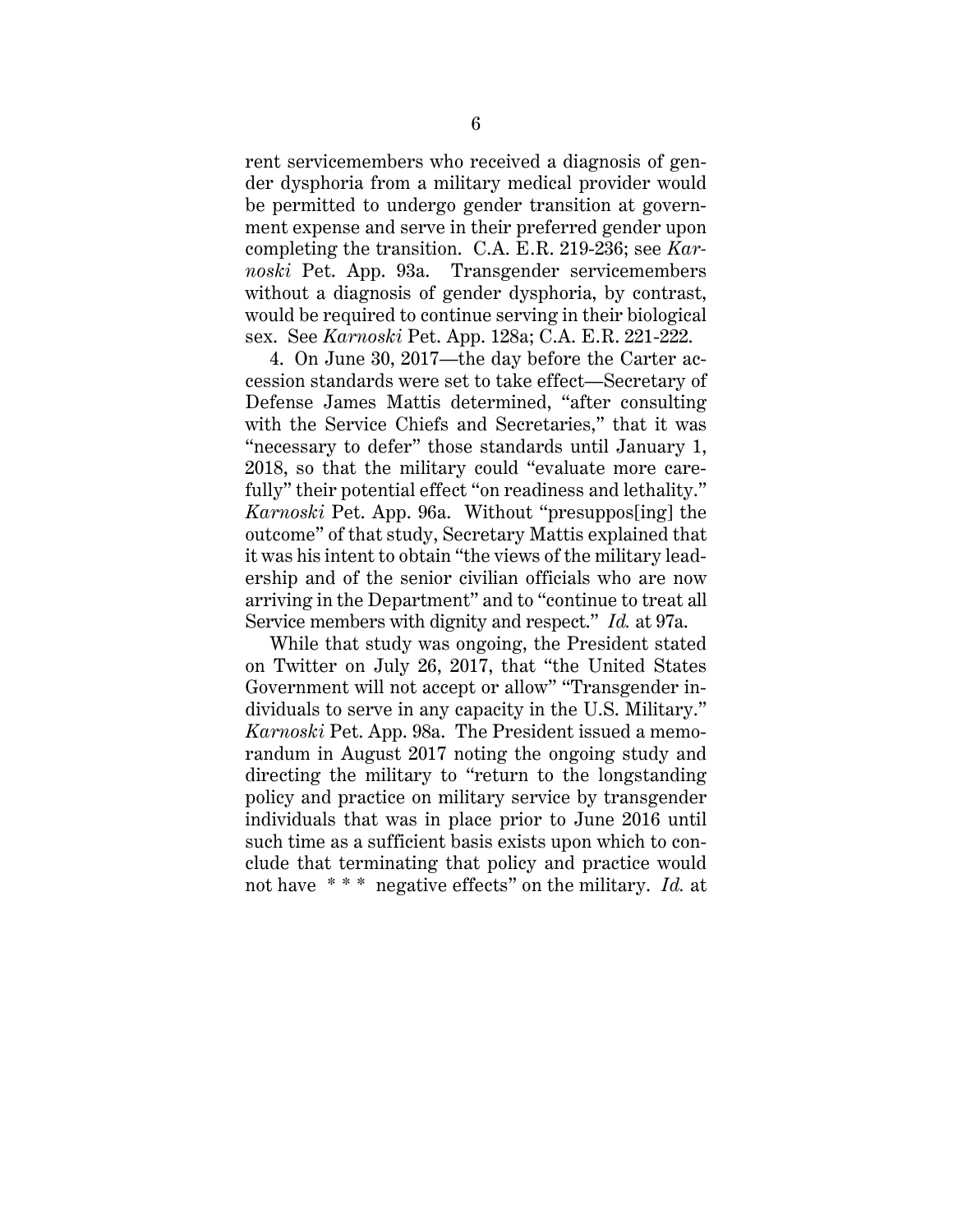rent servicemembers who received a diagnosis of gender dysphoria from a military medical provider would be permitted to undergo gender transition at government expense and serve in their preferred gender upon completing the transition. C.A. E.R. 219-236; see *Karnoski* Pet. App. 93a. Transgender servicemembers without a diagnosis of gender dysphoria, by contrast, would be required to continue serving in their biological sex. See *Karnoski* Pet. App. 128a; C.A. E.R. 221-222.

4. On June 30, 2017—the day before the Carter accession standards were set to take effect—Secretary of Defense James Mattis determined, "after consulting with the Service Chiefs and Secretaries," that it was "necessary to defer" those standards until January 1, 2018, so that the military could "evaluate more carefully" their potential effect "on readiness and lethality." *Karnoski* Pet. App. 96a. Without "presuppos[ing] the outcome" of that study, Secretary Mattis explained that it was his intent to obtain "the views of the military leadership and of the senior civilian officials who are now arriving in the Department" and to "continue to treat all Service members with dignity and respect." *Id.* at 97a.

While that study was ongoing, the President stated on Twitter on July 26, 2017, that "the United States Government will not accept or allow" "Transgender individuals to serve in any capacity in the U.S. Military." *Karnoski* Pet. App. 98a. The President issued a memorandum in August 2017 noting the ongoing study and directing the military to "return to the longstanding policy and practice on military service by transgender individuals that was in place prior to June 2016 until such time as a sufficient basis exists upon which to conclude that terminating that policy and practice would not have \* \* \* negative effects" on the military. *Id.* at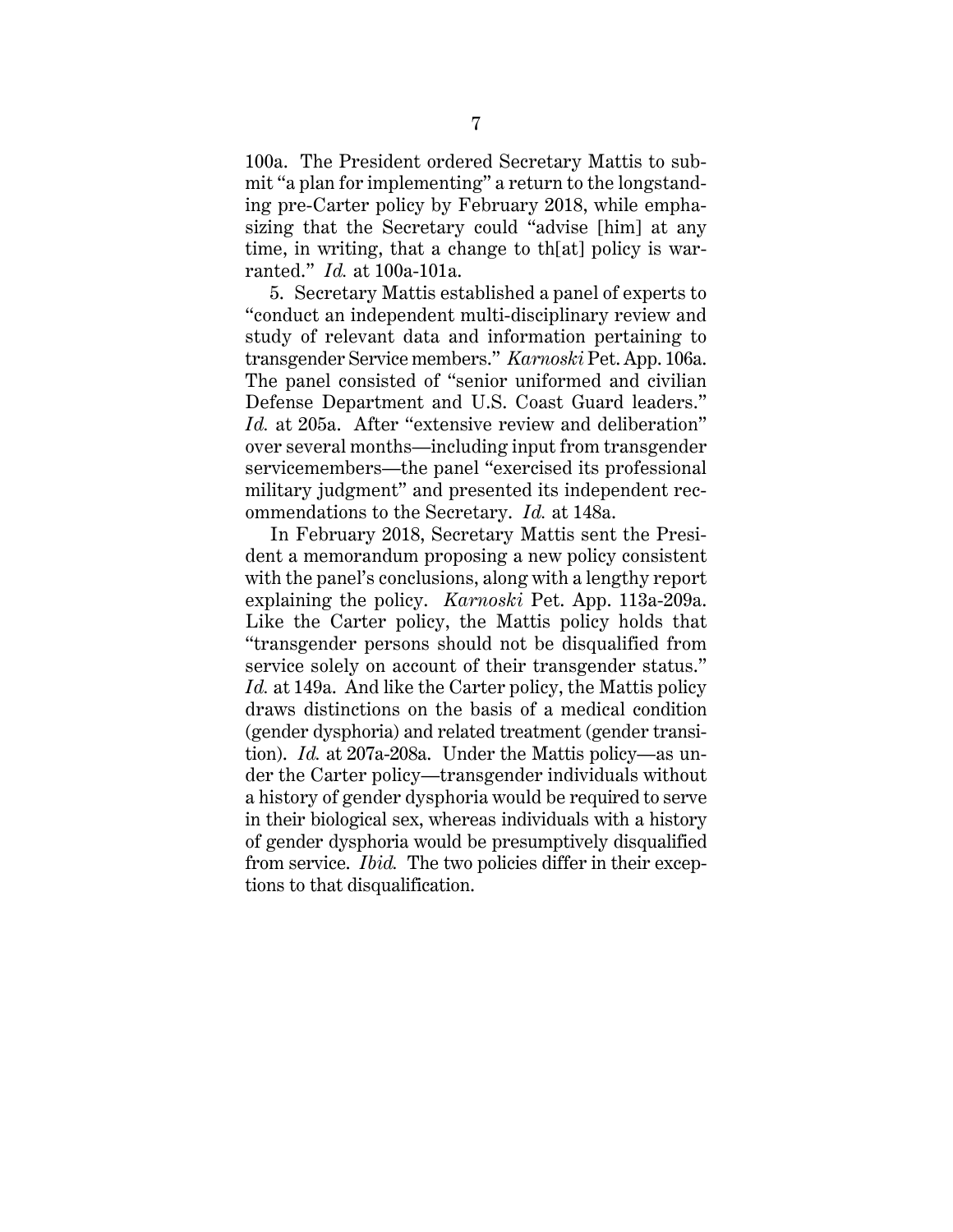100a. The President ordered Secretary Mattis to submit "a plan for implementing" a return to the longstanding pre-Carter policy by February 2018, while emphasizing that the Secretary could "advise [him] at any time, in writing, that a change to th[at] policy is warranted." *Id.* at 100a-101a.

5. Secretary Mattis established a panel of experts to "conduct an independent multi-disciplinary review and study of relevant data and information pertaining to transgender Service members." *Karnoski* Pet. App. 106a. The panel consisted of "senior uniformed and civilian Defense Department and U.S. Coast Guard leaders." *Id.* at 205a. After "extensive review and deliberation" over several months—including input from transgender servicemembers—the panel "exercised its professional military judgment" and presented its independent recommendations to the Secretary. *Id.* at 148a.

In February 2018, Secretary Mattis sent the President a memorandum proposing a new policy consistent with the panel's conclusions, along with a lengthy report explaining the policy. *Karnoski* Pet. App. 113a-209a. Like the Carter policy, the Mattis policy holds that "transgender persons should not be disqualified from service solely on account of their transgender status." *Id.* at 149a. And like the Carter policy, the Mattis policy draws distinctions on the basis of a medical condition (gender dysphoria) and related treatment (gender transition). *Id.* at 207a-208a. Under the Mattis policy—as under the Carter policy—transgender individuals without a history of gender dysphoria would be required to serve in their biological sex, whereas individuals with a history of gender dysphoria would be presumptively disqualified from service. *Ibid.* The two policies differ in their exceptions to that disqualification.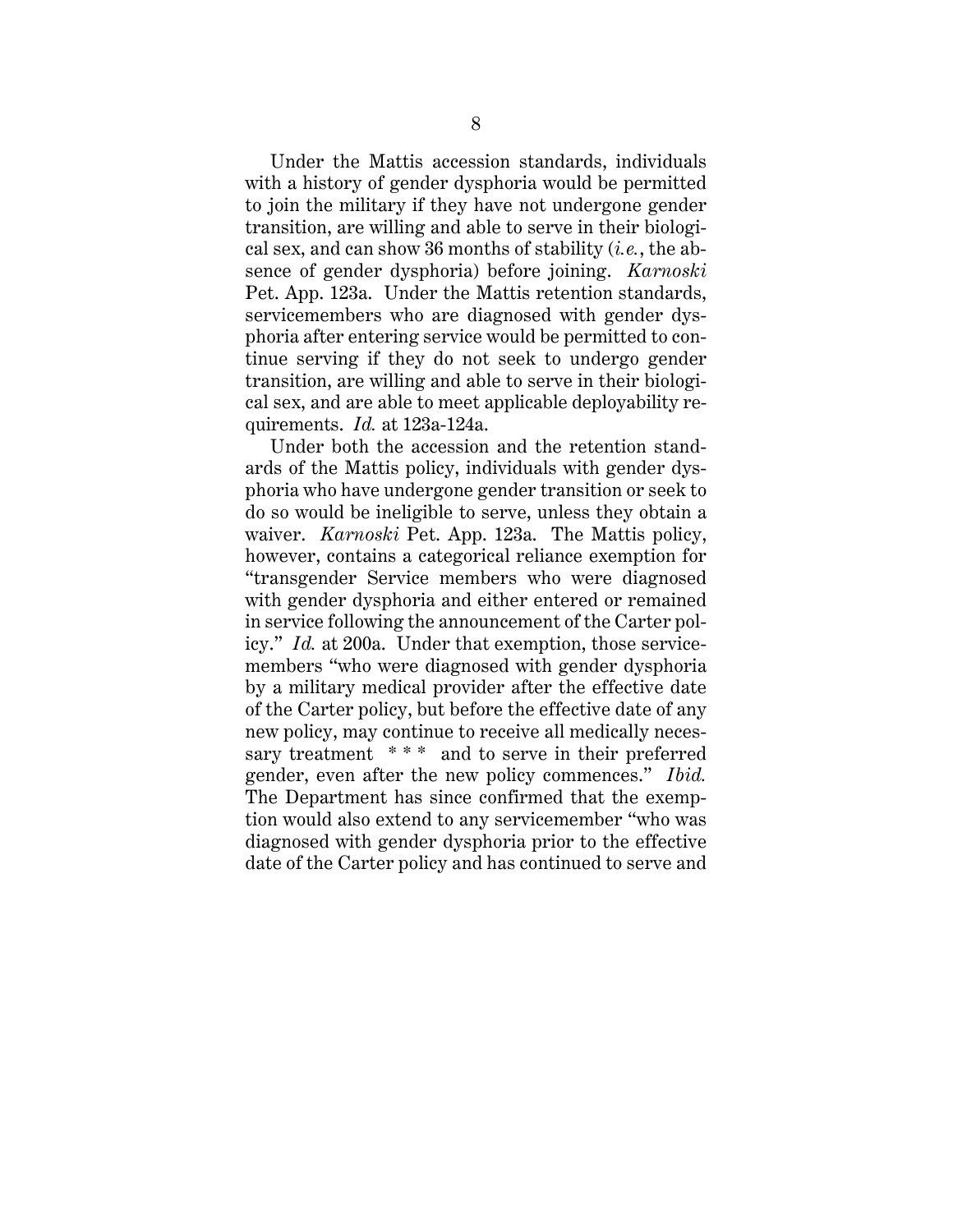Under the Mattis accession standards, individuals with a history of gender dysphoria would be permitted to join the military if they have not undergone gender transition, are willing and able to serve in their biological sex, and can show 36 months of stability (*i.e.*, the absence of gender dysphoria) before joining. *Karnoski* Pet. App. 123a. Under the Mattis retention standards, servicemembers who are diagnosed with gender dysphoria after entering service would be permitted to continue serving if they do not seek to undergo gender transition, are willing and able to serve in their biological sex, and are able to meet applicable deployability requirements. *Id.* at 123a-124a.

Under both the accession and the retention standards of the Mattis policy, individuals with gender dysphoria who have undergone gender transition or seek to do so would be ineligible to serve, unless they obtain a waiver. *Karnoski* Pet. App. 123a. The Mattis policy, however, contains a categorical reliance exemption for "transgender Service members who were diagnosed with gender dysphoria and either entered or remained in service following the announcement of the Carter policy." *Id.* at 200a. Under that exemption, those servicemembers "who were diagnosed with gender dysphoria by a military medical provider after the effective date of the Carter policy, but before the effective date of any new policy, may continue to receive all medically necessary treatment \*\*\* and to serve in their preferred gender, even after the new policy commences." *Ibid.* The Department has since confirmed that the exemption would also extend to any servicemember "who was diagnosed with gender dysphoria prior to the effective date of the Carter policy and has continued to serve and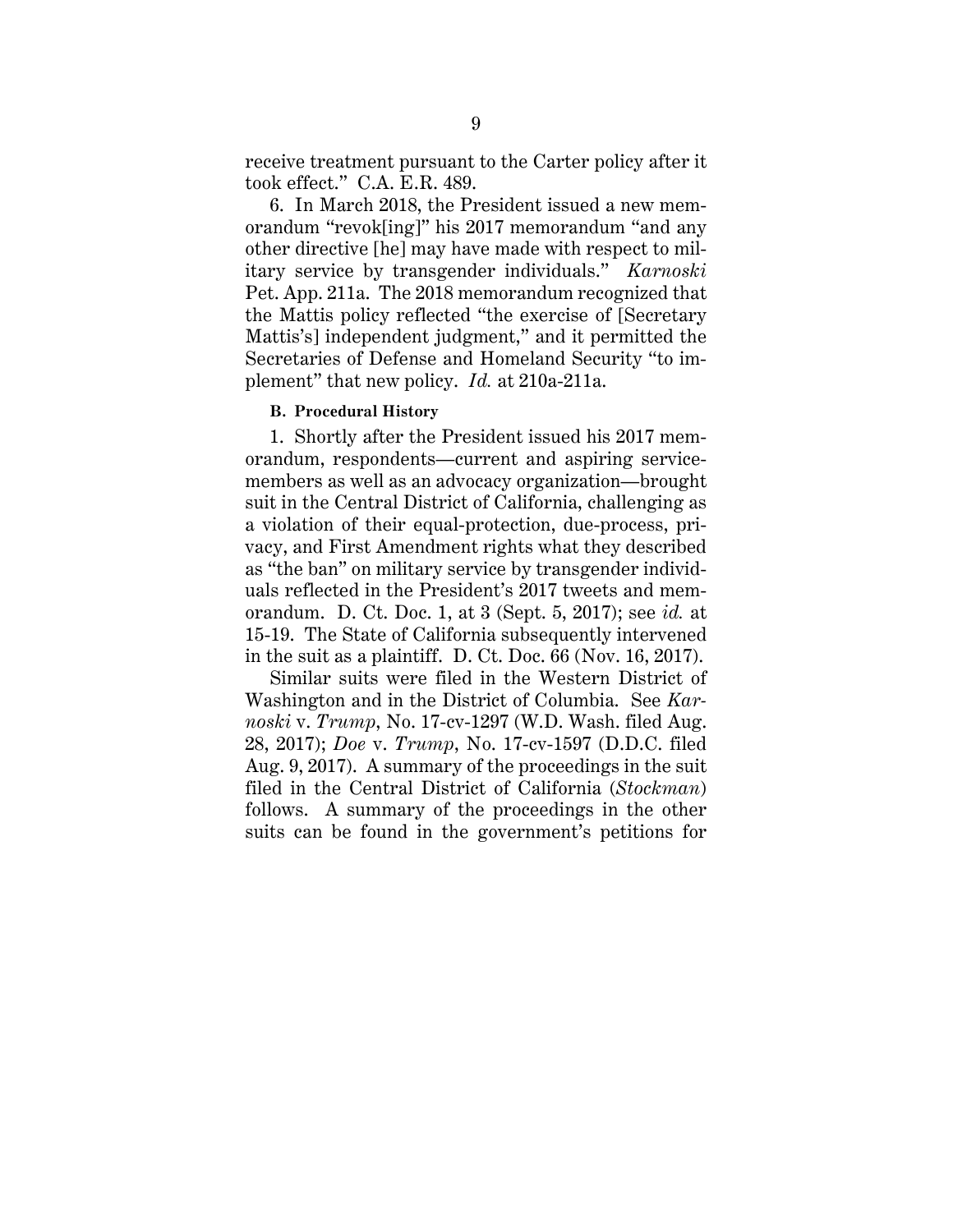receive treatment pursuant to the Carter policy after it took effect." C.A. E.R. 489.

6. In March 2018, the President issued a new memorandum "revok[ing]" his 2017 memorandum "and any other directive [he] may have made with respect to military service by transgender individuals." *Karnoski* Pet. App. 211a. The 2018 memorandum recognized that the Mattis policy reflected "the exercise of [Secretary Mattis's] independent judgment," and it permitted the Secretaries of Defense and Homeland Security "to implement" that new policy. *Id.* at 210a-211a.

#### <span id="page-12-0"></span>**B. Procedural History**

1. Shortly after the President issued his 2017 memorandum, respondents—current and aspiring servicemembers as well as an advocacy organization—brought suit in the Central District of California, challenging as a violation of their equal-protection, due-process, privacy, and First Amendment rights what they described as "the ban" on military service by transgender individuals reflected in the President's 2017 tweets and memorandum. D. Ct. Doc. 1, at 3 (Sept. 5, 2017); see *id.* at 15-19. The State of California subsequently intervened in the suit as a plaintiff. D. Ct. Doc. 66 (Nov. 16, 2017).

Similar suits were filed in the Western District of Washington and in the District of Columbia. See *Karnoski* v. *Trump*, No. 17-cv-1297 (W.D. Wash. filed Aug. 28, 2017); *Doe* v. *Trump*, No. 17-cv-1597 (D.D.C. filed Aug. 9, 2017). A summary of the proceedings in the suit filed in the Central District of California (*Stockman*) follows. A summary of the proceedings in the other suits can be found in the government's petitions for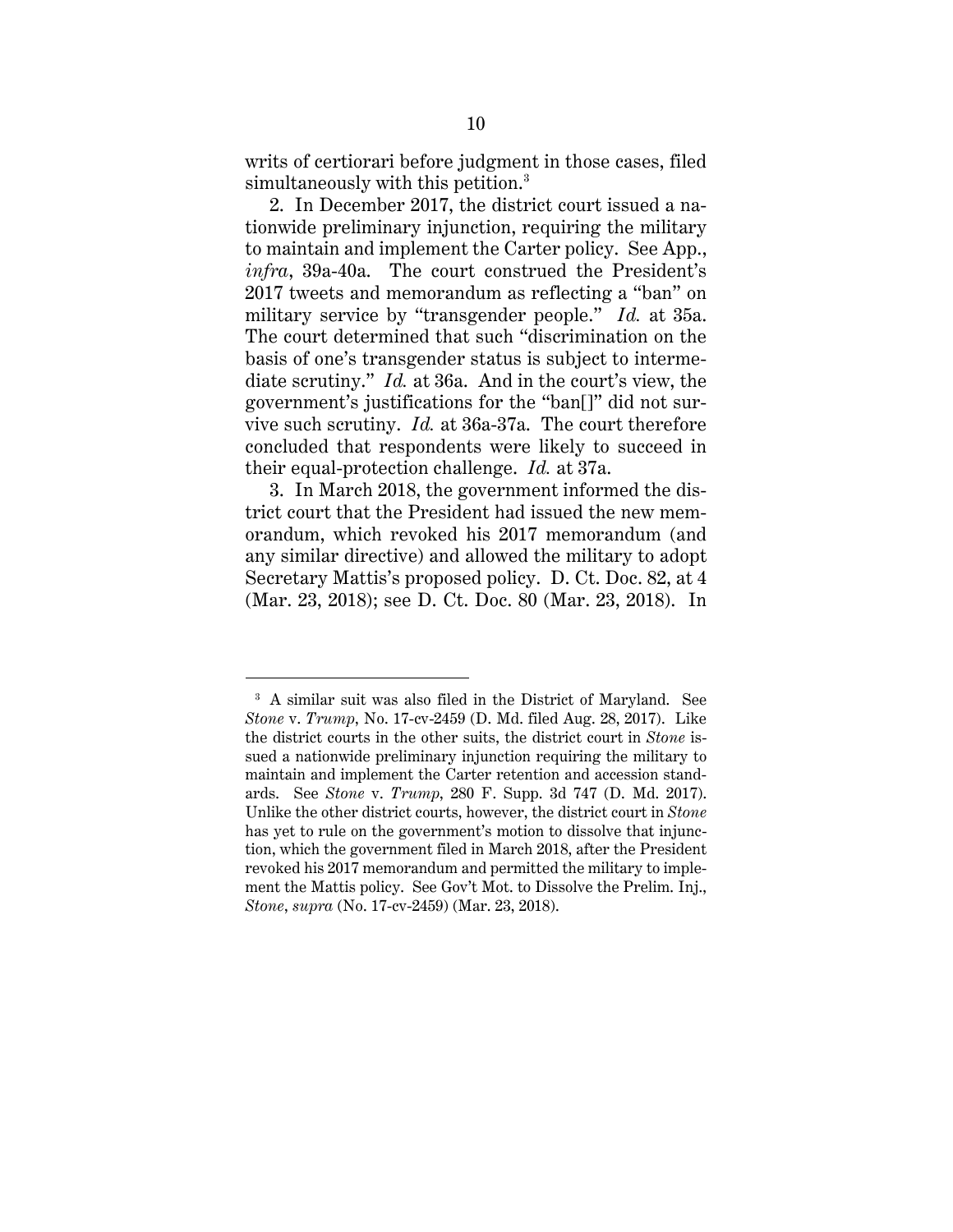writs of certiorari before judgment in those cases, filed simultaneously with this petition.<sup>[3](#page-13-0)</sup>

2. In December 2017, the district court issued a nationwide preliminary injunction, requiring the military to maintain and implement the Carter policy. See App., *infra*, 39a-40a. The court construed the President's 2017 tweets and memorandum as reflecting a "ban" on military service by "transgender people." *Id.* at 35a. The court determined that such "discrimination on the basis of one's transgender status is subject to intermediate scrutiny." *Id.* at 36a. And in the court's view, the government's justifications for the "ban[]" did not survive such scrutiny. *Id.* at 36a-37a. The court therefore concluded that respondents were likely to succeed in their equal-protection challenge. *Id.* at 37a.

3. In March 2018, the government informed the district court that the President had issued the new memorandum, which revoked his 2017 memorandum (and any similar directive) and allowed the military to adopt Secretary Mattis's proposed policy. D. Ct. Doc. 82, at 4 (Mar. 23, 2018); see D. Ct. Doc. 80 (Mar. 23, 2018). In

 $\overline{a}$ 

<span id="page-13-0"></span><sup>3</sup> A similar suit was also filed in the District of Maryland. See *Stone* v. *Trump*, No. 17-cv-2459 (D. Md. filed Aug. 28, 2017). Like the district courts in the other suits, the district court in *Stone* issued a nationwide preliminary injunction requiring the military to maintain and implement the Carter retention and accession standards. See *Stone* v. *Trump*, 280 F. Supp. 3d 747 (D. Md. 2017). Unlike the other district courts, however, the district court in *Stone* has yet to rule on the government's motion to dissolve that injunction, which the government filed in March 2018, after the President revoked his 2017 memorandum and permitted the military to implement the Mattis policy. See Gov't Mot. to Dissolve the Prelim. Inj., *Stone*, *supra* (No. 17-cv-2459) (Mar. 23, 2018).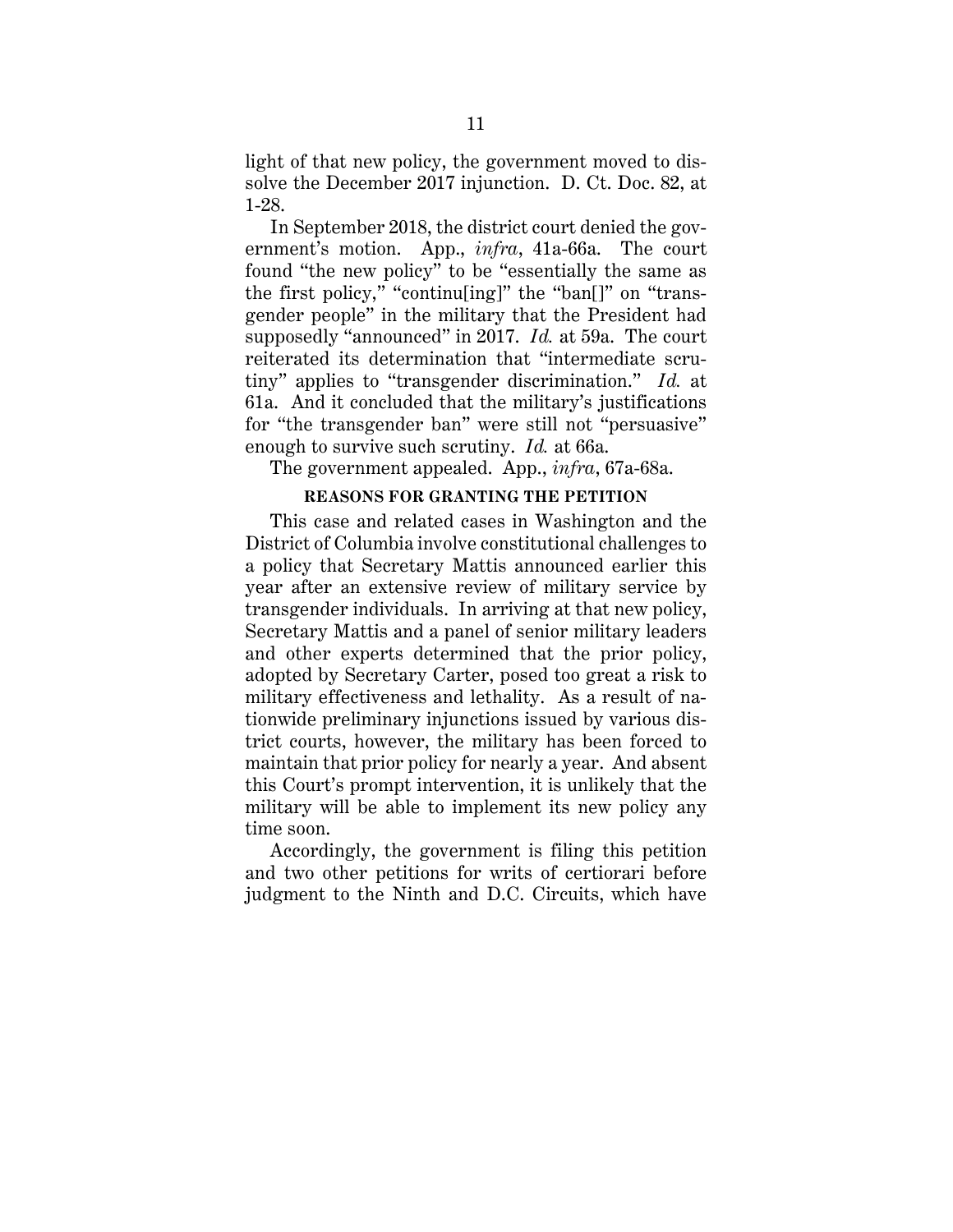light of that new policy, the government moved to dissolve the December 2017 injunction. D. Ct. Doc. 82, at 1-28.

In September 2018, the district court denied the government's motion. App., *infra*, 41a-66a. The court found "the new policy" to be "essentially the same as the first policy," "continu[ing]" the "ban[]" on "transgender people" in the military that the President had supposedly "announced" in 2017. *Id.* at 59a. The court reiterated its determination that "intermediate scrutiny" applies to "transgender discrimination." *Id.* at 61a. And it concluded that the military's justifications for "the transgender ban" were still not "persuasive" enough to survive such scrutiny. *Id.* at 66a.

<span id="page-14-0"></span>The government appealed. App., *infra*, 67a-68a.

# **REASONS FOR GRANTING THE PETITION**

This case and related cases in Washington and the District of Columbia involve constitutional challenges to a policy that Secretary Mattis announced earlier this year after an extensive review of military service by transgender individuals. In arriving at that new policy, Secretary Mattis and a panel of senior military leaders and other experts determined that the prior policy, adopted by Secretary Carter, posed too great a risk to military effectiveness and lethality. As a result of nationwide preliminary injunctions issued by various district courts, however, the military has been forced to maintain that prior policy for nearly a year. And absent this Court's prompt intervention, it is unlikely that the military will be able to implement its new policy any time soon.

Accordingly, the government is filing this petition and two other petitions for writs of certiorari before judgment to the Ninth and D.C. Circuits, which have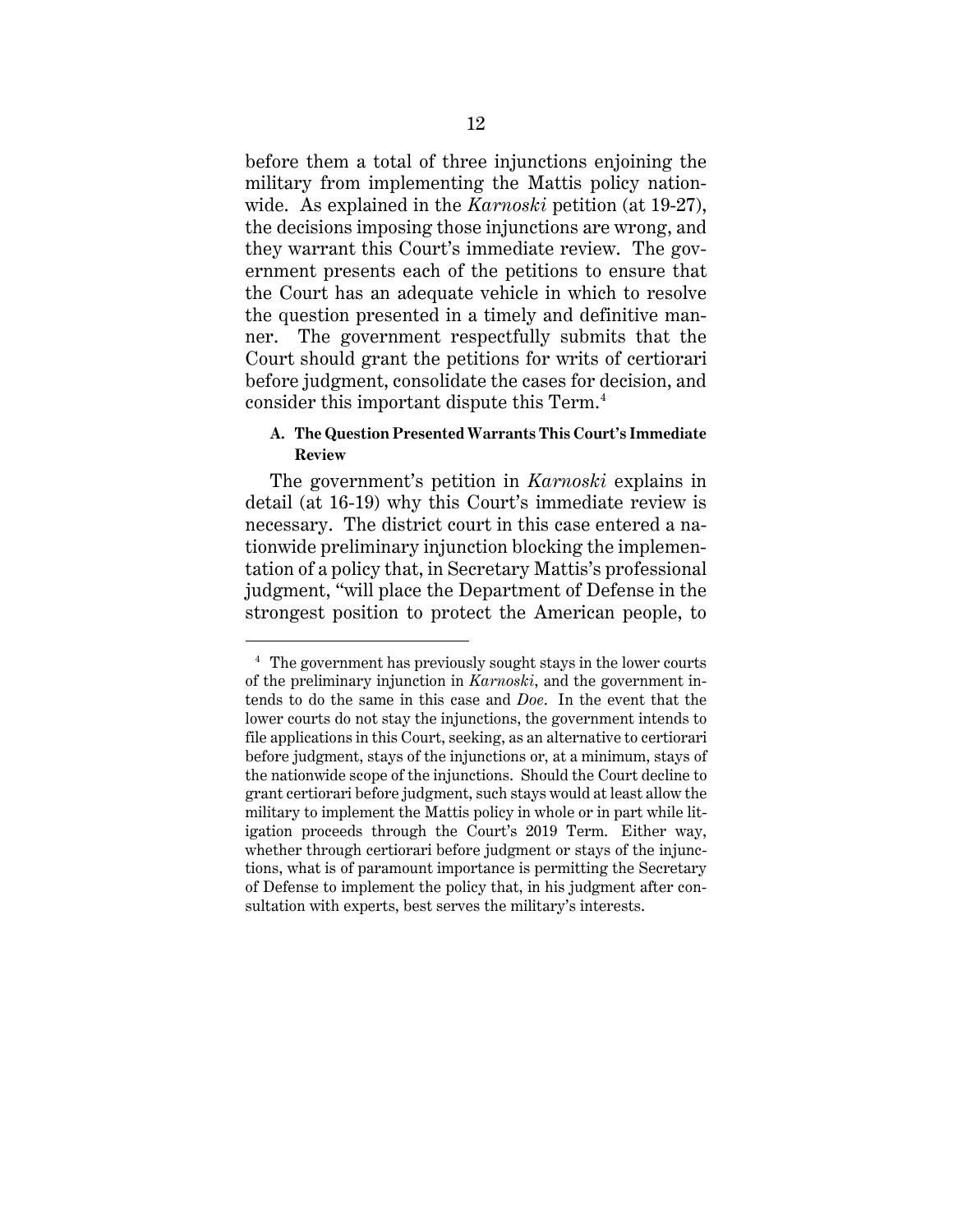before them a total of three injunctions enjoining the military from implementing the Mattis policy nationwide. As explained in the *Karnoski* petition (at 19-27), the decisions imposing those injunctions are wrong, and they warrant this Court's immediate review. The government presents each of the petitions to ensure that the Court has an adequate vehicle in which to resolve the question presented in a timely and definitive manner. The government respectfully submits that the Court should grant the petitions for writs of certiorari before judgment, consolidate the cases for decision, and consider this important dispute this Term. [4](#page-15-1)

# <span id="page-15-0"></span>**A. The Question Presented Warrants This Court's Immediate Review**

The government's petition in *Karnoski* explains in detail (at 16-19) why this Court's immediate review is necessary. The district court in this case entered a nationwide preliminary injunction blocking the implementation of a policy that, in Secretary Mattis's professional judgment, "will place the Department of Defense in the strongest position to protect the American people, to

 $\overline{a}$ 

<span id="page-15-1"></span><sup>4</sup> The government has previously sought stays in the lower courts of the preliminary injunction in *Karnoski*, and the government intends to do the same in this case and *Doe*. In the event that the lower courts do not stay the injunctions, the government intends to file applications in this Court, seeking, as an alternative to certiorari before judgment, stays of the injunctions or, at a minimum, stays of the nationwide scope of the injunctions. Should the Court decline to grant certiorari before judgment, such stays would at least allow the military to implement the Mattis policy in whole or in part while litigation proceeds through the Court's 2019 Term. Either way, whether through certiorari before judgment or stays of the injunctions, what is of paramount importance is permitting the Secretary of Defense to implement the policy that, in his judgment after consultation with experts, best serves the military's interests.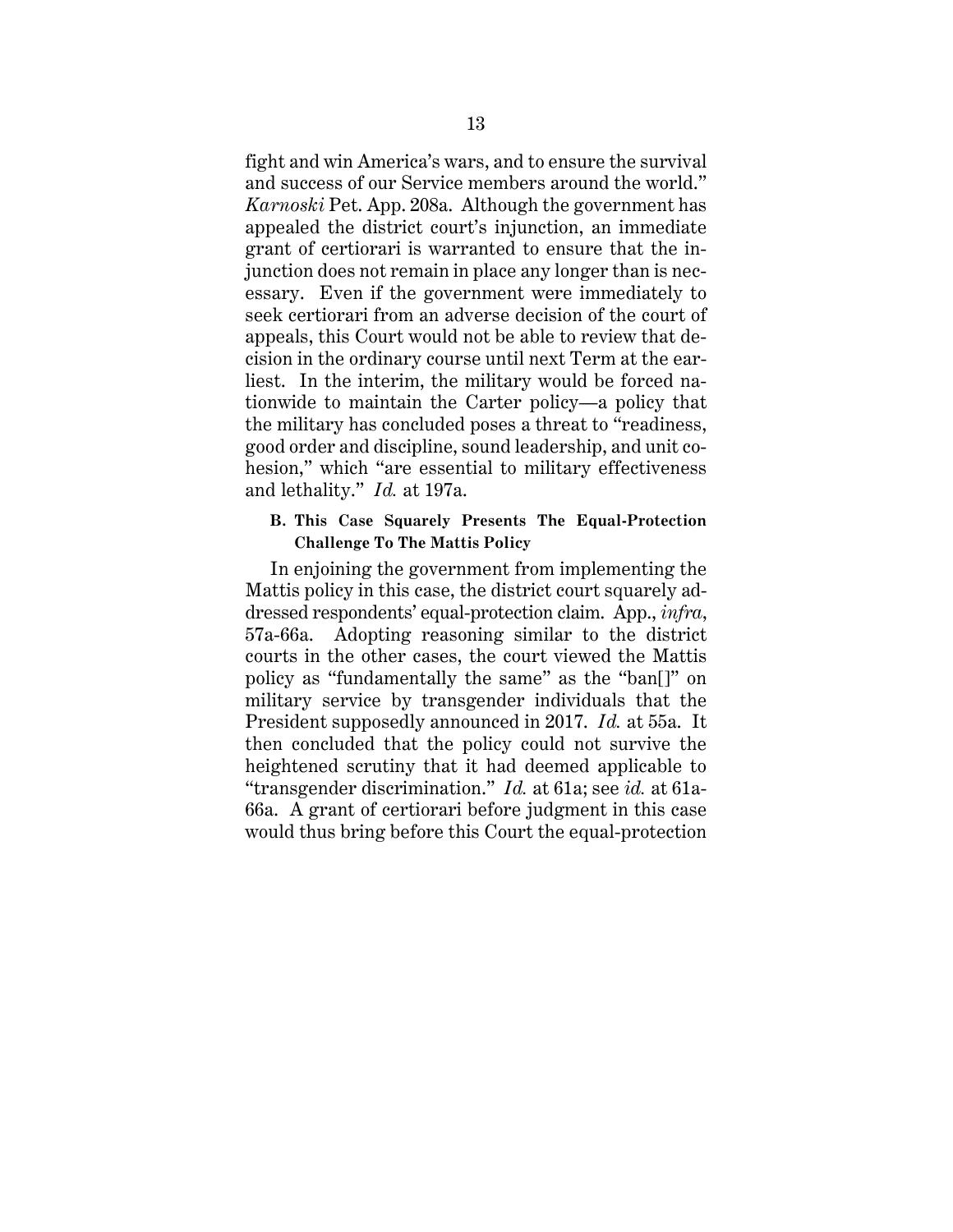fight and win America's wars, and to ensure the survival and success of our Service members around the world." *Karnoski* Pet. App. 208a. Although the government has appealed the district court's injunction, an immediate grant of certiorari is warranted to ensure that the injunction does not remain in place any longer than is necessary. Even if the government were immediately to seek certiorari from an adverse decision of the court of appeals, this Court would not be able to review that decision in the ordinary course until next Term at the earliest. In the interim, the military would be forced nationwide to maintain the Carter policy—a policy that the military has concluded poses a threat to "readiness, good order and discipline, sound leadership, and unit cohesion," which "are essential to military effectiveness and lethality." *Id.* at 197a.

## <span id="page-16-0"></span>**B. This Case Squarely Presents The Equal-Protection Challenge To The Mattis Policy**

In enjoining the government from implementing the Mattis policy in this case, the district court squarely addressed respondents' equal-protection claim. App., *infra*, 57a-66a. Adopting reasoning similar to the district courts in the other cases, the court viewed the Mattis policy as "fundamentally the same" as the "ban[]" on military service by transgender individuals that the President supposedly announced in 2017. *Id.* at 55a. It then concluded that the policy could not survive the heightened scrutiny that it had deemed applicable to "transgender discrimination." *Id.* at 61a; see *id.* at 61a-66a. A grant of certiorari before judgment in this case would thus bring before this Court the equal-protection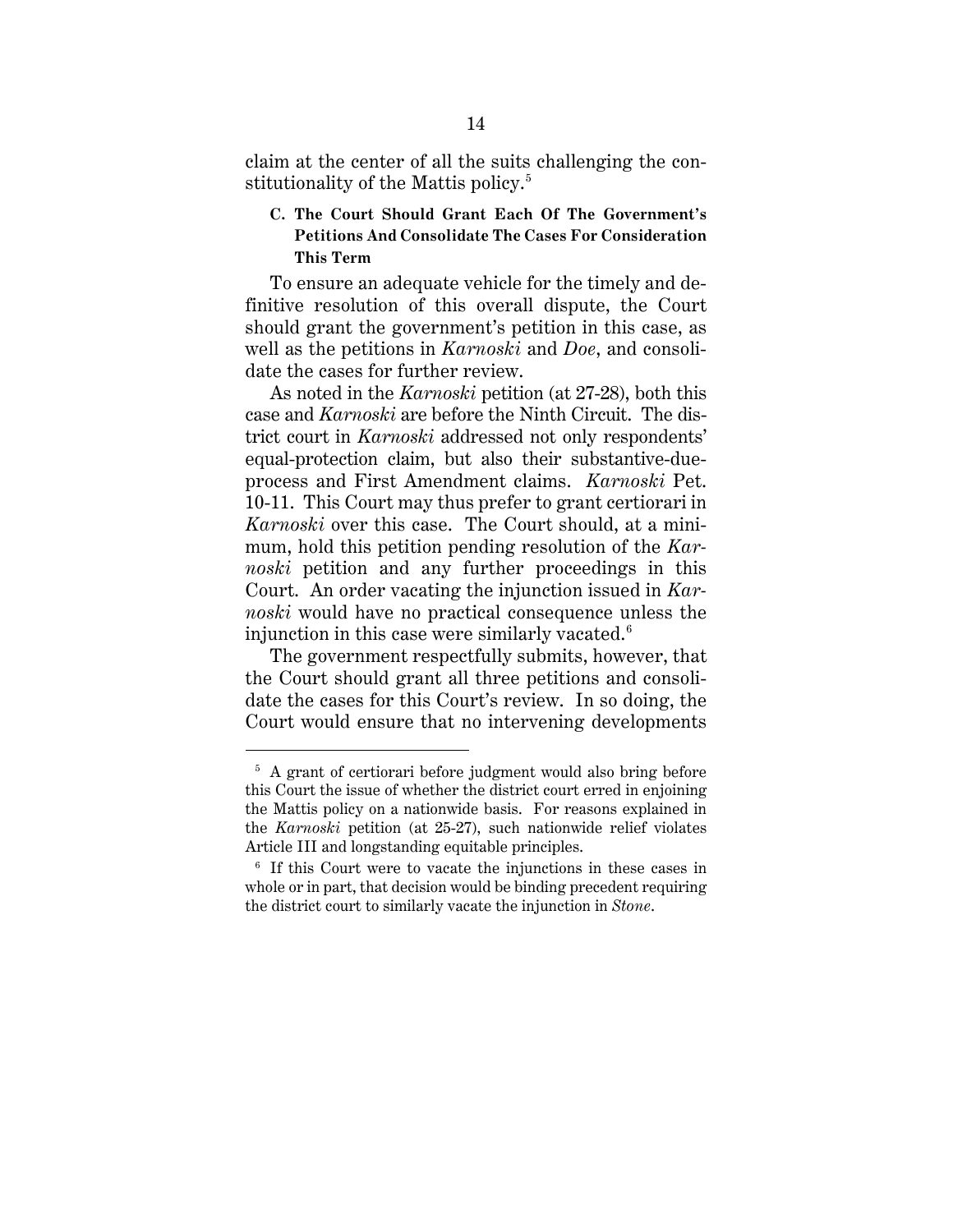claim at the center of all the suits challenging the con-stitutionality of the Mattis policy.<sup>[5](#page-17-1)</sup>

# <span id="page-17-0"></span>**C. The Court Should Grant Each Of The Government's Petitions And Consolidate The Cases For Consideration This Term**

To ensure an adequate vehicle for the timely and definitive resolution of this overall dispute, the Court should grant the government's petition in this case, as well as the petitions in *Karnoski* and *Doe*, and consolidate the cases for further review.

As noted in the *Karnoski* petition (at 27-28), both this case and *Karnoski* are before the Ninth Circuit. The district court in *Karnoski* addressed not only respondents' equal-protection claim, but also their substantive-dueprocess and First Amendment claims. *Karnoski* Pet. 10-11. This Court may thus prefer to grant certiorari in *Karnoski* over this case. The Court should, at a minimum, hold this petition pending resolution of the *Karnoski* petition and any further proceedings in this Court. An order vacating the injunction issued in *Karnoski* would have no practical consequence unless the injunction in this case were similarly vacated.<sup>[6](#page-17-2)</sup>

The government respectfully submits, however, that the Court should grant all three petitions and consolidate the cases for this Court's review. In so doing, the Court would ensure that no intervening developments

 $\overline{a}$ 

<span id="page-17-1"></span><sup>&</sup>lt;sup>5</sup> A grant of certiorari before judgment would also bring before this Court the issue of whether the district court erred in enjoining the Mattis policy on a nationwide basis. For reasons explained in the *Karnoski* petition (at 25-27), such nationwide relief violates Article III and longstanding equitable principles.

<span id="page-17-2"></span><sup>6</sup> If this Court were to vacate the injunctions in these cases in whole or in part, that decision would be binding precedent requiring the district court to similarly vacate the injunction in *Stone*.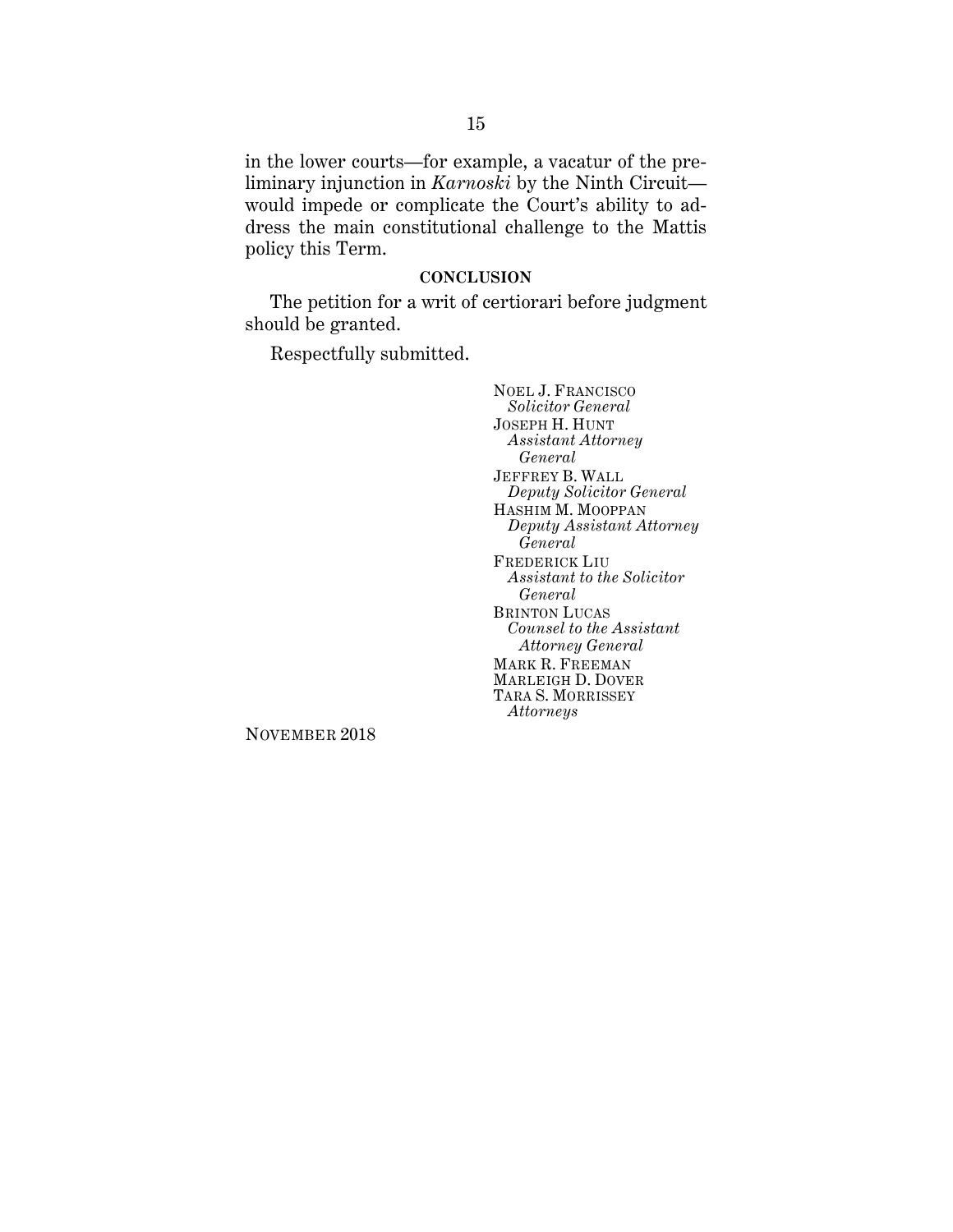in the lower courts—for example, a vacatur of the preliminary injunction in *Karnoski* by the Ninth Circuit would impede or complicate the Court's ability to address the main constitutional challenge to the Mattis policy this Term.

#### **CONCLUSION**

<span id="page-18-0"></span>The petition for a writ of certiorari before judgment should be granted.

Respectfully submitted.

NOEL J. FRANCISCO *Solicitor General* JOSEPH H. HUNT *Assistant Attorney General* JEFFREY B. WALL *Deputy Solicitor General* HASHIM M. MOOPPAN *Deputy Assistant Attorney General* FREDERICK LIU *Assistant to the Solicitor General* BRINTON LUCAS *Counsel to the Assistant Attorney General* MARK R. FREEMAN MARLEIGH D. DOVER TARA S. MORRISSEY *Attorneys*

NOVEMBER 2018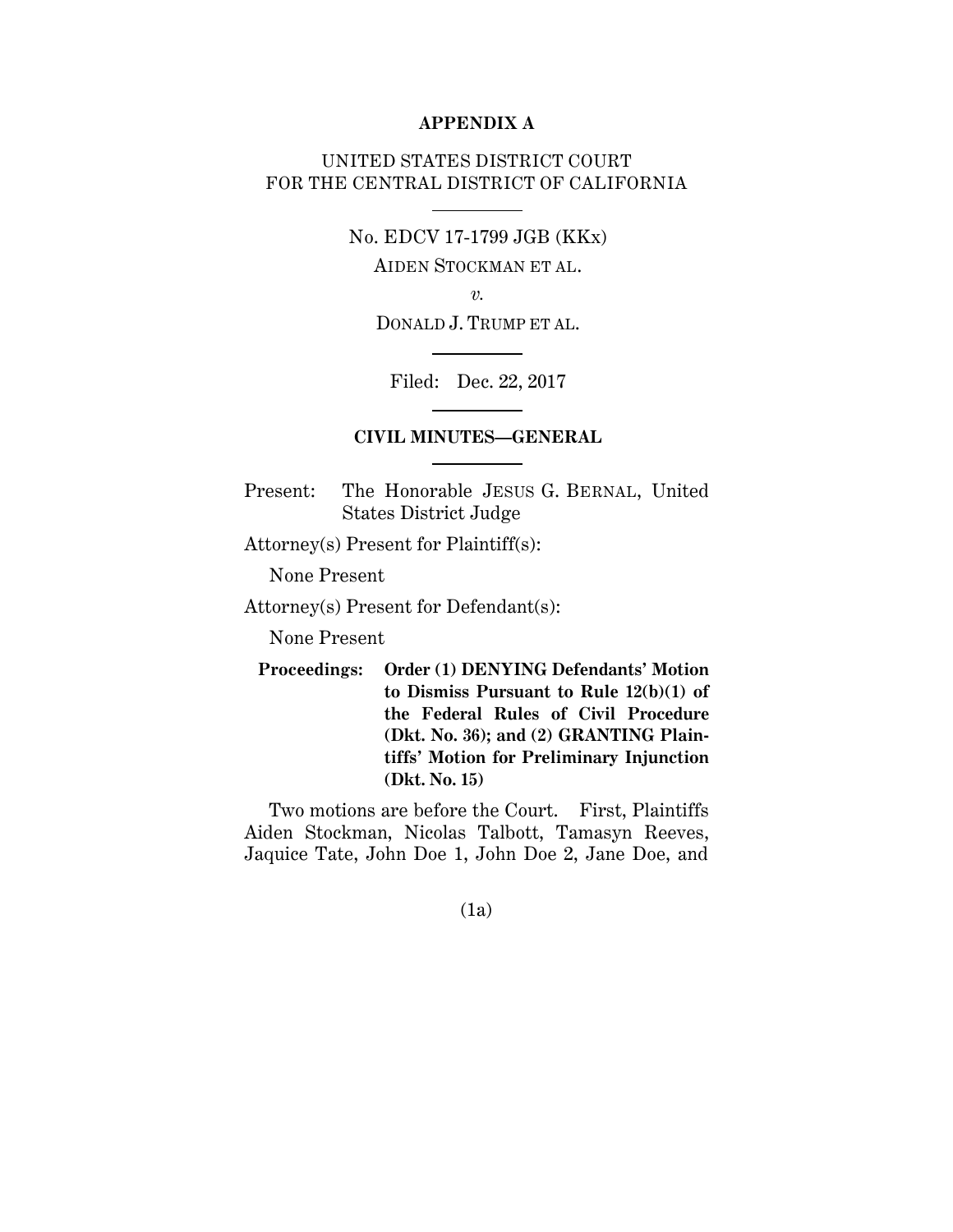#### **APPENDIX A**

# UNITED STATES DISTRICT COURT FOR THE CENTRAL DISTRICT OF CALIFORNIA

No. EDCV 17-1799 JGB (KKx)

AIDEN STOCKMAN ET AL.

*v.*

DONALD J. TRUMP ET AL.

Filed: Dec. 22, 2017

# **CIVIL MINUTES—GENERAL**

Present: The Honorable JESUS G. BERNAL, United States District Judge

Attorney(s) Present for Plaintiff(s):

None Present

Attorney(s) Present for Defendant(s):

None Present

**Proceedings: Order (1) DENYING Defendants' Motion to Dismiss Pursuant to Rule 12(b)(1) of the Federal Rules of Civil Procedure (Dkt. No. 36); and (2) GRANTING Plaintiffs' Motion for Preliminary Injunction (Dkt. No. 15)**

Two motions are before the Court. First, Plaintiffs Aiden Stockman, Nicolas Talbott, Tamasyn Reeves, Jaquice Tate, John Doe 1, John Doe 2, Jane Doe, and

(1a)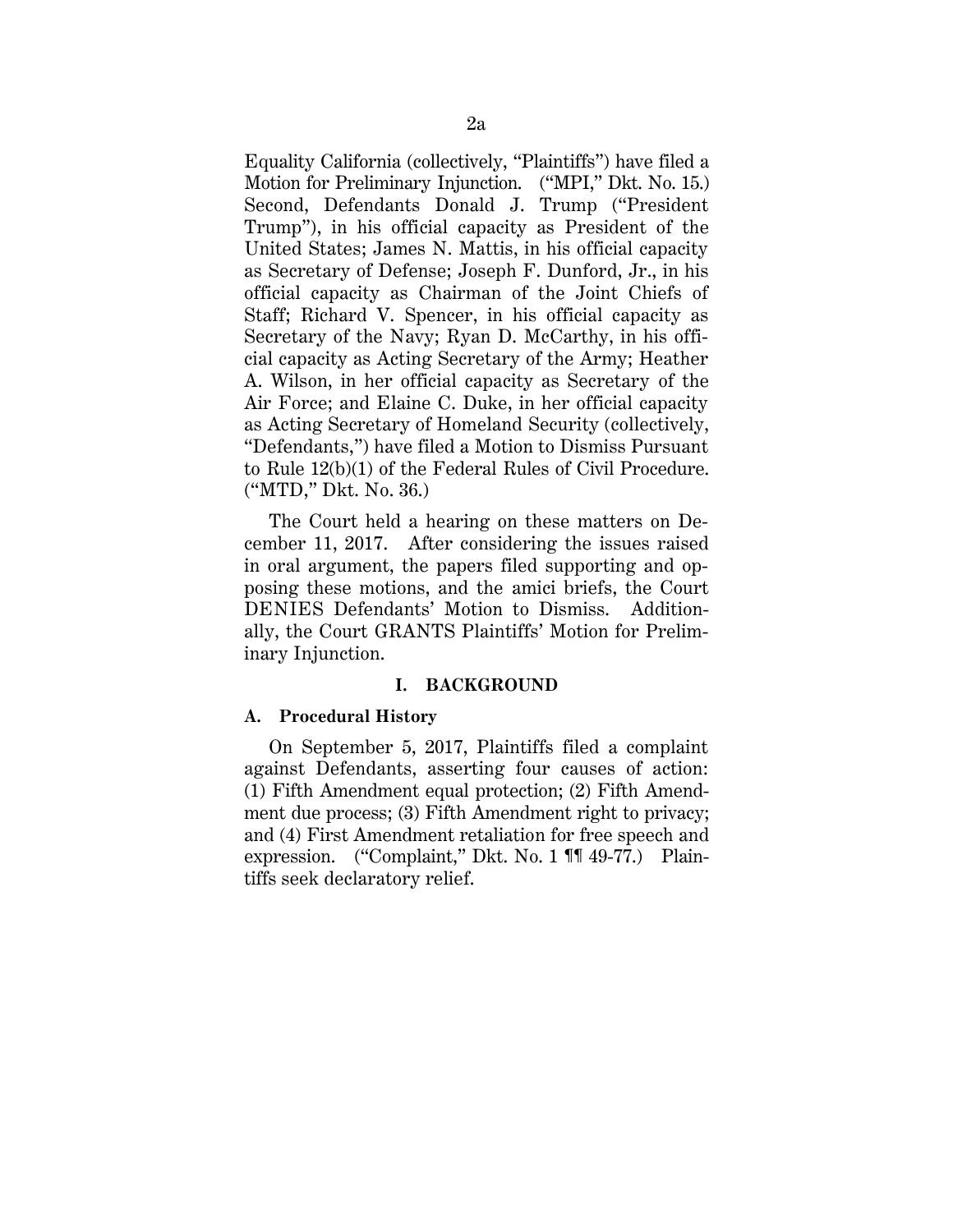Equality California (collectively, "Plaintiffs") have filed a Motion for Preliminary Injunction. ("MPI," Dkt. No. 15.) Second, Defendants Donald J. Trump ("President Trump"), in his official capacity as President of the United States; James N. Mattis, in his official capacity as Secretary of Defense; Joseph F. Dunford, Jr., in his official capacity as Chairman of the Joint Chiefs of Staff; Richard V. Spencer, in his official capacity as Secretary of the Navy; Ryan D. McCarthy, in his official capacity as Acting Secretary of the Army; Heather A. Wilson, in her official capacity as Secretary of the Air Force; and Elaine C. Duke, in her official capacity as Acting Secretary of Homeland Security (collectively, "Defendants,") have filed a Motion to Dismiss Pursuant to Rule 12(b)(1) of the Federal Rules of Civil Procedure. ("MTD," Dkt. No. 36.)

The Court held a hearing on these matters on December 11, 2017. After considering the issues raised in oral argument, the papers filed supporting and opposing these motions, and the amici briefs, the Court DENIES Defendants' Motion to Dismiss. Additionally, the Court GRANTS Plaintiffs' Motion for Preliminary Injunction.

#### **I. BACKGROUND**

#### **A. Procedural History**

On September 5, 2017, Plaintiffs filed a complaint against Defendants, asserting four causes of action: (1) Fifth Amendment equal protection; (2) Fifth Amendment due process; (3) Fifth Amendment right to privacy; and (4) First Amendment retaliation for free speech and expression. ("Complaint," Dkt. No. 1 ¶¶ 49-77.) Plaintiffs seek declaratory relief.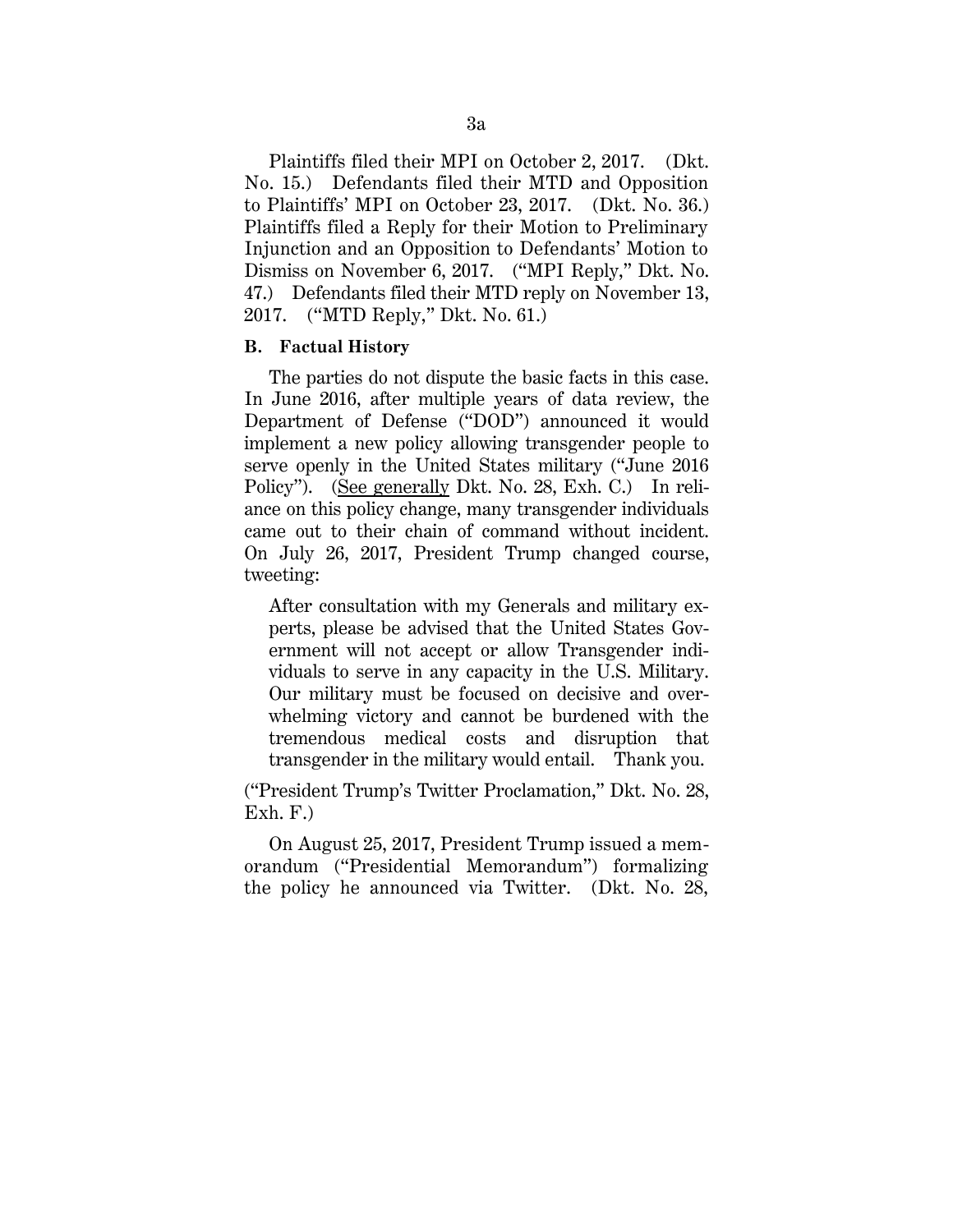Plaintiffs filed their MPI on October 2, 2017. (Dkt. No. 15.) Defendants filed their MTD and Opposition to Plaintiffs' MPI on October 23, 2017. (Dkt. No. 36.) Plaintiffs filed a Reply for their Motion to Preliminary Injunction and an Opposition to Defendants' Motion to Dismiss on November 6, 2017. ("MPI Reply," Dkt. No. 47.) Defendants filed their MTD reply on November 13, 2017. ("MTD Reply," Dkt. No. 61.)

#### **B. Factual History**

The parties do not dispute the basic facts in this case. In June 2016, after multiple years of data review, the Department of Defense ("DOD") announced it would implement a new policy allowing transgender people to serve openly in the United States military ("June 2016 Policy"). (See generally Dkt. No. 28, Exh. C.) In reliance on this policy change, many transgender individuals came out to their chain of command without incident. On July 26, 2017, President Trump changed course, tweeting:

After consultation with my Generals and military experts, please be advised that the United States Government will not accept or allow Transgender individuals to serve in any capacity in the U.S. Military. Our military must be focused on decisive and overwhelming victory and cannot be burdened with the tremendous medical costs and disruption that transgender in the military would entail. Thank you.

("President Trump's Twitter Proclamation," Dkt. No. 28,  $Exh. F.$ 

On August 25, 2017, President Trump issued a memorandum ("Presidential Memorandum") formalizing the policy he announced via Twitter. (Dkt. No. 28,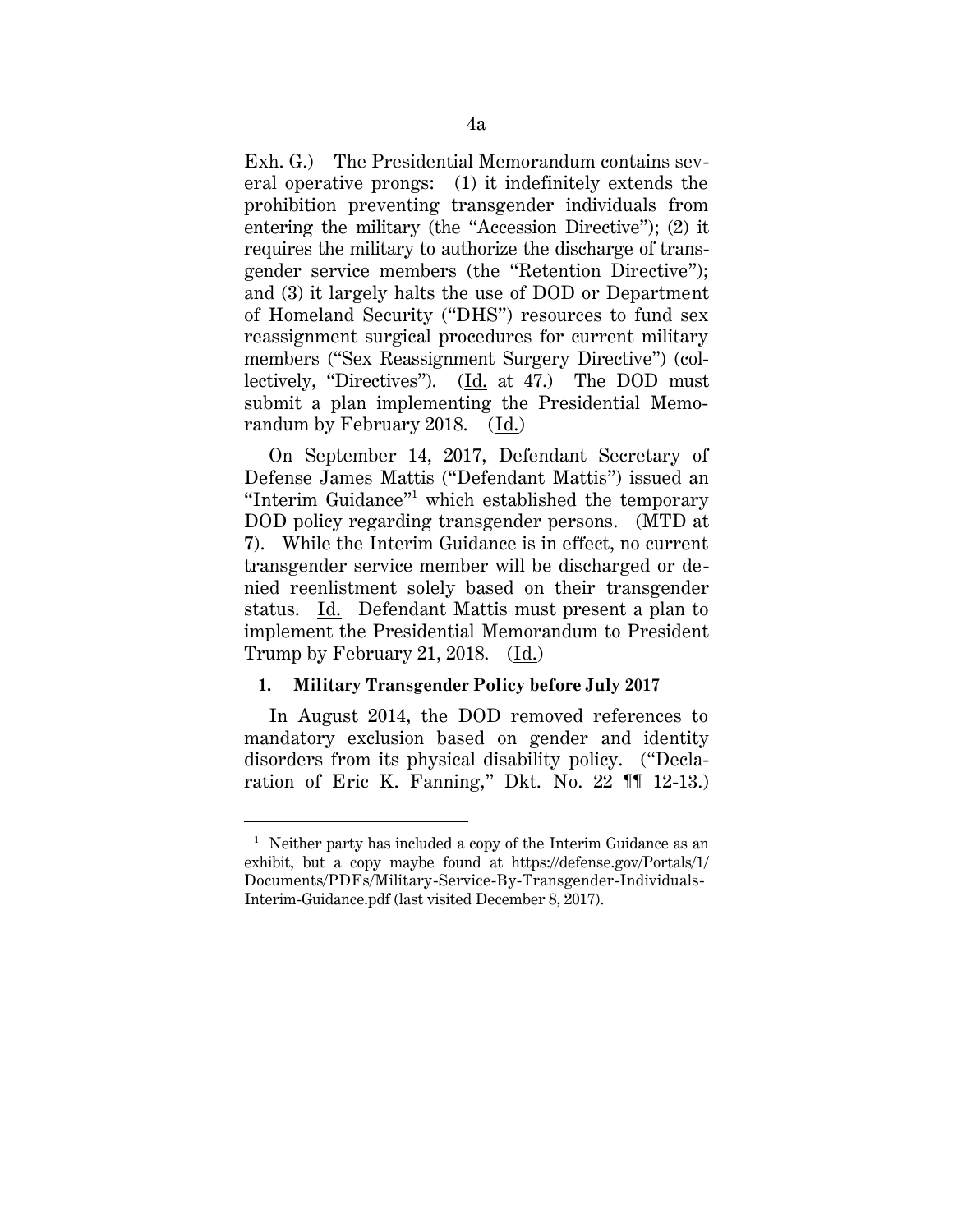Exh. G.) The Presidential Memorandum contains several operative prongs: (1) it indefinitely extends the prohibition preventing transgender individuals from entering the military (the "Accession Directive"); (2) it requires the military to authorize the discharge of transgender service members (the "Retention Directive"); and (3) it largely halts the use of DOD or Department of Homeland Security ("DHS") resources to fund sex reassignment surgical procedures for current military members ("Sex Reassignment Surgery Directive") (collectively, "Directives"). (Id. at 47.) The DOD must submit a plan implementing the Presidential Memorandum by February 2018. (Id.)

On September 14, 2017, Defendant Secretary of Defense James Mattis ("Defendant Mattis") issued an "Interim Guidance"<sup>1</sup> which established the temporary DOD policy regarding transgender persons. (MTD at 7). While the Interim Guidance is in effect, no current transgender service member will be discharged or denied reenlistment solely based on their transgender status. Id. Defendant Mattis must present a plan to implement the Presidential Memorandum to President Trump by February 21, 2018. (Id.)

## **1. Military Transgender Policy before July 2017**

In August 2014, the DOD removed references to mandatory exclusion based on gender and identity disorders from its physical disability policy. ("Declaration of Eric K. Fanning," Dkt. No. 22 ¶¶ 12-13.)

 $\overline{a}$ 

<sup>&</sup>lt;sup>1</sup> Neither party has included a copy of the Interim Guidance as an exhibit, but a copy maybe found at https://defense.gov/Portals/1/ Documents/PDFs/Military-Service-By-Transgender-Individuals-Interim-Guidance.pdf (last visited December 8, 2017).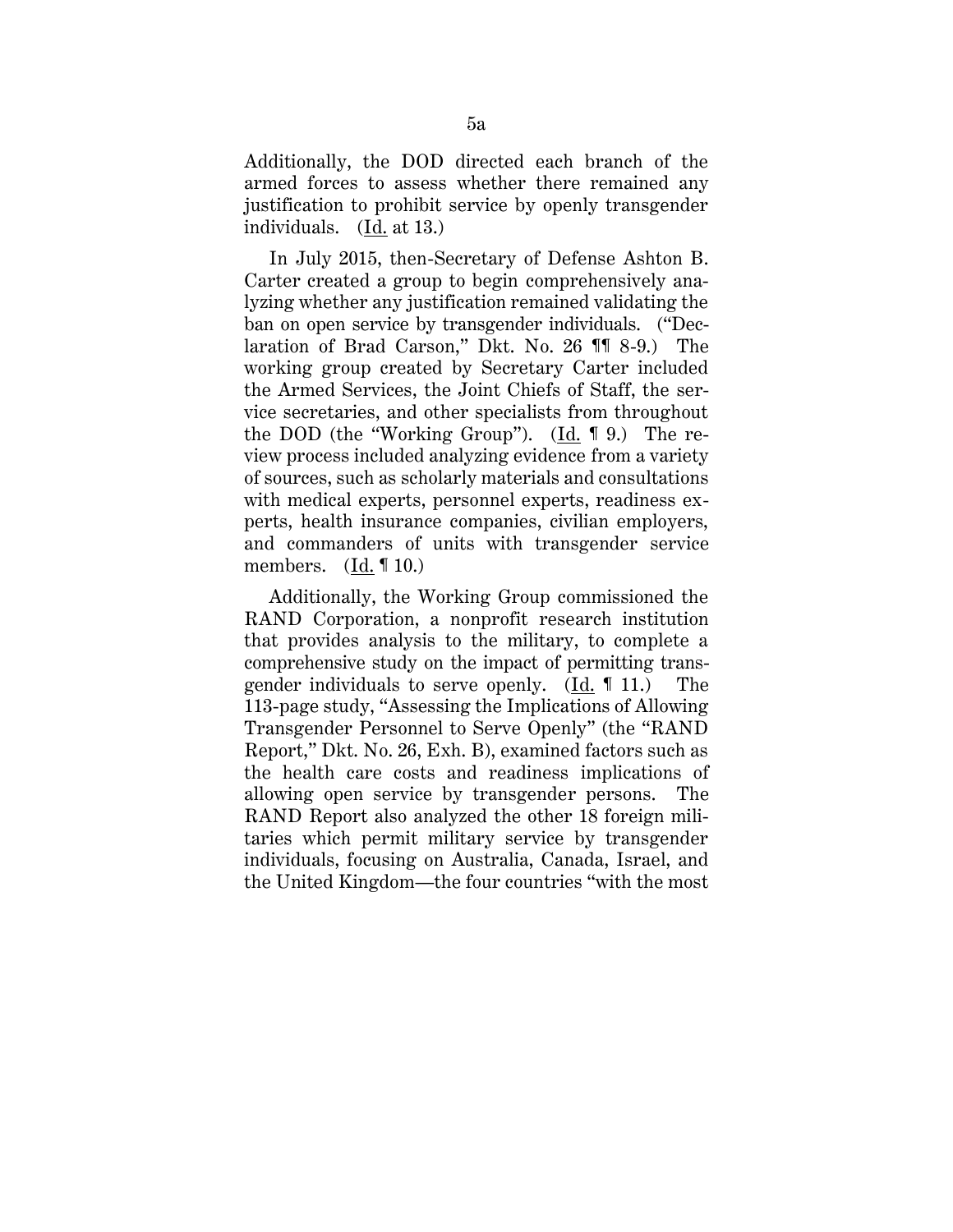Additionally, the DOD directed each branch of the armed forces to assess whether there remained any justification to prohibit service by openly transgender individuals. (Id. at 13.)

In July 2015, then-Secretary of Defense Ashton B. Carter created a group to begin comprehensively analyzing whether any justification remained validating the ban on open service by transgender individuals. ("Declaration of Brad Carson," Dkt. No. 26 ¶¶ 8-9.) The working group created by Secretary Carter included the Armed Services, the Joint Chiefs of Staff, the service secretaries, and other specialists from throughout the DOD (the "Working Group"). (Id. ¶ 9.) The review process included analyzing evidence from a variety of sources, such as scholarly materials and consultations with medical experts, personnel experts, readiness experts, health insurance companies, civilian employers, and commanders of units with transgender service members.  $(Id. \mathbf{10.})$ 

Additionally, the Working Group commissioned the RAND Corporation, a nonprofit research institution that provides analysis to the military, to complete a comprehensive study on the impact of permitting transgender individuals to serve openly. (Id. ¶ 11.) The 113-page study, "Assessing the Implications of Allowing Transgender Personnel to Serve Openly" (the "RAND Report," Dkt. No. 26, Exh. B), examined factors such as the health care costs and readiness implications of allowing open service by transgender persons. The RAND Report also analyzed the other 18 foreign militaries which permit military service by transgender individuals, focusing on Australia, Canada, Israel, and the United Kingdom—the four countries "with the most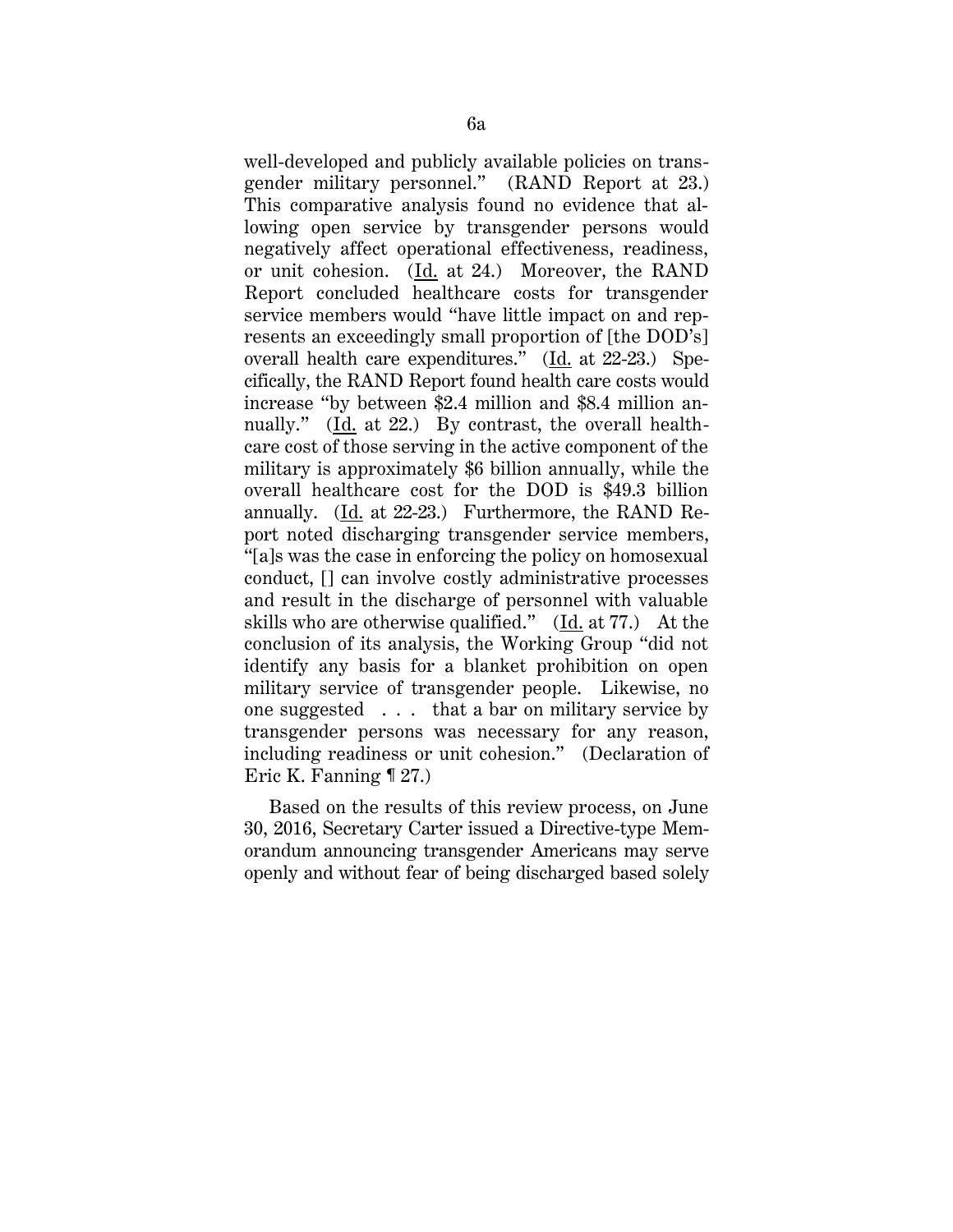well-developed and publicly available policies on transgender military personnel." (RAND Report at 23.) This comparative analysis found no evidence that allowing open service by transgender persons would negatively affect operational effectiveness, readiness, or unit cohesion. (Id. at 24.) Moreover, the RAND Report concluded healthcare costs for transgender service members would "have little impact on and represents an exceedingly small proportion of [the DOD's] overall health care expenditures."  $(Id. at 22-23.)$  Specifically, the RAND Report found health care costs would increase "by between \$2.4 million and \$8.4 million annually." (Id. at 22.) By contrast, the overall healthcare cost of those serving in the active component of the military is approximately \$6 billion annually, while the overall healthcare cost for the DOD is \$49.3 billion annually. (Id. at 22-23.) Furthermore, the RAND Report noted discharging transgender service members, "[a]s was the case in enforcing the policy on homosexual conduct, [] can involve costly administrative processes and result in the discharge of personnel with valuable skills who are otherwise qualified." (Id. at 77.) At the conclusion of its analysis, the Working Group "did not identify any basis for a blanket prohibition on open military service of transgender people. Likewise, no one suggested . . . that a bar on military service by transgender persons was necessary for any reason, including readiness or unit cohesion." (Declaration of Eric K. Fanning ¶ 27.)

Based on the results of this review process, on June 30, 2016, Secretary Carter issued a Directive-type Memorandum announcing transgender Americans may serve openly and without fear of being discharged based solely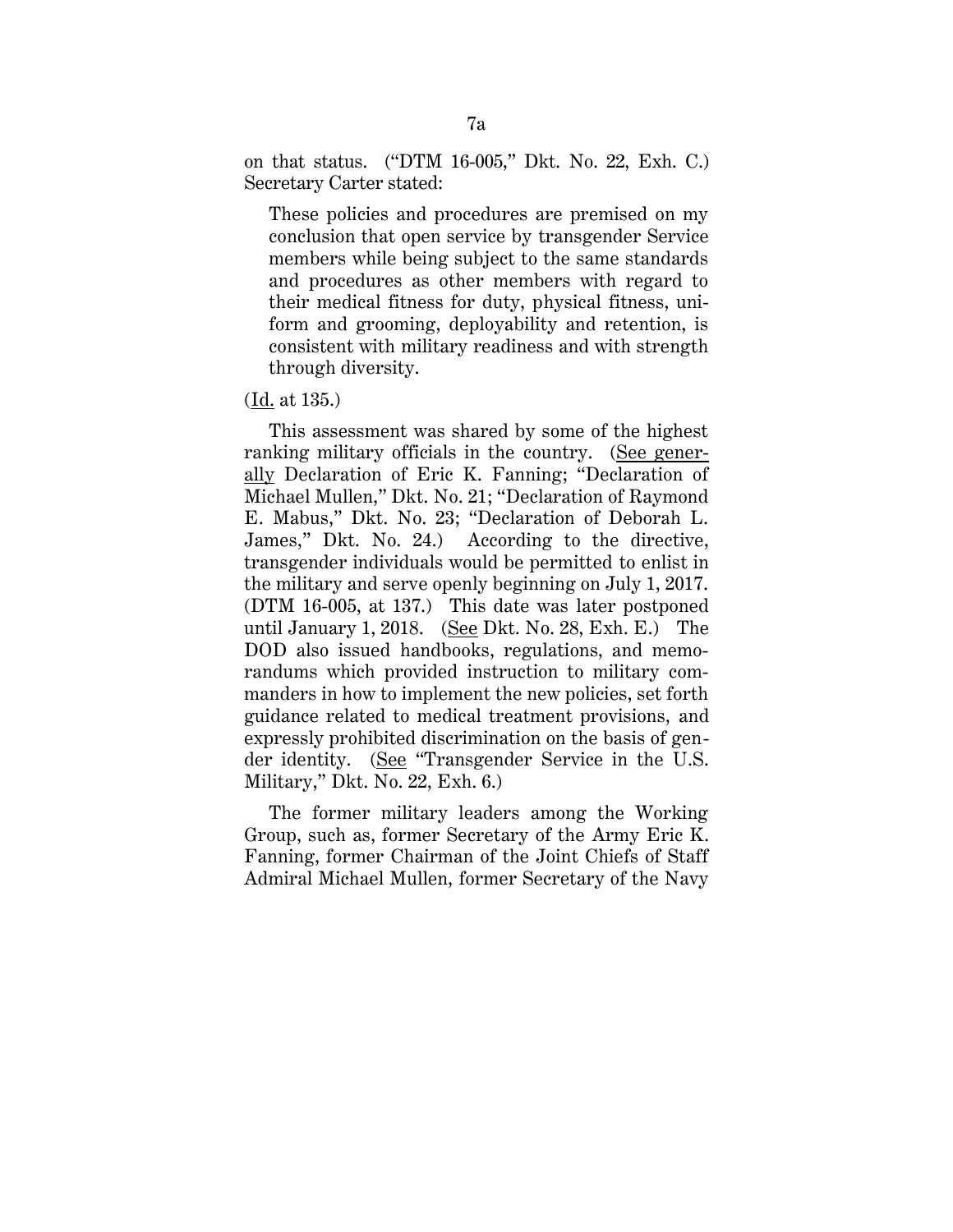on that status. ("DTM 16-005," Dkt. No. 22, Exh. C.) Secretary Carter stated:

These policies and procedures are premised on my conclusion that open service by transgender Service members while being subject to the same standards and procedures as other members with regard to their medical fitness for duty, physical fitness, uniform and grooming, deployability and retention, is consistent with military readiness and with strength through diversity.

#### (Id. at 135.)

This assessment was shared by some of the highest ranking military officials in the country. (See generally Declaration of Eric K. Fanning; "Declaration of Michael Mullen," Dkt. No. 21; "Declaration of Raymond E. Mabus," Dkt. No. 23; "Declaration of Deborah L. James," Dkt. No. 24.) According to the directive, transgender individuals would be permitted to enlist in the military and serve openly beginning on July 1, 2017. (DTM 16-005, at 137.) This date was later postponed until January 1, 2018. (See Dkt. No. 28, Exh. E.) The DOD also issued handbooks, regulations, and memorandums which provided instruction to military commanders in how to implement the new policies, set forth guidance related to medical treatment provisions, and expressly prohibited discrimination on the basis of gender identity. (See "Transgender Service in the U.S. Military," Dkt. No. 22, Exh. 6.)

The former military leaders among the Working Group, such as, former Secretary of the Army Eric K. Fanning, former Chairman of the Joint Chiefs of Staff Admiral Michael Mullen, former Secretary of the Navy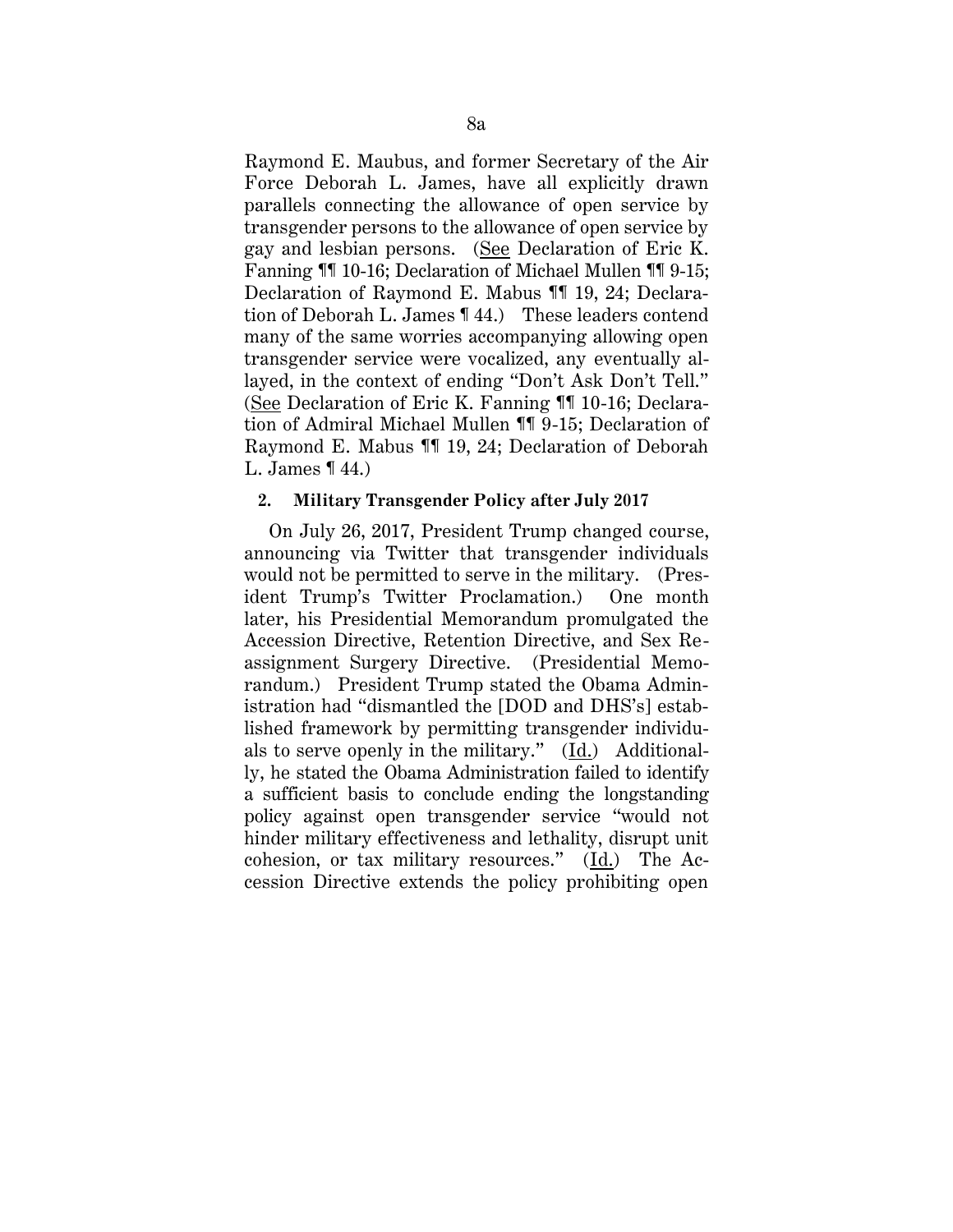Raymond E. Maubus, and former Secretary of the Air Force Deborah L. James, have all explicitly drawn parallels connecting the allowance of open service by transgender persons to the allowance of open service by gay and lesbian persons. (See Declaration of Eric K. Fanning ¶¶ 10-16; Declaration of Michael Mullen ¶¶ 9-15; Declaration of Raymond E. Mabus ¶¶ 19, 24; Declaration of Deborah L. James ¶ 44.) These leaders contend many of the same worries accompanying allowing open transgender service were vocalized, any eventually allayed, in the context of ending "Don't Ask Don't Tell." (See Declaration of Eric K. Fanning ¶¶ 10-16; Declaration of Admiral Michael Mullen ¶¶ 9-15; Declaration of Raymond E. Mabus ¶¶ 19, 24; Declaration of Deborah L. James ¶ 44.)

#### **2. Military Transgender Policy after July 2017**

On July 26, 2017, President Trump changed course, announcing via Twitter that transgender individuals would not be permitted to serve in the military. (President Trump's Twitter Proclamation.) One month later, his Presidential Memorandum promulgated the Accession Directive, Retention Directive, and Sex Reassignment Surgery Directive. (Presidential Memorandum.) President Trump stated the Obama Administration had "dismantled the [DOD and DHS's] established framework by permitting transgender individuals to serve openly in the military." (Id.) Additionally, he stated the Obama Administration failed to identify a sufficient basis to conclude ending the longstanding policy against open transgender service "would not hinder military effectiveness and lethality, disrupt unit cohesion, or tax military resources." (Id.) The Accession Directive extends the policy prohibiting open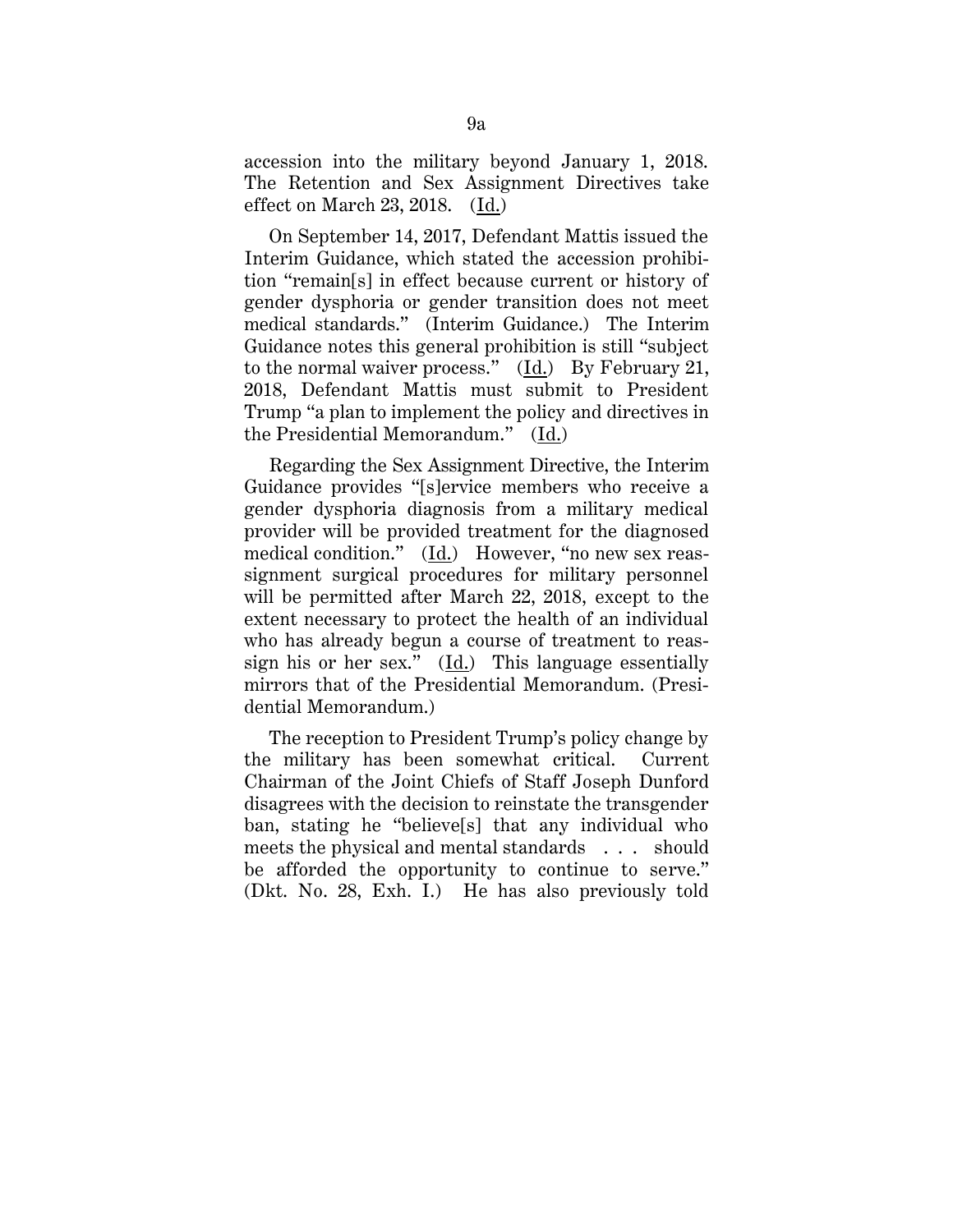accession into the military beyond January 1, 2018. The Retention and Sex Assignment Directives take effect on March 23, 2018. (Id.)

On September 14, 2017, Defendant Mattis issued the Interim Guidance, which stated the accession prohibition "remain[s] in effect because current or history of gender dysphoria or gender transition does not meet medical standards." (Interim Guidance.) The Interim Guidance notes this general prohibition is still "subject to the normal waiver process."  $(\underline{Id})$  By February 21, 2018, Defendant Mattis must submit to President Trump "a plan to implement the policy and directives in the Presidential Memorandum." (Id.)

Regarding the Sex Assignment Directive, the Interim Guidance provides "[s]ervice members who receive a gender dysphoria diagnosis from a military medical provider will be provided treatment for the diagnosed medical condition." (Id.) However, "no new sex reassignment surgical procedures for military personnel will be permitted after March 22, 2018, except to the extent necessary to protect the health of an individual who has already begun a course of treatment to reassign his or her sex." (Id.) This language essentially mirrors that of the Presidential Memorandum. (Presidential Memorandum.)

The reception to President Trump's policy change by the military has been somewhat critical. Current Chairman of the Joint Chiefs of Staff Joseph Dunford disagrees with the decision to reinstate the transgender ban, stating he "believe[s] that any individual who meets the physical and mental standards . . . should be afforded the opportunity to continue to serve." (Dkt. No. 28, Exh. I.) He has also previously told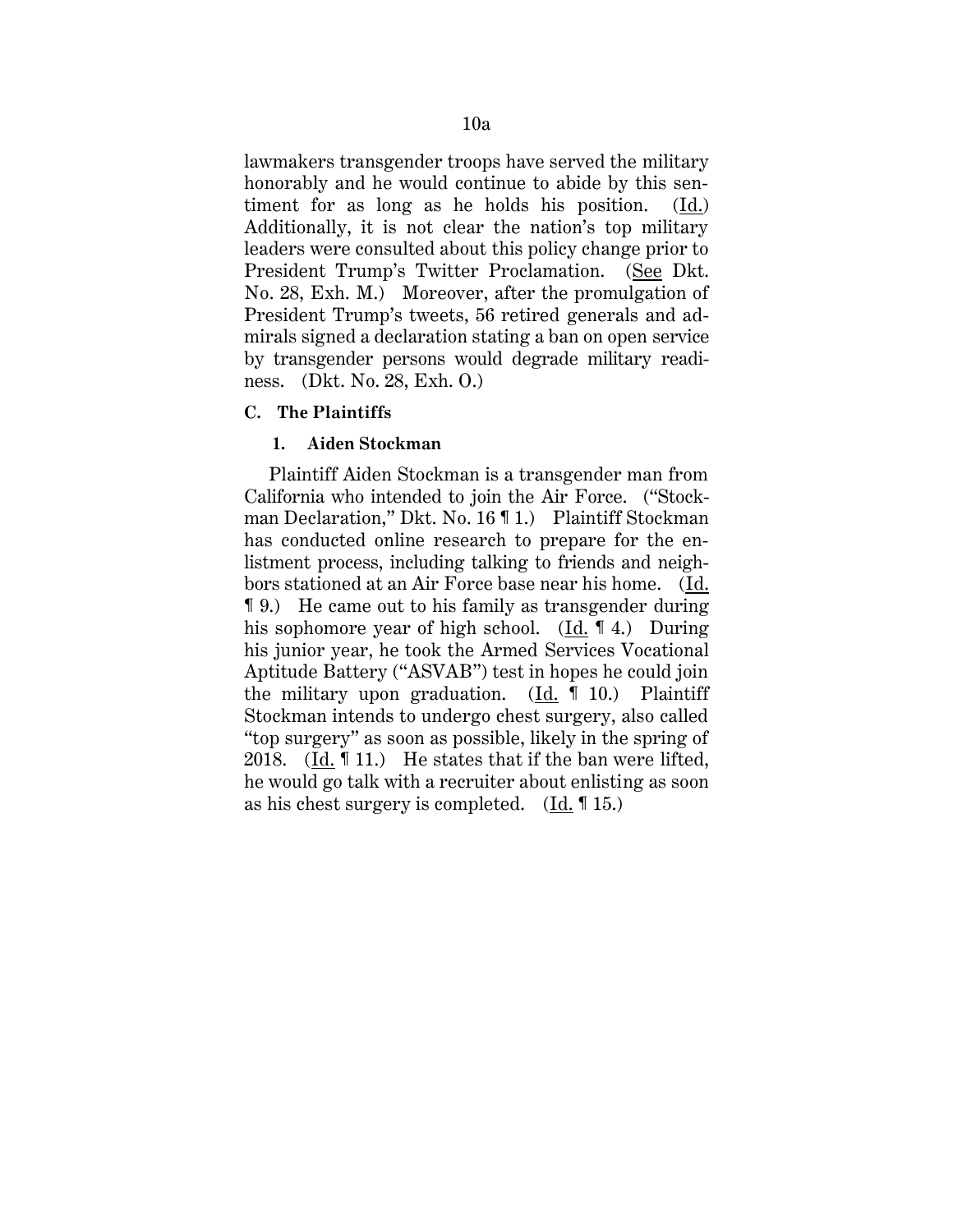lawmakers transgender troops have served the military honorably and he would continue to abide by this sentiment for as long as he holds his position. (Id.) Additionally, it is not clear the nation's top military leaders were consulted about this policy change prior to President Trump's Twitter Proclamation. (See Dkt. No. 28, Exh. M.) Moreover, after the promulgation of President Trump's tweets, 56 retired generals and admirals signed a declaration stating a ban on open service by transgender persons would degrade military readiness. (Dkt. No. 28, Exh. O.)

# **C. The Plaintiffs**

## **1. Aiden Stockman**

Plaintiff Aiden Stockman is a transgender man from California who intended to join the Air Force. ("Stockman Declaration," Dkt. No. 16 ¶ 1.) Plaintiff Stockman has conducted online research to prepare for the enlistment process, including talking to friends and neighbors stationed at an Air Force base near his home. (Id. ¶ 9.) He came out to his family as transgender during his sophomore year of high school. (Id. 14.) During his junior year, he took the Armed Services Vocational Aptitude Battery ("ASVAB") test in hopes he could join the military upon graduation. (Id. ¶ 10.) Plaintiff Stockman intends to undergo chest surgery, also called "top surgery" as soon as possible, likely in the spring of 2018. (Id. ¶ 11.) He states that if the ban were lifted, he would go talk with a recruiter about enlisting as soon as his chest surgery is completed. (Id. ¶ 15.)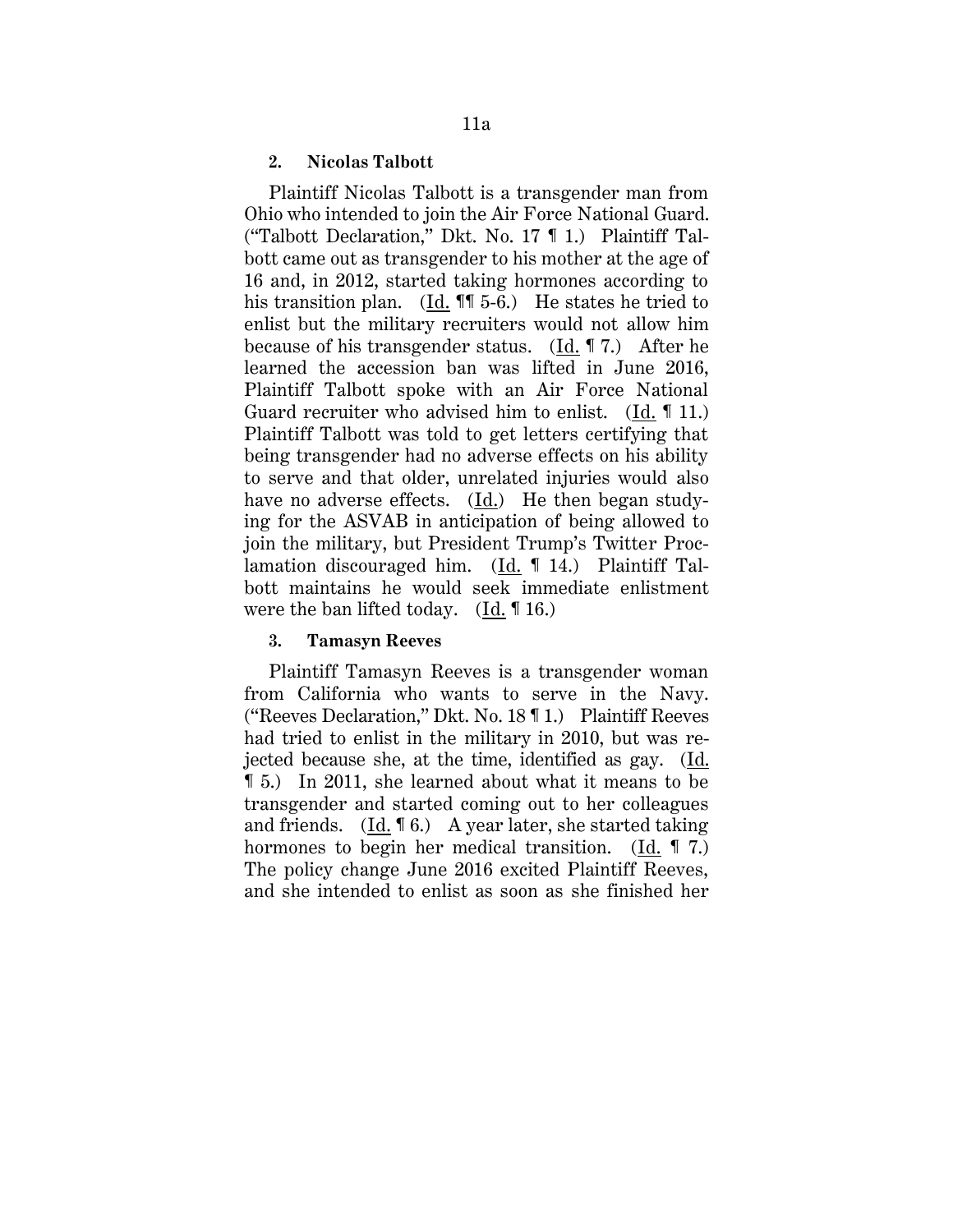#### **2. Nicolas Talbott**

Plaintiff Nicolas Talbott is a transgender man from Ohio who intended to join the Air Force National Guard. ("Talbott Declaration," Dkt. No. 17 ¶ 1.) Plaintiff Talbott came out as transgender to his mother at the age of 16 and, in 2012, started taking hormones according to his transition plan. (Id. **11** 5-6.) He states he tried to enlist but the military recruiters would not allow him because of his transgender status. (Id. ¶ 7.) After he learned the accession ban was lifted in June 2016, Plaintiff Talbott spoke with an Air Force National Guard recruiter who advised him to enlist. (Id. ¶ 11.) Plaintiff Talbott was told to get letters certifying that being transgender had no adverse effects on his ability to serve and that older, unrelated injuries would also have no adverse effects. (Id.) He then began studying for the ASVAB in anticipation of being allowed to join the military, but President Trump's Twitter Proclamation discouraged him. (Id. ¶ 14.) Plaintiff Talbott maintains he would seek immediate enlistment were the ban lifted today. (Id. ¶ 16.)

#### **3. Tamasyn Reeves**

Plaintiff Tamasyn Reeves is a transgender woman from California who wants to serve in the Navy. ("Reeves Declaration," Dkt. No. 18 ¶ 1.) Plaintiff Reeves had tried to enlist in the military in 2010, but was rejected because she, at the time, identified as gay. (Id. ¶ 5.) In 2011, she learned about what it means to be transgender and started coming out to her colleagues and friends. (Id. ¶ 6.) A year later, she started taking hormones to begin her medical transition. (Id. 17.) The policy change June 2016 excited Plaintiff Reeves, and she intended to enlist as soon as she finished her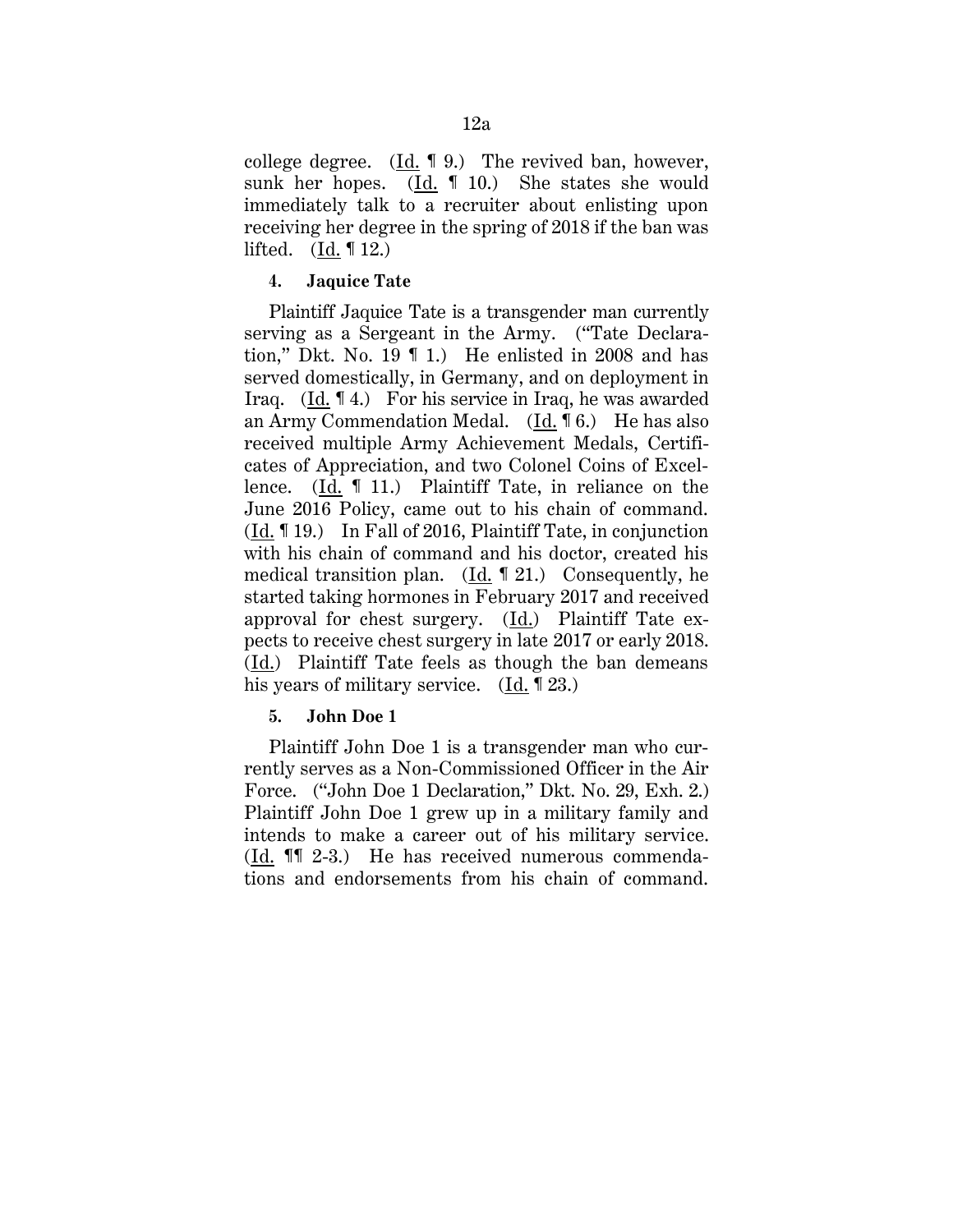college degree.  $(\underline{Id}$ . 19. The revived ban, however, sunk her hopes. (Id. ¶ 10.) She states she would immediately talk to a recruiter about enlisting upon receiving her degree in the spring of 2018 if the ban was lifted. (Id. ¶ 12.)

# **4. Jaquice Tate**

Plaintiff Jaquice Tate is a transgender man currently serving as a Sergeant in the Army. ("Tate Declaration," Dkt. No. 19 ¶ 1.) He enlisted in 2008 and has served domestically, in Germany, and on deployment in Iraq. (Id. ¶ 4.) For his service in Iraq, he was awarded an Army Commendation Medal. (Id. ¶ 6.) He has also received multiple Army Achievement Medals, Certificates of Appreciation, and two Colonel Coins of Excellence. (Id. ¶ 11.) Plaintiff Tate, in reliance on the June 2016 Policy, came out to his chain of command. (Id. ¶ 19.) In Fall of 2016, Plaintiff Tate, in conjunction with his chain of command and his doctor, created his medical transition plan. (Id. ¶ 21.) Consequently, he started taking hormones in February 2017 and received approval for chest surgery. (Id.) Plaintiff Tate expects to receive chest surgery in late 2017 or early 2018. (Id.) Plaintiff Tate feels as though the ban demeans his years of military service. (Id. 123.)

# **5. John Doe 1**

Plaintiff John Doe 1 is a transgender man who currently serves as a Non-Commissioned Officer in the Air Force. ("John Doe 1 Declaration," Dkt. No. 29, Exh. 2.) Plaintiff John Doe 1 grew up in a military family and intends to make a career out of his military service. (Id. ¶¶ 2-3.) He has received numerous commendations and endorsements from his chain of command.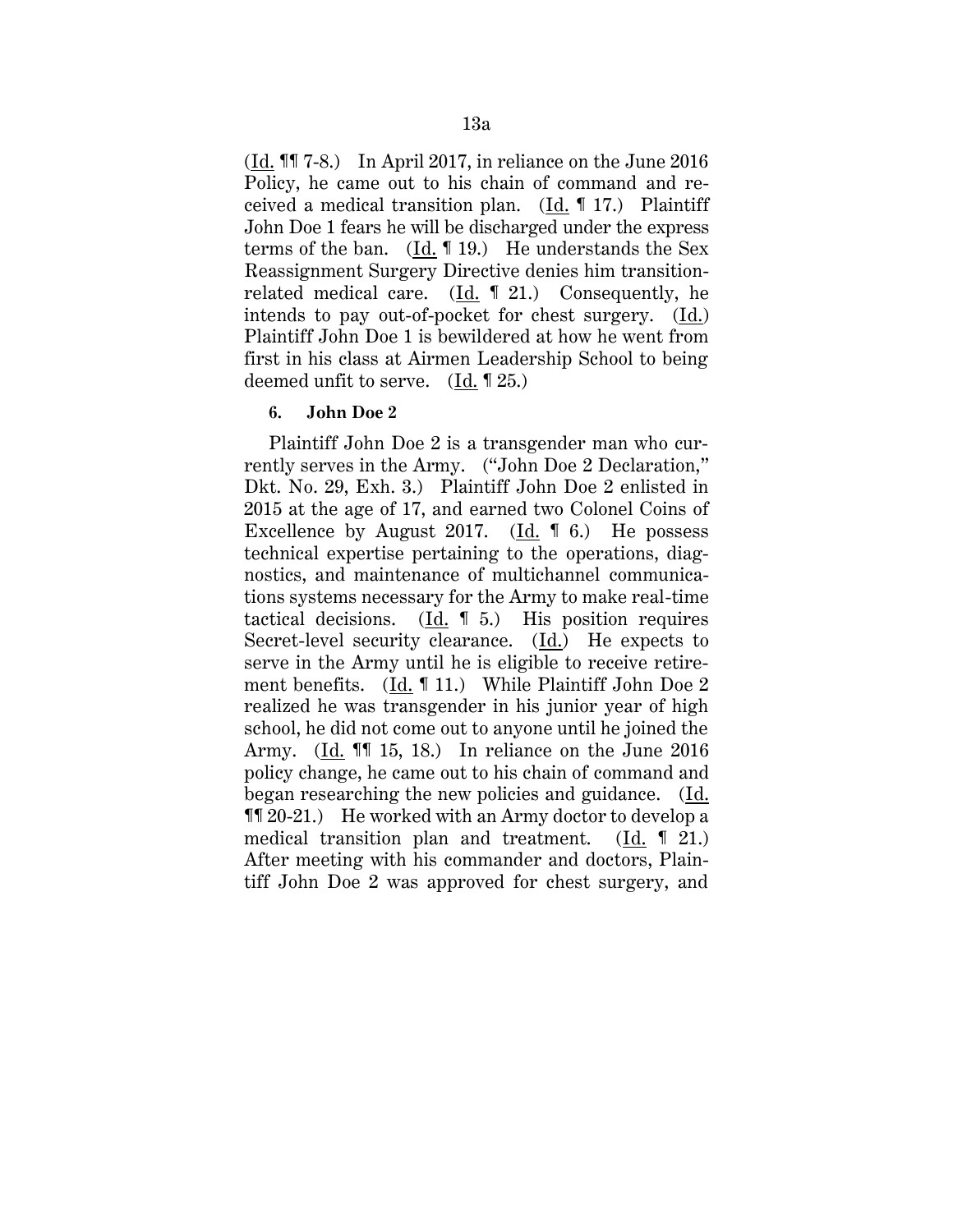$(\underline{Id}$ . **[1]** 7-8.) In April 2017, in reliance on the June 2016 Policy, he came out to his chain of command and received a medical transition plan. (Id. ¶ 17.) Plaintiff John Doe 1 fears he will be discharged under the express terms of the ban.  $(Id. \mathbf{1}19.)$  He understands the Sex Reassignment Surgery Directive denies him transitionrelated medical care. (Id. ¶ 21.) Consequently, he intends to pay out-of-pocket for chest surgery. (Id.) Plaintiff John Doe 1 is bewildered at how he went from first in his class at Airmen Leadership School to being deemed unfit to serve. (Id. ¶ 25.)

# **6. John Doe 2**

Plaintiff John Doe 2 is a transgender man who currently serves in the Army. ("John Doe 2 Declaration," Dkt. No. 29, Exh. 3.) Plaintiff John Doe 2 enlisted in 2015 at the age of 17, and earned two Colonel Coins of Excellence by August 2017. (Id. ¶ 6.) He possess technical expertise pertaining to the operations, diagnostics, and maintenance of multichannel communications systems necessary for the Army to make real-time tactical decisions. (Id. ¶ 5.) His position requires Secret-level security clearance.  $(\underline{Id})$  He expects to serve in the Army until he is eligible to receive retirement benefits. (Id. ¶ 11.) While Plaintiff John Doe 2 realized he was transgender in his junior year of high school, he did not come out to anyone until he joined the Army. (Id. ¶¶ 15, 18.) In reliance on the June 2016 policy change, he came out to his chain of command and began researching the new policies and guidance. (Id. ¶¶ 20-21.) He worked with an Army doctor to develop a medical transition plan and treatment.  $(Id. \parallel 21.)$ After meeting with his commander and doctors, Plaintiff John Doe 2 was approved for chest surgery, and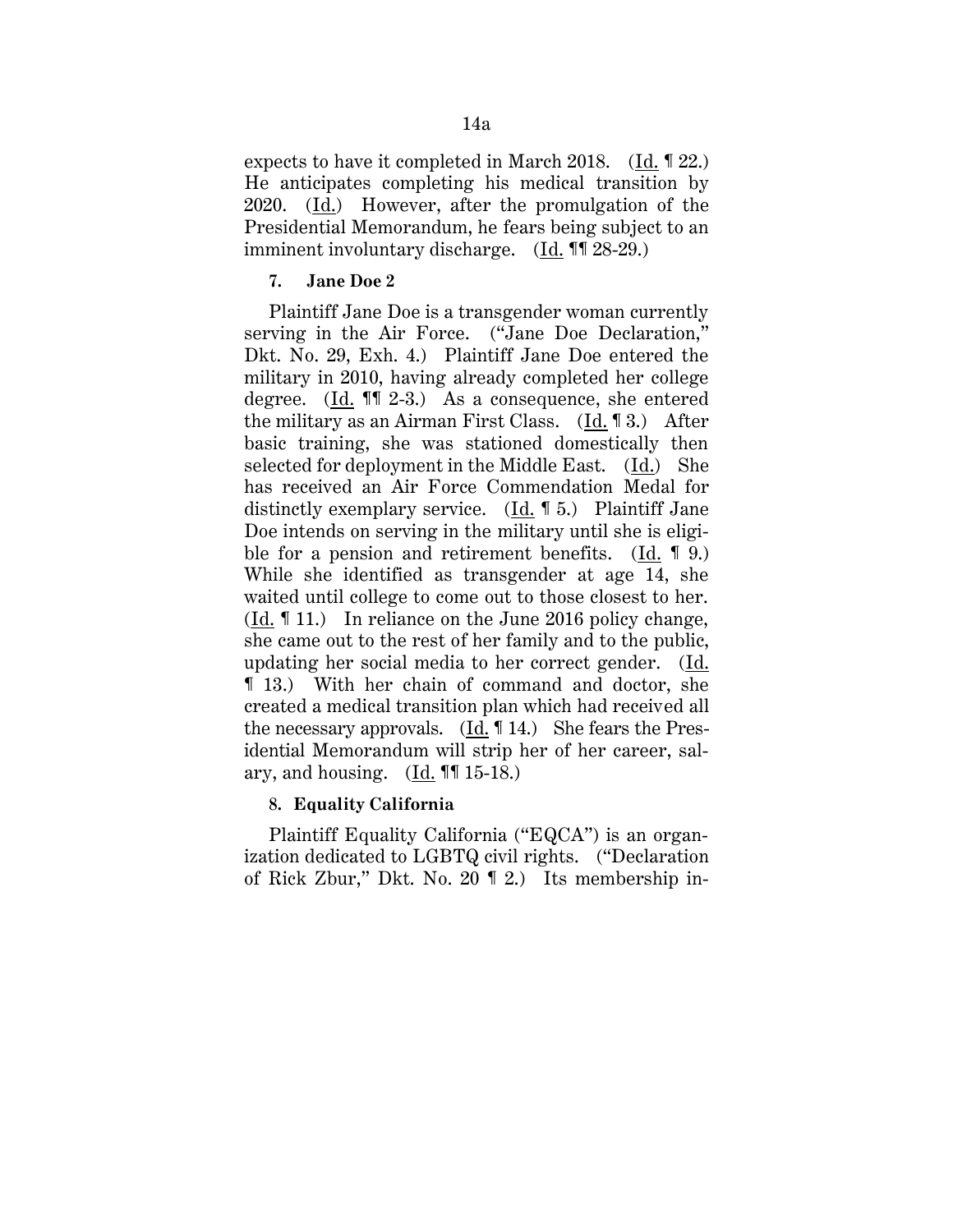expects to have it completed in March 2018.  $(Id. \P 22.)$ He anticipates completing his medical transition by 2020. (Id.) However, after the promulgation of the Presidential Memorandum, he fears being subject to an imminent involuntary discharge. (Id. ¶¶ 28-29.)

## **7. Jane Doe 2**

Plaintiff Jane Doe is a transgender woman currently serving in the Air Force. ("Jane Doe Declaration," Dkt. No. 29, Exh. 4.) Plaintiff Jane Doe entered the military in 2010, having already completed her college degree.  $(\underline{Id}$ .  $\P$   $\hat{I}$  2-3.) As a consequence, she entered the military as an Airman First Class. (Id. ¶ 3.) After basic training, she was stationed domestically then selected for deployment in the Middle East. (Id.) She has received an Air Force Commendation Medal for distinctly exemplary service. (Id. ¶ 5.) Plaintiff Jane Doe intends on serving in the military until she is eligible for a pension and retirement benefits. (Id. 19.) While she identified as transgender at age 14, she waited until college to come out to those closest to her. (Id. ¶ 11.) In reliance on the June 2016 policy change, she came out to the rest of her family and to the public, updating her social media to her correct gender. (Id. ¶ 13.) With her chain of command and doctor, she created a medical transition plan which had received all the necessary approvals. (Id. ¶ 14.) She fears the Presidential Memorandum will strip her of her career, salary, and housing.  $(\underline{Id}$ . **[1]** 15-18.)

## **8. Equality California**

Plaintiff Equality California ("EQCA") is an organization dedicated to LGBTQ civil rights. ("Declaration of Rick Zbur," Dkt. No. 20 ¶ 2.) Its membership in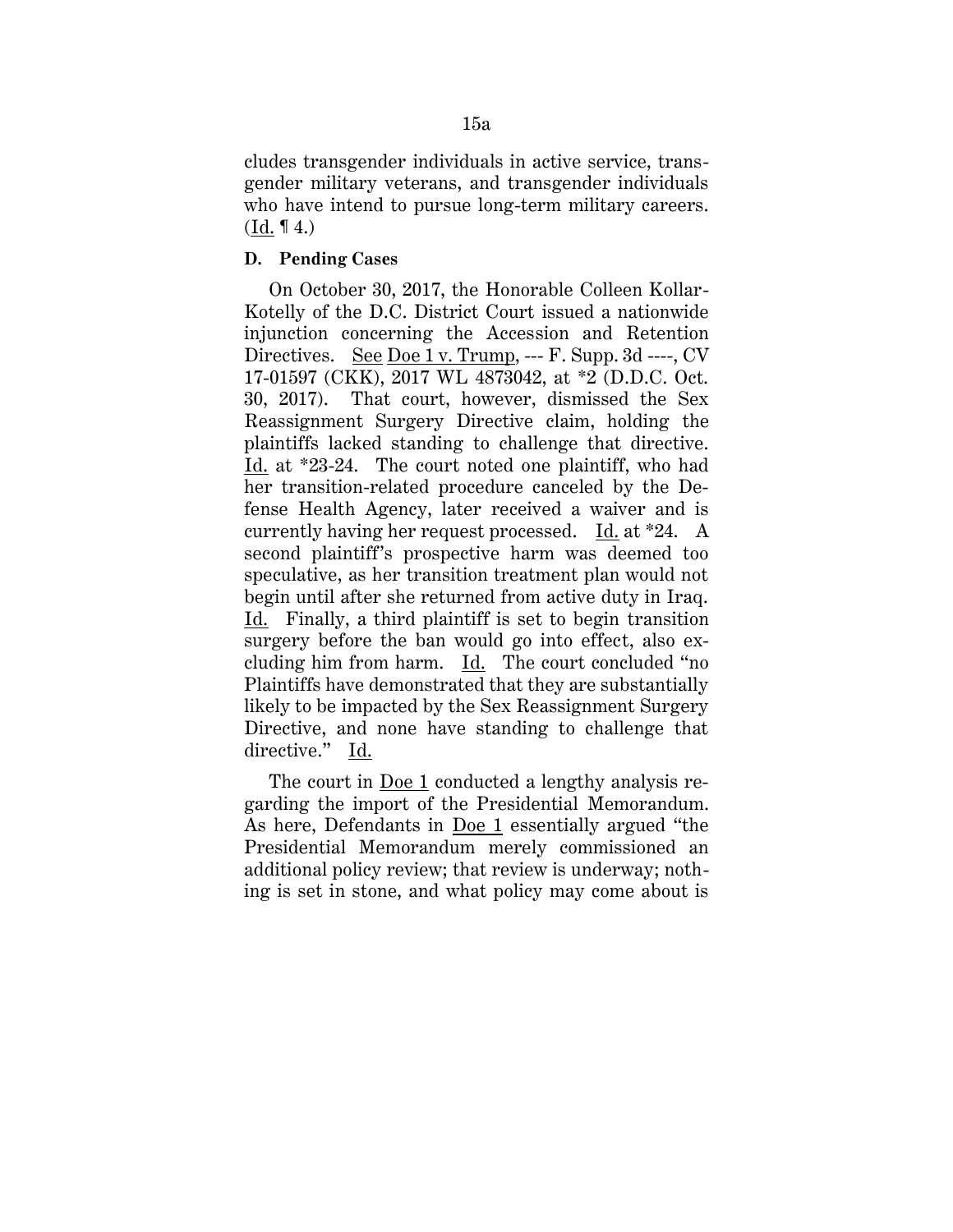cludes transgender individuals in active service, transgender military veterans, and transgender individuals who have intend to pursue long-term military careers.  $(Id. \P 4.)$ 

#### **D. Pending Cases**

On October 30, 2017, the Honorable Colleen Kollar-Kotelly of the D.C. District Court issued a nationwide injunction concerning the Accession and Retention Directives. See Doe 1 v. Trump, --- F. Supp. 3d ----, CV 17-01597 (CKK), 2017 WL 4873042, at \*2 (D.D.C. Oct. 30, 2017). That court, however, dismissed the Sex Reassignment Surgery Directive claim, holding the plaintiffs lacked standing to challenge that directive. Id. at \*23-24. The court noted one plaintiff, who had her transition-related procedure canceled by the Defense Health Agency, later received a waiver and is currently having her request processed. Id. at \*24. A second plaintiff's prospective harm was deemed too speculative, as her transition treatment plan would not begin until after she returned from active duty in Iraq. Id. Finally, a third plaintiff is set to begin transition surgery before the ban would go into effect, also excluding him from harm. Id. The court concluded "no Plaintiffs have demonstrated that they are substantially likely to be impacted by the Sex Reassignment Surgery Directive, and none have standing to challenge that directive." Id.

The court in Doe 1 conducted a lengthy analysis regarding the import of the Presidential Memorandum. As here, Defendants in Doe 1 essentially argued "the Presidential Memorandum merely commissioned an additional policy review; that review is underway; nothing is set in stone, and what policy may come about is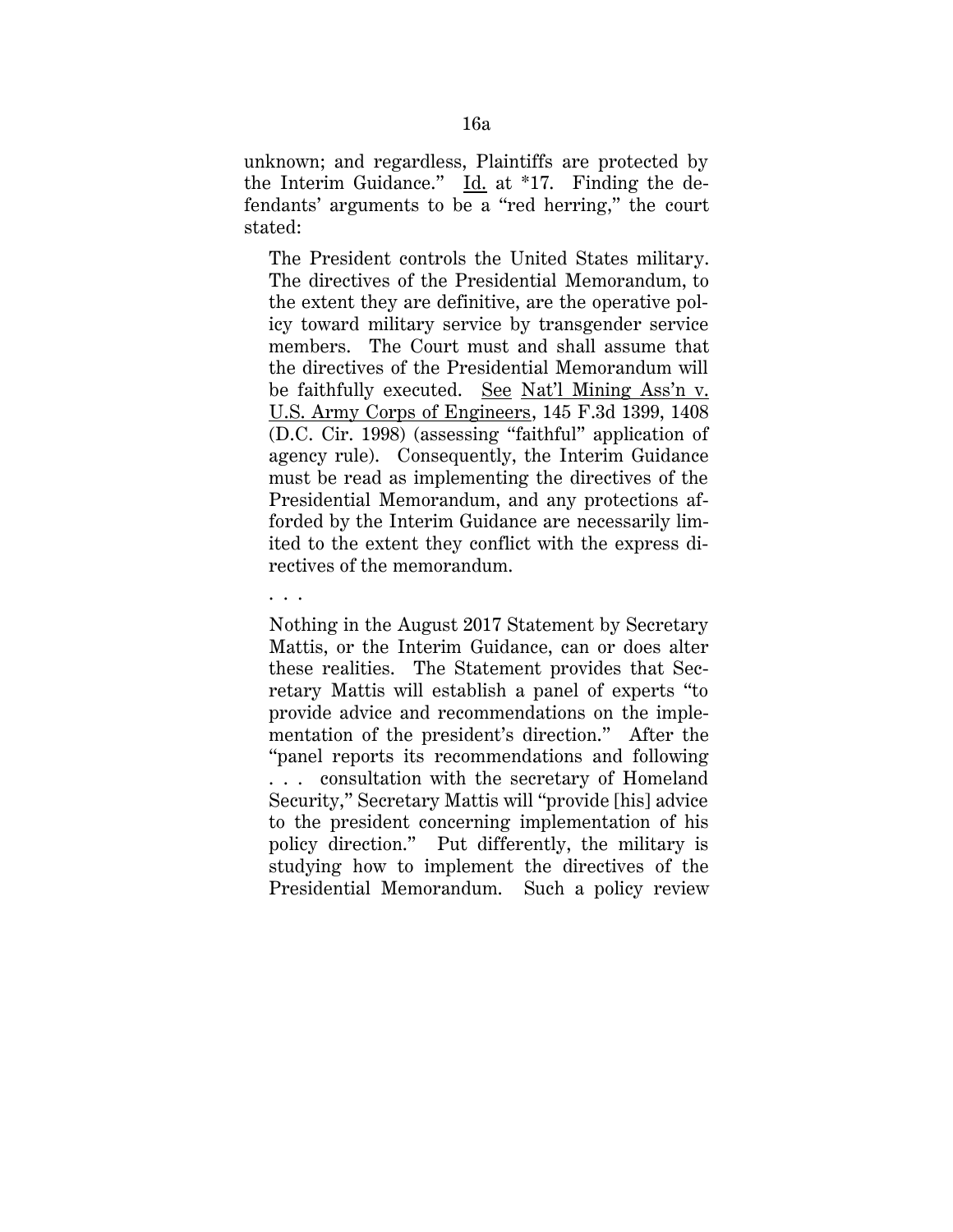unknown; and regardless, Plaintiffs are protected by the Interim Guidance." Id. at \*17. Finding the defendants' arguments to be a "red herring," the court stated:

The President controls the United States military. The directives of the Presidential Memorandum, to the extent they are definitive, are the operative policy toward military service by transgender service members. The Court must and shall assume that the directives of the Presidential Memorandum will be faithfully executed. See Nat'l Mining Ass'n v. U.S. Army Corps of Engineers, 145 F.3d 1399, 1408 (D.C. Cir. 1998) (assessing "faithful" application of agency rule). Consequently, the Interim Guidance must be read as implementing the directives of the Presidential Memorandum, and any protections afforded by the Interim Guidance are necessarily limited to the extent they conflict with the express directives of the memorandum.

. . .

Nothing in the August 2017 Statement by Secretary Mattis, or the Interim Guidance, can or does alter these realities. The Statement provides that Secretary Mattis will establish a panel of experts "to provide advice and recommendations on the implementation of the president's direction." After the "panel reports its recommendations and following . . . consultation with the secretary of Homeland Security," Secretary Mattis will "provide [his] advice to the president concerning implementation of his policy direction." Put differently, the military is studying how to implement the directives of the Presidential Memorandum. Such a policy review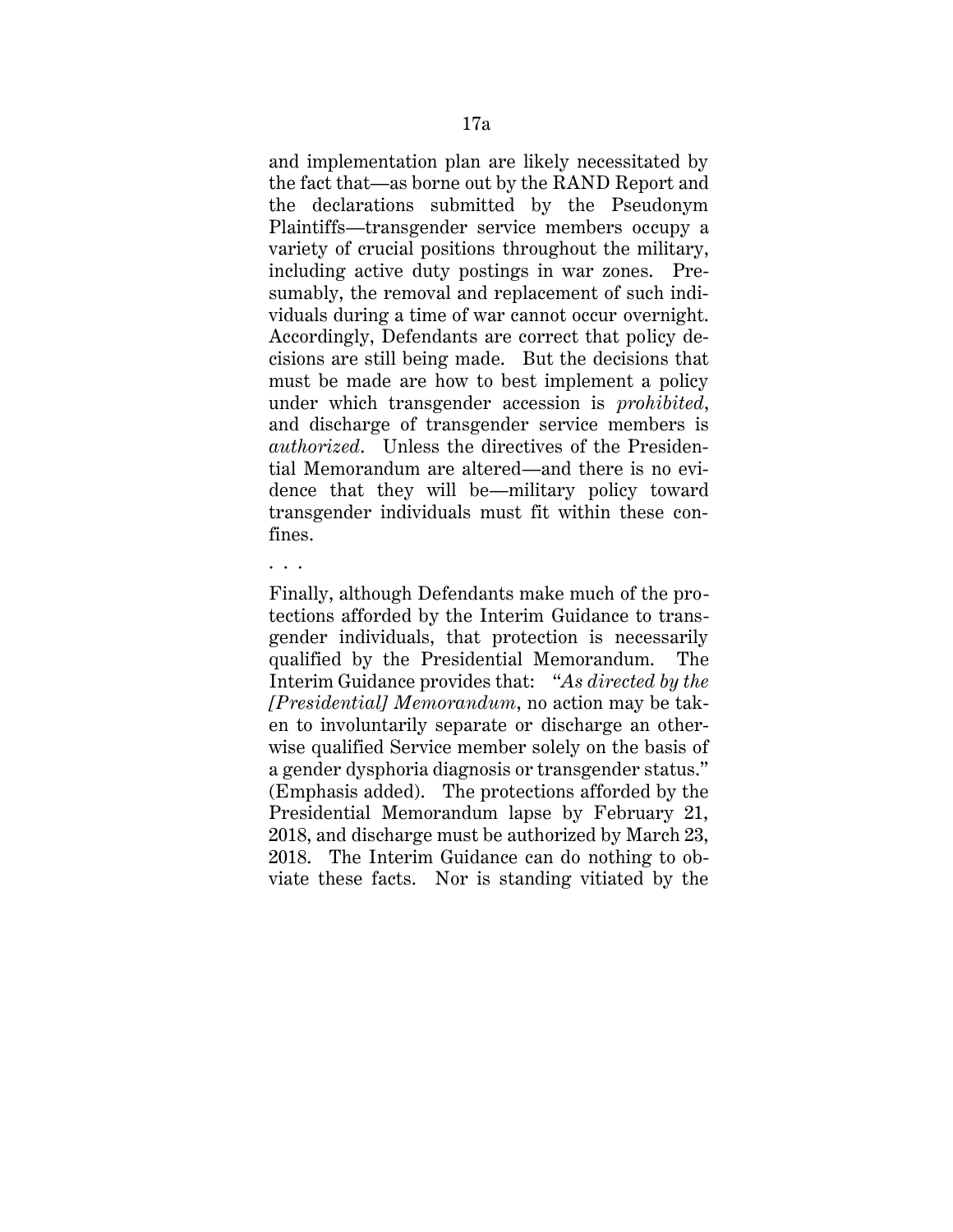and implementation plan are likely necessitated by the fact that—as borne out by the RAND Report and the declarations submitted by the Pseudonym Plaintiffs—transgender service members occupy a variety of crucial positions throughout the military, including active duty postings in war zones. Presumably, the removal and replacement of such individuals during a time of war cannot occur overnight. Accordingly, Defendants are correct that policy decisions are still being made. But the decisions that must be made are how to best implement a policy under which transgender accession is *prohibited*, and discharge of transgender service members is *authorized*. Unless the directives of the Presidential Memorandum are altered—and there is no evidence that they will be—military policy toward transgender individuals must fit within these confines.

. . .

Finally, although Defendants make much of the protections afforded by the Interim Guidance to transgender individuals, that protection is necessarily qualified by the Presidential Memorandum. The Interim Guidance provides that: "*As directed by the [Presidential] Memorandum*, no action may be taken to involuntarily separate or discharge an otherwise qualified Service member solely on the basis of a gender dysphoria diagnosis or transgender status." (Emphasis added). The protections afforded by the Presidential Memorandum lapse by February 21, 2018, and discharge must be authorized by March 23, 2018. The Interim Guidance can do nothing to obviate these facts. Nor is standing vitiated by the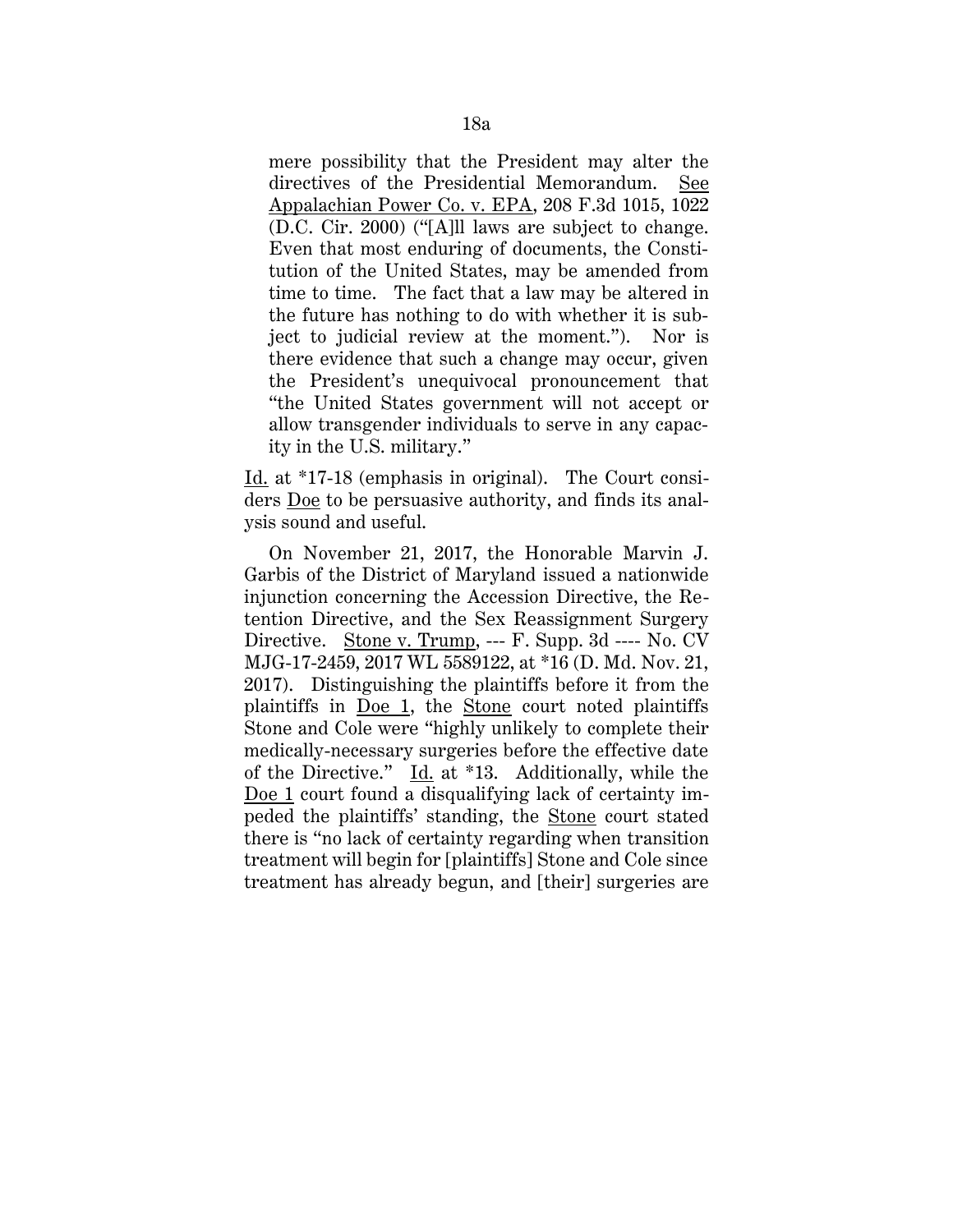mere possibility that the President may alter the directives of the Presidential Memorandum. See Appalachian Power Co. v. EPA, 208 F.3d 1015, 1022 (D.C. Cir. 2000) ("[A]ll laws are subject to change. Even that most enduring of documents, the Constitution of the United States, may be amended from time to time. The fact that a law may be altered in the future has nothing to do with whether it is subject to judicial review at the moment."). Nor is there evidence that such a change may occur, given the President's unequivocal pronouncement that "the United States government will not accept or allow transgender individuals to serve in any capacity in the U.S. military."

Id. at \*17-18 (emphasis in original). The Court considers Doe to be persuasive authority, and finds its analysis sound and useful.

On November 21, 2017, the Honorable Marvin J. Garbis of the District of Maryland issued a nationwide injunction concerning the Accession Directive, the Retention Directive, and the Sex Reassignment Surgery Directive. Stone v. Trump, --- F. Supp. 3d ---- No. CV MJG-17-2459, 2017 WL 5589122, at \*16 (D. Md. Nov. 21, 2017). Distinguishing the plaintiffs before it from the plaintiffs in Doe 1, the Stone court noted plaintiffs Stone and Cole were "highly unlikely to complete their medically-necessary surgeries before the effective date of the Directive." Id. at \*13. Additionally, while the Doe 1 court found a disqualifying lack of certainty impeded the plaintiffs' standing, the Stone court stated there is "no lack of certainty regarding when transition treatment will begin for [plaintiffs] Stone and Cole since treatment has already begun, and [their] surgeries are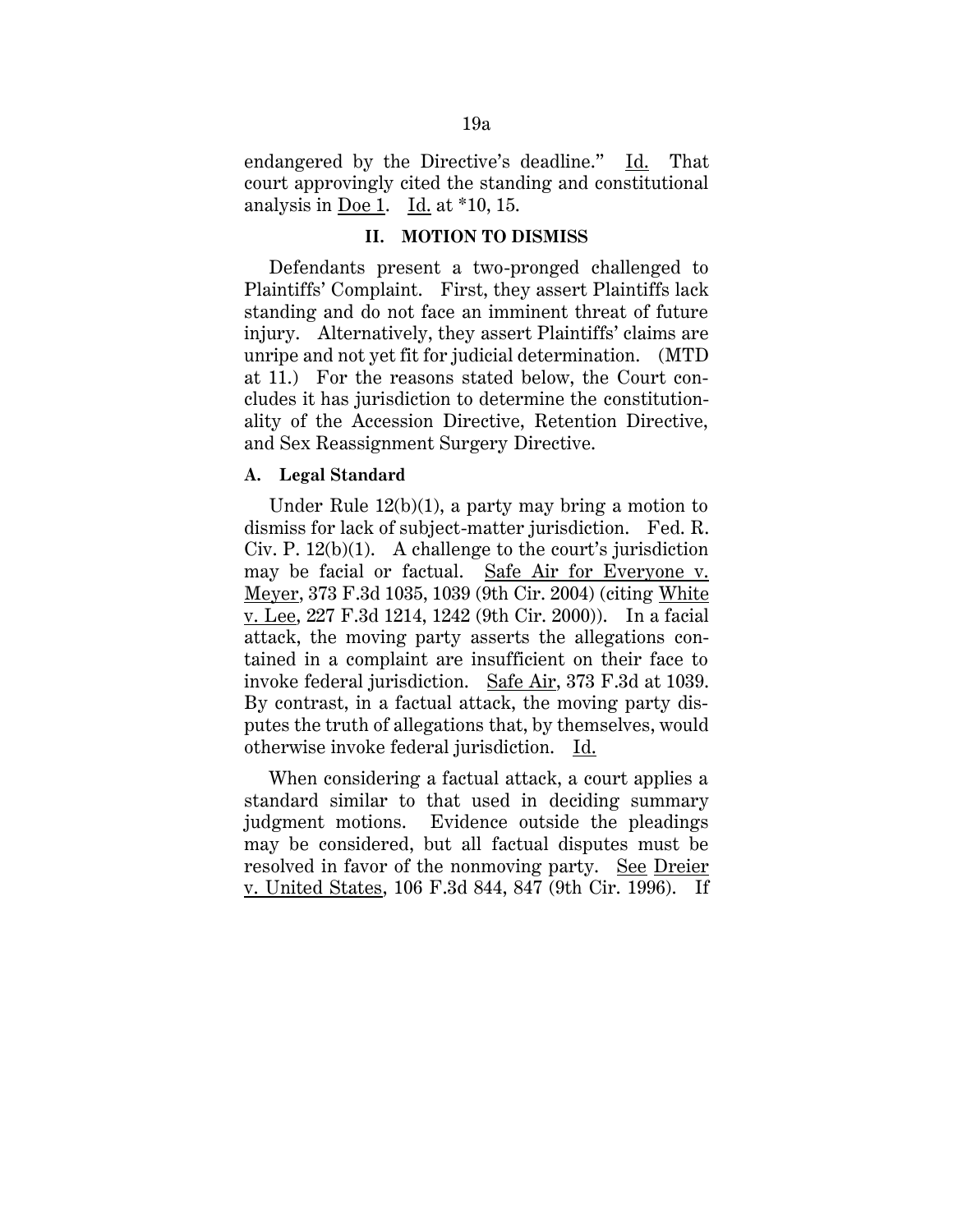endangered by the Directive's deadline." Id. That court approvingly cited the standing and constitutional analysis in Doe 1. Id. at \*10, 15.

### **II. MOTION TO DISMISS**

Defendants present a two-pronged challenged to Plaintiffs' Complaint. First, they assert Plaintiffs lack standing and do not face an imminent threat of future injury. Alternatively, they assert Plaintiffs' claims are unripe and not yet fit for judicial determination. (MTD at 11.) For the reasons stated below, the Court concludes it has jurisdiction to determine the constitutionality of the Accession Directive, Retention Directive, and Sex Reassignment Surgery Directive.

## **A. Legal Standard**

Under Rule 12(b)(1), a party may bring a motion to dismiss for lack of subject-matter jurisdiction. Fed. R. Civ. P. 12(b)(1). A challenge to the court's jurisdiction may be facial or factual. Safe Air for Everyone v. Meyer, 373 F.3d 1035, 1039 (9th Cir. 2004) (citing White v. Lee, 227 F.3d 1214, 1242 (9th Cir. 2000)). In a facial attack, the moving party asserts the allegations contained in a complaint are insufficient on their face to invoke federal jurisdiction. Safe Air, 373 F.3d at 1039. By contrast, in a factual attack, the moving party disputes the truth of allegations that, by themselves, would otherwise invoke federal jurisdiction. Id.

When considering a factual attack, a court applies a standard similar to that used in deciding summary judgment motions. Evidence outside the pleadings may be considered, but all factual disputes must be resolved in favor of the nonmoving party. See Dreier v. United States, 106 F.3d 844, 847 (9th Cir. 1996). If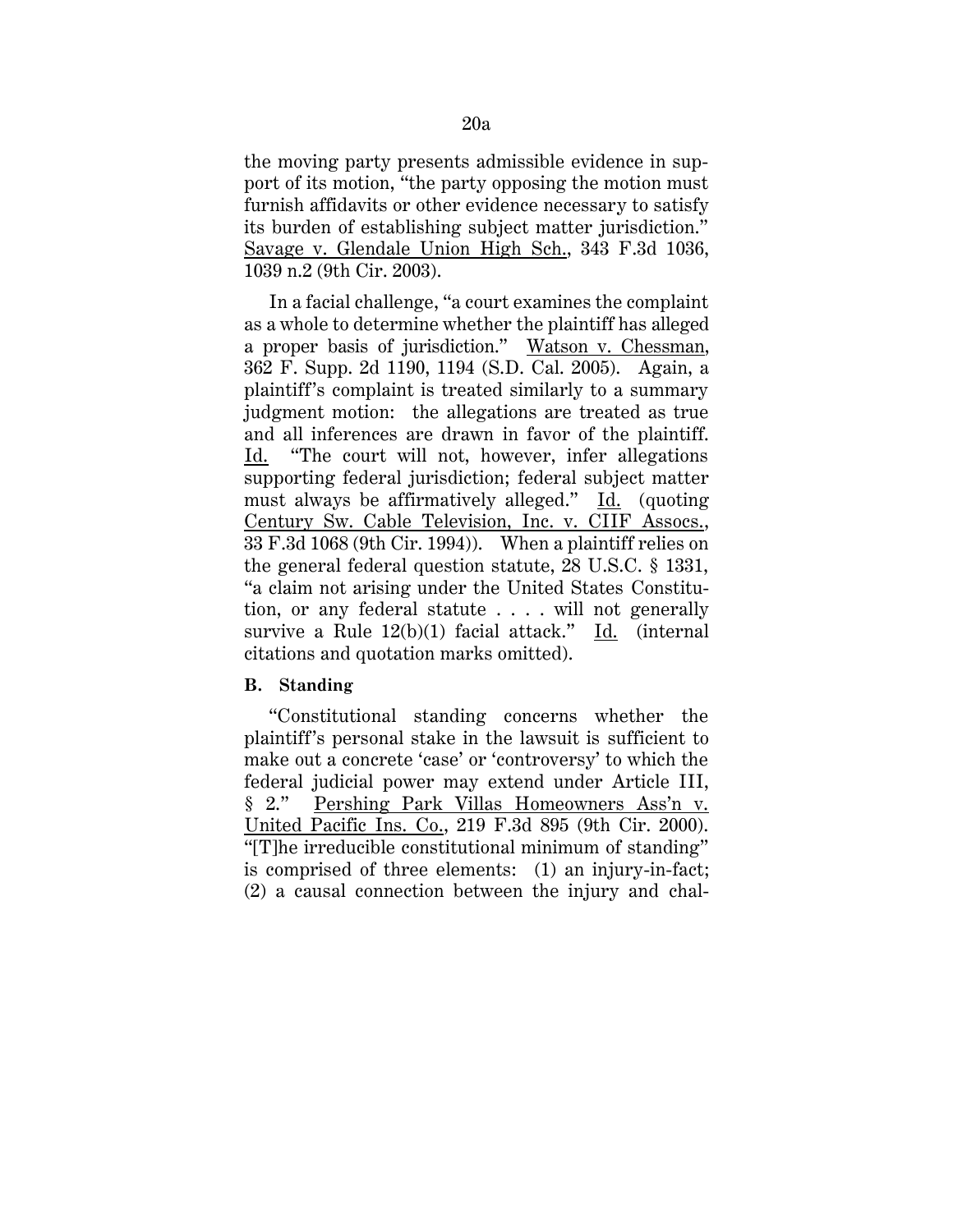the moving party presents admissible evidence in support of its motion, "the party opposing the motion must furnish affidavits or other evidence necessary to satisfy its burden of establishing subject matter jurisdiction." Savage v. Glendale Union High Sch., 343 F.3d 1036, 1039 n.2 (9th Cir. 2003).

In a facial challenge, "a court examines the complaint as a whole to determine whether the plaintiff has alleged a proper basis of jurisdiction." Watson v. Chessman, 362 F. Supp. 2d 1190, 1194 (S.D. Cal. 2005). Again, a plaintiff's complaint is treated similarly to a summary judgment motion: the allegations are treated as true and all inferences are drawn in favor of the plaintiff. Id. "The court will not, however, infer allegations supporting federal jurisdiction; federal subject matter must always be affirmatively alleged." Id. (quoting Century Sw. Cable Television, Inc. v. CIIF Assocs., 33 F.3d 1068 (9th Cir. 1994)). When a plaintiff relies on the general federal question statute, 28 U.S.C. § 1331, "a claim not arising under the United States Constitution, or any federal statute . . . . will not generally survive a Rule 12(b)(1) facial attack." Id. (internal citations and quotation marks omitted).

## **B. Standing**

"Constitutional standing concerns whether the plaintiff's personal stake in the lawsuit is sufficient to make out a concrete 'case' or 'controversy' to which the federal judicial power may extend under Article III, § 2." Pershing Park Villas Homeowners Ass'n v. United Pacific Ins. Co., 219 F.3d 895 (9th Cir. 2000). "[T]he irreducible constitutional minimum of standing" is comprised of three elements: (1) an injury-in-fact; (2) a causal connection between the injury and chal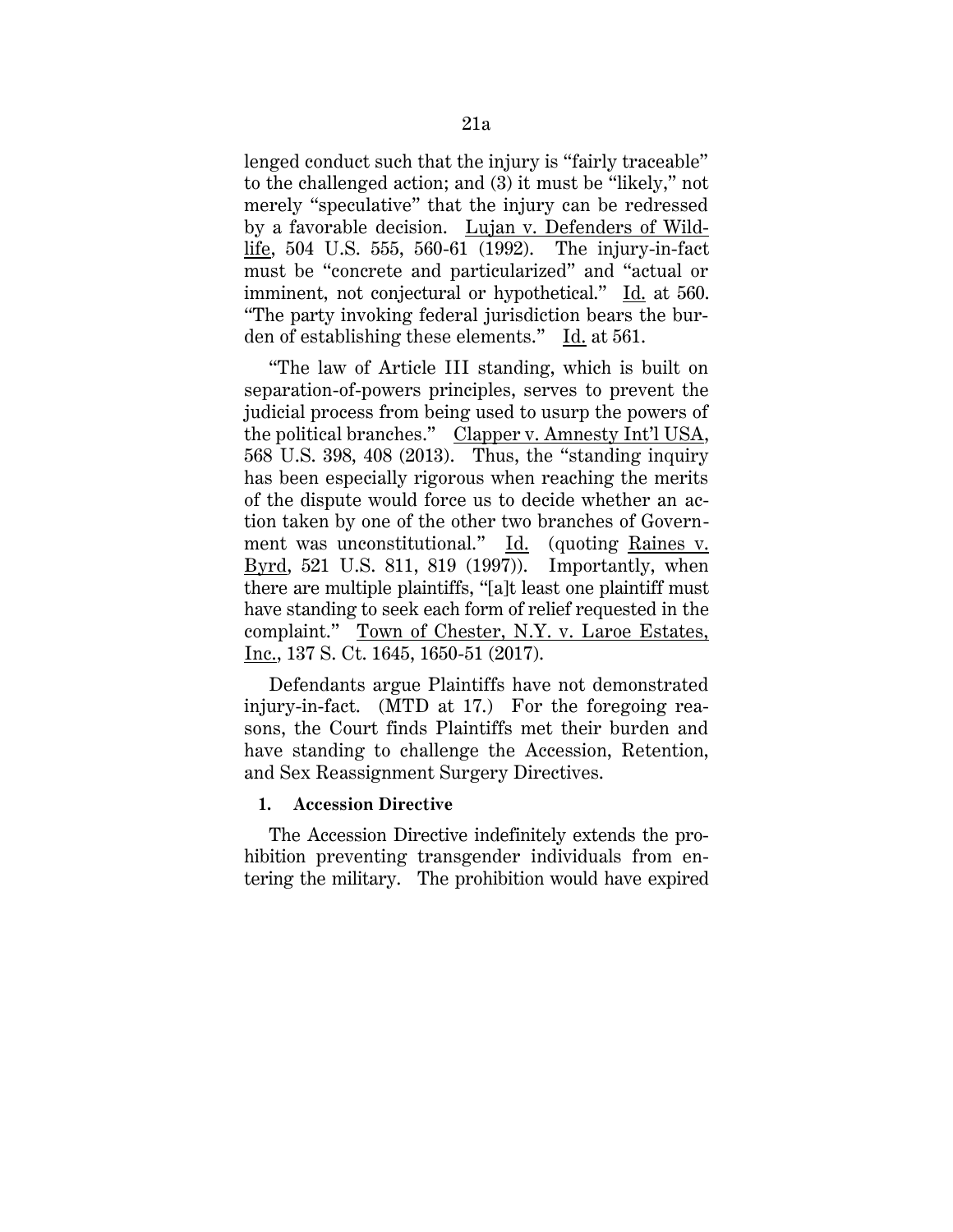lenged conduct such that the injury is "fairly traceable" to the challenged action; and (3) it must be "likely," not merely "speculative" that the injury can be redressed by a favorable decision. Lujan v. Defenders of Wildlife, 504 U.S. 555, 560-61 (1992). The injury-in-fact must be "concrete and particularized" and "actual or imminent, not conjectural or hypothetical." Id. at 560. "The party invoking federal jurisdiction bears the burden of establishing these elements." Id. at 561.

"The law of Article III standing, which is built on separation-of-powers principles, serves to prevent the judicial process from being used to usurp the powers of the political branches." Clapper v. Amnesty Int'l USA, 568 U.S. 398, 408 (2013). Thus, the "standing inquiry has been especially rigorous when reaching the merits of the dispute would force us to decide whether an action taken by one of the other two branches of Government was unconstitutional." Id. (quoting Raines v. Byrd, 521 U.S. 811, 819 (1997)). Importantly, when there are multiple plaintiffs, "[a]t least one plaintiff must have standing to seek each form of relief requested in the complaint." Town of Chester, N.Y. v. Laroe Estates, Inc., 137 S. Ct. 1645, 1650-51 (2017).

Defendants argue Plaintiffs have not demonstrated injury-in-fact. (MTD at 17.) For the foregoing reasons, the Court finds Plaintiffs met their burden and have standing to challenge the Accession, Retention, and Sex Reassignment Surgery Directives.

## **1. Accession Directive**

The Accession Directive indefinitely extends the prohibition preventing transgender individuals from entering the military. The prohibition would have expired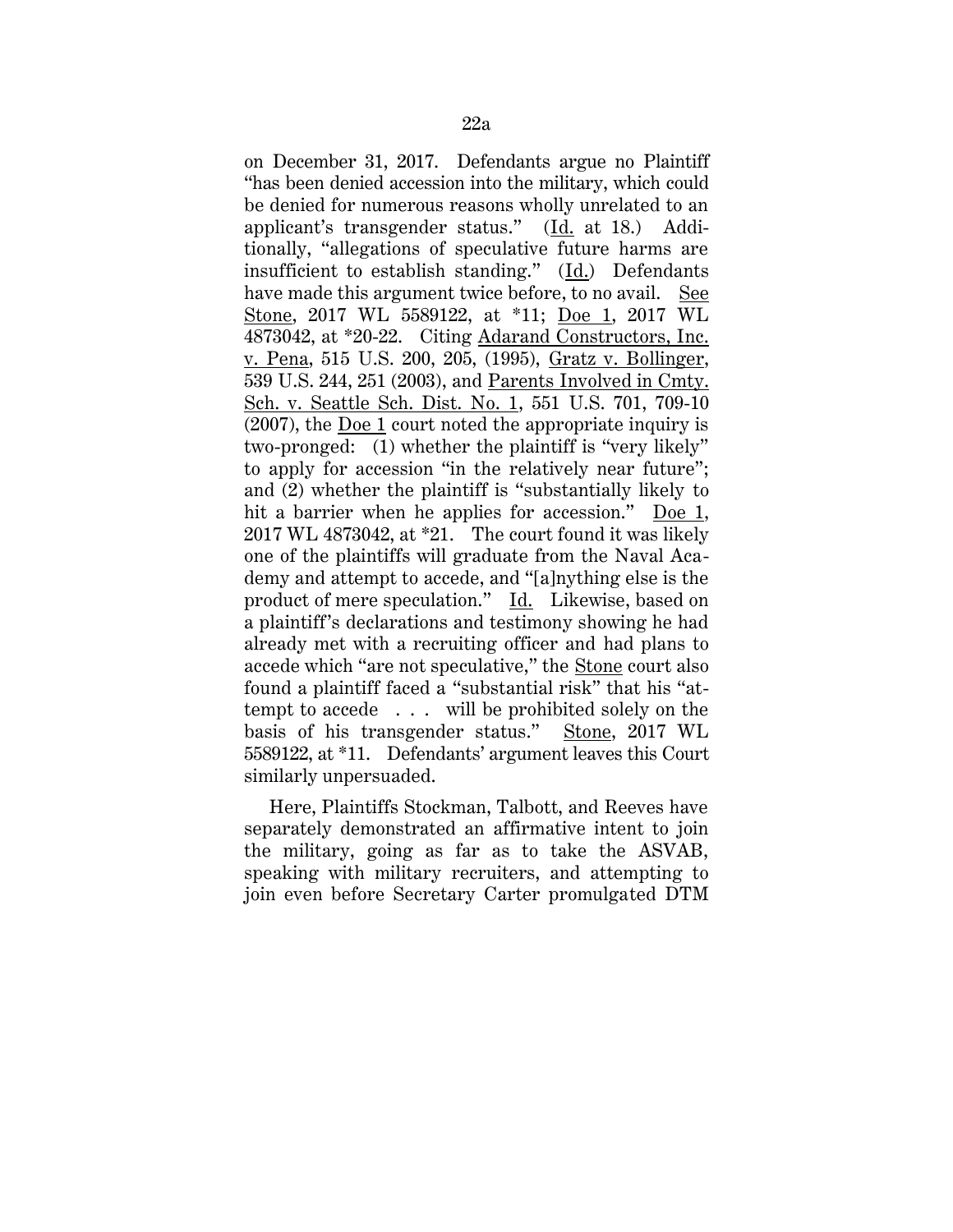on December 31, 2017. Defendants argue no Plaintiff "has been denied accession into the military, which could be denied for numerous reasons wholly unrelated to an applicant's transgender status." (Id. at 18.) Additionally, "allegations of speculative future harms are insufficient to establish standing."  $(\underline{Id})$  Defendants have made this argument twice before, to no avail. See Stone, 2017 WL 5589122, at \*11; Doe 1, 2017 WL 4873042, at \*20-22. Citing Adarand Constructors, Inc. v. Pena, 515 U.S. 200, 205, (1995), Gratz v. Bollinger, 539 U.S. 244, 251 (2003), and Parents Involved in Cmty. Sch. v. Seattle Sch. Dist. No. 1, 551 U.S. 701, 709-10 (2007), the Doe 1 court noted the appropriate inquiry is two-pronged: (1) whether the plaintiff is "very likely" to apply for accession "in the relatively near future"; and (2) whether the plaintiff is "substantially likely to hit a barrier when he applies for accession." Doe 1, 2017 WL 4873042, at \*21. The court found it was likely one of the plaintiffs will graduate from the Naval Academy and attempt to accede, and "[a]nything else is the product of mere speculation." Id. Likewise, based on a plaintiff's declarations and testimony showing he had already met with a recruiting officer and had plans to accede which "are not speculative," the Stone court also found a plaintiff faced a "substantial risk" that his "attempt to accede . . . will be prohibited solely on the basis of his transgender status." Stone, 2017 WL 5589122, at \*11. Defendants' argument leaves this Court similarly unpersuaded.

Here, Plaintiffs Stockman, Talbott, and Reeves have separately demonstrated an affirmative intent to join the military, going as far as to take the ASVAB, speaking with military recruiters, and attempting to join even before Secretary Carter promulgated DTM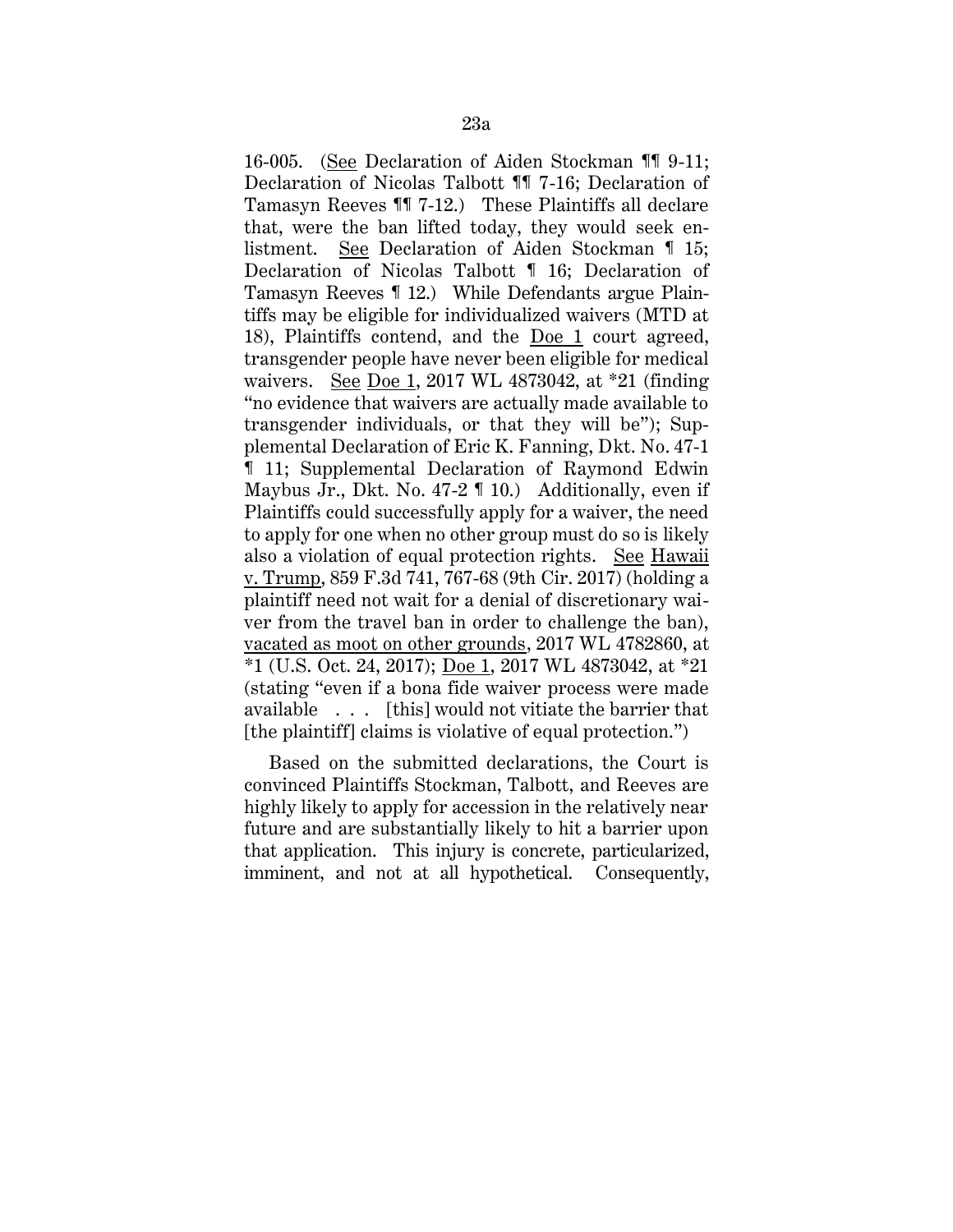16-005. (See Declaration of Aiden Stockman ¶¶ 9-11; Declaration of Nicolas Talbott ¶¶ 7-16; Declaration of Tamasyn Reeves ¶¶ 7-12.) These Plaintiffs all declare that, were the ban lifted today, they would seek enlistment. See Declaration of Aiden Stockman ¶ 15; Declaration of Nicolas Talbott ¶ 16; Declaration of Tamasyn Reeves ¶ 12.) While Defendants argue Plaintiffs may be eligible for individualized waivers (MTD at 18), Plaintiffs contend, and the Doe 1 court agreed, transgender people have never been eligible for medical waivers. See Doe 1, 2017 WL 4873042, at \*21 (finding "no evidence that waivers are actually made available to transgender individuals, or that they will be"); Supplemental Declaration of Eric K. Fanning, Dkt. No. 47-1 ¶ 11; Supplemental Declaration of Raymond Edwin Maybus Jr., Dkt. No. 47-2 ¶ 10.) Additionally, even if Plaintiffs could successfully apply for a waiver, the need to apply for one when no other group must do so is likely also a violation of equal protection rights. See Hawaii v. Trump, 859 F.3d 741, 767-68 (9th Cir. 2017) (holding a plaintiff need not wait for a denial of discretionary waiver from the travel ban in order to challenge the ban), vacated as moot on other grounds, 2017 WL 4782860, at \*1 (U.S. Oct. 24, 2017); Doe 1, 2017 WL 4873042, at \*21 (stating "even if a bona fide waiver process were made available . . . [this] would not vitiate the barrier that [the plaintiff] claims is violative of equal protection.")

Based on the submitted declarations, the Court is convinced Plaintiffs Stockman, Talbott, and Reeves are highly likely to apply for accession in the relatively near future and are substantially likely to hit a barrier upon that application. This injury is concrete, particularized, imminent, and not at all hypothetical. Consequently,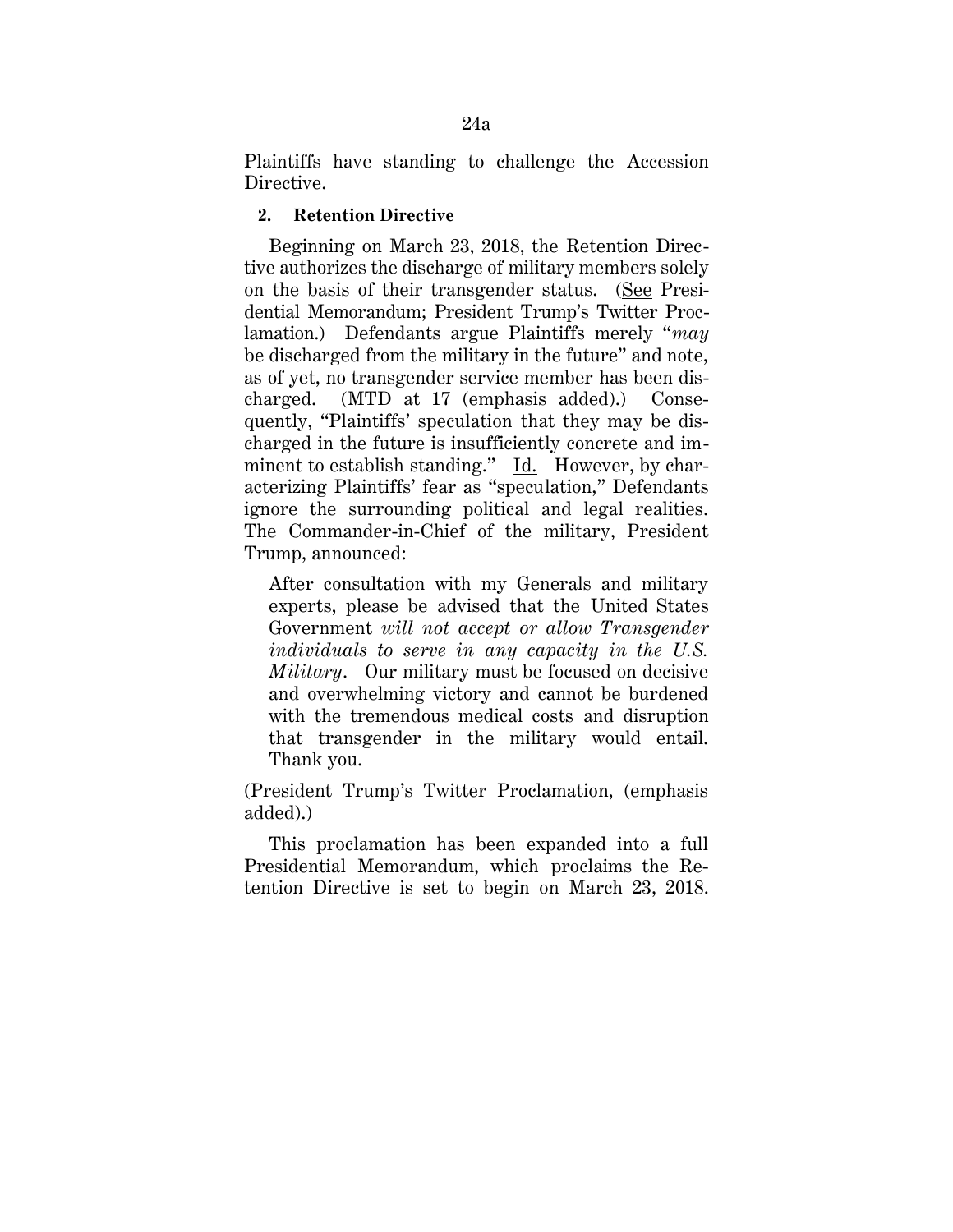Plaintiffs have standing to challenge the Accession Directive.

### **2. Retention Directive**

Beginning on March 23, 2018, the Retention Directive authorizes the discharge of military members solely on the basis of their transgender status. (See Presidential Memorandum; President Trump's Twitter Proclamation.) Defendants argue Plaintiffs merely "*may*  be discharged from the military in the future" and note, as of yet, no transgender service member has been discharged. (MTD at 17 (emphasis added).) Consequently, "Plaintiffs' speculation that they may be discharged in the future is insufficiently concrete and imminent to establish standing." Id. However, by characterizing Plaintiffs' fear as "speculation," Defendants ignore the surrounding political and legal realities. The Commander-in-Chief of the military, President Trump, announced:

After consultation with my Generals and military experts, please be advised that the United States Government *will not accept or allow Transgender individuals to serve in any capacity in the U.S. Military*. Our military must be focused on decisive and overwhelming victory and cannot be burdened with the tremendous medical costs and disruption that transgender in the military would entail. Thank you.

(President Trump's Twitter Proclamation, (emphasis added).)

This proclamation has been expanded into a full Presidential Memorandum, which proclaims the Retention Directive is set to begin on March 23, 2018.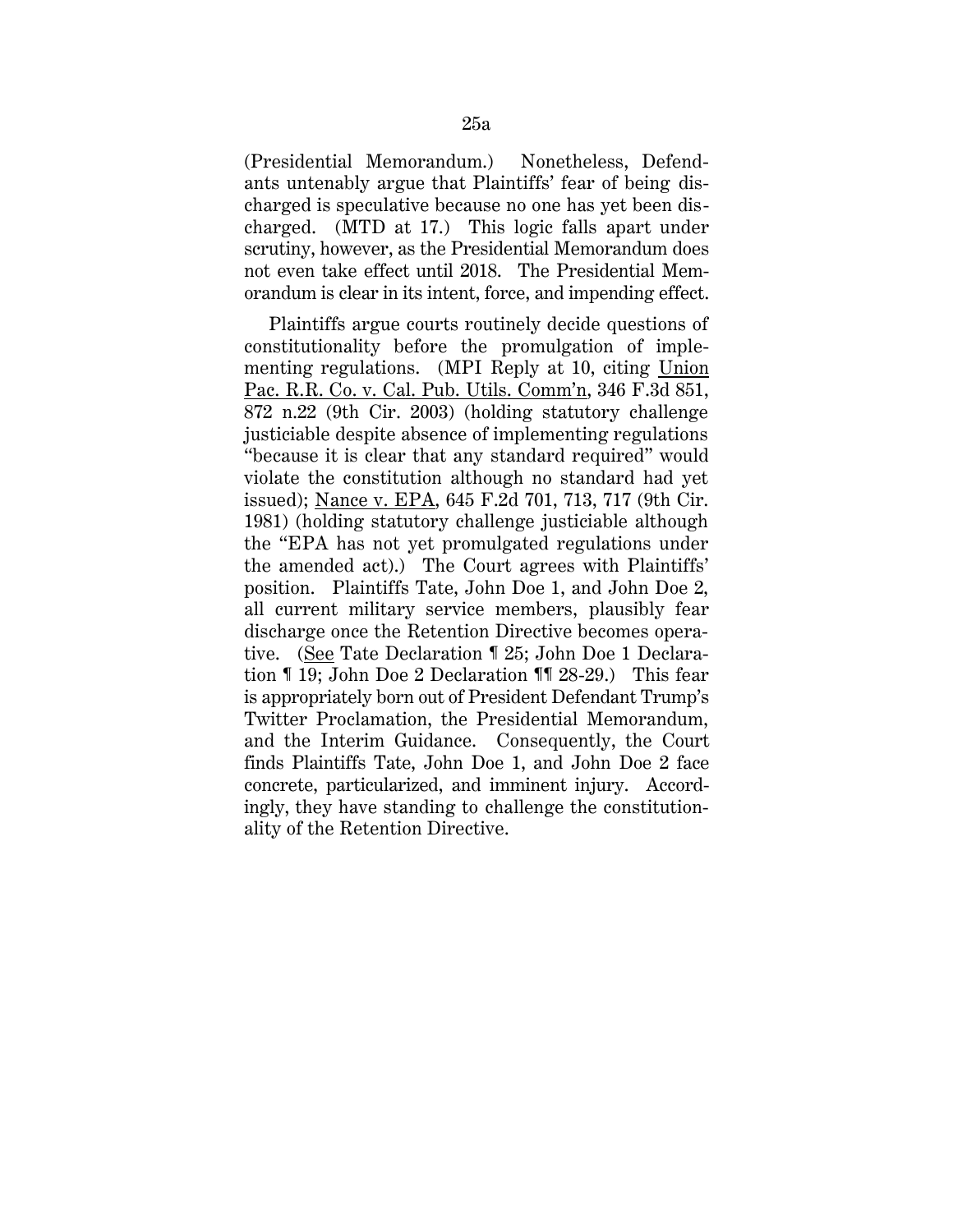(Presidential Memorandum.) Nonetheless, Defendants untenably argue that Plaintiffs' fear of being discharged is speculative because no one has yet been discharged. (MTD at 17.) This logic falls apart under scrutiny, however, as the Presidential Memorandum does not even take effect until 2018. The Presidential Memorandum is clear in its intent, force, and impending effect.

Plaintiffs argue courts routinely decide questions of constitutionality before the promulgation of implementing regulations. (MPI Reply at 10, citing Union Pac. R.R. Co. v. Cal. Pub. Utils. Comm'n, 346 F.3d 851, 872 n.22 (9th Cir. 2003) (holding statutory challenge justiciable despite absence of implementing regulations "because it is clear that any standard required" would violate the constitution although no standard had yet issued); Nance v. EPA, 645 F.2d 701, 713, 717 (9th Cir. 1981) (holding statutory challenge justiciable although the "EPA has not yet promulgated regulations under the amended act).) The Court agrees with Plaintiffs' position. Plaintiffs Tate, John Doe 1, and John Doe 2, all current military service members, plausibly fear discharge once the Retention Directive becomes operative. (See Tate Declaration ¶ 25; John Doe 1 Declaration ¶ 19; John Doe 2 Declaration ¶¶ 28-29.) This fear is appropriately born out of President Defendant Trump's Twitter Proclamation, the Presidential Memorandum, and the Interim Guidance. Consequently, the Court finds Plaintiffs Tate, John Doe 1, and John Doe 2 face concrete, particularized, and imminent injury. Accordingly, they have standing to challenge the constitutionality of the Retention Directive.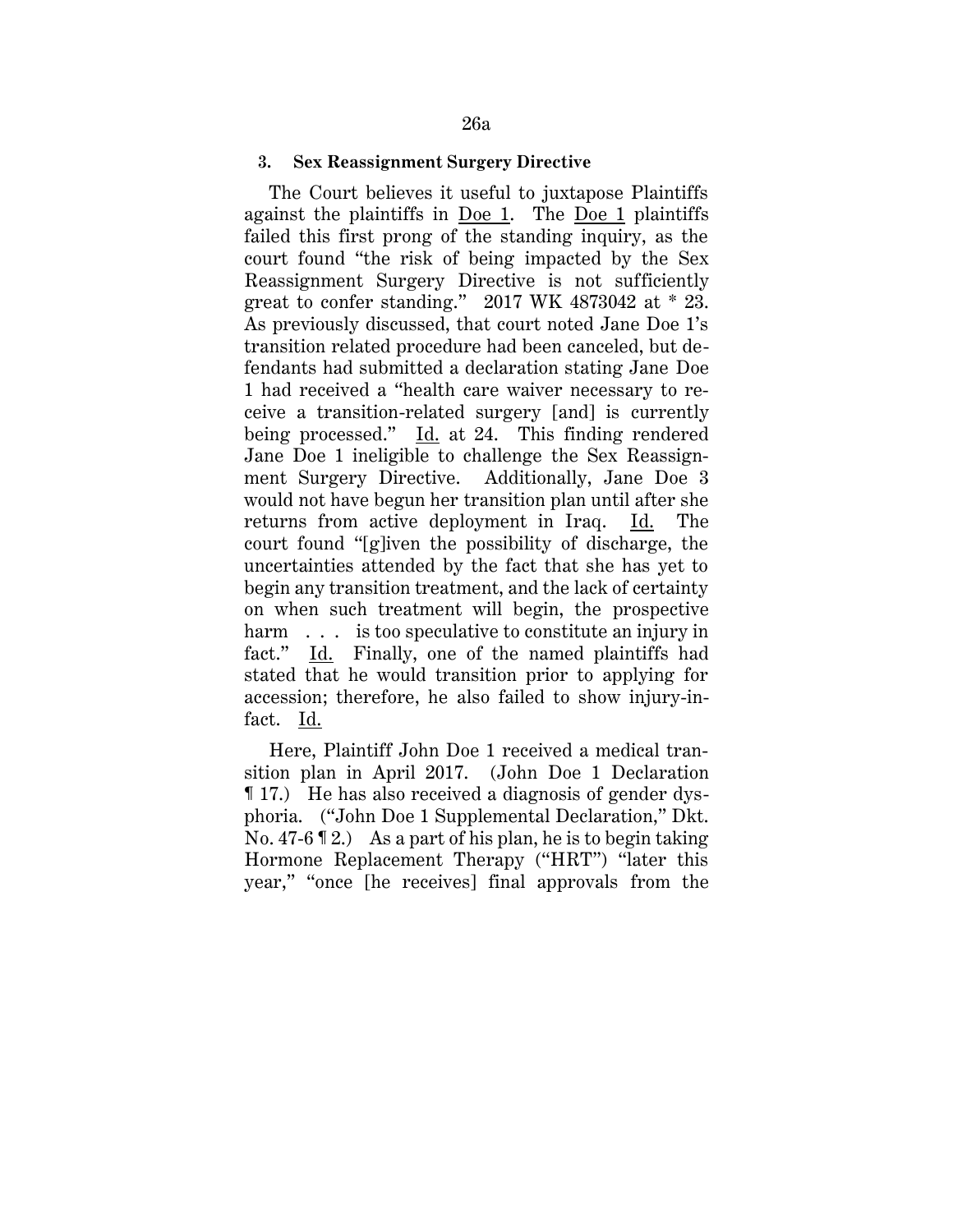#### **3. Sex Reassignment Surgery Directive**

The Court believes it useful to juxtapose Plaintiffs against the plaintiffs in Doe 1. The Doe 1 plaintiffs failed this first prong of the standing inquiry, as the court found "the risk of being impacted by the Sex Reassignment Surgery Directive is not sufficiently great to confer standing." 2017 WK 4873042 at \* 23. As previously discussed, that court noted Jane Doe 1's transition related procedure had been canceled, but defendants had submitted a declaration stating Jane Doe 1 had received a "health care waiver necessary to receive a transition-related surgery [and] is currently being processed." Id. at 24. This finding rendered Jane Doe 1 ineligible to challenge the Sex Reassignment Surgery Directive. Additionally, Jane Doe 3 would not have begun her transition plan until after she returns from active deployment in Iraq. Id. The court found "[g]iven the possibility of discharge, the uncertainties attended by the fact that she has yet to begin any transition treatment, and the lack of certainty on when such treatment will begin, the prospective harm . . . is too speculative to constitute an injury in fact." Id. Finally, one of the named plaintiffs had stated that he would transition prior to applying for accession; therefore, he also failed to show injury-infact. Id.

Here, Plaintiff John Doe 1 received a medical transition plan in April 2017. (John Doe 1 Declaration ¶ 17.) He has also received a diagnosis of gender dysphoria. ("John Doe 1 Supplemental Declaration," Dkt. No. 47-6 ¶ 2.) As a part of his plan, he is to begin taking Hormone Replacement Therapy ("HRT") "later this year," "once [he receives] final approvals from the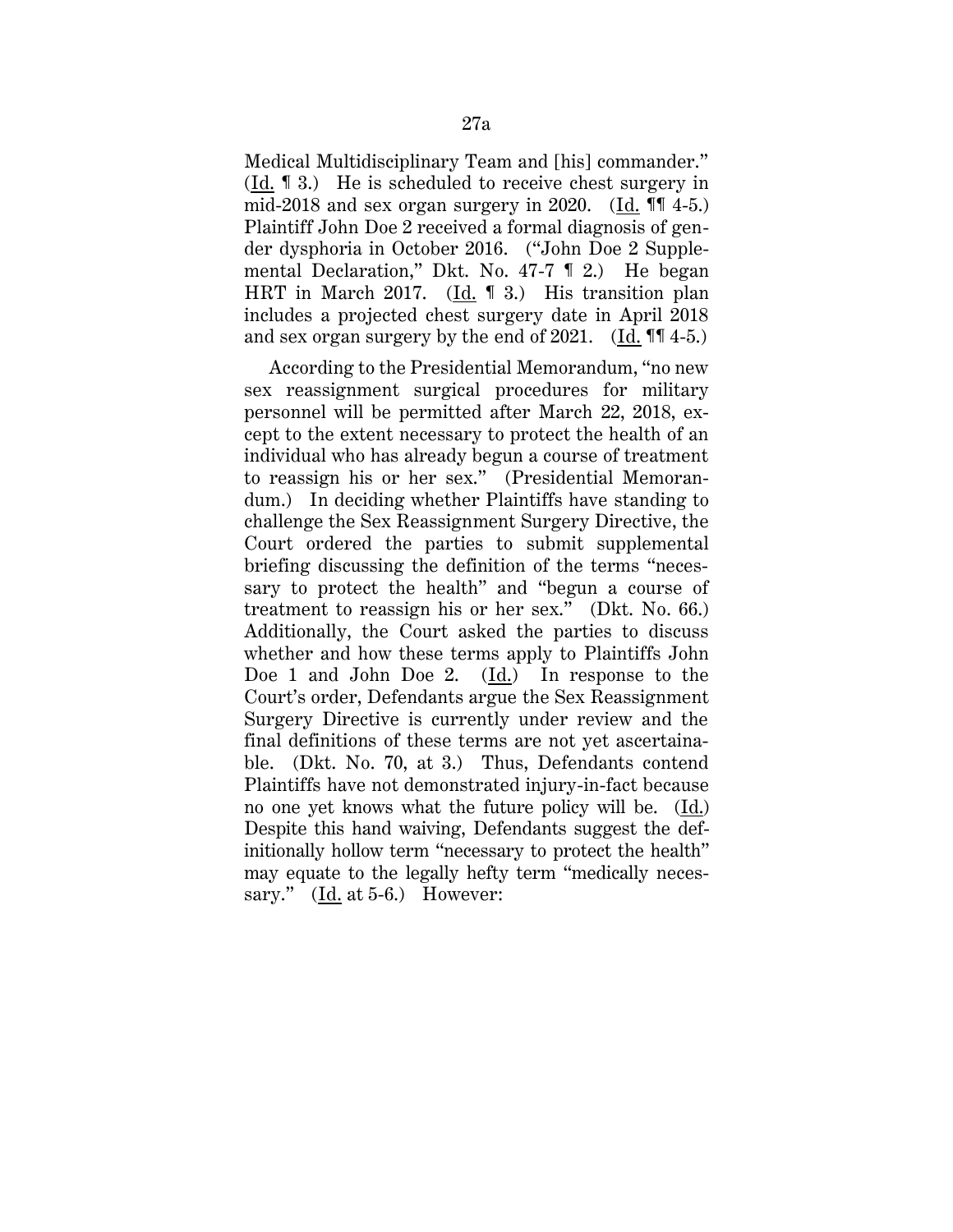Medical Multidisciplinary Team and [his] commander." (Id. ¶ 3.) He is scheduled to receive chest surgery in mid-2018 and sex organ surgery in 2020. (Id.  $\P$  4-5.) Plaintiff John Doe 2 received a formal diagnosis of gender dysphoria in October 2016. ("John Doe 2 Supplemental Declaration," Dkt. No. 47-7 ¶ 2.) He began HRT in March 2017. (Id. ¶ 3.) His transition plan includes a projected chest surgery date in April 2018 and sex organ surgery by the end of 2021. (Id. ¶¶ 4-5.)

According to the Presidential Memorandum, "no new sex reassignment surgical procedures for military personnel will be permitted after March 22, 2018, except to the extent necessary to protect the health of an individual who has already begun a course of treatment to reassign his or her sex." (Presidential Memorandum.) In deciding whether Plaintiffs have standing to challenge the Sex Reassignment Surgery Directive, the Court ordered the parties to submit supplemental briefing discussing the definition of the terms "necessary to protect the health" and "begun a course of treatment to reassign his or her sex." (Dkt. No. 66.) Additionally, the Court asked the parties to discuss whether and how these terms apply to Plaintiffs John Doe 1 and John Doe 2. (Id.) In response to the Court's order, Defendants argue the Sex Reassignment Surgery Directive is currently under review and the final definitions of these terms are not yet ascertainable. (Dkt. No. 70, at 3.) Thus, Defendants contend Plaintiffs have not demonstrated injury-in-fact because no one yet knows what the future policy will be. (Id.) Despite this hand waiving, Defendants suggest the definitionally hollow term "necessary to protect the health" may equate to the legally hefty term "medically necessary." (Id. at 5-6.) However: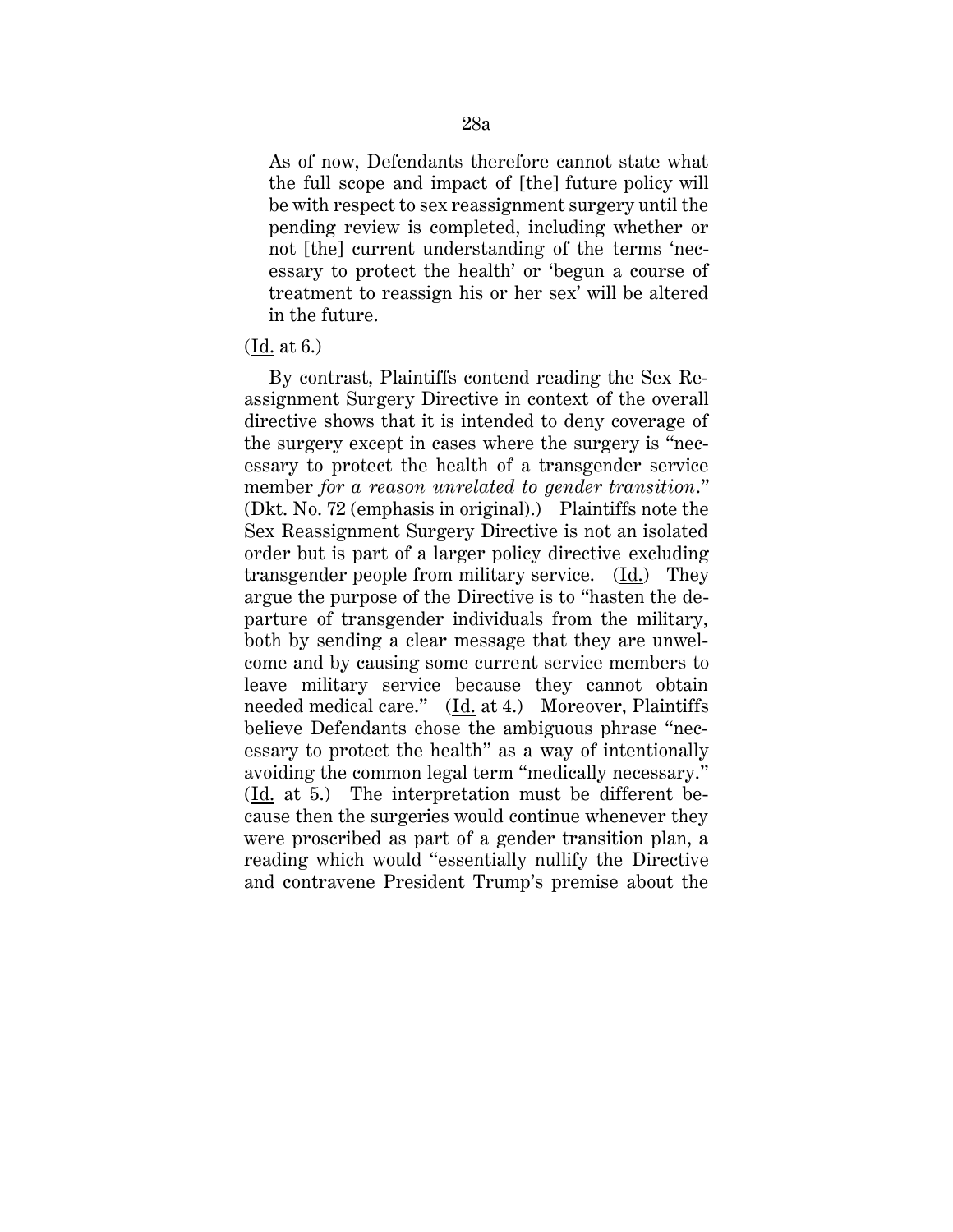As of now, Defendants therefore cannot state what the full scope and impact of [the] future policy will be with respect to sex reassignment surgery until the pending review is completed, including whether or not [the] current understanding of the terms 'necessary to protect the health' or 'begun a course of treatment to reassign his or her sex' will be altered in the future.

### (Id. at 6.)

By contrast, Plaintiffs contend reading the Sex Reassignment Surgery Directive in context of the overall directive shows that it is intended to deny coverage of the surgery except in cases where the surgery is "necessary to protect the health of a transgender service member *for a reason unrelated to gender transition*." (Dkt. No. 72 (emphasis in original).) Plaintiffs note the Sex Reassignment Surgery Directive is not an isolated order but is part of a larger policy directive excluding transgender people from military service. (Id.) They argue the purpose of the Directive is to "hasten the departure of transgender individuals from the military, both by sending a clear message that they are unwelcome and by causing some current service members to leave military service because they cannot obtain needed medical care." (Id. at 4.) Moreover, Plaintiffs believe Defendants chose the ambiguous phrase "necessary to protect the health" as a way of intentionally avoiding the common legal term "medically necessary." (Id. at 5.) The interpretation must be different because then the surgeries would continue whenever they were proscribed as part of a gender transition plan, a reading which would "essentially nullify the Directive and contravene President Trump's premise about the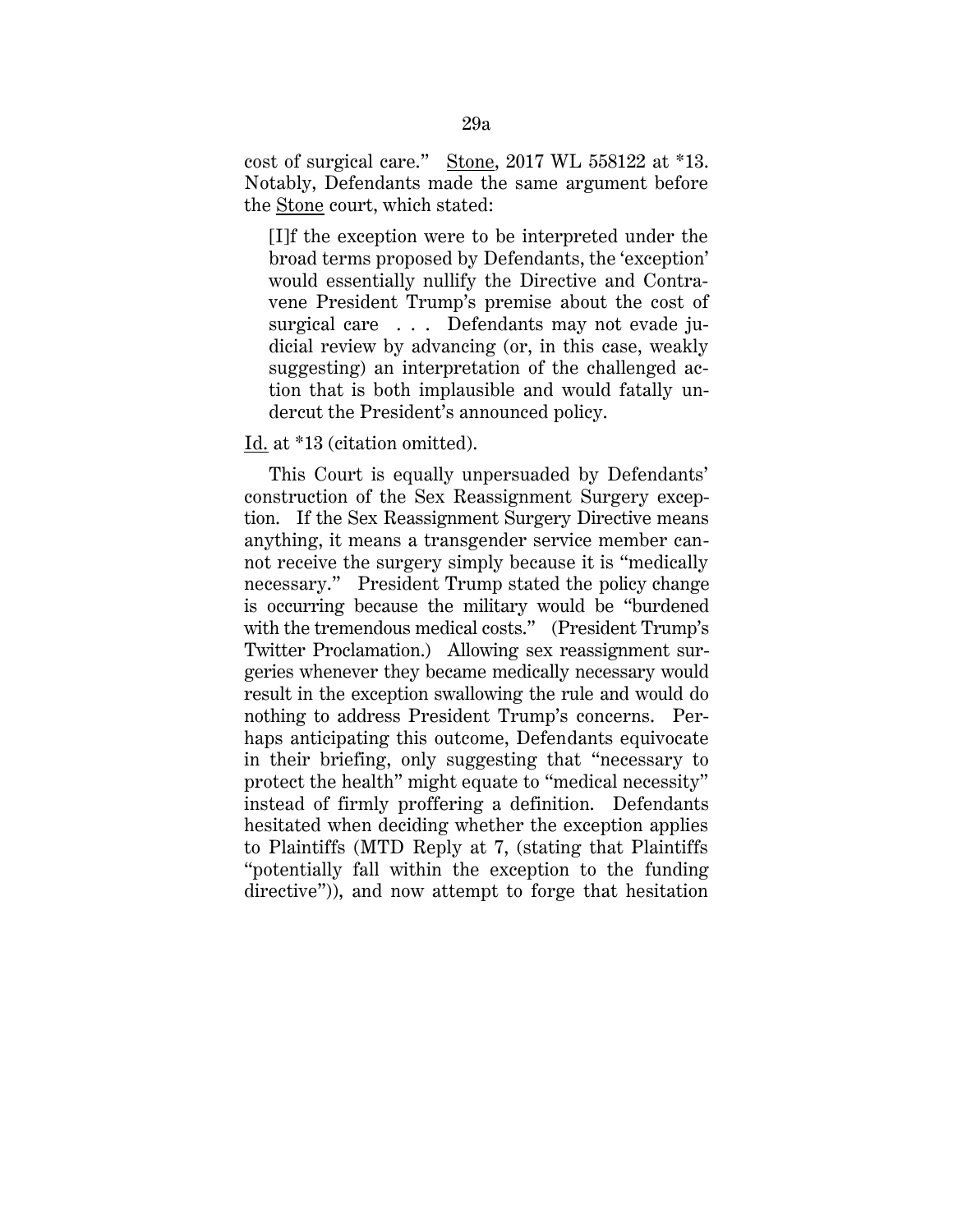cost of surgical care." Stone, 2017 WL 558122 at \*13. Notably, Defendants made the same argument before the Stone court, which stated:

[I]f the exception were to be interpreted under the broad terms proposed by Defendants, the 'exception' would essentially nullify the Directive and Contravene President Trump's premise about the cost of surgical care . . . Defendants may not evade judicial review by advancing (or, in this case, weakly suggesting) an interpretation of the challenged action that is both implausible and would fatally undercut the President's announced policy.

Id. at \*13 (citation omitted).

This Court is equally unpersuaded by Defendants' construction of the Sex Reassignment Surgery exception. If the Sex Reassignment Surgery Directive means anything, it means a transgender service member cannot receive the surgery simply because it is "medically necessary." President Trump stated the policy change is occurring because the military would be "burdened with the tremendous medical costs." (President Trump's Twitter Proclamation.) Allowing sex reassignment surgeries whenever they became medically necessary would result in the exception swallowing the rule and would do nothing to address President Trump's concerns. Perhaps anticipating this outcome, Defendants equivocate in their briefing, only suggesting that "necessary to protect the health" might equate to "medical necessity" instead of firmly proffering a definition. Defendants hesitated when deciding whether the exception applies to Plaintiffs (MTD Reply at 7, (stating that Plaintiffs "potentially fall within the exception to the funding directive")), and now attempt to forge that hesitation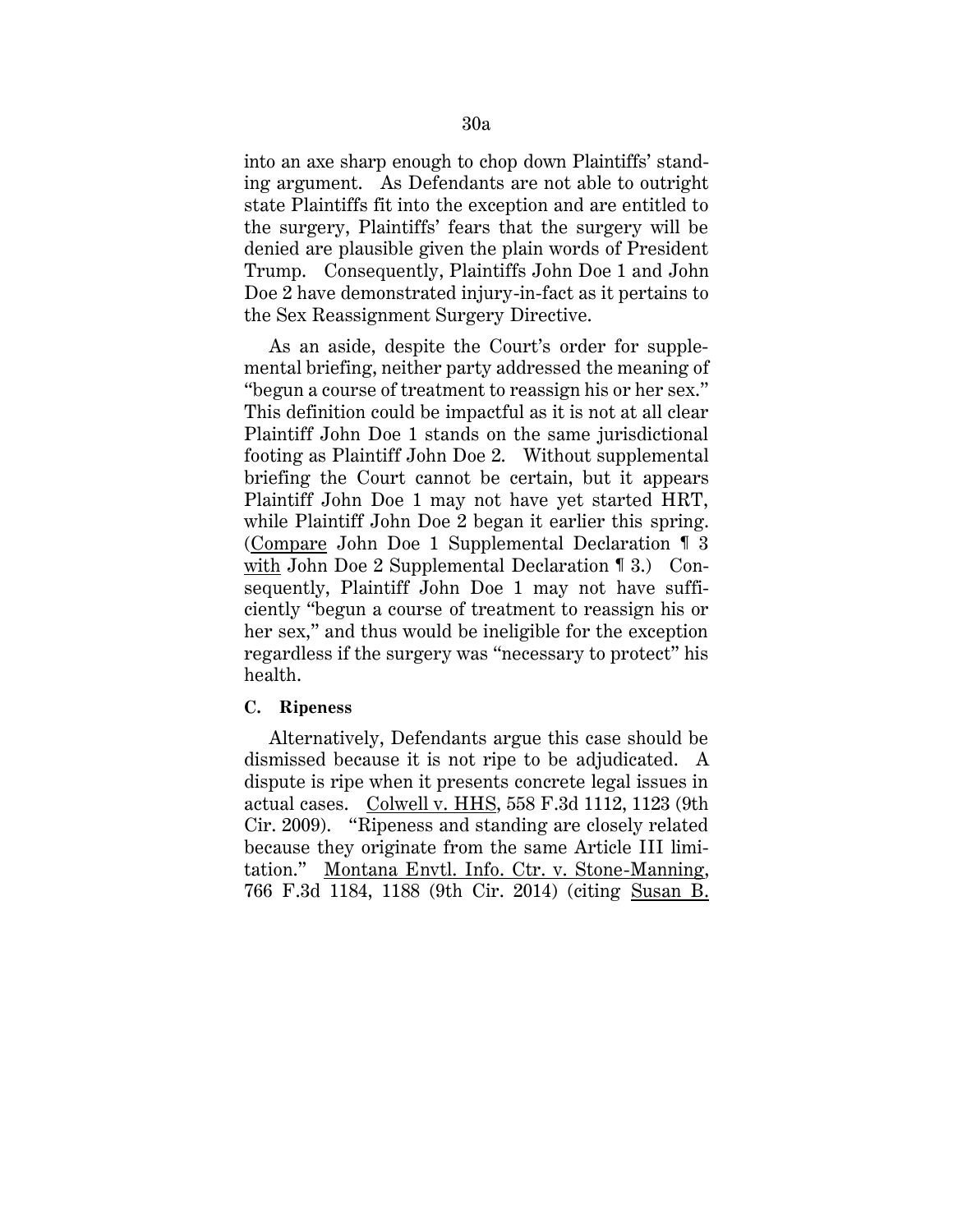into an axe sharp enough to chop down Plaintiffs' standing argument. As Defendants are not able to outright state Plaintiffs fit into the exception and are entitled to the surgery, Plaintiffs' fears that the surgery will be denied are plausible given the plain words of President Trump. Consequently, Plaintiffs John Doe 1 and John Doe 2 have demonstrated injury-in-fact as it pertains to the Sex Reassignment Surgery Directive.

As an aside, despite the Court's order for supplemental briefing, neither party addressed the meaning of "begun a course of treatment to reassign his or her sex." This definition could be impactful as it is not at all clear Plaintiff John Doe 1 stands on the same jurisdictional footing as Plaintiff John Doe 2. Without supplemental briefing the Court cannot be certain, but it appears Plaintiff John Doe 1 may not have yet started HRT, while Plaintiff John Doe 2 began it earlier this spring. (Compare John Doe 1 Supplemental Declaration ¶ 3 with John Doe 2 Supplemental Declaration 13.) Consequently, Plaintiff John Doe 1 may not have sufficiently "begun a course of treatment to reassign his or her sex," and thus would be ineligible for the exception regardless if the surgery was "necessary to protect" his health.

## **C. Ripeness**

Alternatively, Defendants argue this case should be dismissed because it is not ripe to be adjudicated. A dispute is ripe when it presents concrete legal issues in actual cases. Colwell v. HHS, 558 F.3d 1112, 1123 (9th Cir. 2009). "Ripeness and standing are closely related because they originate from the same Article III limitation." Montana Envtl. Info. Ctr. v. Stone-Manning, 766 F.3d 1184, 1188 (9th Cir. 2014) (citing Susan B.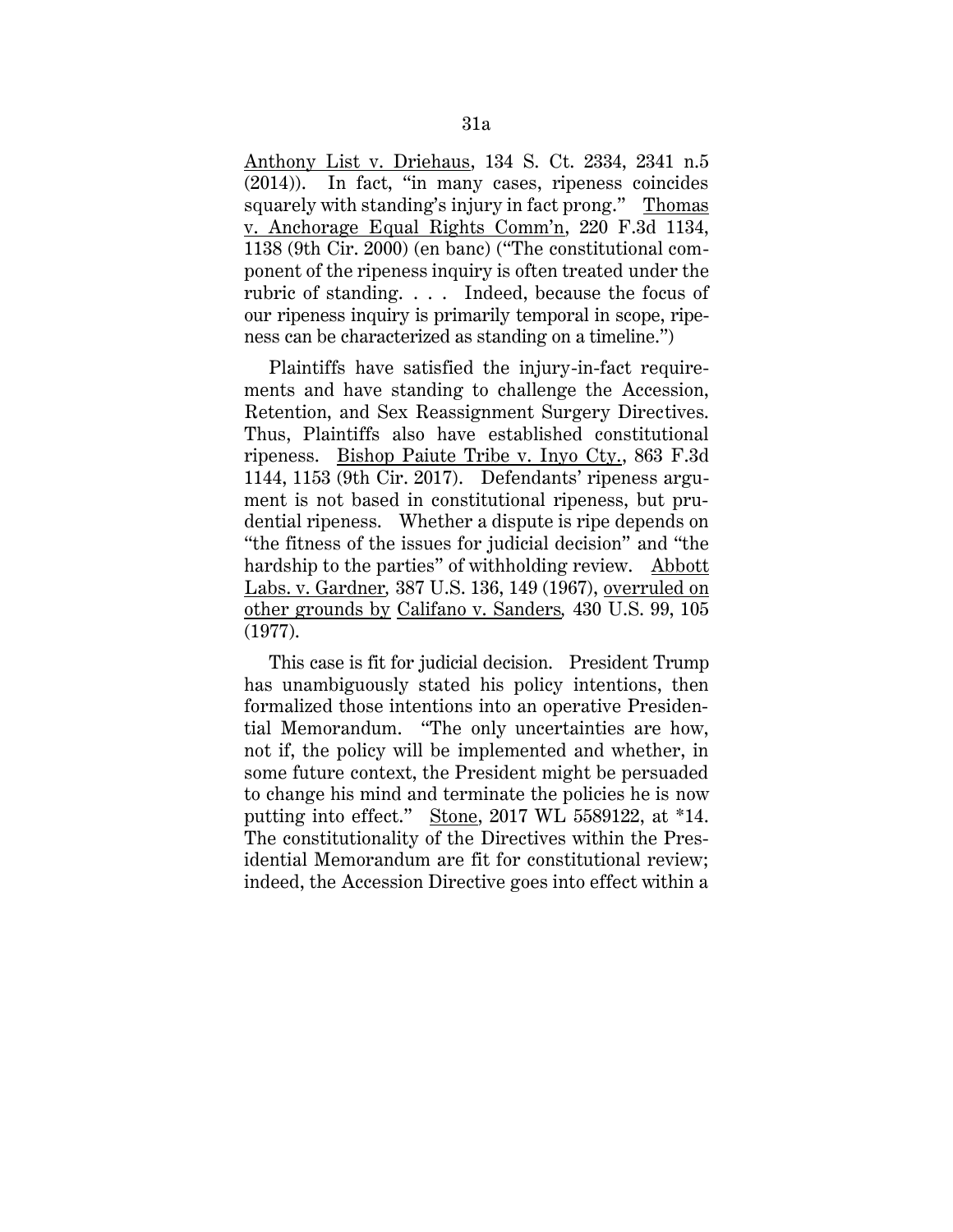Anthony List v. Driehaus, 134 S. Ct. 2334, 2341 n.5 (2014)). In fact, "in many cases, ripeness coincides squarely with standing's injury in fact prong." Thomas v. Anchorage Equal Rights Comm'n, 220 F.3d 1134, 1138 (9th Cir. 2000) (en banc) ("The constitutional component of the ripeness inquiry is often treated under the rubric of standing. . . . Indeed, because the focus of our ripeness inquiry is primarily temporal in scope, ripeness can be characterized as standing on a timeline.")

Plaintiffs have satisfied the injury-in-fact requirements and have standing to challenge the Accession, Retention, and Sex Reassignment Surgery Directives. Thus, Plaintiffs also have established constitutional ripeness. Bishop Paiute Tribe v. Inyo Cty., 863 F.3d 1144, 1153 (9th Cir. 2017). Defendants' ripeness argument is not based in constitutional ripeness, but prudential ripeness. Whether a dispute is ripe depends on "the fitness of the issues for judicial decision" and "the hardship to the parties" of withholding review. Abbott Labs. v. Gardner*,* 387 U.S. 136, 149 (1967), overruled on other grounds by Califano v. Sanders*,* 430 U.S. 99, 105 (1977).

This case is fit for judicial decision. President Trump has unambiguously stated his policy intentions, then formalized those intentions into an operative Presidential Memorandum. "The only uncertainties are how, not if, the policy will be implemented and whether, in some future context, the President might be persuaded to change his mind and terminate the policies he is now putting into effect." Stone, 2017 WL 5589122, at \*14. The constitutionality of the Directives within the Presidential Memorandum are fit for constitutional review; indeed, the Accession Directive goes into effect within a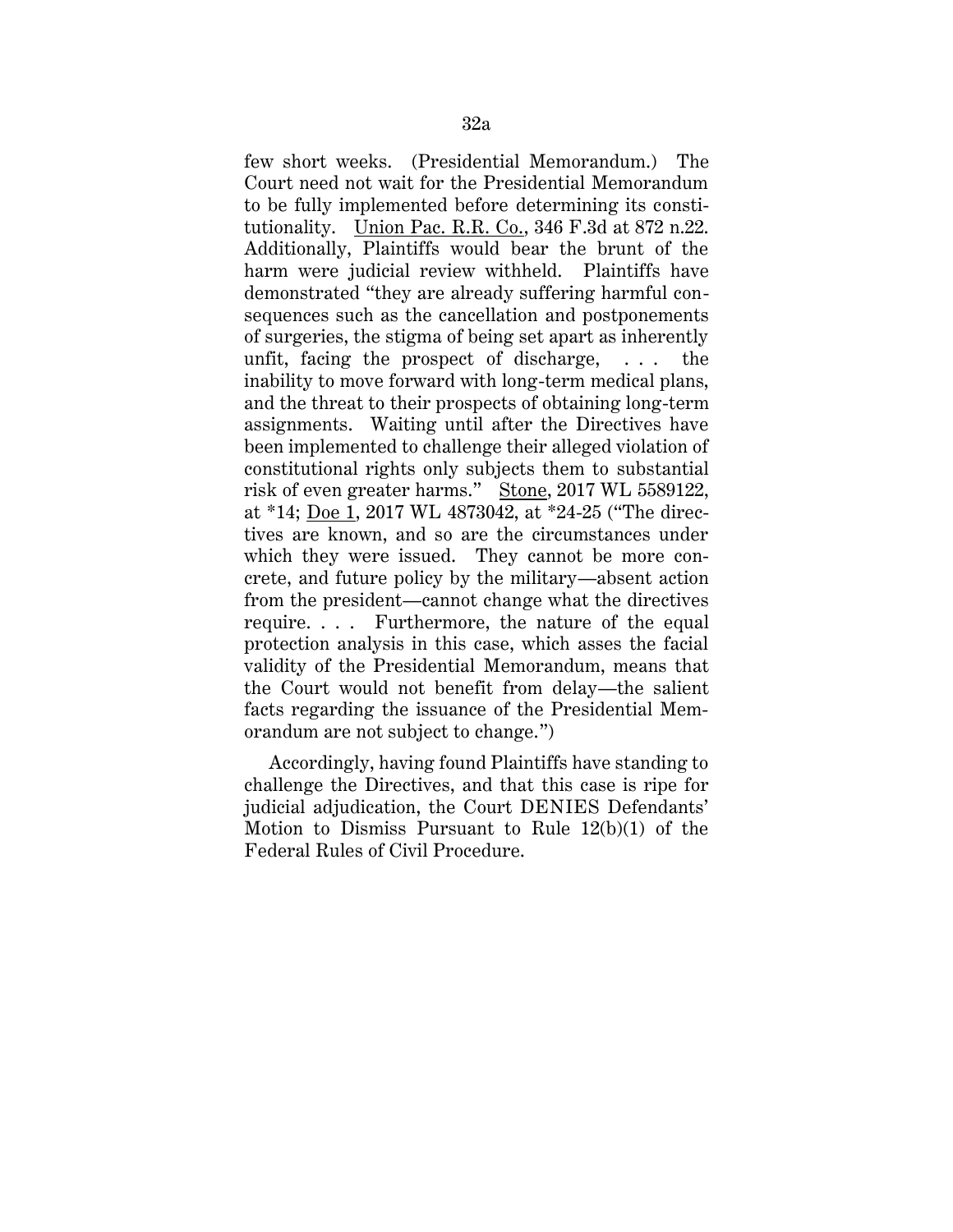few short weeks. (Presidential Memorandum.) The Court need not wait for the Presidential Memorandum to be fully implemented before determining its constitutionality. Union Pac. R.R. Co., 346 F.3d at 872 n.22. Additionally, Plaintiffs would bear the brunt of the harm were judicial review withheld. Plaintiffs have demonstrated "they are already suffering harmful consequences such as the cancellation and postponements of surgeries, the stigma of being set apart as inherently unfit, facing the prospect of discharge, . . . the inability to move forward with long-term medical plans, and the threat to their prospects of obtaining long-term assignments. Waiting until after the Directives have been implemented to challenge their alleged violation of constitutional rights only subjects them to substantial risk of even greater harms." Stone, 2017 WL 5589122, at \*14; Doe 1, 2017 WL 4873042, at \*24-25 ("The directives are known, and so are the circumstances under which they were issued. They cannot be more concrete, and future policy by the military—absent action from the president—cannot change what the directives require. . . . Furthermore, the nature of the equal protection analysis in this case, which asses the facial validity of the Presidential Memorandum, means that the Court would not benefit from delay—the salient facts regarding the issuance of the Presidential Memorandum are not subject to change.")

Accordingly, having found Plaintiffs have standing to challenge the Directives, and that this case is ripe for judicial adjudication, the Court DENIES Defendants' Motion to Dismiss Pursuant to Rule 12(b)(1) of the Federal Rules of Civil Procedure.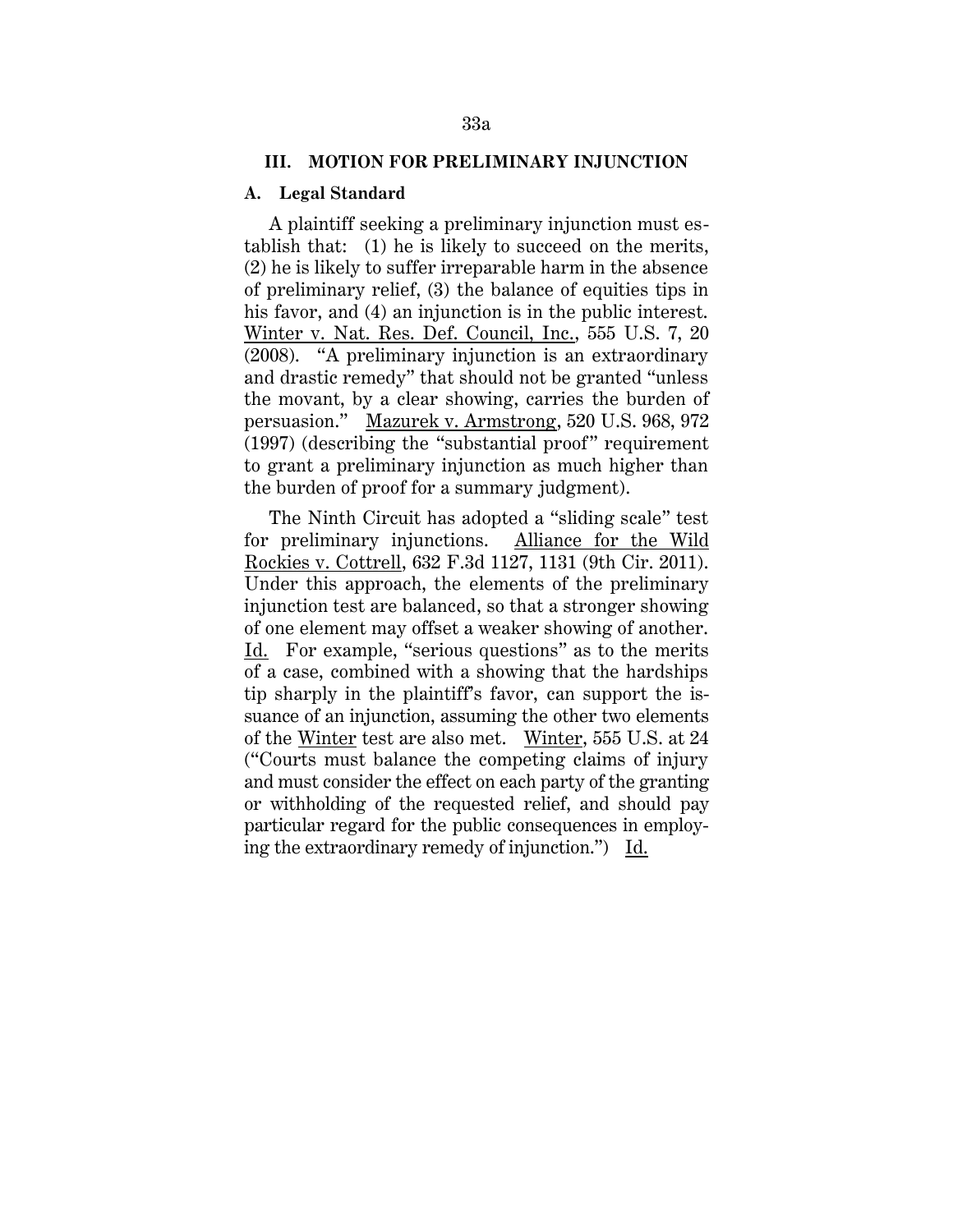#### **III. MOTION FOR PRELIMINARY INJUNCTION**

### **A. Legal Standard**

A plaintiff seeking a preliminary injunction must establish that: (1) he is likely to succeed on the merits, (2) he is likely to suffer irreparable harm in the absence of preliminary relief, (3) the balance of equities tips in his favor, and (4) an injunction is in the public interest. Winter v. Nat. Res. Def. Council, Inc., 555 U.S. 7, 20 (2008). "A preliminary injunction is an extraordinary and drastic remedy" that should not be granted "unless the movant, by a clear showing, carries the burden of persuasion." Mazurek v. Armstrong, 520 U.S. 968, 972 (1997) (describing the "substantial proof" requirement to grant a preliminary injunction as much higher than the burden of proof for a summary judgment).

The Ninth Circuit has adopted a "sliding scale" test for preliminary injunctions. Alliance for the Wild Rockies v. Cottrell, 632 F.3d 1127, 1131 (9th Cir. 2011). Under this approach, the elements of the preliminary injunction test are balanced, so that a stronger showing of one element may offset a weaker showing of another. Id. For example, "serious questions" as to the merits of a case, combined with a showing that the hardships tip sharply in the plaintiff's favor, can support the issuance of an injunction, assuming the other two elements of the Winter test are also met. Winter, 555 U.S. at 24 ("Courts must balance the competing claims of injury and must consider the effect on each party of the granting or withholding of the requested relief, and should pay particular regard for the public consequences in employing the extraordinary remedy of injunction.") Id.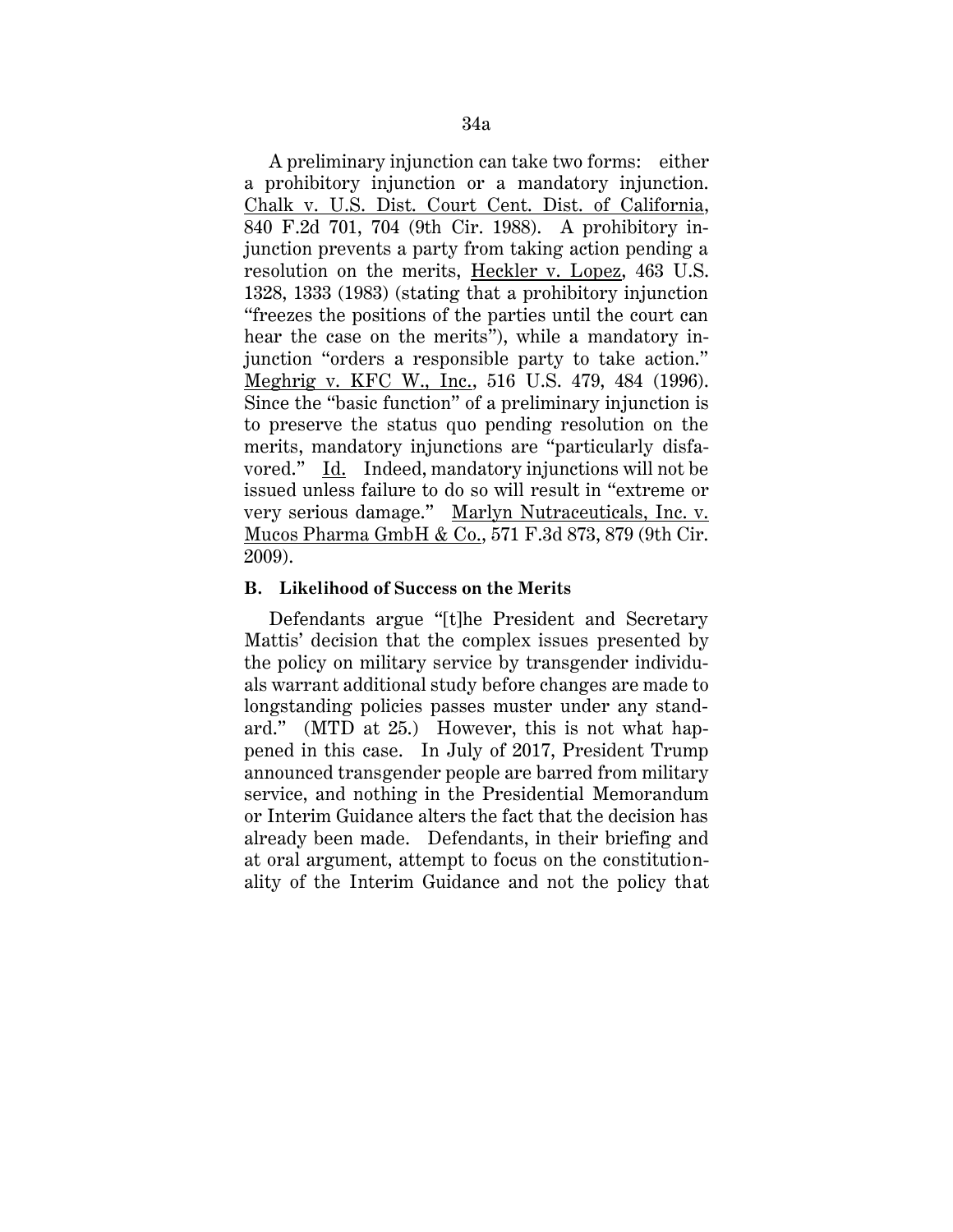A preliminary injunction can take two forms: either a prohibitory injunction or a mandatory injunction. Chalk v. U.S. Dist. Court Cent. Dist. of California, 840 F.2d 701, 704 (9th Cir. 1988). A prohibitory injunction prevents a party from taking action pending a resolution on the merits, Heckler v. Lopez, 463 U.S. 1328, 1333 (1983) (stating that a prohibitory injunction "freezes the positions of the parties until the court can hear the case on the merits"), while a mandatory injunction "orders a responsible party to take action." Meghrig v. KFC W., Inc., 516 U.S. 479, 484 (1996). Since the "basic function" of a preliminary injunction is to preserve the status quo pending resolution on the merits, mandatory injunctions are "particularly disfavored." Id. Indeed, mandatory injunctions will not be issued unless failure to do so will result in "extreme or very serious damage." Marlyn Nutraceuticals, Inc. v. Mucos Pharma GmbH & Co., 571 F.3d 873, 879 (9th Cir. 2009).

## **B. Likelihood of Success on the Merits**

Defendants argue "[t]he President and Secretary Mattis' decision that the complex issues presented by the policy on military service by transgender individuals warrant additional study before changes are made to longstanding policies passes muster under any standard." (MTD at 25.) However, this is not what happened in this case. In July of 2017, President Trump announced transgender people are barred from military service, and nothing in the Presidential Memorandum or Interim Guidance alters the fact that the decision has already been made. Defendants, in their briefing and at oral argument, attempt to focus on the constitutionality of the Interim Guidance and not the policy that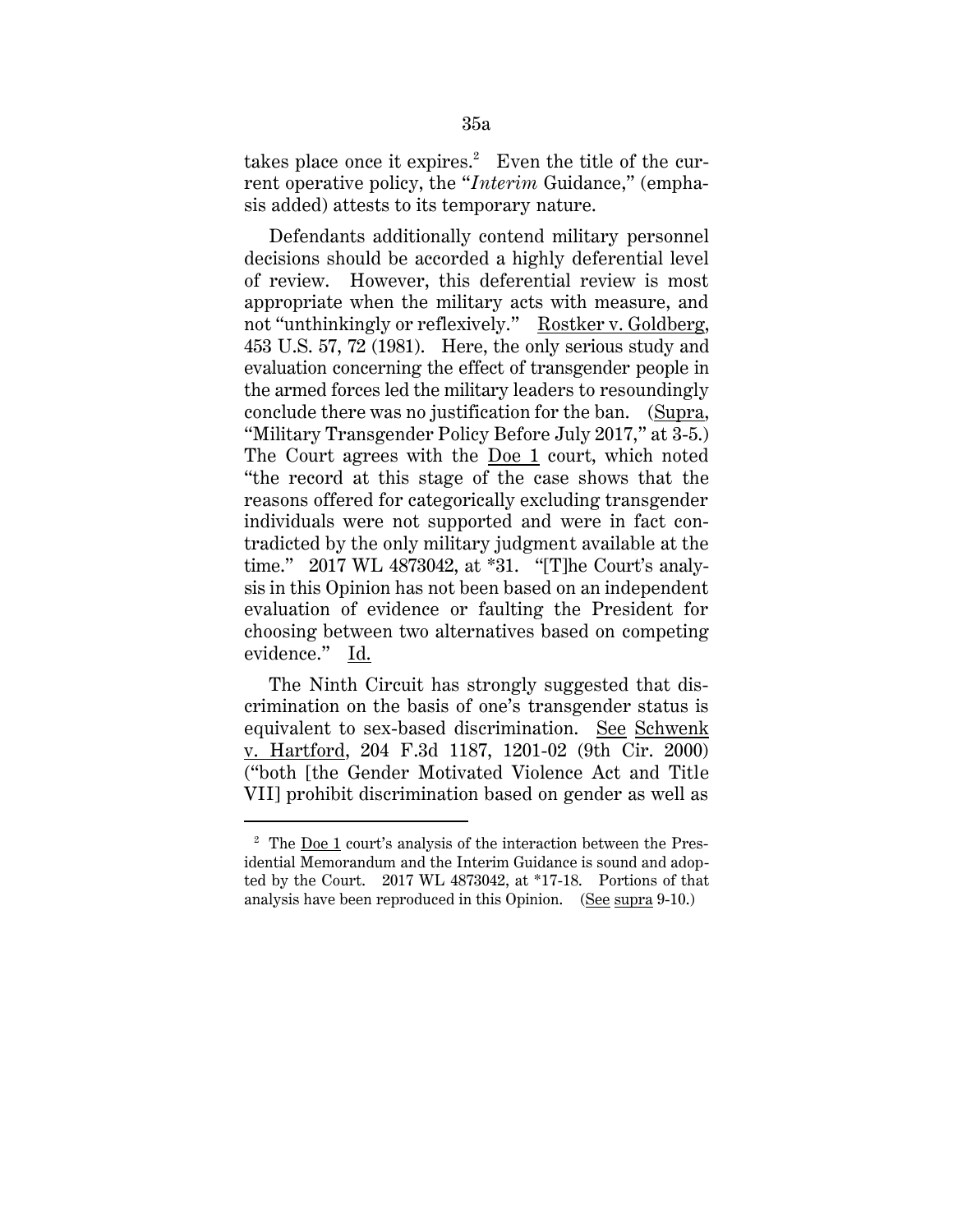takes place once it expires. $2$  Even the title of the current operative policy, the "*Interim* Guidance," (emphasis added) attests to its temporary nature.

Defendants additionally contend military personnel decisions should be accorded a highly deferential level of review. However, this deferential review is most appropriate when the military acts with measure, and not "unthinkingly or reflexively." Rostker v. Goldberg, 453 U.S. 57, 72 (1981). Here, the only serious study and evaluation concerning the effect of transgender people in the armed forces led the military leaders to resoundingly conclude there was no justification for the ban. (Supra, "Military Transgender Policy Before July 2017," at 3-5.) The Court agrees with the Doe 1 court, which noted "the record at this stage of the case shows that the reasons offered for categorically excluding transgender individuals were not supported and were in fact contradicted by the only military judgment available at the time." 2017 WL 4873042, at \*31. "[T]he Court's analysis in this Opinion has not been based on an independent evaluation of evidence or faulting the President for choosing between two alternatives based on competing evidence." Id.

The Ninth Circuit has strongly suggested that discrimination on the basis of one's transgender status is equivalent to sex-based discrimination. See Schwenk v. Hartford, 204 F.3d 1187, 1201-02 (9th Cir. 2000) ("both [the Gender Motivated Violence Act and Title VII] prohibit discrimination based on gender as well as

 $\overline{a}$ 

<sup>2</sup> The Doe 1 court's analysis of the interaction between the Presidential Memorandum and the Interim Guidance is sound and adopted by the Court. 2017 WL 4873042, at \*17-18. Portions of that analysis have been reproduced in this Opinion. (See supra 9-10.)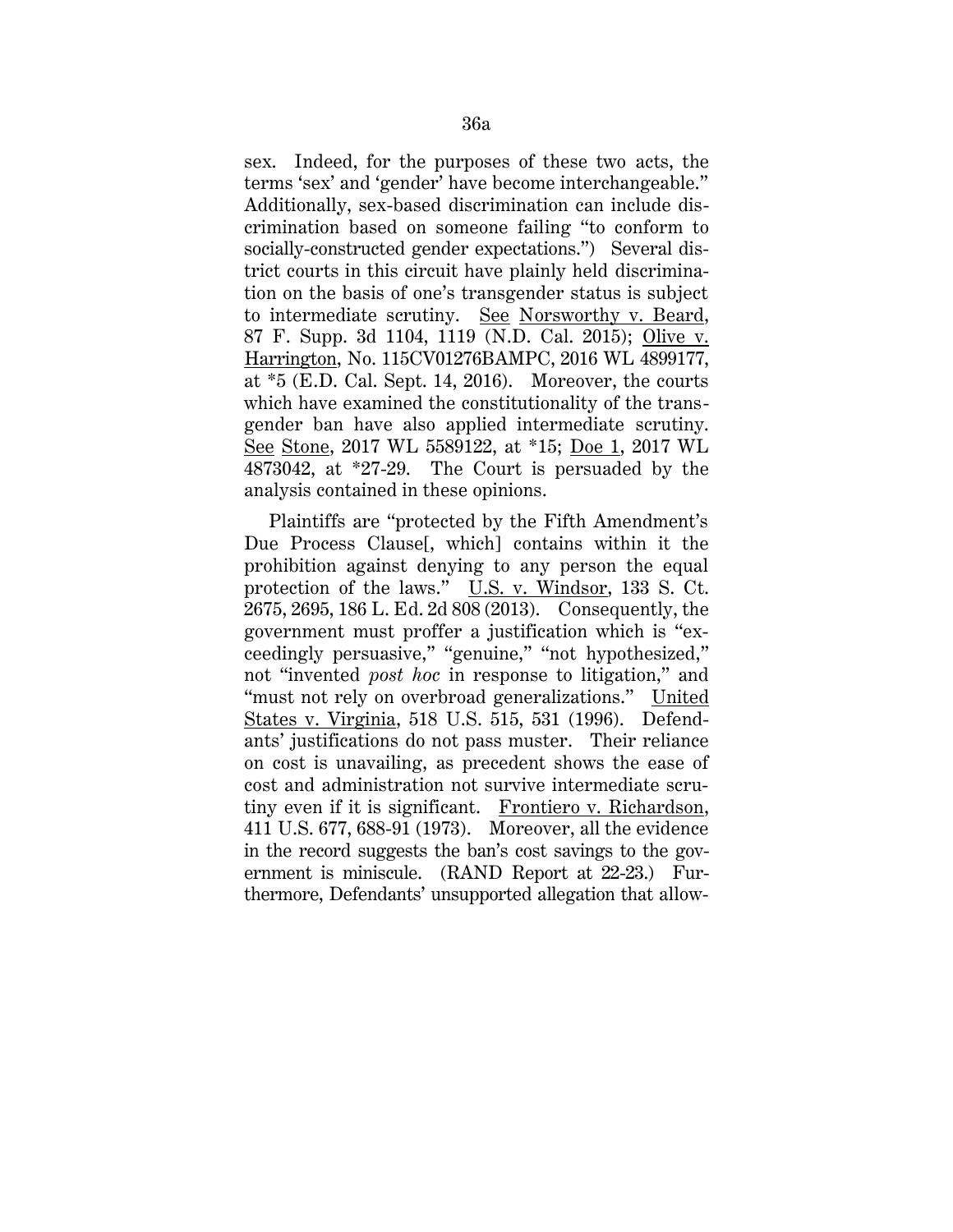sex. Indeed, for the purposes of these two acts, the terms 'sex' and 'gender' have become interchangeable." Additionally, sex-based discrimination can include discrimination based on someone failing "to conform to socially-constructed gender expectations.") Several district courts in this circuit have plainly held discrimination on the basis of one's transgender status is subject to intermediate scrutiny. See Norsworthy v. Beard, 87 F. Supp. 3d 1104, 1119 (N.D. Cal. 2015); Olive v. Harrington, No. 115CV01276BAMPC, 2016 WL 4899177, at \*5 (E.D. Cal. Sept. 14, 2016). Moreover, the courts which have examined the constitutionality of the transgender ban have also applied intermediate scrutiny. See Stone, 2017 WL 5589122, at \*15; Doe 1, 2017 WL 4873042, at \*27-29. The Court is persuaded by the analysis contained in these opinions.

Plaintiffs are "protected by the Fifth Amendment's Due Process Clause[, which] contains within it the prohibition against denying to any person the equal protection of the laws." U.S. v. Windsor, 133 S. Ct. 2675, 2695, 186 L. Ed. 2d 808 (2013). Consequently, the government must proffer a justification which is "exceedingly persuasive," "genuine," "not hypothesized," not "invented *post hoc* in response to litigation," and "must not rely on overbroad generalizations." United States v. Virginia, 518 U.S. 515, 531 (1996). Defendants' justifications do not pass muster. Their reliance on cost is unavailing, as precedent shows the ease of cost and administration not survive intermediate scrutiny even if it is significant. Frontiero v. Richardson, 411 U.S. 677, 688-91 (1973). Moreover, all the evidence in the record suggests the ban's cost savings to the government is miniscule. (RAND Report at 22-23.) Furthermore, Defendants' unsupported allegation that allow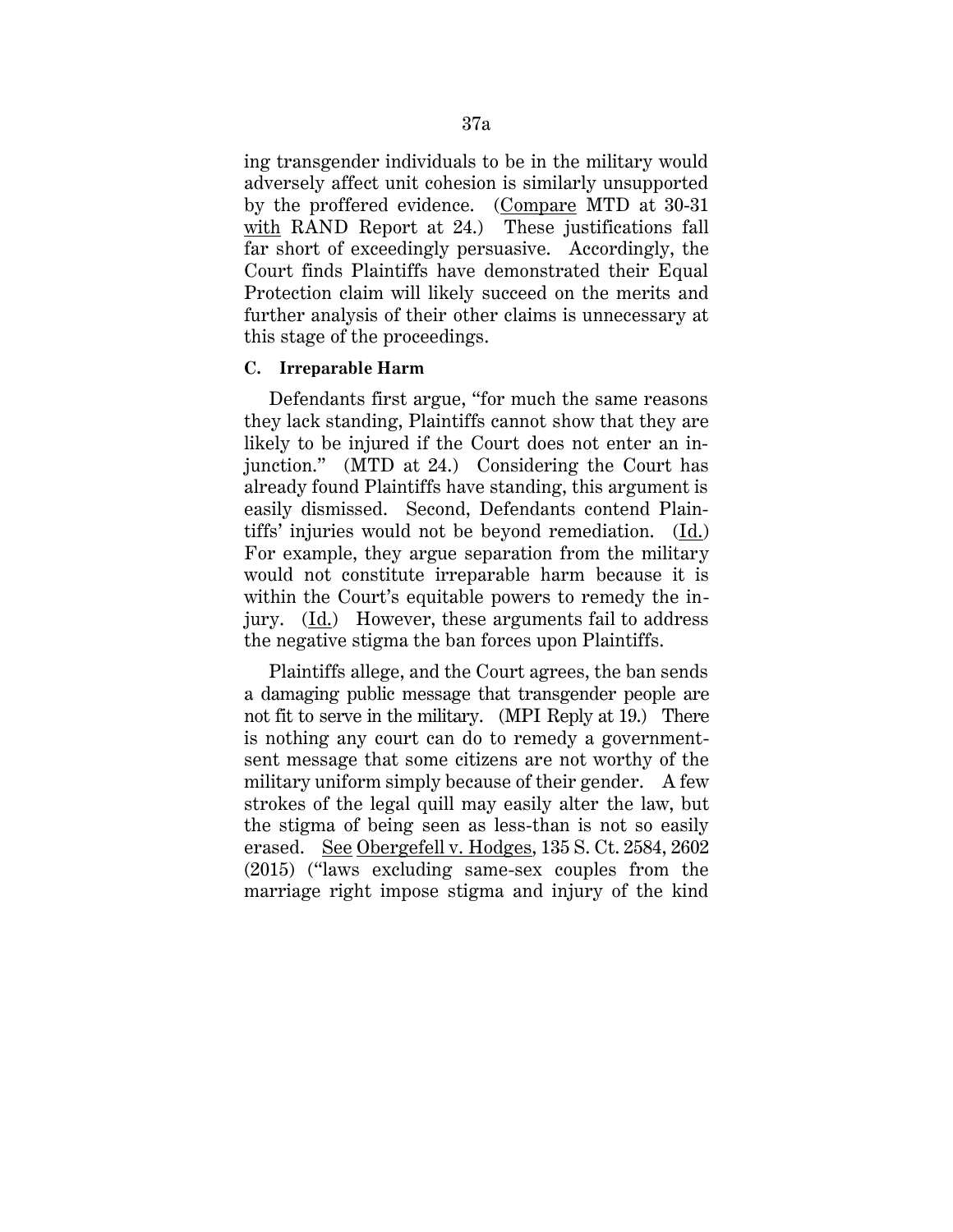ing transgender individuals to be in the military would adversely affect unit cohesion is similarly unsupported by the proffered evidence. (Compare MTD at 30-31 with RAND Report at 24.) These justifications fall far short of exceedingly persuasive. Accordingly, the Court finds Plaintiffs have demonstrated their Equal Protection claim will likely succeed on the merits and further analysis of their other claims is unnecessary at this stage of the proceedings.

## **C. Irreparable Harm**

Defendants first argue, "for much the same reasons they lack standing, Plaintiffs cannot show that they are likely to be injured if the Court does not enter an injunction." (MTD at 24.) Considering the Court has already found Plaintiffs have standing, this argument is easily dismissed. Second, Defendants contend Plaintiffs' injuries would not be beyond remediation. (Id.) For example, they argue separation from the military would not constitute irreparable harm because it is within the Court's equitable powers to remedy the injury. (Id.) However, these arguments fail to address the negative stigma the ban forces upon Plaintiffs.

Plaintiffs allege, and the Court agrees, the ban sends a damaging public message that transgender people are not fit to serve in the military. (MPI Reply at 19.) There is nothing any court can do to remedy a governmentsent message that some citizens are not worthy of the military uniform simply because of their gender. A few strokes of the legal quill may easily alter the law, but the stigma of being seen as less-than is not so easily erased. See Obergefell v. Hodges, 135 S. Ct. 2584, 2602 (2015) ("laws excluding same-sex couples from the marriage right impose stigma and injury of the kind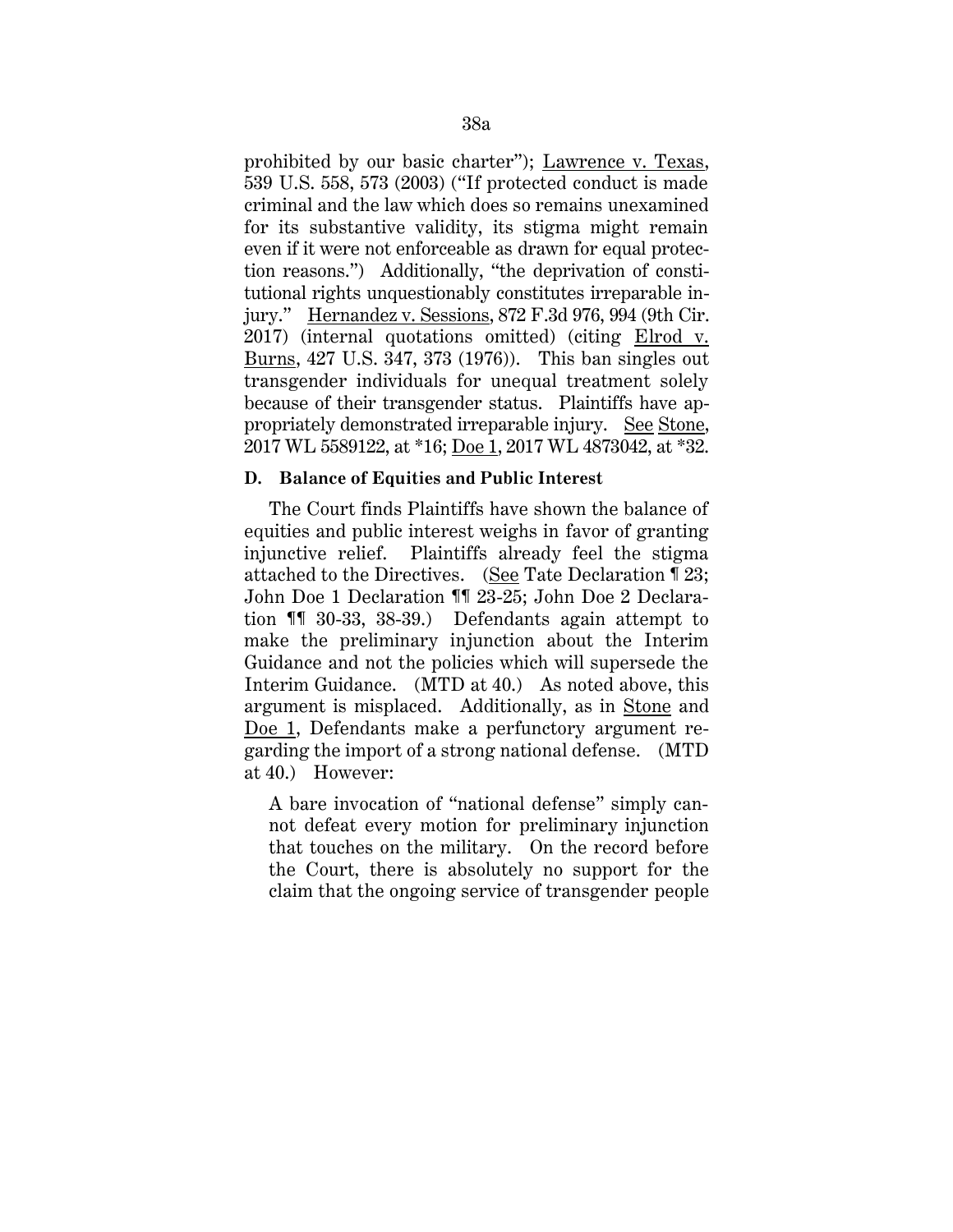prohibited by our basic charter"); Lawrence v. Texas, 539 U.S. 558, 573 (2003) ("If protected conduct is made criminal and the law which does so remains unexamined for its substantive validity, its stigma might remain even if it were not enforceable as drawn for equal protection reasons.") Additionally, "the deprivation of constitutional rights unquestionably constitutes irreparable injury." Hernandez v. Sessions, 872 F.3d 976, 994 (9th Cir. 2017) (internal quotations omitted) (citing Elrod v. Burns, 427 U.S. 347, 373 (1976)). This ban singles out transgender individuals for unequal treatment solely because of their transgender status. Plaintiffs have appropriately demonstrated irreparable injury. See Stone, 2017 WL 5589122, at \*16; Doe 1, 2017 WL 4873042, at \*32.

## **D. Balance of Equities and Public Interest**

The Court finds Plaintiffs have shown the balance of equities and public interest weighs in favor of granting injunctive relief. Plaintiffs already feel the stigma attached to the Directives. (See Tate Declaration ¶ 23; John Doe 1 Declaration ¶¶ 23-25; John Doe 2 Declaration ¶¶ 30-33, 38-39.) Defendants again attempt to make the preliminary injunction about the Interim Guidance and not the policies which will supersede the Interim Guidance. (MTD at 40.) As noted above, this argument is misplaced. Additionally, as in Stone and Doe 1, Defendants make a perfunctory argument regarding the import of a strong national defense. (MTD at 40.) However:

A bare invocation of "national defense" simply cannot defeat every motion for preliminary injunction that touches on the military. On the record before the Court, there is absolutely no support for the claim that the ongoing service of transgender people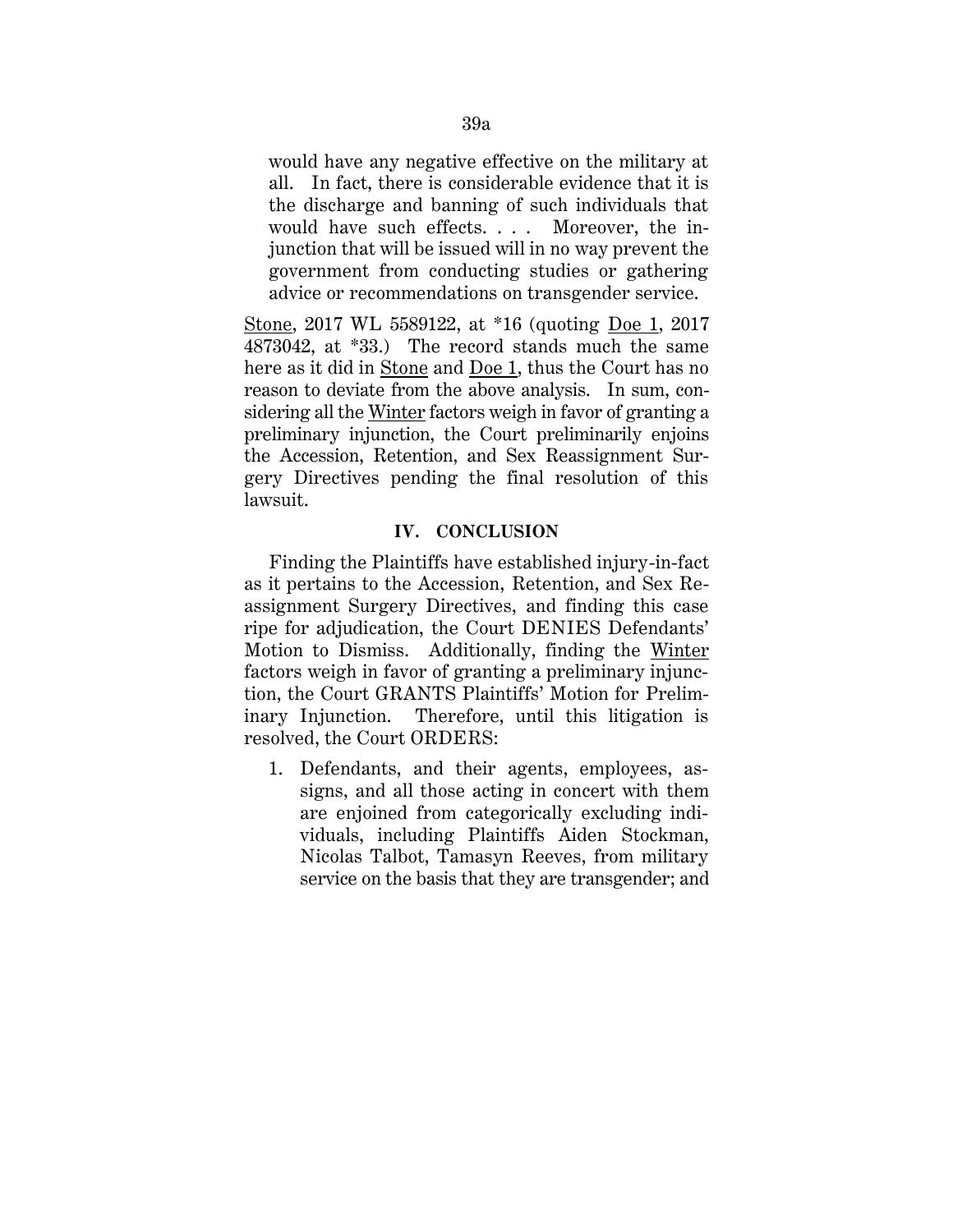would have any negative effective on the military at all. In fact, there is considerable evidence that it is the discharge and banning of such individuals that would have such effects. . . . Moreover, the injunction that will be issued will in no way prevent the government from conducting studies or gathering advice or recommendations on transgender service.

Stone, 2017 WL 5589122, at \*16 (quoting Doe 1, 2017 4873042, at \*33.) The record stands much the same here as it did in Stone and Doe 1, thus the Court has no reason to deviate from the above analysis. In sum, considering all the Winter factors weigh in favor of granting a preliminary injunction, the Court preliminarily enjoins the Accession, Retention, and Sex Reassignment Surgery Directives pending the final resolution of this lawsuit.

# **IV. CONCLUSION**

Finding the Plaintiffs have established injury-in-fact as it pertains to the Accession, Retention, and Sex Reassignment Surgery Directives, and finding this case ripe for adjudication, the Court DENIES Defendants' Motion to Dismiss. Additionally, finding the Winter factors weigh in favor of granting a preliminary injunction, the Court GRANTS Plaintiffs' Motion for Preliminary Injunction. Therefore, until this litigation is resolved, the Court ORDERS:

1. Defendants, and their agents, employees, assigns, and all those acting in concert with them are enjoined from categorically excluding individuals, including Plaintiffs Aiden Stockman, Nicolas Talbot, Tamasyn Reeves, from military service on the basis that they are transgender; and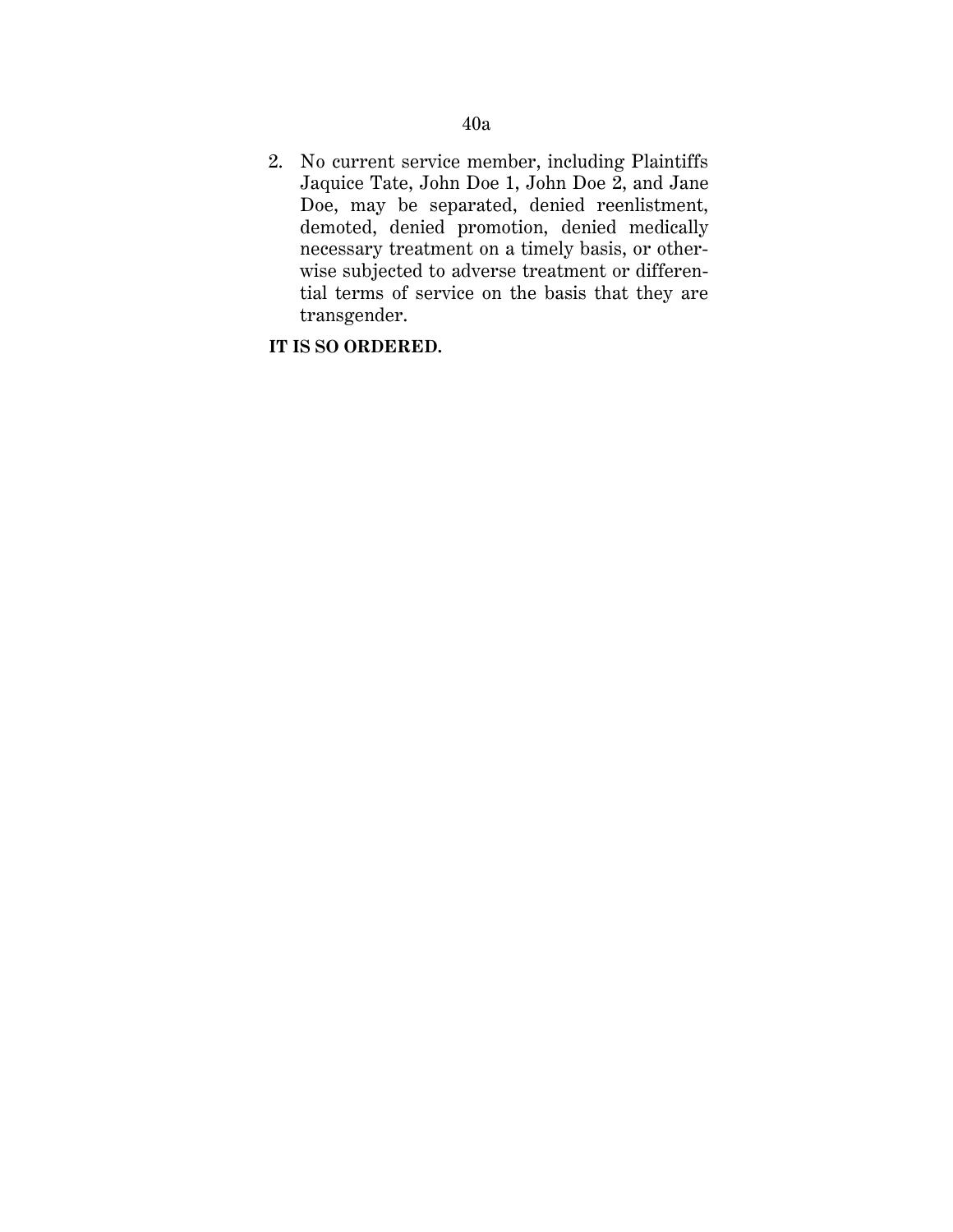2. No current service member, including Plaintiffs Jaquice Tate, John Doe 1, John Doe 2, and Jane Doe, may be separated, denied reenlistment, demoted, denied promotion, denied medically necessary treatment on a timely basis, or otherwise subjected to adverse treatment or differential terms of service on the basis that they are transgender.

# **IT IS SO ORDERED.**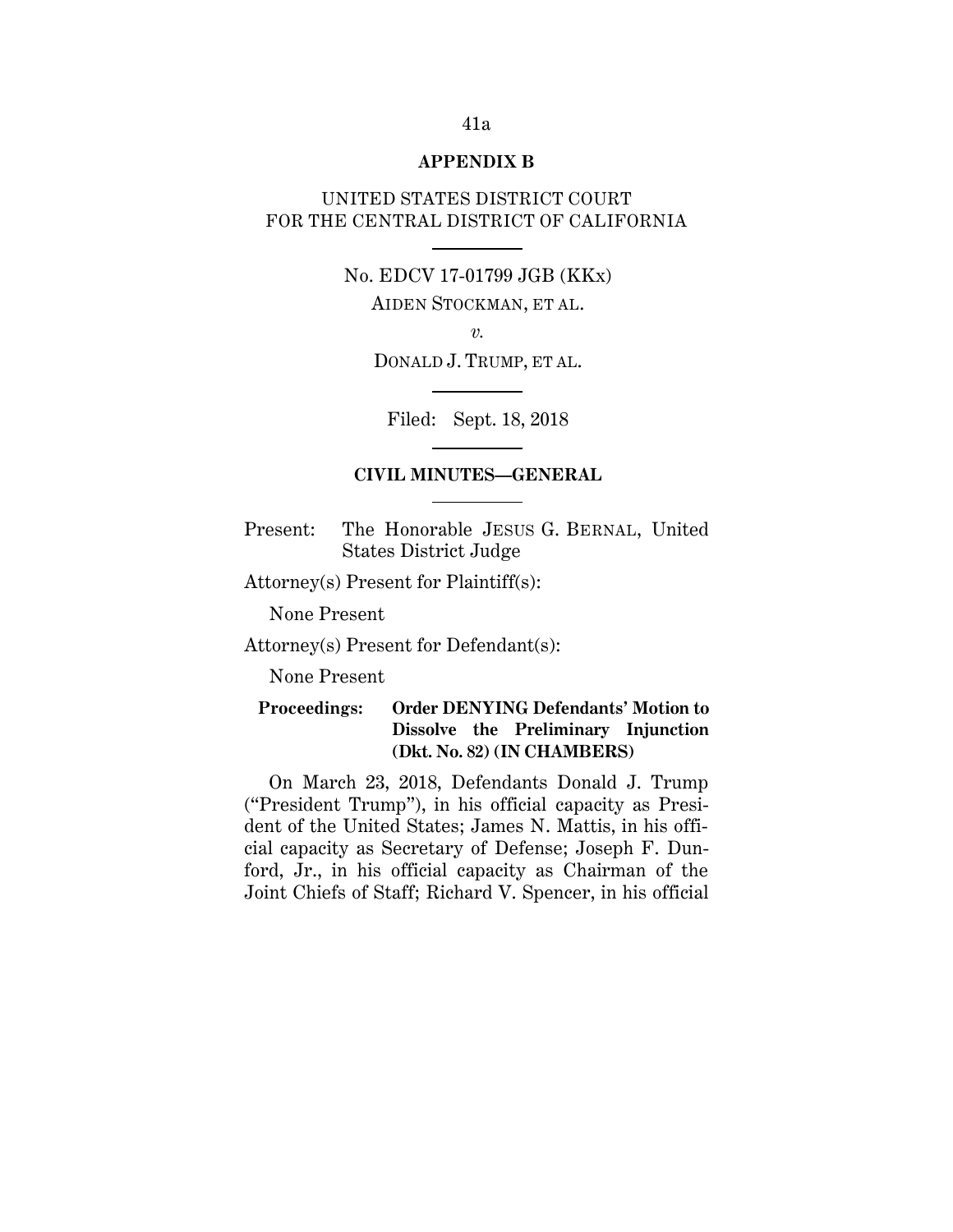### **APPENDIX B**

# UNITED STATES DISTRICT COURT FOR THE CENTRAL DISTRICT OF CALIFORNIA

# No. EDCV 17-01799 JGB (KKx)

AIDEN STOCKMAN, ET AL.

*v.*

DONALD J. TRUMP, ET AL.

Filed: Sept. 18, 2018

### **CIVIL MINUTES—GENERAL**

Present: The Honorable JESUS G. BERNAL, United States District Judge

Attorney(s) Present for Plaintiff(s):

None Present

Attorney(s) Present for Defendant(s):

None Present

# **Proceedings: Order DENYING Defendants' Motion to Dissolve the Preliminary Injunction (Dkt. No. 82) (IN CHAMBERS)**

On March 23, 2018, Defendants Donald J. Trump ("President Trump"), in his official capacity as President of the United States; James N. Mattis, in his official capacity as Secretary of Defense; Joseph F. Dunford, Jr., in his official capacity as Chairman of the Joint Chiefs of Staff; Richard V. Spencer, in his official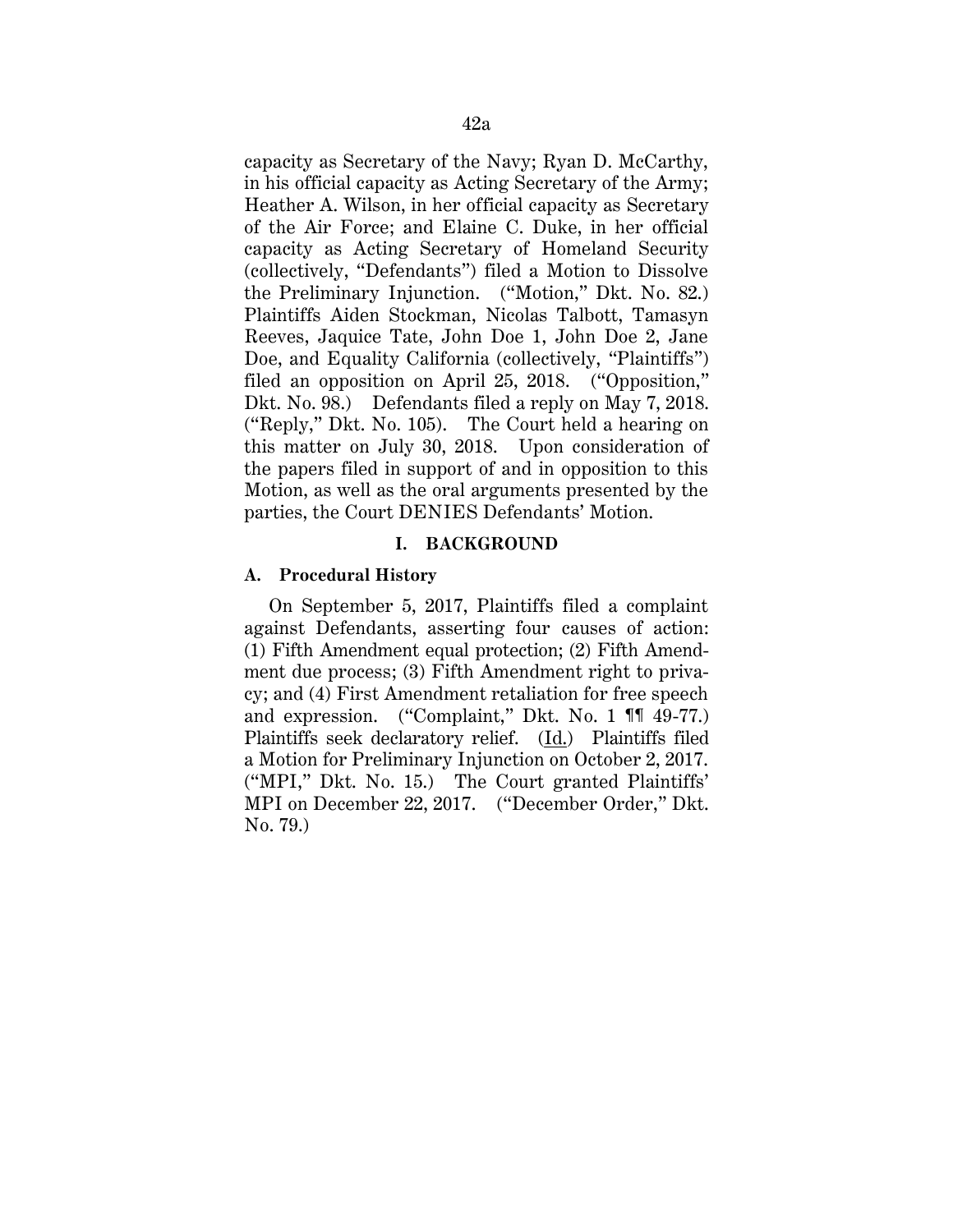capacity as Secretary of the Navy; Ryan D. McCarthy, in his official capacity as Acting Secretary of the Army; Heather A. Wilson, in her official capacity as Secretary of the Air Force; and Elaine C. Duke, in her official capacity as Acting Secretary of Homeland Security (collectively, "Defendants") filed a Motion to Dissolve the Preliminary Injunction. ("Motion," Dkt. No. 82.) Plaintiffs Aiden Stockman, Nicolas Talbott, Tamasyn Reeves, Jaquice Tate, John Doe 1, John Doe 2, Jane Doe, and Equality California (collectively, "Plaintiffs") filed an opposition on April 25, 2018. ("Opposition," Dkt. No. 98.) Defendants filed a reply on May 7, 2018. ("Reply," Dkt. No. 105). The Court held a hearing on this matter on July 30, 2018. Upon consideration of the papers filed in support of and in opposition to this Motion, as well as the oral arguments presented by the parties, the Court DENIES Defendants' Motion.

### **I. BACKGROUND**

### **A. Procedural History**

On September 5, 2017, Plaintiffs filed a complaint against Defendants, asserting four causes of action: (1) Fifth Amendment equal protection; (2) Fifth Amendment due process; (3) Fifth Amendment right to privacy; and (4) First Amendment retaliation for free speech and expression. ("Complaint," Dkt. No. 1 ¶¶ 49-77.) Plaintiffs seek declaratory relief. (Id.) Plaintiffs filed a Motion for Preliminary Injunction on October 2, 2017. ("MPI," Dkt. No. 15.) The Court granted Plaintiffs' MPI on December 22, 2017. ("December Order," Dkt. No. 79.)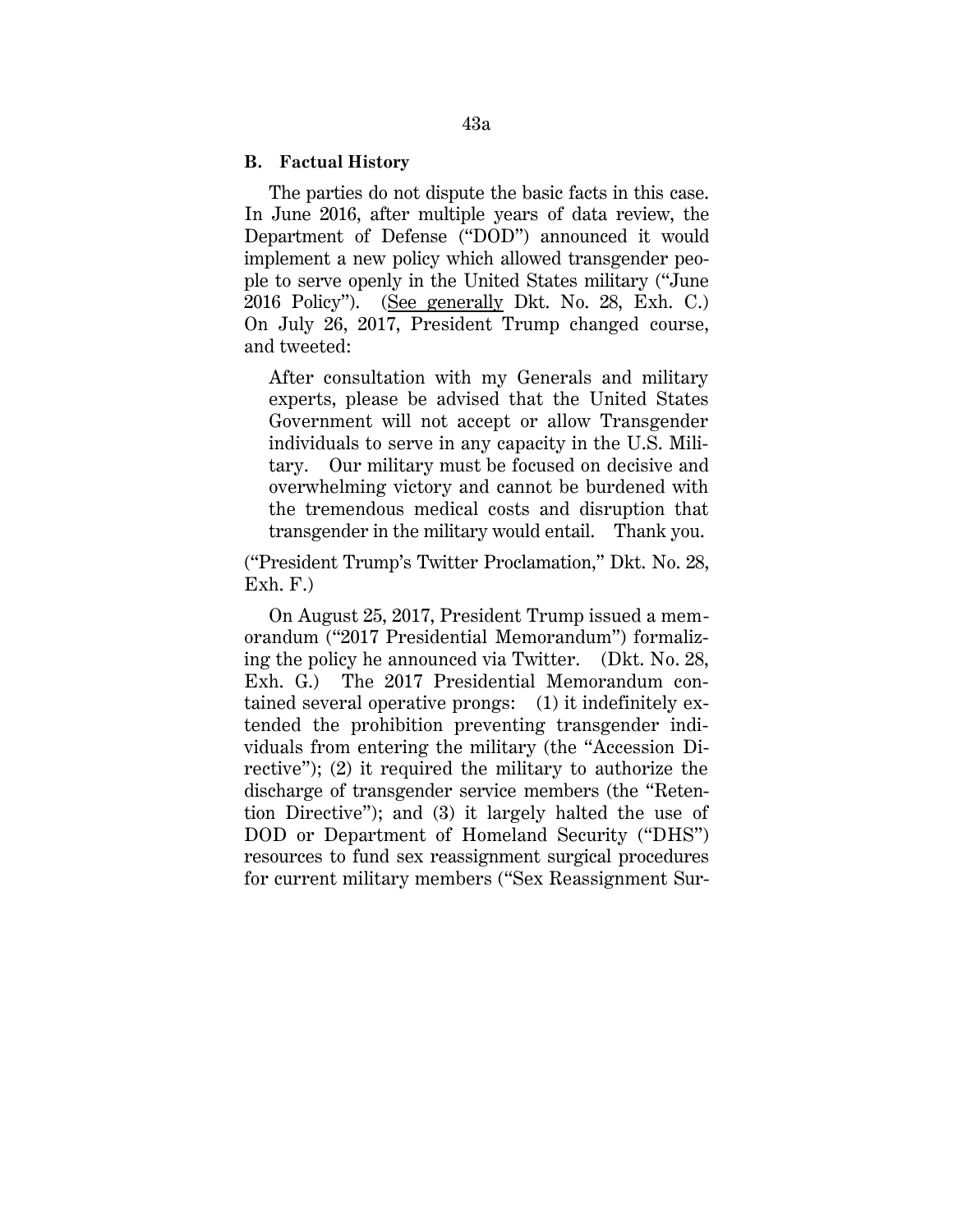## **B. Factual History**

The parties do not dispute the basic facts in this case. In June 2016, after multiple years of data review, the Department of Defense ("DOD") announced it would implement a new policy which allowed transgender people to serve openly in the United States military ("June 2016 Policy"). (See generally Dkt. No. 28, Exh. C.) On July 26, 2017, President Trump changed course, and tweeted:

After consultation with my Generals and military experts, please be advised that the United States Government will not accept or allow Transgender individuals to serve in any capacity in the U.S. Military. Our military must be focused on decisive and overwhelming victory and cannot be burdened with the tremendous medical costs and disruption that transgender in the military would entail. Thank you.

("President Trump's Twitter Proclamation," Dkt. No. 28, Exh. F.)

On August 25, 2017, President Trump issued a memorandum ("2017 Presidential Memorandum") formalizing the policy he announced via Twitter. (Dkt. No. 28, Exh. G.) The 2017 Presidential Memorandum contained several operative prongs: (1) it indefinitely extended the prohibition preventing transgender individuals from entering the military (the "Accession Directive"); (2) it required the military to authorize the discharge of transgender service members (the "Retention Directive"); and (3) it largely halted the use of DOD or Department of Homeland Security ("DHS") resources to fund sex reassignment surgical procedures for current military members ("Sex Reassignment Sur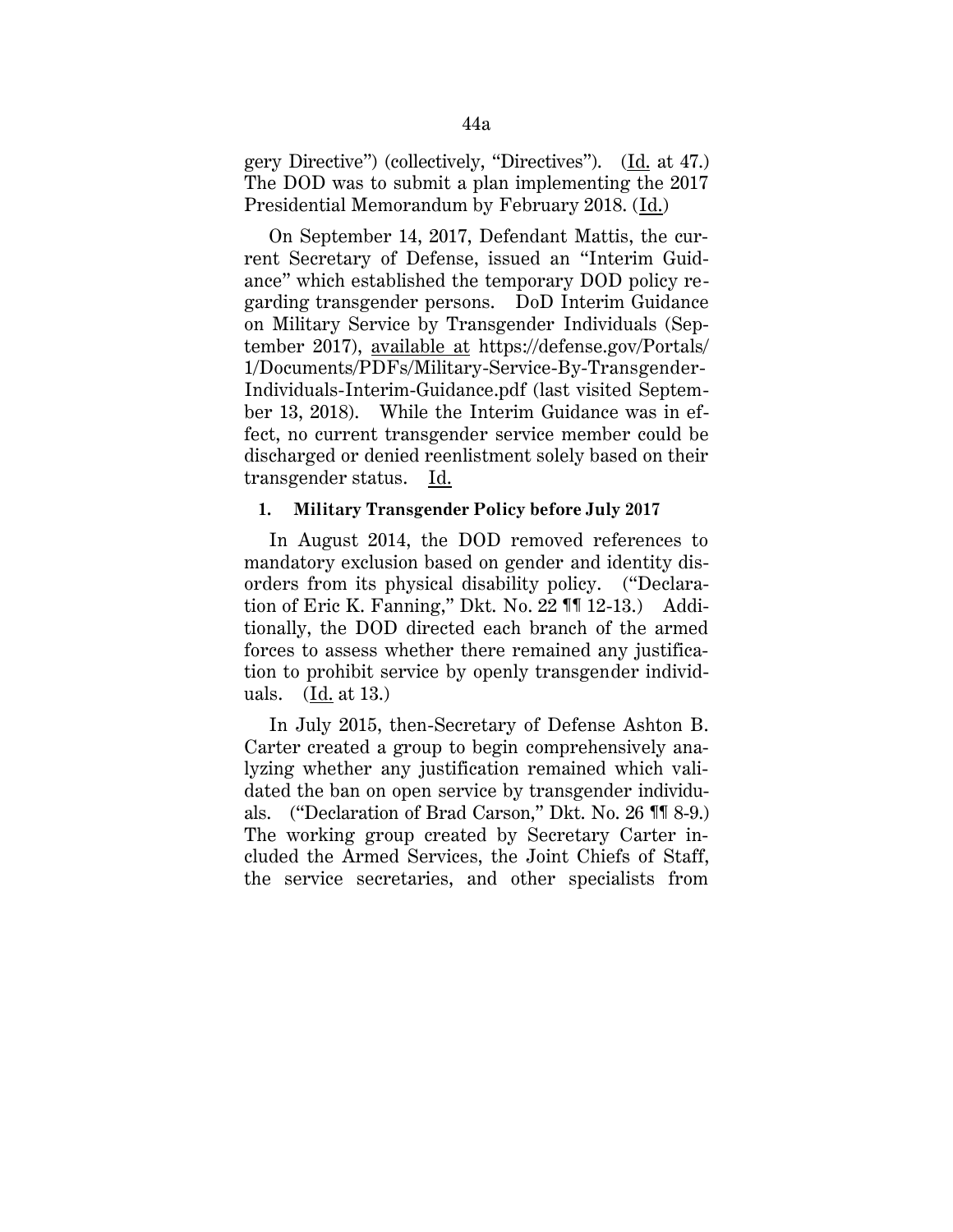gery Directive") (collectively, "Directives"). (Id. at 47.) The DOD was to submit a plan implementing the 2017 Presidential Memorandum by February 2018. (Id.)

On September 14, 2017, Defendant Mattis, the current Secretary of Defense, issued an "Interim Guidance" which established the temporary DOD policy regarding transgender persons. DoD Interim Guidance on Military Service by Transgender Individuals (September 2017), available at https://defense.gov/Portals/ 1/Documents/PDFs/Military-Service-By-Transgender-Individuals-Interim-Guidance.pdf (last visited September 13, 2018). While the Interim Guidance was in effect, no current transgender service member could be discharged or denied reenlistment solely based on their transgender status. Id.

## **1. Military Transgender Policy before July 2017**

In August 2014, the DOD removed references to mandatory exclusion based on gender and identity disorders from its physical disability policy. ("Declaration of Eric K. Fanning," Dkt. No. 22 ¶¶ 12-13.) Additionally, the DOD directed each branch of the armed forces to assess whether there remained any justification to prohibit service by openly transgender individuals. (Id. at 13.)

In July 2015, then-Secretary of Defense Ashton B. Carter created a group to begin comprehensively analyzing whether any justification remained which validated the ban on open service by transgender individuals. ("Declaration of Brad Carson," Dkt. No. 26 ¶¶ 8-9.) The working group created by Secretary Carter included the Armed Services, the Joint Chiefs of Staff, the service secretaries, and other specialists from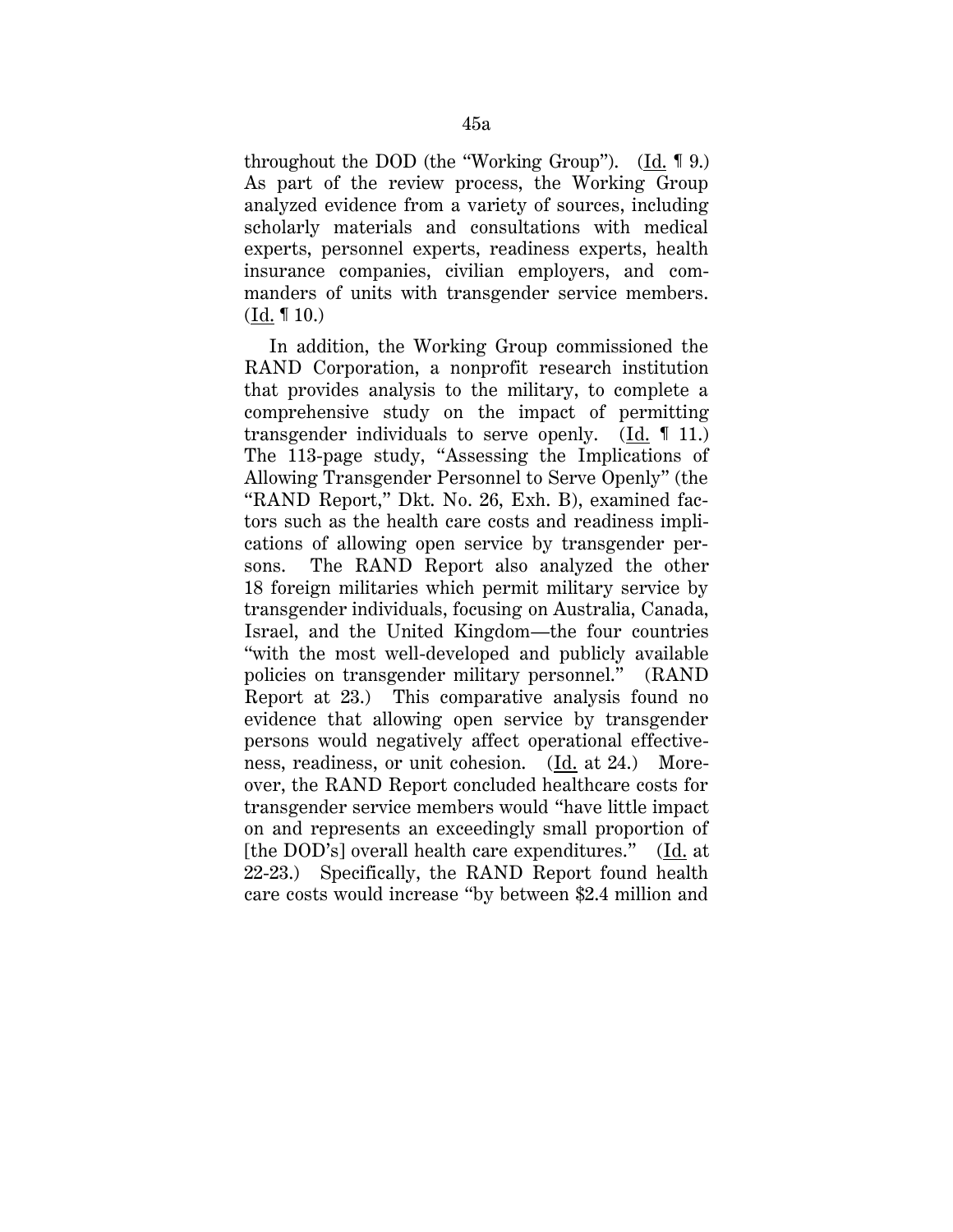throughout the DOD (the "Working Group"). (Id. ¶ 9.) As part of the review process, the Working Group analyzed evidence from a variety of sources, including scholarly materials and consultations with medical experts, personnel experts, readiness experts, health insurance companies, civilian employers, and commanders of units with transgender service members. (Id. ¶ 10.)

In addition, the Working Group commissioned the RAND Corporation, a nonprofit research institution that provides analysis to the military, to complete a comprehensive study on the impact of permitting transgender individuals to serve openly. (Id. ¶ 11.) The 113-page study, "Assessing the Implications of Allowing Transgender Personnel to Serve Openly" (the "RAND Report," Dkt. No. 26, Exh. B), examined factors such as the health care costs and readiness implications of allowing open service by transgender persons. The RAND Report also analyzed the other 18 foreign militaries which permit military service by transgender individuals, focusing on Australia, Canada, Israel, and the United Kingdom—the four countries "with the most well-developed and publicly available policies on transgender military personnel." (RAND Report at 23.) This comparative analysis found no evidence that allowing open service by transgender persons would negatively affect operational effectiveness, readiness, or unit cohesion. (Id. at 24.) Moreover, the RAND Report concluded healthcare costs for transgender service members would "have little impact on and represents an exceedingly small proportion of [the DOD's] overall health care expenditures." (Id. at 22-23.) Specifically, the RAND Report found health care costs would increase "by between \$2.4 million and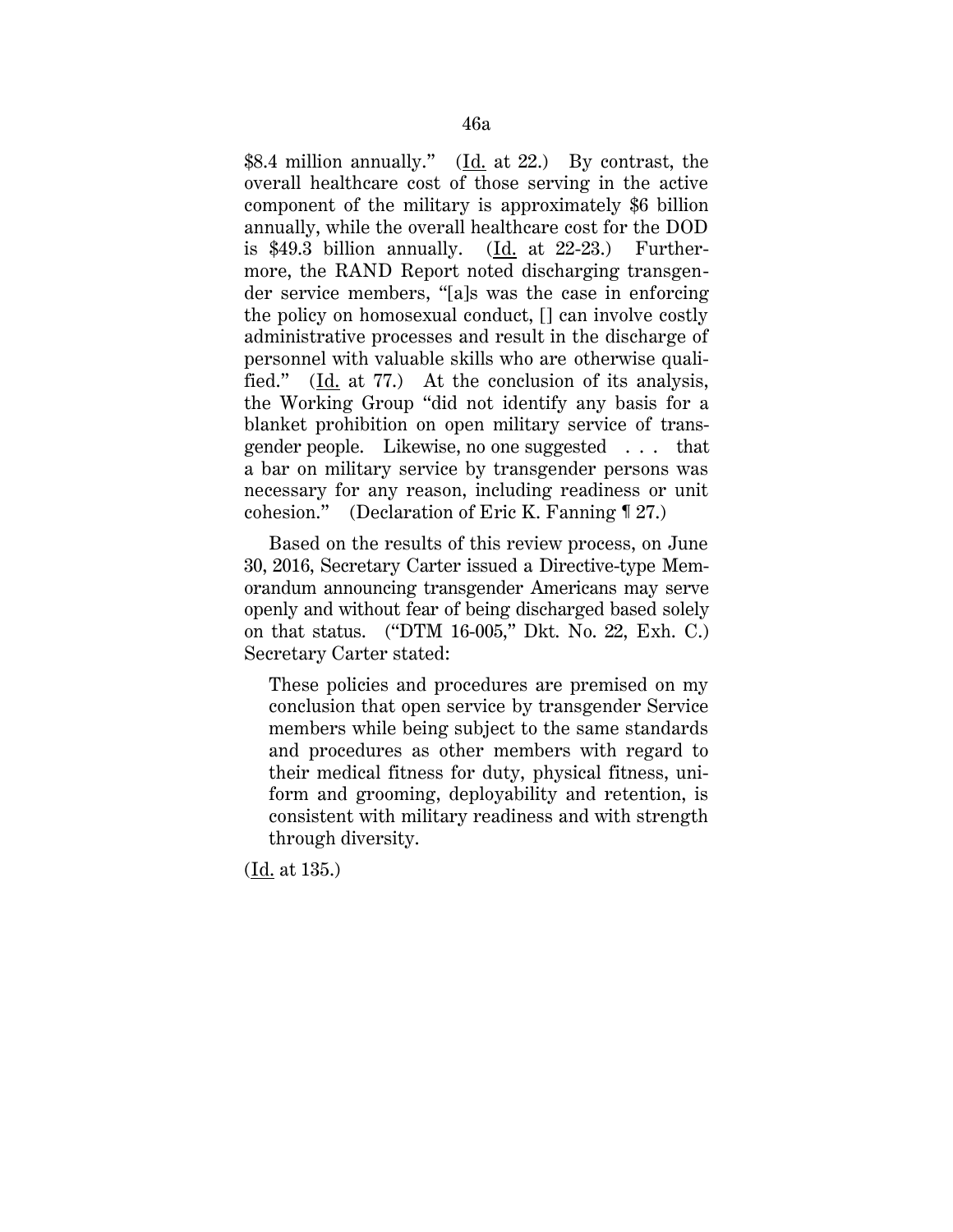\$8.4 million annually." (Id. at 22.) By contrast, the overall healthcare cost of those serving in the active component of the military is approximately \$6 billion annually, while the overall healthcare cost for the DOD is \$49.3 billion annually. (Id. at 22-23.) Furthermore, the RAND Report noted discharging transgender service members, "[a]s was the case in enforcing the policy on homosexual conduct, [] can involve costly administrative processes and result in the discharge of personnel with valuable skills who are otherwise qualified." (Id. at 77.) At the conclusion of its analysis, the Working Group "did not identify any basis for a blanket prohibition on open military service of transgender people. Likewise, no one suggested . . . that a bar on military service by transgender persons was necessary for any reason, including readiness or unit cohesion." (Declaration of Eric K. Fanning ¶ 27.)

Based on the results of this review process, on June 30, 2016, Secretary Carter issued a Directive-type Memorandum announcing transgender Americans may serve openly and without fear of being discharged based solely on that status. ("DTM 16-005," Dkt. No. 22, Exh. C.) Secretary Carter stated:

These policies and procedures are premised on my conclusion that open service by transgender Service members while being subject to the same standards and procedures as other members with regard to their medical fitness for duty, physical fitness, uniform and grooming, deployability and retention, is consistent with military readiness and with strength through diversity.

(Id. at 135.)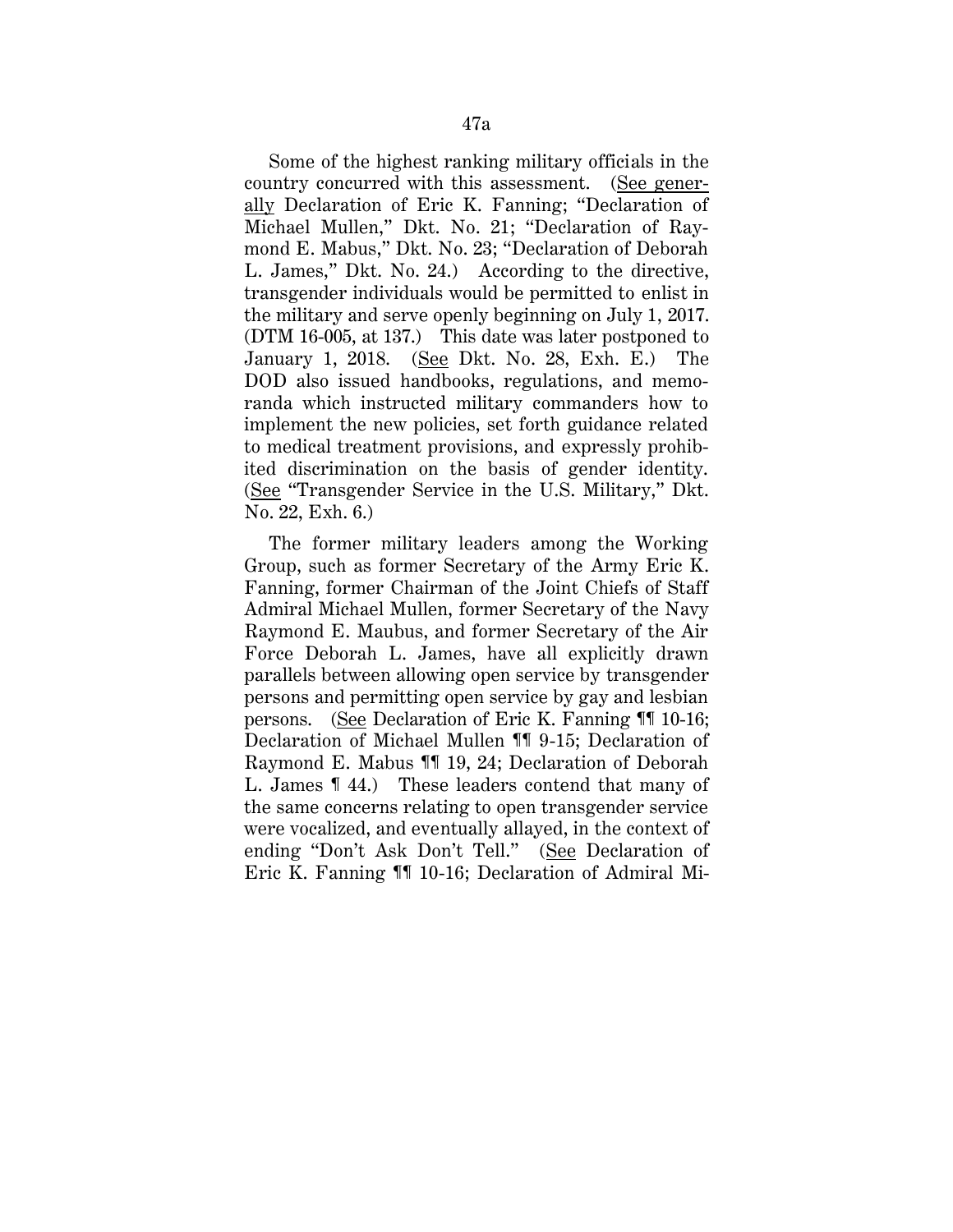Some of the highest ranking military officials in the country concurred with this assessment. (See generally Declaration of Eric K. Fanning; "Declaration of Michael Mullen," Dkt. No. 21; "Declaration of Raymond E. Mabus," Dkt. No. 23; "Declaration of Deborah L. James," Dkt. No. 24.) According to the directive, transgender individuals would be permitted to enlist in the military and serve openly beginning on July 1, 2017. (DTM 16-005, at 137.) This date was later postponed to January 1, 2018. (See Dkt. No. 28, Exh. E.) The DOD also issued handbooks, regulations, and memoranda which instructed military commanders how to implement the new policies, set forth guidance related to medical treatment provisions, and expressly prohibited discrimination on the basis of gender identity. (See "Transgender Service in the U.S. Military," Dkt. No. 22, Exh. 6.)

The former military leaders among the Working Group, such as former Secretary of the Army Eric K. Fanning, former Chairman of the Joint Chiefs of Staff Admiral Michael Mullen, former Secretary of the Navy Raymond E. Maubus, and former Secretary of the Air Force Deborah L. James, have all explicitly drawn parallels between allowing open service by transgender persons and permitting open service by gay and lesbian persons. (See Declaration of Eric K. Fanning ¶¶ 10-16; Declaration of Michael Mullen ¶¶ 9-15; Declaration of Raymond E. Mabus ¶¶ 19, 24; Declaration of Deborah L. James ¶ 44.) These leaders contend that many of the same concerns relating to open transgender service were vocalized, and eventually allayed, in the context of ending "Don't Ask Don't Tell." (See Declaration of Eric K. Fanning ¶¶ 10-16; Declaration of Admiral Mi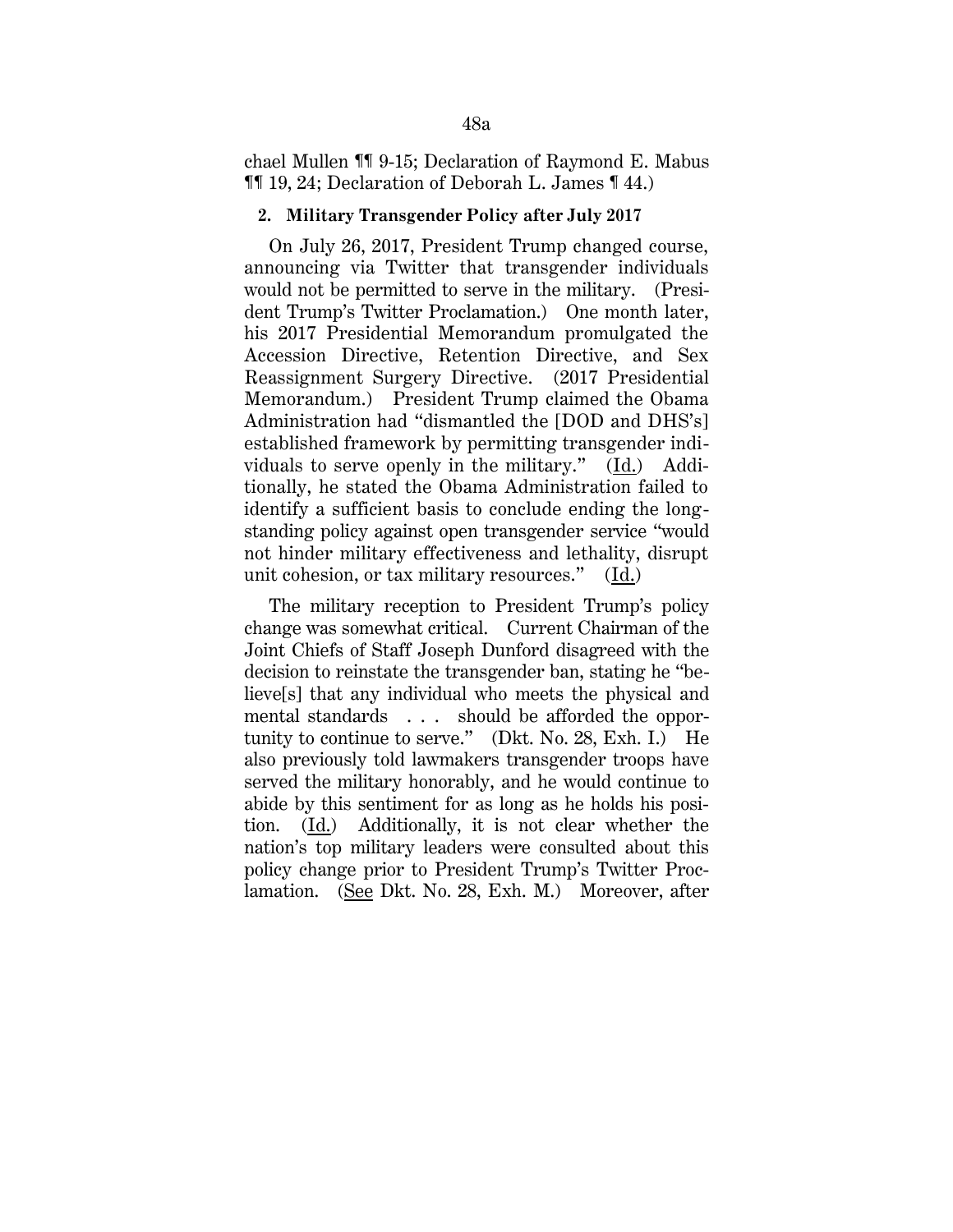chael Mullen ¶¶ 9-15; Declaration of Raymond E. Mabus ¶¶ 19, 24; Declaration of Deborah L. James ¶ 44.)

### **2. Military Transgender Policy after July 2017**

On July 26, 2017, President Trump changed course, announcing via Twitter that transgender individuals would not be permitted to serve in the military. (President Trump's Twitter Proclamation.) One month later, his 2017 Presidential Memorandum promulgated the Accession Directive, Retention Directive, and Sex Reassignment Surgery Directive. (2017 Presidential Memorandum.) President Trump claimed the Obama Administration had "dismantled the [DOD and DHS's] established framework by permitting transgender individuals to serve openly in the military." (Id.) Additionally, he stated the Obama Administration failed to identify a sufficient basis to conclude ending the longstanding policy against open transgender service "would not hinder military effectiveness and lethality, disrupt unit cohesion, or tax military resources." (Id.)

The military reception to President Trump's policy change was somewhat critical. Current Chairman of the Joint Chiefs of Staff Joseph Dunford disagreed with the decision to reinstate the transgender ban, stating he "believe[s] that any individual who meets the physical and mental standards . . . should be afforded the opportunity to continue to serve." (Dkt. No. 28, Exh. I.) He also previously told lawmakers transgender troops have served the military honorably, and he would continue to abide by this sentiment for as long as he holds his position. (Id.) Additionally, it is not clear whether the nation's top military leaders were consulted about this policy change prior to President Trump's Twitter Proclamation. (See Dkt. No. 28, Exh. M.) Moreover, after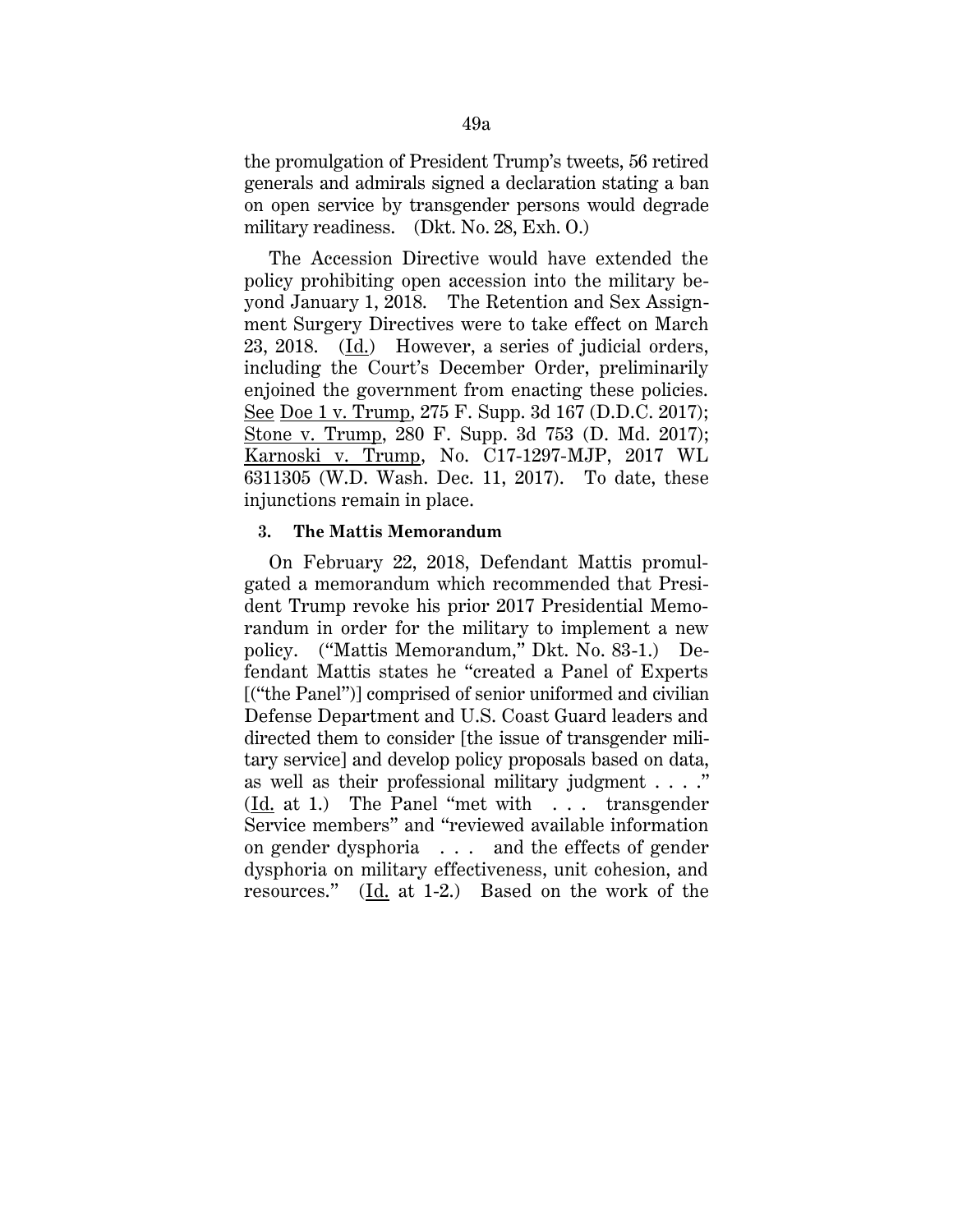the promulgation of President Trump's tweets, 56 retired generals and admirals signed a declaration stating a ban on open service by transgender persons would degrade military readiness. (Dkt. No. 28, Exh. O.)

The Accession Directive would have extended the policy prohibiting open accession into the military beyond January 1, 2018. The Retention and Sex Assignment Surgery Directives were to take effect on March 23, 2018. (Id.) However, a series of judicial orders, including the Court's December Order, preliminarily enjoined the government from enacting these policies. See Doe 1 v. Trump, 275 F. Supp. 3d 167 (D.D.C. 2017); Stone v. Trump, 280 F. Supp. 3d 753 (D. Md. 2017); Karnoski v. Trump, No. C17-1297-MJP, 2017 WL 6311305 (W.D. Wash. Dec. 11, 2017). To date, these injunctions remain in place.

### **3. The Mattis Memorandum**

On February 22, 2018, Defendant Mattis promulgated a memorandum which recommended that President Trump revoke his prior 2017 Presidential Memorandum in order for the military to implement a new policy. ("Mattis Memorandum," Dkt. No. 83-1.) Defendant Mattis states he "created a Panel of Experts [("the Panel")] comprised of senior uniformed and civilian Defense Department and U.S. Coast Guard leaders and directed them to consider [the issue of transgender military service] and develop policy proposals based on data, as well as their professional military judgment . . . ." (Id. at 1.) The Panel "met with . . . transgender Service members" and "reviewed available information on gender dysphoria . . . and the effects of gender dysphoria on military effectiveness, unit cohesion, and resources." (Id. at 1-2.) Based on the work of the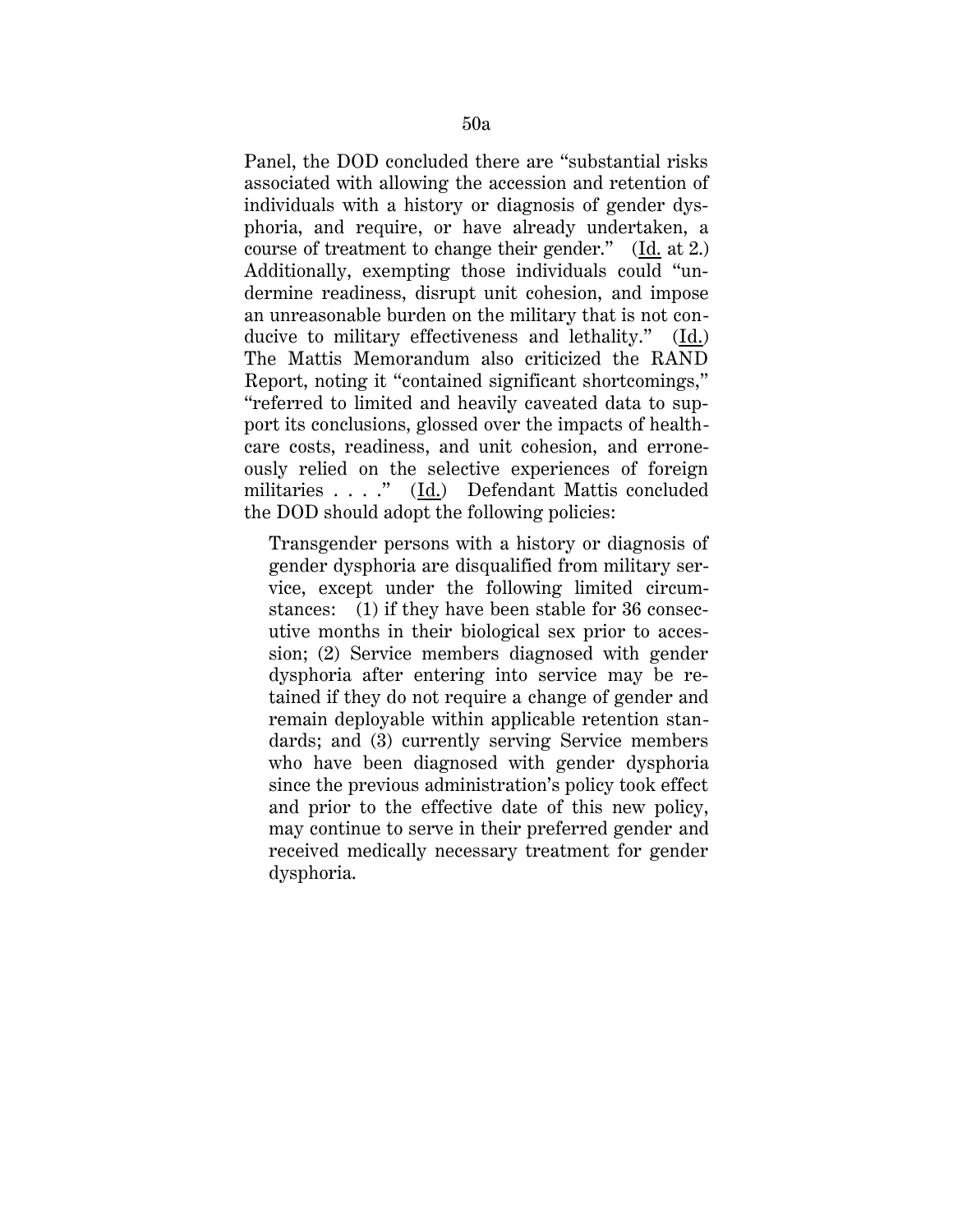Panel, the DOD concluded there are "substantial risks associated with allowing the accession and retention of individuals with a history or diagnosis of gender dysphoria, and require, or have already undertaken, a course of treatment to change their gender." (Id. at 2.) Additionally, exempting those individuals could "undermine readiness, disrupt unit cohesion, and impose an unreasonable burden on the military that is not conducive to military effectiveness and lethality." (Id.) The Mattis Memorandum also criticized the RAND Report, noting it "contained significant shortcomings," "referred to limited and heavily caveated data to support its conclusions, glossed over the impacts of healthcare costs, readiness, and unit cohesion, and erroneously relied on the selective experiences of foreign militaries . . . ." (Id.) Defendant Mattis concluded the DOD should adopt the following policies:

Transgender persons with a history or diagnosis of gender dysphoria are disqualified from military service, except under the following limited circumstances: (1) if they have been stable for 36 consecutive months in their biological sex prior to accession; (2) Service members diagnosed with gender dysphoria after entering into service may be retained if they do not require a change of gender and remain deployable within applicable retention standards; and (3) currently serving Service members who have been diagnosed with gender dysphoria since the previous administration's policy took effect and prior to the effective date of this new policy, may continue to serve in their preferred gender and received medically necessary treatment for gender dysphoria.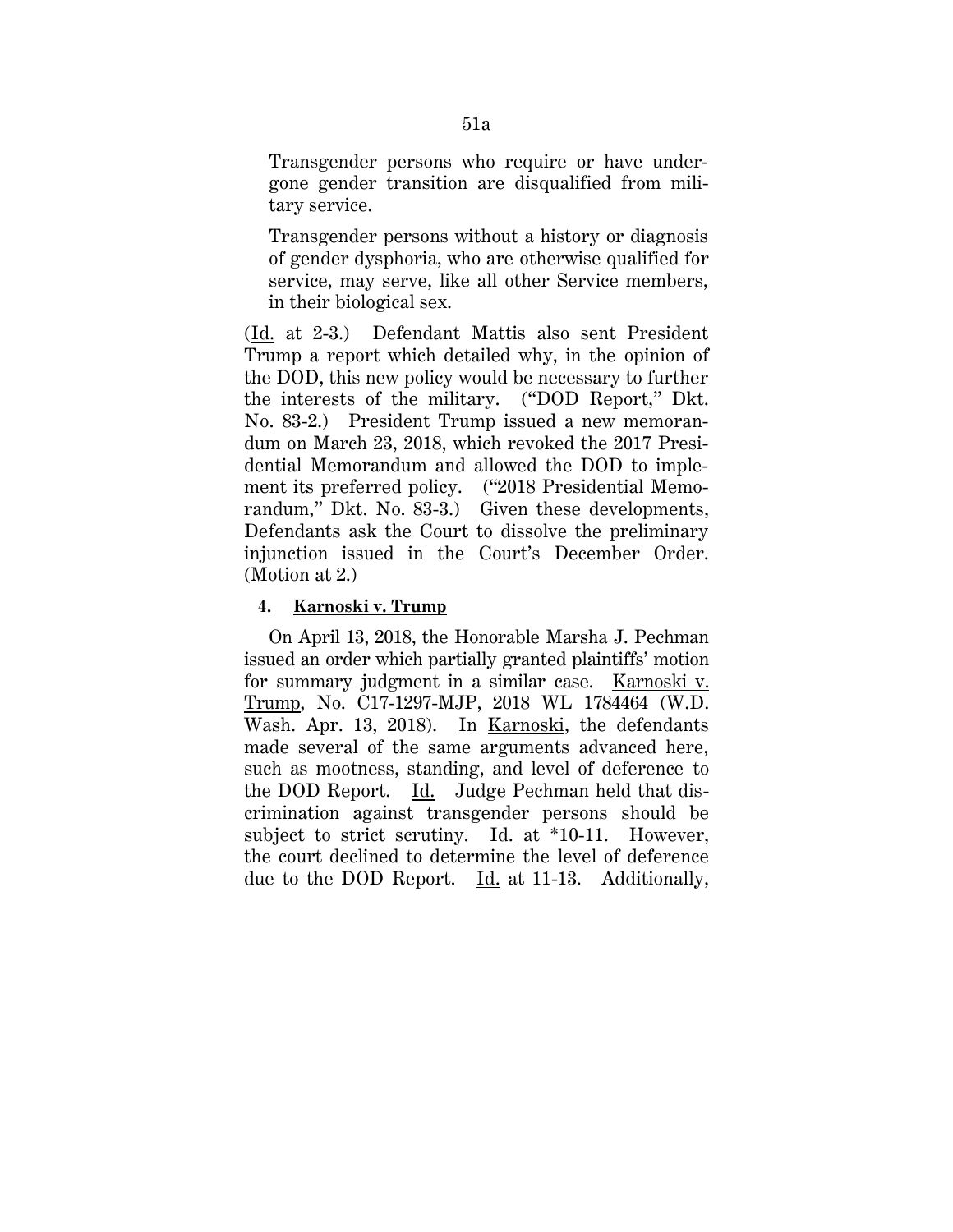Transgender persons who require or have undergone gender transition are disqualified from military service.

Transgender persons without a history or diagnosis of gender dysphoria, who are otherwise qualified for service, may serve, like all other Service members, in their biological sex.

(Id. at 2-3.) Defendant Mattis also sent President Trump a report which detailed why, in the opinion of the DOD, this new policy would be necessary to further the interests of the military. ("DOD Report," Dkt. No. 83-2.) President Trump issued a new memorandum on March 23, 2018, which revoked the 2017 Presidential Memorandum and allowed the DOD to implement its preferred policy. ("2018 Presidential Memorandum," Dkt. No. 83-3.) Given these developments, Defendants ask the Court to dissolve the preliminary injunction issued in the Court's December Order. (Motion at 2.)

### **4. Karnoski v. Trump**

On April 13, 2018, the Honorable Marsha J. Pechman issued an order which partially granted plaintiffs' motion for summary judgment in a similar case. Karnoski v. Trump, No. C17-1297-MJP, 2018 WL 1784464 (W.D. Wash. Apr. 13, 2018). In Karnoski, the defendants made several of the same arguments advanced here, such as mootness, standing, and level of deference to the DOD Report. Id. Judge Pechman held that discrimination against transgender persons should be subject to strict scrutiny. Id. at \*10-11. However, the court declined to determine the level of deference due to the DOD Report. Id. at 11-13. Additionally,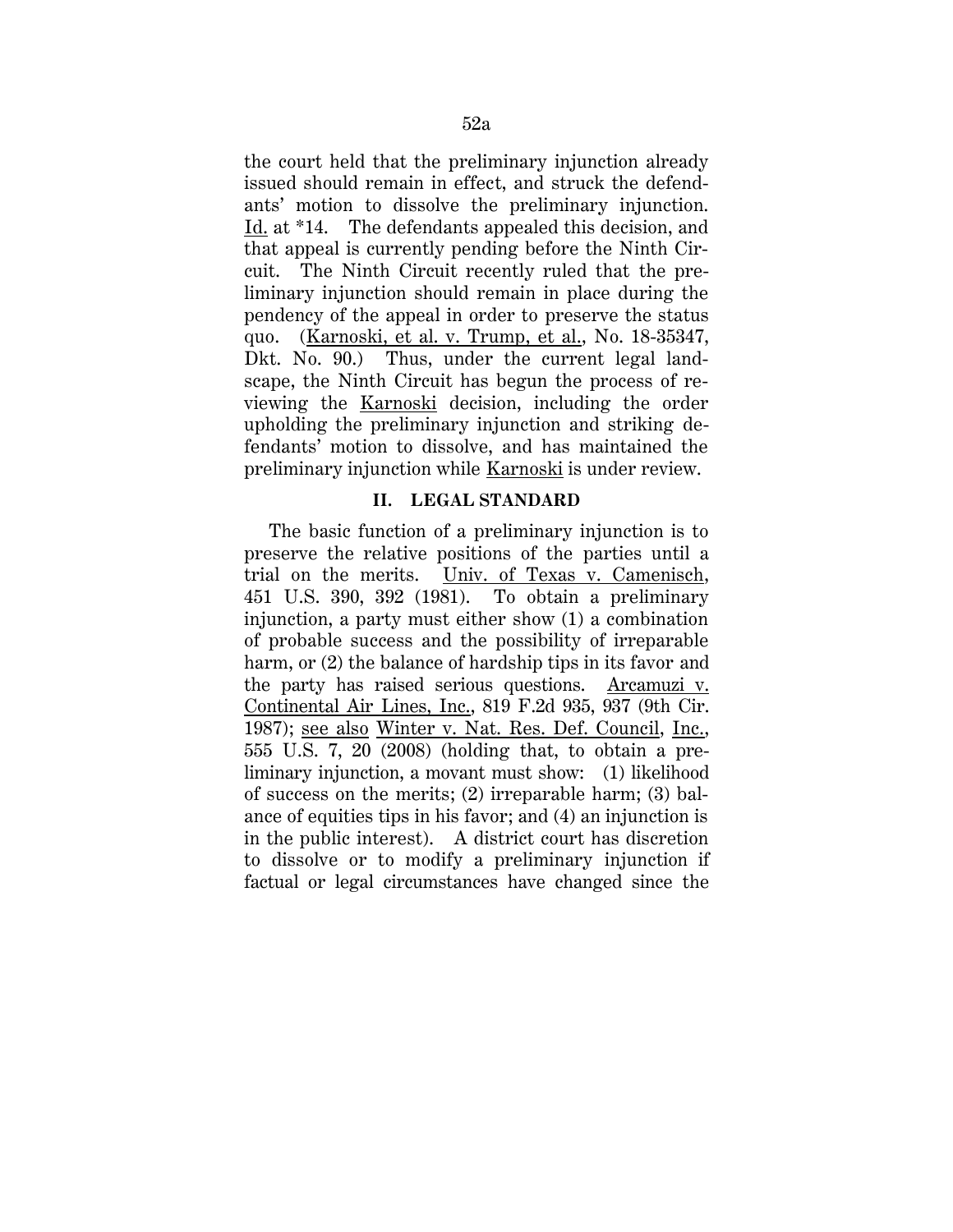the court held that the preliminary injunction already issued should remain in effect, and struck the defendants' motion to dissolve the preliminary injunction. Id. at \*14. The defendants appealed this decision, and that appeal is currently pending before the Ninth Circuit. The Ninth Circuit recently ruled that the preliminary injunction should remain in place during the pendency of the appeal in order to preserve the status quo. (Karnoski, et al. v. Trump, et al., No. 18-35347, Dkt. No. 90.) Thus, under the current legal landscape, the Ninth Circuit has begun the process of reviewing the Karnoski decision, including the order upholding the preliminary injunction and striking defendants' motion to dissolve, and has maintained the preliminary injunction while Karnoski is under review.

## **II. LEGAL STANDARD**

The basic function of a preliminary injunction is to preserve the relative positions of the parties until a trial on the merits. Univ. of Texas v. Camenisch, 451 U.S. 390, 392 (1981). To obtain a preliminary injunction, a party must either show (1) a combination of probable success and the possibility of irreparable harm, or  $(2)$  the balance of hardship tips in its favor and the party has raised serious questions. Arcamuzi v. Continental Air Lines, Inc., 819 F.2d 935, 937 (9th Cir. 1987); see also Winter v. Nat. Res. Def. Council, Inc., 555 U.S. 7, 20 (2008) (holding that, to obtain a preliminary injunction, a movant must show: (1) likelihood of success on the merits; (2) irreparable harm; (3) balance of equities tips in his favor; and (4) an injunction is in the public interest). A district court has discretion to dissolve or to modify a preliminary injunction if factual or legal circumstances have changed since the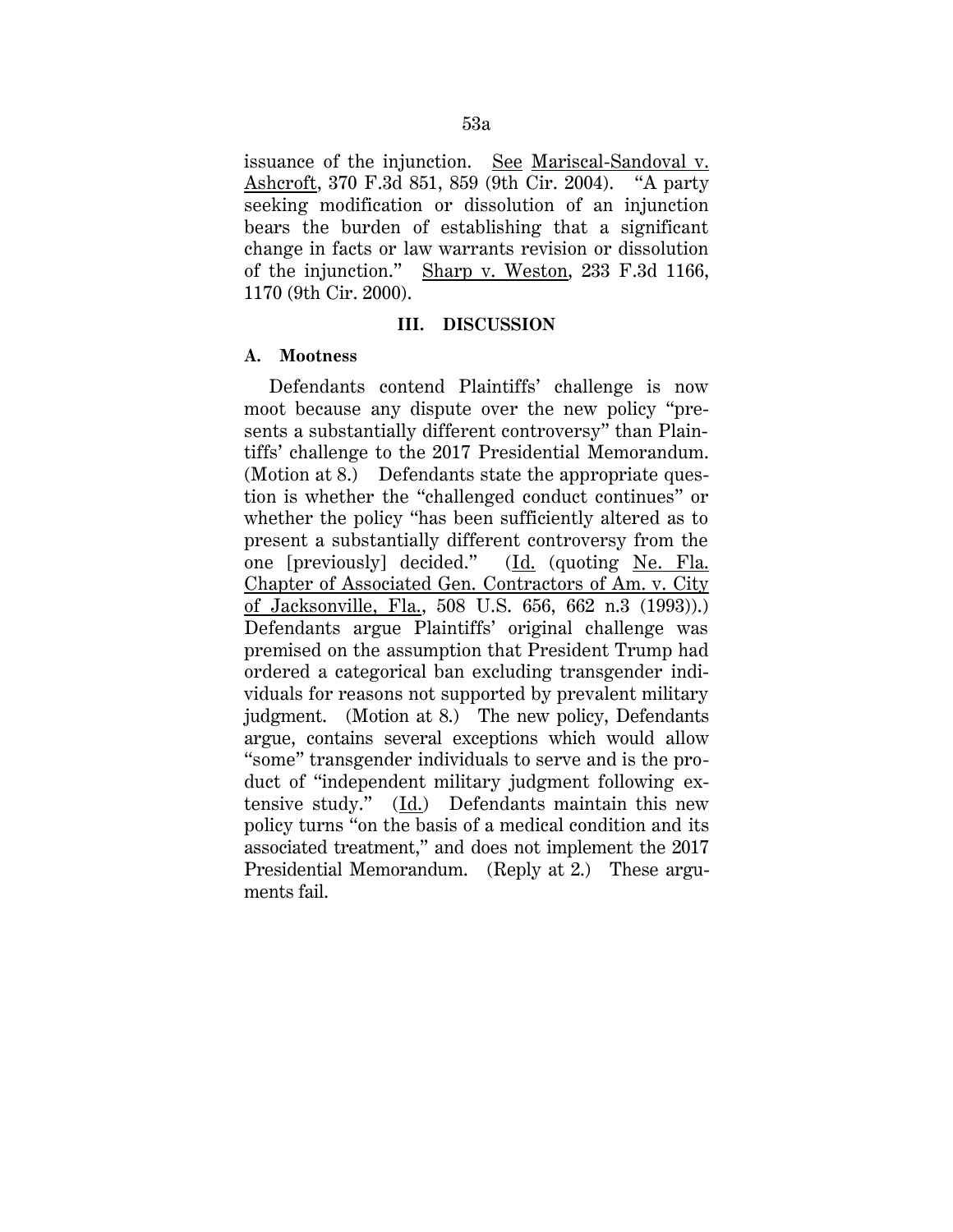issuance of the injunction. See Mariscal-Sandoval v. Ashcroft, 370 F.3d 851, 859 (9th Cir. 2004). "A party seeking modification or dissolution of an injunction bears the burden of establishing that a significant change in facts or law warrants revision or dissolution of the injunction." Sharp v. Weston, 233 F.3d 1166, 1170 (9th Cir. 2000).

### **III. DISCUSSION**

### **A. Mootness**

Defendants contend Plaintiffs' challenge is now moot because any dispute over the new policy "presents a substantially different controversy" than Plaintiffs' challenge to the 2017 Presidential Memorandum. (Motion at 8.) Defendants state the appropriate question is whether the "challenged conduct continues" or whether the policy "has been sufficiently altered as to present a substantially different controversy from the one [previously] decided." (Id. (quoting Ne. Fla. Chapter of Associated Gen. Contractors of Am. v. City of Jacksonville, Fla., 508 U.S. 656, 662 n.3 (1993)).) Defendants argue Plaintiffs' original challenge was premised on the assumption that President Trump had ordered a categorical ban excluding transgender individuals for reasons not supported by prevalent military judgment. (Motion at 8.) The new policy, Defendants argue, contains several exceptions which would allow "some" transgender individuals to serve and is the product of "independent military judgment following extensive study." (Id.) Defendants maintain this new policy turns "on the basis of a medical condition and its associated treatment," and does not implement the 2017 Presidential Memorandum. (Reply at 2.) These arguments fail.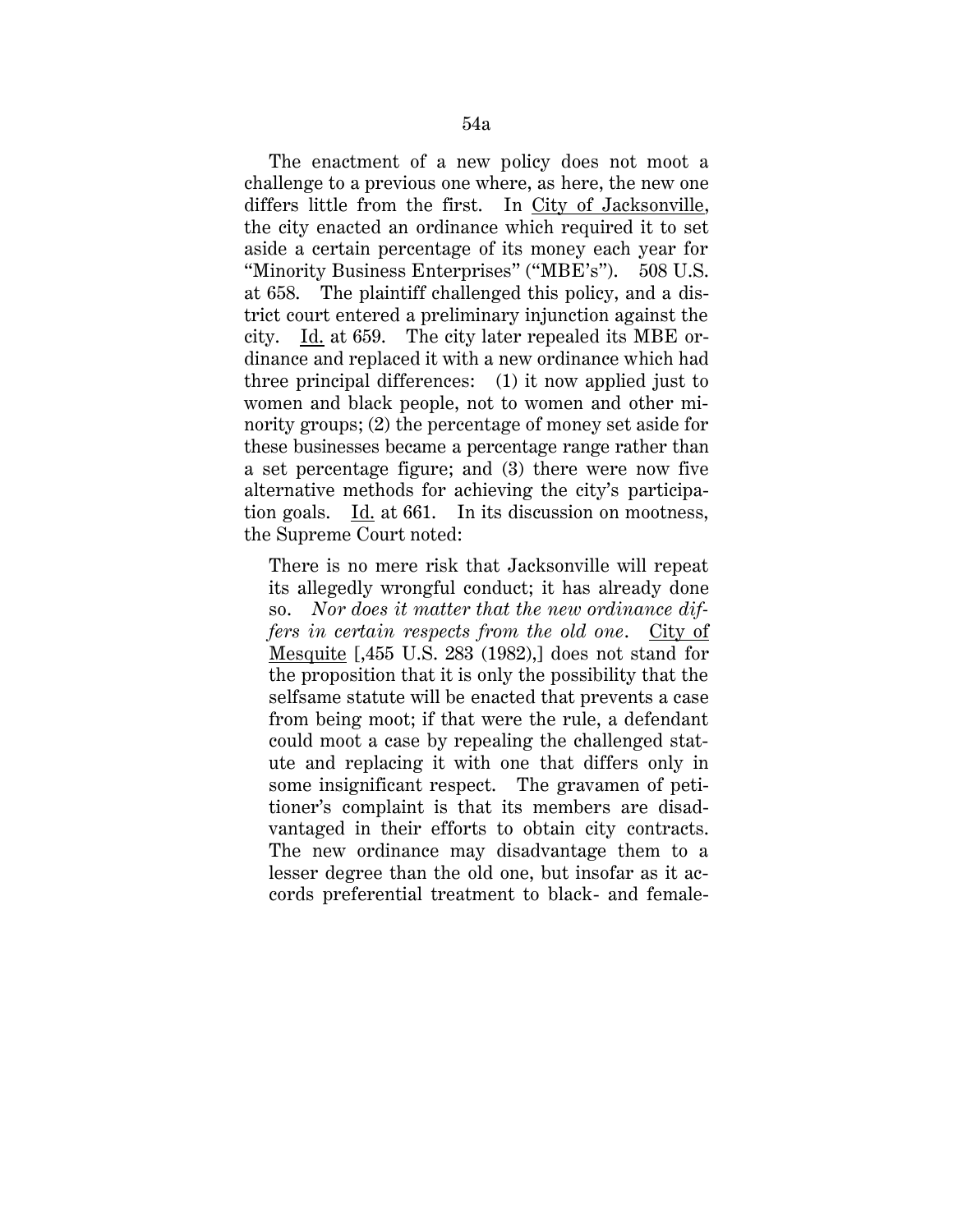The enactment of a new policy does not moot a challenge to a previous one where, as here, the new one differs little from the first. In City of Jacksonville, the city enacted an ordinance which required it to set aside a certain percentage of its money each year for "Minority Business Enterprises" ("MBE's"). 508 U.S. at 658. The plaintiff challenged this policy, and a district court entered a preliminary injunction against the city. Id. at 659. The city later repealed its MBE ordinance and replaced it with a new ordinance which had three principal differences: (1) it now applied just to women and black people, not to women and other minority groups; (2) the percentage of money set aside for these businesses became a percentage range rather than a set percentage figure; and (3) there were now five alternative methods for achieving the city's participation goals. Id. at 661. In its discussion on mootness, the Supreme Court noted:

There is no mere risk that Jacksonville will repeat its allegedly wrongful conduct; it has already done so. *Nor does it matter that the new ordinance differs in certain respects from the old one*. City of Mesquite [,455 U.S. 283 (1982),] does not stand for the proposition that it is only the possibility that the selfsame statute will be enacted that prevents a case from being moot; if that were the rule, a defendant could moot a case by repealing the challenged statute and replacing it with one that differs only in some insignificant respect. The gravamen of petitioner's complaint is that its members are disadvantaged in their efforts to obtain city contracts. The new ordinance may disadvantage them to a lesser degree than the old one, but insofar as it accords preferential treatment to black- and female-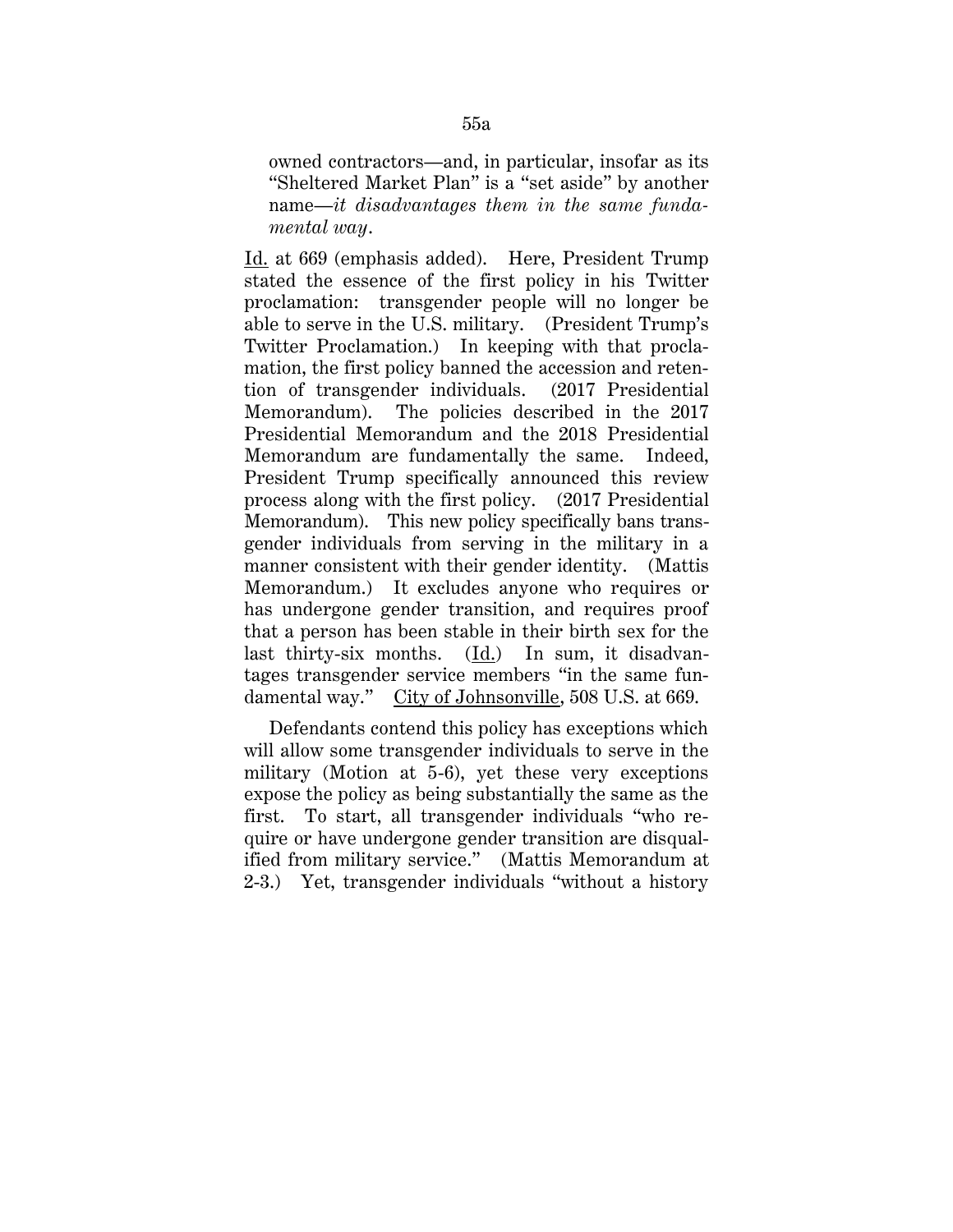owned contractors—and, in particular, insofar as its "Sheltered Market Plan" is a "set aside" by another name—*it disadvantages them in the same fundamental way*.

Id. at 669 (emphasis added). Here, President Trump stated the essence of the first policy in his Twitter proclamation: transgender people will no longer be able to serve in the U.S. military. (President Trump's Twitter Proclamation.) In keeping with that proclamation, the first policy banned the accession and retention of transgender individuals. (2017 Presidential Memorandum). The policies described in the 2017 Presidential Memorandum and the 2018 Presidential Memorandum are fundamentally the same. Indeed, President Trump specifically announced this review process along with the first policy. (2017 Presidential Memorandum). This new policy specifically bans transgender individuals from serving in the military in a manner consistent with their gender identity. (Mattis Memorandum.) It excludes anyone who requires or has undergone gender transition, and requires proof that a person has been stable in their birth sex for the last thirty-six months. (Id.) In sum, it disadvantages transgender service members "in the same fundamental way." City of Johnsonville, 508 U.S. at 669.

Defendants contend this policy has exceptions which will allow some transgender individuals to serve in the military (Motion at 5-6), yet these very exceptions expose the policy as being substantially the same as the first. To start, all transgender individuals "who require or have undergone gender transition are disqualified from military service." (Mattis Memorandum at 2-3.) Yet, transgender individuals "without a history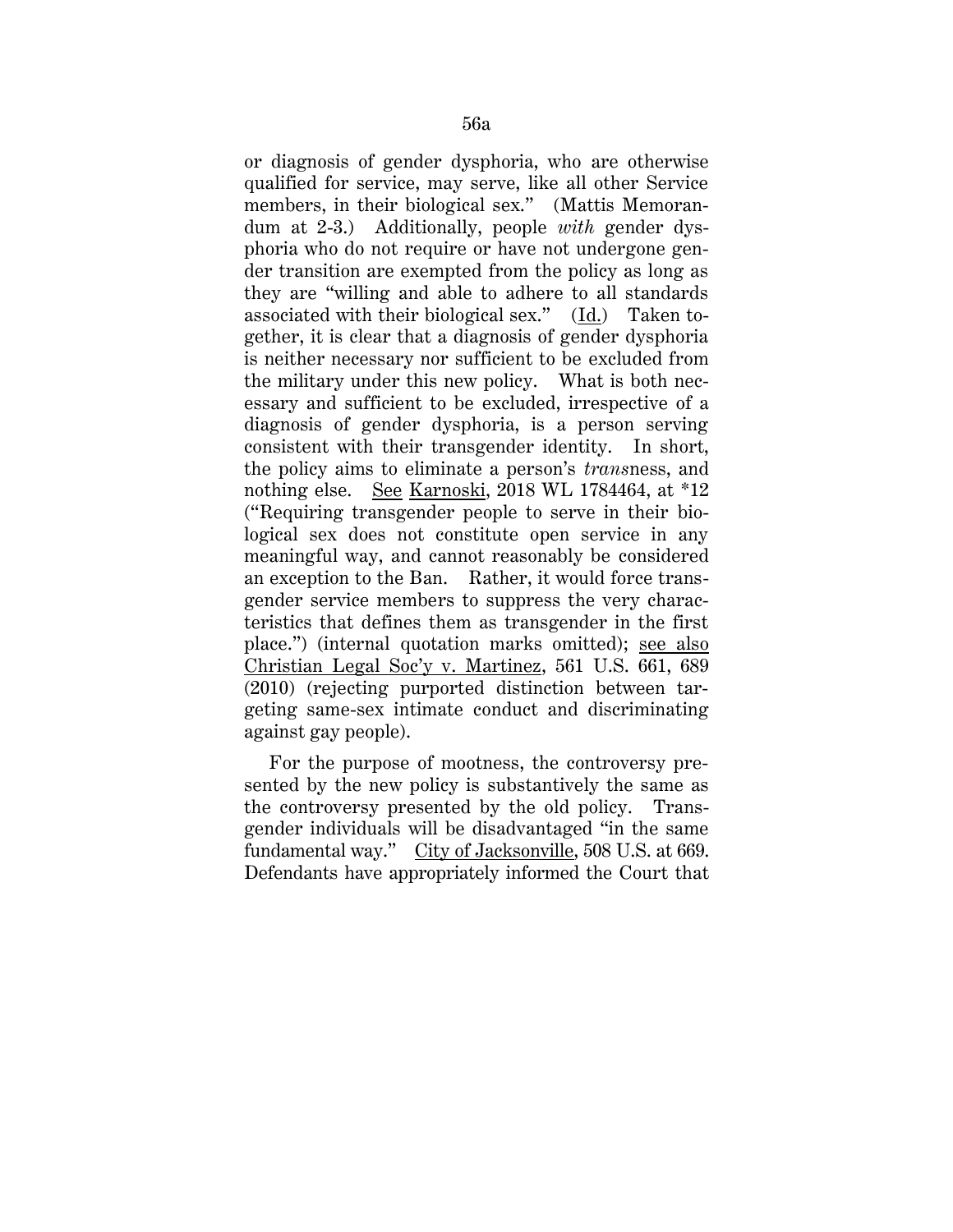or diagnosis of gender dysphoria, who are otherwise qualified for service, may serve, like all other Service members, in their biological sex." (Mattis Memorandum at 2-3.) Additionally, people *with* gender dysphoria who do not require or have not undergone gender transition are exempted from the policy as long as they are "willing and able to adhere to all standards associated with their biological sex." (Id.) Taken together, it is clear that a diagnosis of gender dysphoria is neither necessary nor sufficient to be excluded from the military under this new policy. What is both necessary and sufficient to be excluded, irrespective of a diagnosis of gender dysphoria, is a person serving consistent with their transgender identity. In short, the policy aims to eliminate a person's *trans*ness, and nothing else. See Karnoski, 2018 WL 1784464, at \*12 ("Requiring transgender people to serve in their biological sex does not constitute open service in any meaningful way, and cannot reasonably be considered an exception to the Ban. Rather, it would force transgender service members to suppress the very characteristics that defines them as transgender in the first place.") (internal quotation marks omitted); see also Christian Legal Soc'y v. Martinez, 561 U.S. 661, 689 (2010) (rejecting purported distinction between targeting same-sex intimate conduct and discriminating against gay people).

For the purpose of mootness, the controversy presented by the new policy is substantively the same as the controversy presented by the old policy. Transgender individuals will be disadvantaged "in the same fundamental way." City of Jacksonville, 508 U.S. at 669. Defendants have appropriately informed the Court that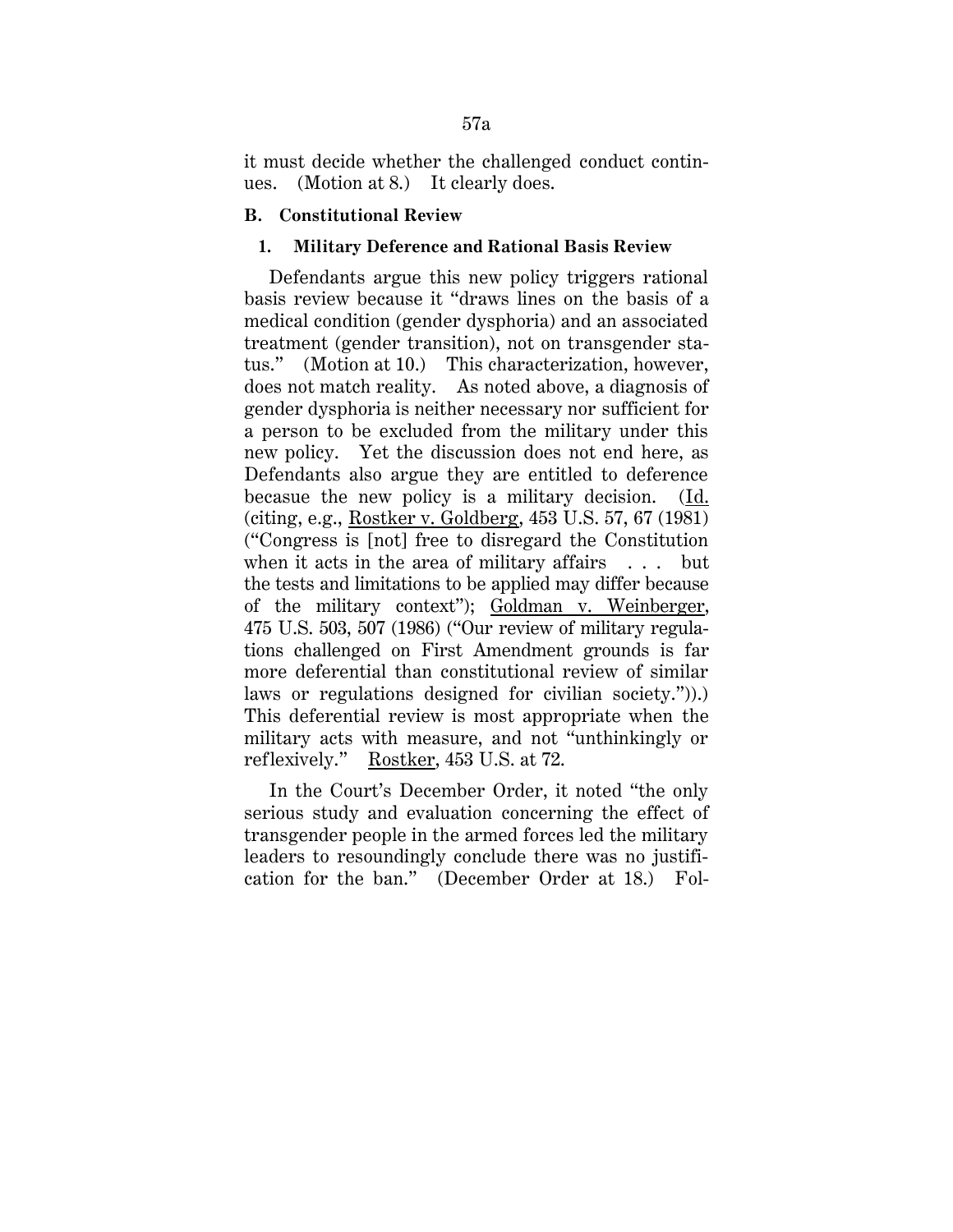it must decide whether the challenged conduct continues. (Motion at 8.) It clearly does.

### **B. Constitutional Review**

### **1. Military Deference and Rational Basis Review**

Defendants argue this new policy triggers rational basis review because it "draws lines on the basis of a medical condition (gender dysphoria) and an associated treatment (gender transition), not on transgender status." (Motion at 10.) This characterization, however, does not match reality. As noted above, a diagnosis of gender dysphoria is neither necessary nor sufficient for a person to be excluded from the military under this new policy. Yet the discussion does not end here, as Defendants also argue they are entitled to deference becasue the new policy is a military decision. (Id. (citing, e.g., Rostker v. Goldberg, 453 U.S. 57, 67 (1981) ("Congress is [not] free to disregard the Constitution when it acts in the area of military affairs . . . but the tests and limitations to be applied may differ because of the military context"); Goldman v. Weinberger, 475 U.S. 503, 507 (1986) ("Our review of military regulations challenged on First Amendment grounds is far more deferential than constitutional review of similar laws or regulations designed for civilian society.")).) This deferential review is most appropriate when the military acts with measure, and not "unthinkingly or reflexively." Rostker, 453 U.S. at 72.

In the Court's December Order, it noted "the only serious study and evaluation concerning the effect of transgender people in the armed forces led the military leaders to resoundingly conclude there was no justification for the ban." (December Order at 18.) Fol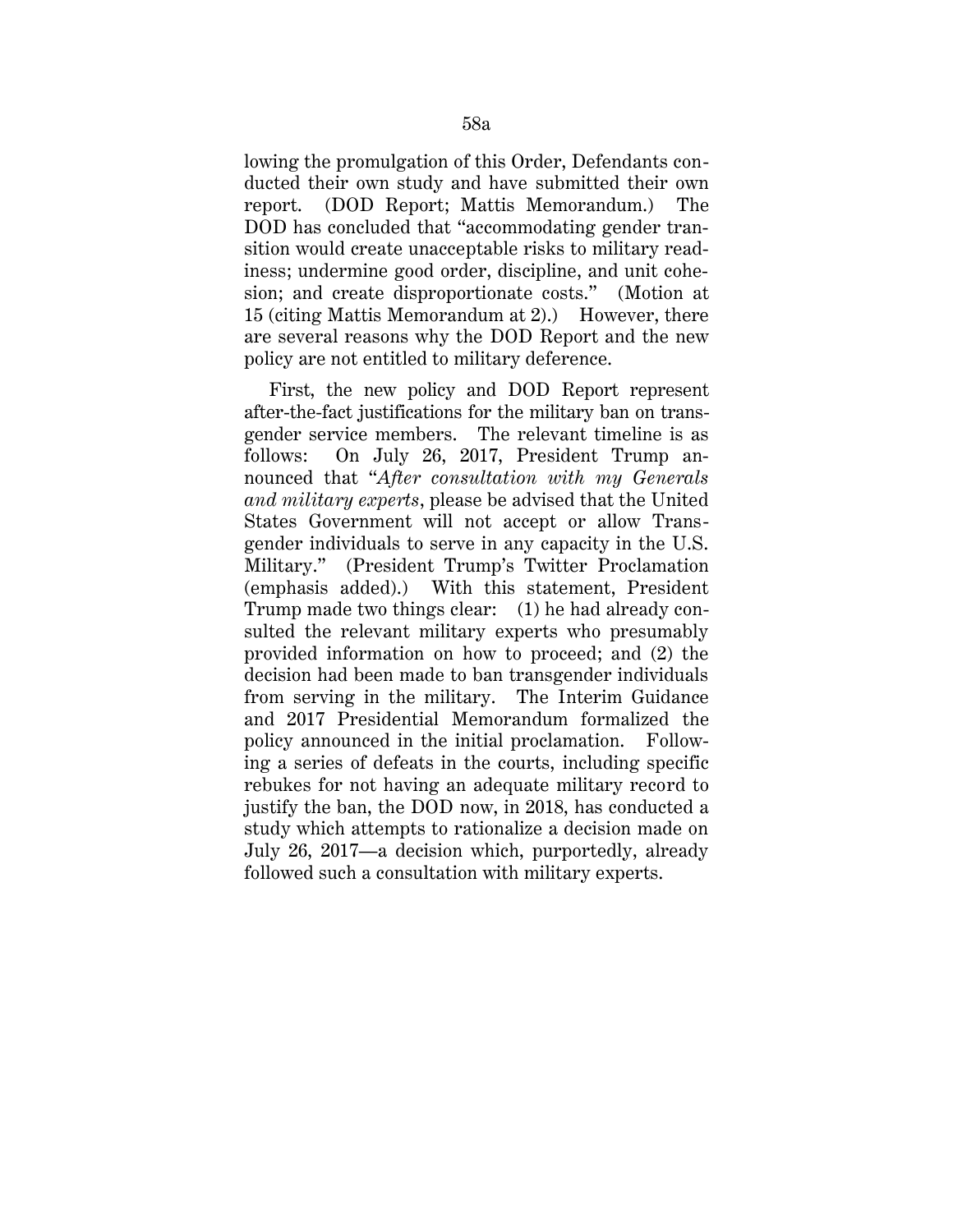lowing the promulgation of this Order, Defendants conducted their own study and have submitted their own report. (DOD Report; Mattis Memorandum.) The DOD has concluded that "accommodating gender transition would create unacceptable risks to military readiness; undermine good order, discipline, and unit cohesion; and create disproportionate costs." (Motion at 15 (citing Mattis Memorandum at 2).) However, there are several reasons why the DOD Report and the new policy are not entitled to military deference.

First, the new policy and DOD Report represent after-the-fact justifications for the military ban on transgender service members. The relevant timeline is as follows: On July 26, 2017, President Trump announced that "*After consultation with my Generals and military experts*, please be advised that the United States Government will not accept or allow Transgender individuals to serve in any capacity in the U.S. Military." (President Trump's Twitter Proclamation (emphasis added).) With this statement, President Trump made two things clear: (1) he had already consulted the relevant military experts who presumably provided information on how to proceed; and (2) the decision had been made to ban transgender individuals from serving in the military. The Interim Guidance and 2017 Presidential Memorandum formalized the policy announced in the initial proclamation. Following a series of defeats in the courts, including specific rebukes for not having an adequate military record to justify the ban, the DOD now, in 2018, has conducted a study which attempts to rationalize a decision made on July 26, 2017—a decision which, purportedly, already followed such a consultation with military experts.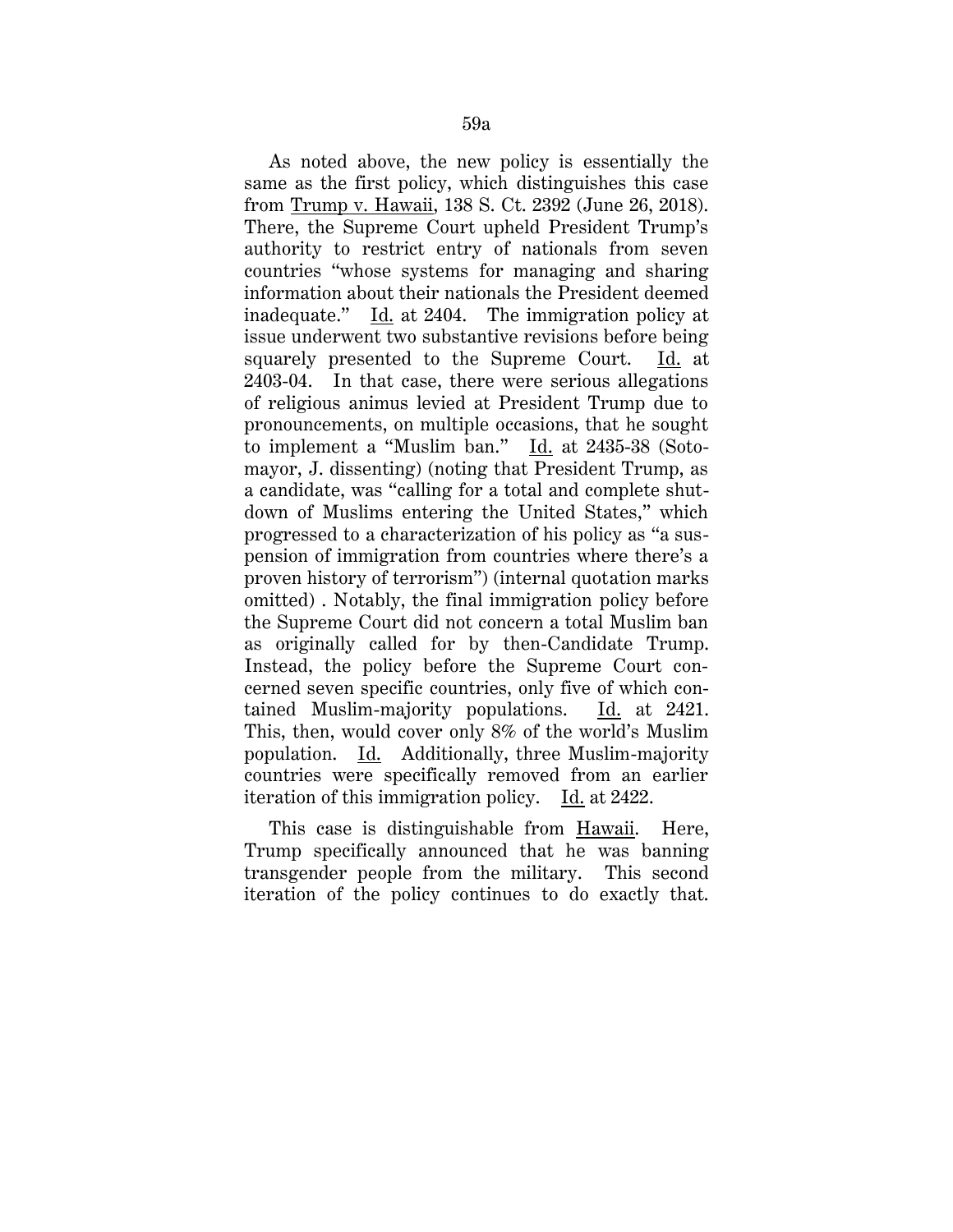As noted above, the new policy is essentially the same as the first policy, which distinguishes this case from Trump v. Hawaii, 138 S. Ct. 2392 (June 26, 2018). There, the Supreme Court upheld President Trump's authority to restrict entry of nationals from seven countries "whose systems for managing and sharing information about their nationals the President deemed inadequate." Id. at 2404. The immigration policy at issue underwent two substantive revisions before being squarely presented to the Supreme Court. Id. at 2403-04. In that case, there were serious allegations of religious animus levied at President Trump due to pronouncements, on multiple occasions, that he sought to implement a "Muslim ban." Id. at 2435-38 (Sotomayor, J. dissenting) (noting that President Trump, as a candidate, was "calling for a total and complete shutdown of Muslims entering the United States," which progressed to a characterization of his policy as "a suspension of immigration from countries where there's a proven history of terrorism") (internal quotation marks omitted) . Notably, the final immigration policy before the Supreme Court did not concern a total Muslim ban as originally called for by then-Candidate Trump. Instead, the policy before the Supreme Court concerned seven specific countries, only five of which contained Muslim-majority populations. Id. at 2421. This, then, would cover only 8% of the world's Muslim population. Id. Additionally, three Muslim-majority countries were specifically removed from an earlier iteration of this immigration policy. Id. at 2422.

This case is distinguishable from Hawaii. Here, Trump specifically announced that he was banning transgender people from the military. This second iteration of the policy continues to do exactly that.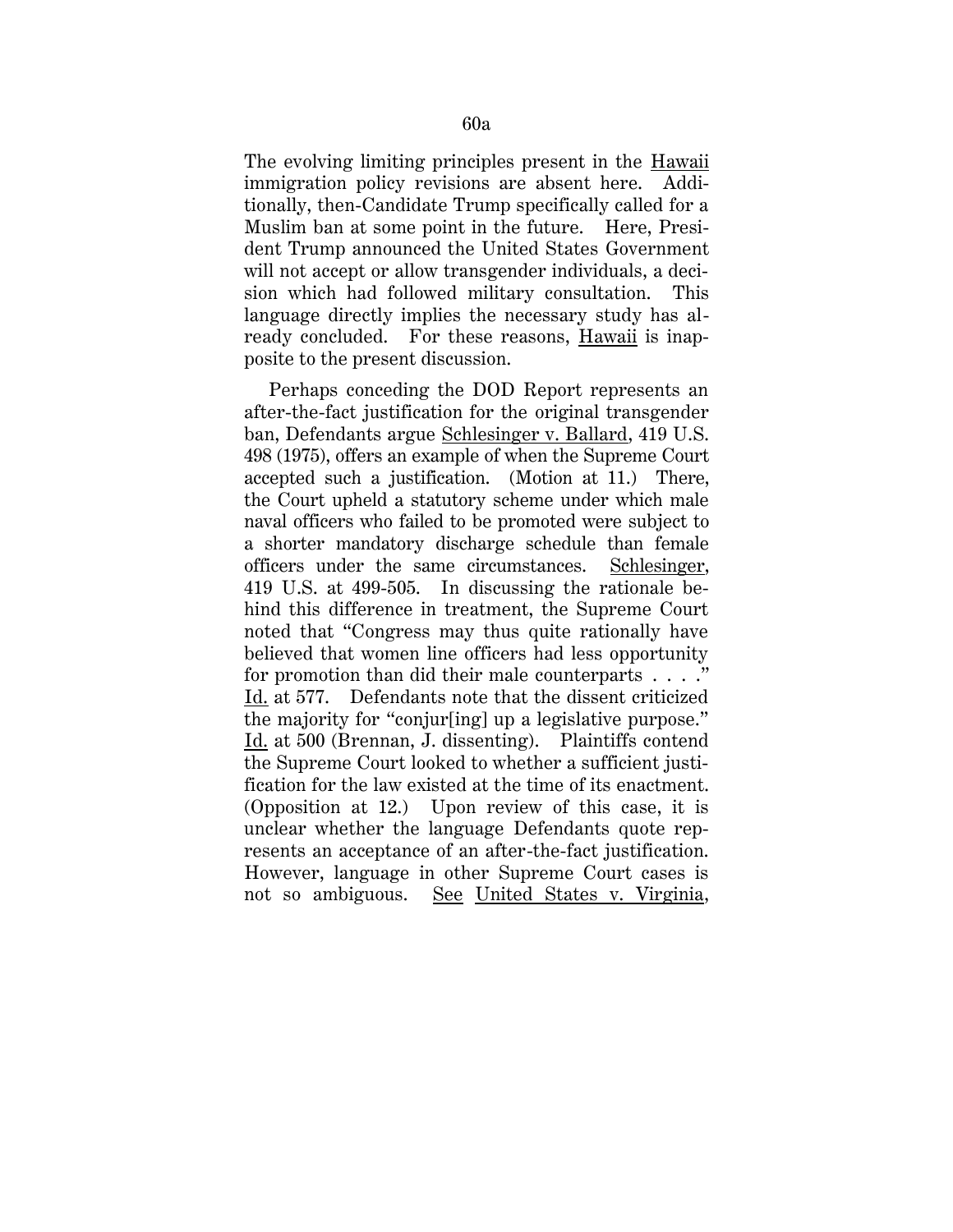The evolving limiting principles present in the Hawaii immigration policy revisions are absent here. Additionally, then-Candidate Trump specifically called for a Muslim ban at some point in the future. Here, President Trump announced the United States Government will not accept or allow transgender individuals, a decision which had followed military consultation. This language directly implies the necessary study has already concluded. For these reasons, Hawaii is inapposite to the present discussion.

Perhaps conceding the DOD Report represents an after-the-fact justification for the original transgender ban, Defendants argue Schlesinger v. Ballard, 419 U.S. 498 (1975), offers an example of when the Supreme Court accepted such a justification. (Motion at 11.) There, the Court upheld a statutory scheme under which male naval officers who failed to be promoted were subject to a shorter mandatory discharge schedule than female officers under the same circumstances. Schlesinger, 419 U.S. at 499-505. In discussing the rationale behind this difference in treatment, the Supreme Court noted that "Congress may thus quite rationally have believed that women line officers had less opportunity for promotion than did their male counterparts . . . ." Id. at 577. Defendants note that the dissent criticized the majority for "conjur[ing] up a legislative purpose." Id. at 500 (Brennan, J. dissenting). Plaintiffs contend the Supreme Court looked to whether a sufficient justification for the law existed at the time of its enactment. (Opposition at 12.) Upon review of this case, it is unclear whether the language Defendants quote represents an acceptance of an after-the-fact justification. However, language in other Supreme Court cases is not so ambiguous. See United States v. Virginia,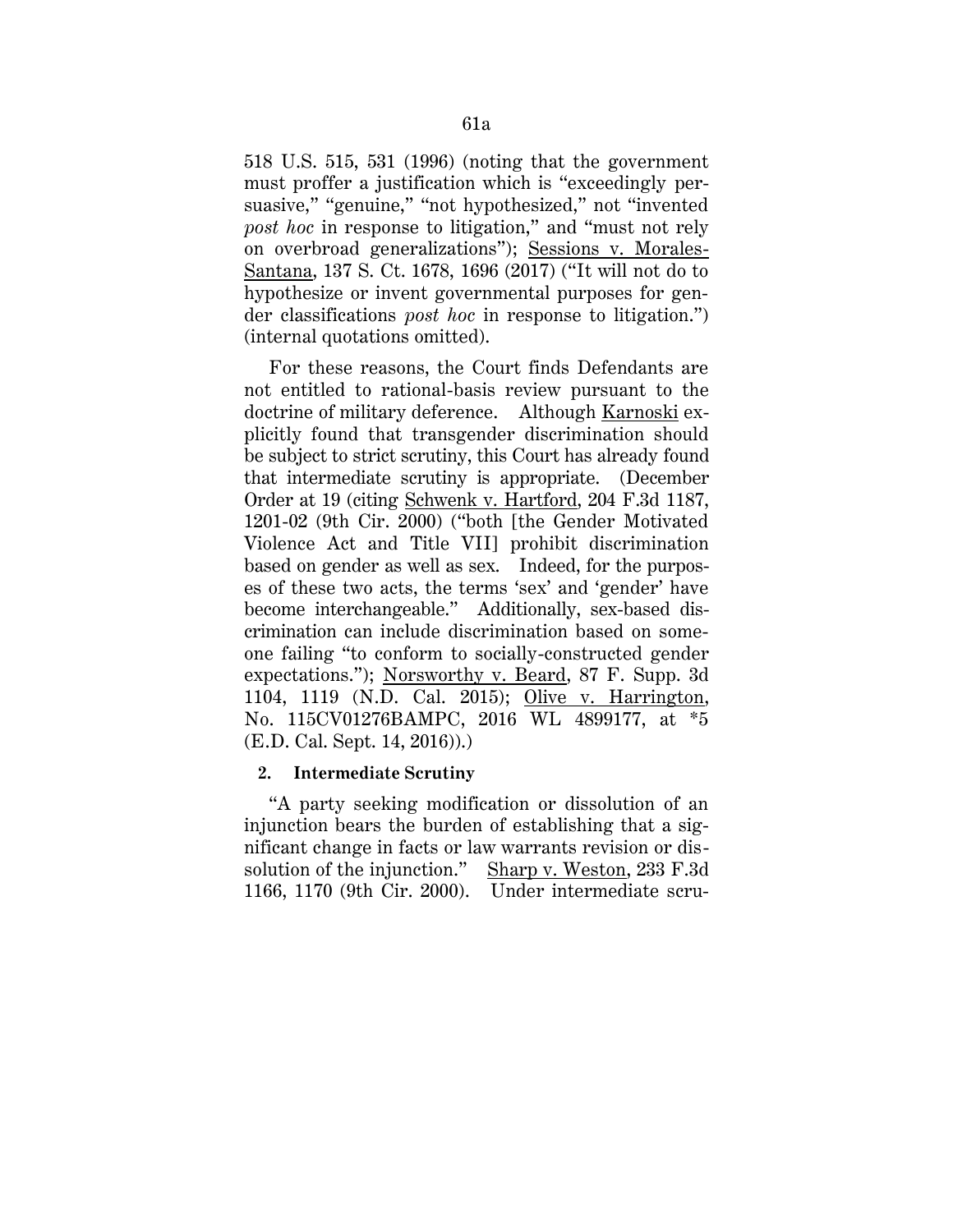518 U.S. 515, 531 (1996) (noting that the government must proffer a justification which is "exceedingly persuasive," "genuine," "not hypothesized," not "invented *post hoc* in response to litigation," and "must not rely on overbroad generalizations"); Sessions v. Morales-Santana, 137 S. Ct. 1678, 1696 (2017) ("It will not do to hypothesize or invent governmental purposes for gender classifications *post hoc* in response to litigation.") (internal quotations omitted).

For these reasons, the Court finds Defendants are not entitled to rational-basis review pursuant to the doctrine of military deference. Although Karnoski explicitly found that transgender discrimination should be subject to strict scrutiny, this Court has already found that intermediate scrutiny is appropriate. (December Order at 19 (citing Schwenk v. Hartford, 204 F.3d 1187, 1201-02 (9th Cir. 2000) ("both [the Gender Motivated Violence Act and Title VII] prohibit discrimination based on gender as well as sex. Indeed, for the purposes of these two acts, the terms 'sex' and 'gender' have become interchangeable." Additionally, sex-based discrimination can include discrimination based on someone failing "to conform to socially-constructed gender expectations."); Norsworthy v. Beard, 87 F. Supp. 3d 1104, 1119 (N.D. Cal. 2015); Olive v. Harrington, No. 115CV01276BAMPC, 2016 WL 4899177, at \*5 (E.D. Cal. Sept. 14, 2016)).)

## **2. Intermediate Scrutiny**

"A party seeking modification or dissolution of an injunction bears the burden of establishing that a significant change in facts or law warrants revision or dissolution of the injunction." Sharp v. Weston, 233 F.3d 1166, 1170 (9th Cir. 2000). Under intermediate scru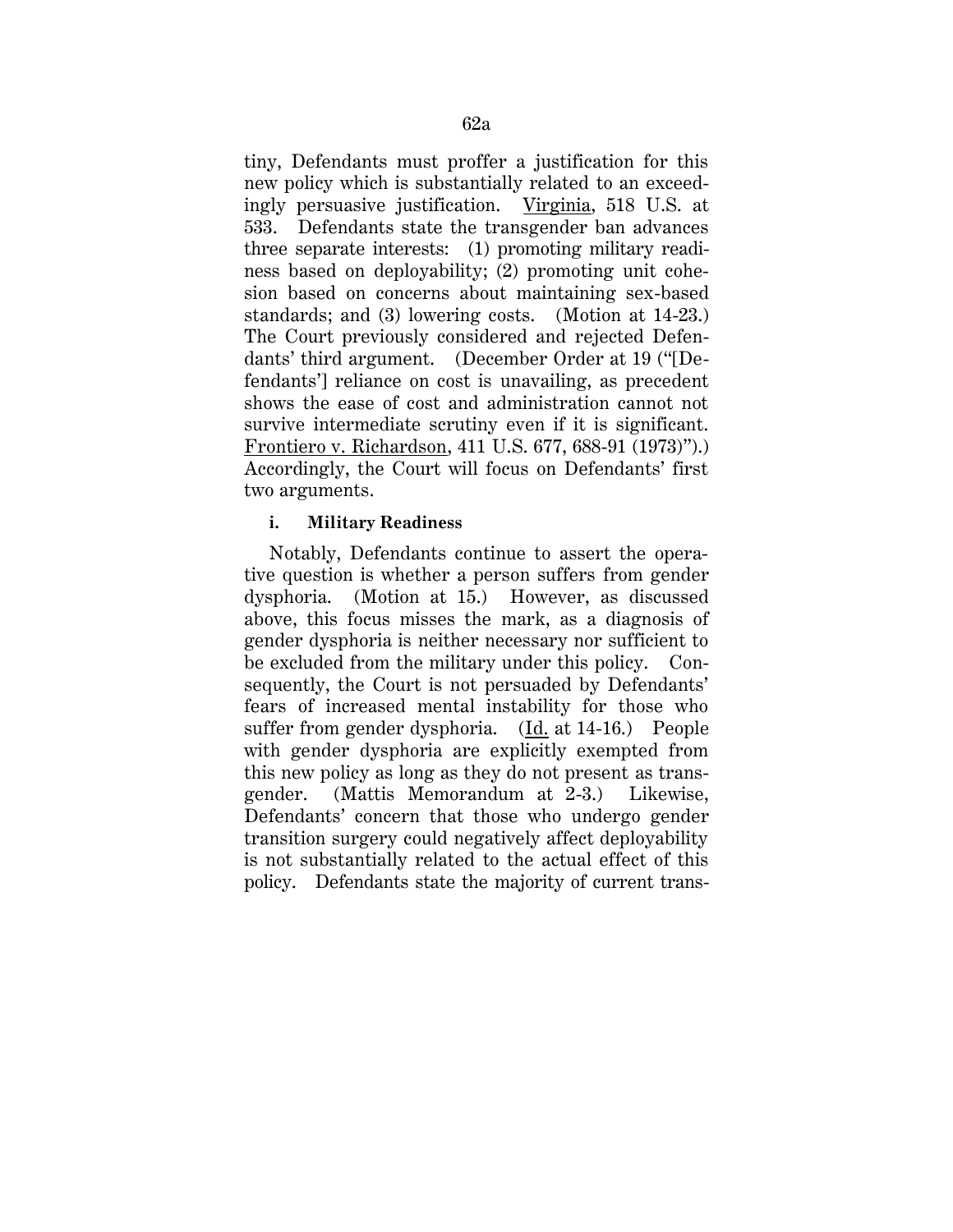tiny, Defendants must proffer a justification for this new policy which is substantially related to an exceedingly persuasive justification. Virginia, 518 U.S. at 533. Defendants state the transgender ban advances three separate interests: (1) promoting military readiness based on deployability; (2) promoting unit cohesion based on concerns about maintaining sex-based standards; and (3) lowering costs. (Motion at 14-23.) The Court previously considered and rejected Defendants' third argument. (December Order at 19 ("[Defendants'] reliance on cost is unavailing, as precedent shows the ease of cost and administration cannot not survive intermediate scrutiny even if it is significant. Frontiero v. Richardson, 411 U.S. 677, 688-91 (1973)").) Accordingly, the Court will focus on Defendants' first two arguments.

# **i. Military Readiness**

Notably, Defendants continue to assert the operative question is whether a person suffers from gender dysphoria. (Motion at 15.) However, as discussed above, this focus misses the mark, as a diagnosis of gender dysphoria is neither necessary nor sufficient to be excluded from the military under this policy. Consequently, the Court is not persuaded by Defendants' fears of increased mental instability for those who suffer from gender dysphoria. (Id. at 14-16.) People with gender dysphoria are explicitly exempted from this new policy as long as they do not present as transgender. (Mattis Memorandum at 2-3.) Likewise, Defendants' concern that those who undergo gender transition surgery could negatively affect deployability is not substantially related to the actual effect of this policy. Defendants state the majority of current trans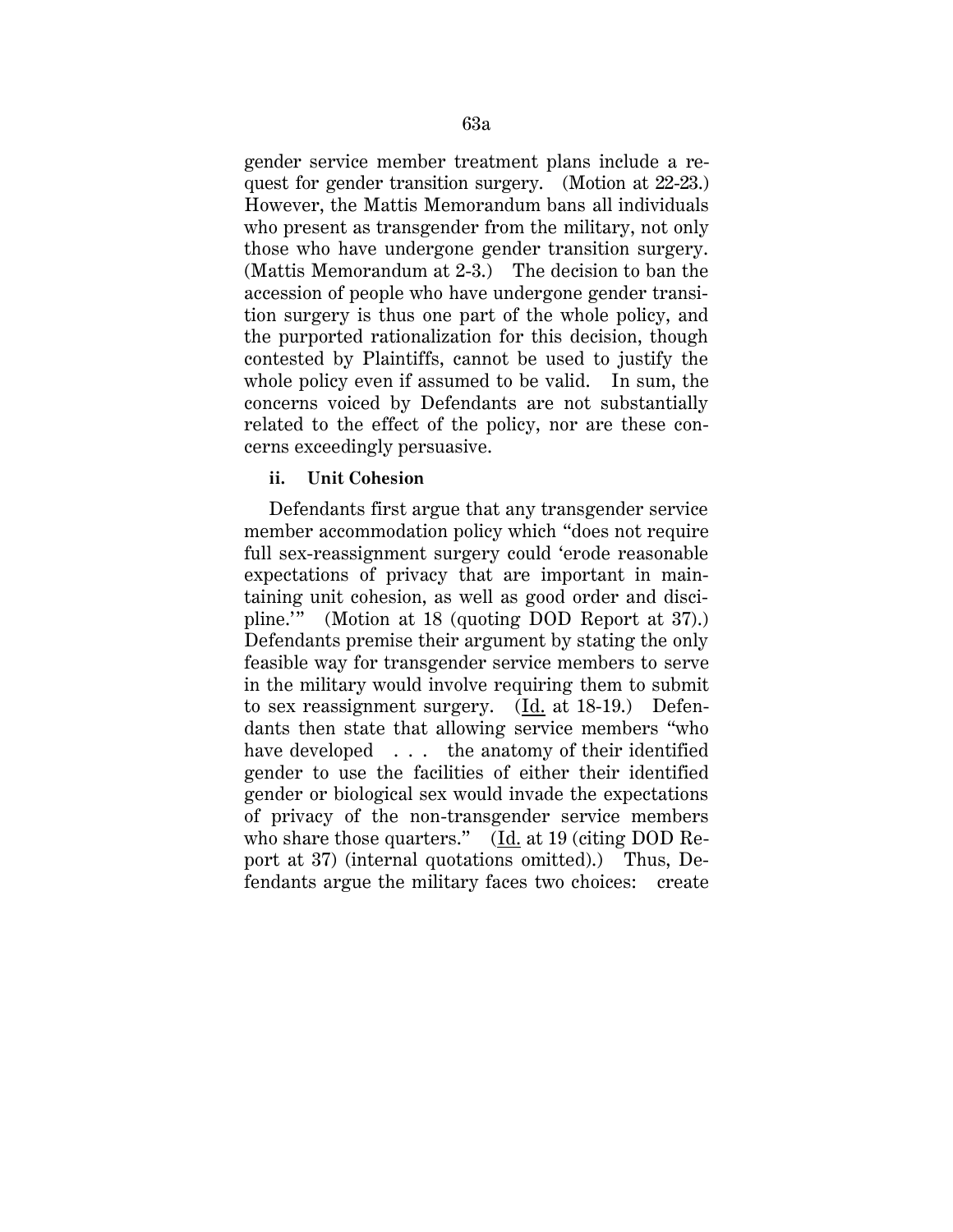gender service member treatment plans include a request for gender transition surgery. (Motion at 22-23.) However, the Mattis Memorandum bans all individuals who present as transgender from the military, not only those who have undergone gender transition surgery. (Mattis Memorandum at 2-3.) The decision to ban the accession of people who have undergone gender transition surgery is thus one part of the whole policy, and the purported rationalization for this decision, though contested by Plaintiffs, cannot be used to justify the whole policy even if assumed to be valid. In sum, the concerns voiced by Defendants are not substantially related to the effect of the policy, nor are these concerns exceedingly persuasive.

## **ii. Unit Cohesion**

Defendants first argue that any transgender service member accommodation policy which "does not require full sex-reassignment surgery could 'erode reasonable expectations of privacy that are important in maintaining unit cohesion, as well as good order and discipline.'" (Motion at 18 (quoting DOD Report at 37).) Defendants premise their argument by stating the only feasible way for transgender service members to serve in the military would involve requiring them to submit to sex reassignment surgery. (Id. at 18-19.) Defendants then state that allowing service members "who have developed . . . the anatomy of their identified gender to use the facilities of either their identified gender or biological sex would invade the expectations of privacy of the non-transgender service members who share those quarters."  $(Id. at 19 (citing DOD Re$ port at 37) (internal quotations omitted).) Thus, Defendants argue the military faces two choices: create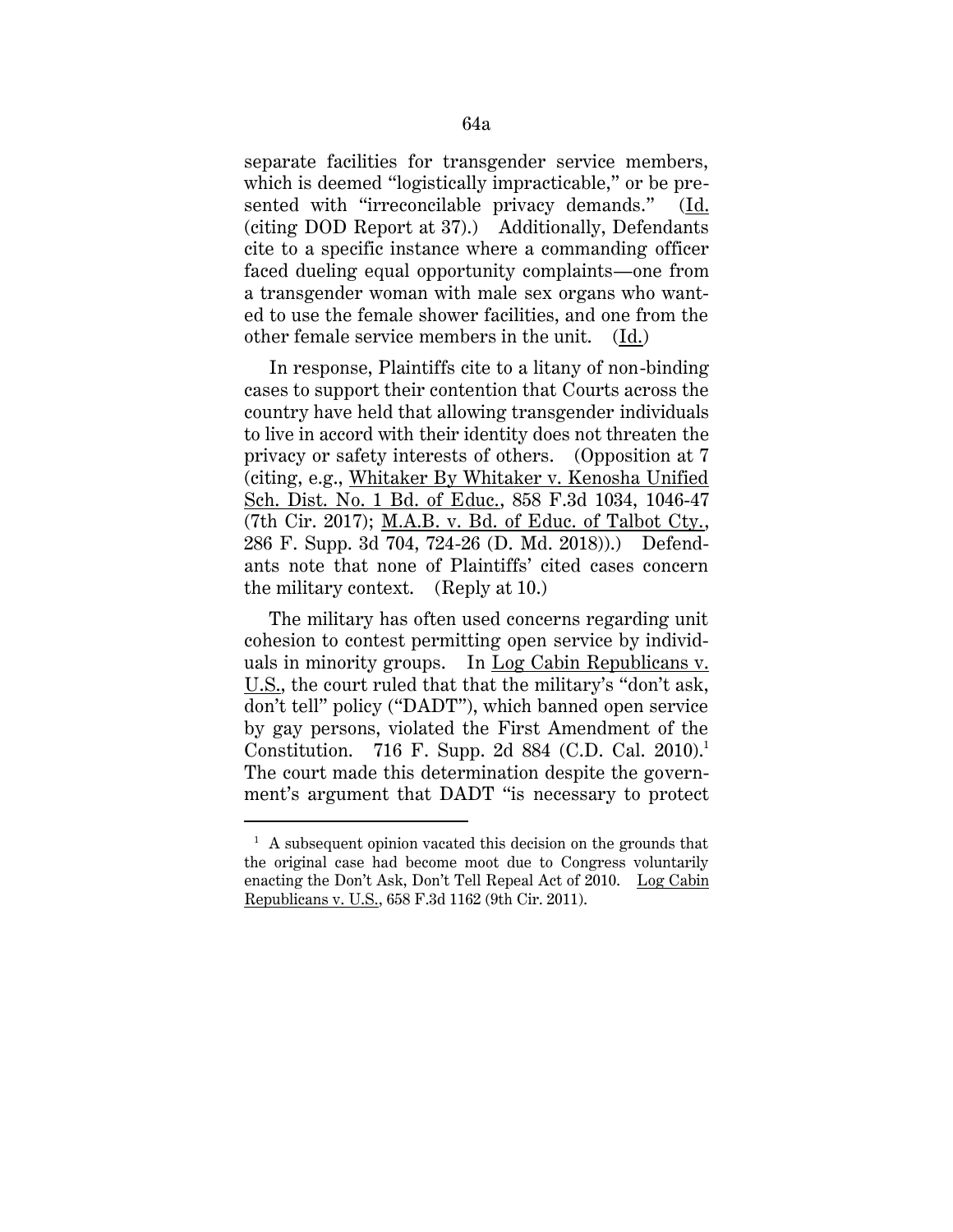separate facilities for transgender service members, which is deemed "logistically impracticable," or be presented with "irreconcilable privacy demands." (Id. (citing DOD Report at 37).) Additionally, Defendants cite to a specific instance where a commanding officer faced dueling equal opportunity complaints—one from a transgender woman with male sex organs who wanted to use the female shower facilities, and one from the other female service members in the unit. (Id.)

In response, Plaintiffs cite to a litany of non-binding cases to support their contention that Courts across the country have held that allowing transgender individuals to live in accord with their identity does not threaten the privacy or safety interests of others. (Opposition at 7 (citing, e.g., Whitaker By Whitaker v. Kenosha Unified Sch. Dist. No. 1 Bd. of Educ., 858 F.3d 1034, 1046-47 (7th Cir. 2017); M.A.B. v. Bd. of Educ. of Talbot Cty., 286 F. Supp. 3d 704, 724-26 (D. Md. 2018)).) Defendants note that none of Plaintiffs' cited cases concern the military context. (Reply at 10.)

The military has often used concerns regarding unit cohesion to contest permitting open service by individuals in minority groups. In Log Cabin Republicans v. U.S., the court ruled that that the military's "don't ask, don't tell" policy ("DADT"), which banned open service by gay persons, violated the First Amendment of the Constitution. 716 F. Supp. 2d 884 (C.D. Cal. 2010).<sup>1</sup> The court made this determination despite the government's argument that DADT "is necessary to protect

 $\overline{a}$ 

 $<sup>1</sup>$  A subsequent opinion vacated this decision on the grounds that</sup> the original case had become moot due to Congress voluntarily enacting the Don't Ask, Don't Tell Repeal Act of 2010. Log Cabin Republicans v. U.S., 658 F.3d 1162 (9th Cir. 2011).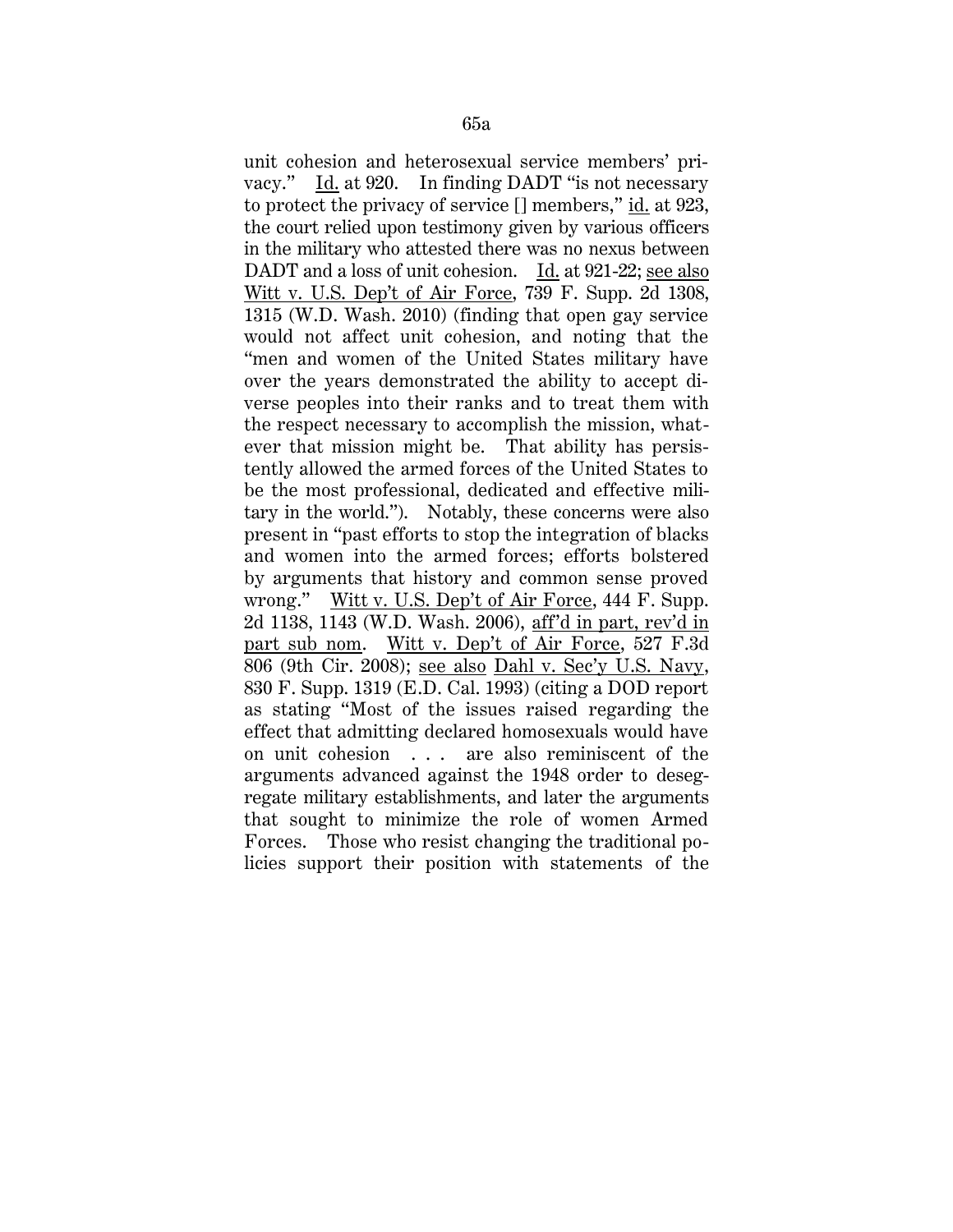unit cohesion and heterosexual service members' privacy." Id. at 920. In finding DADT "is not necessary to protect the privacy of service  $[]$  members," id. at 923, the court relied upon testimony given by various officers in the military who attested there was no nexus between DADT and a loss of unit cohesion. Id. at 921-22; see also Witt v. U.S. Dep't of Air Force, 739 F. Supp. 2d 1308, 1315 (W.D. Wash. 2010) (finding that open gay service would not affect unit cohesion, and noting that the "men and women of the United States military have over the years demonstrated the ability to accept diverse peoples into their ranks and to treat them with the respect necessary to accomplish the mission, whatever that mission might be. That ability has persistently allowed the armed forces of the United States to be the most professional, dedicated and effective military in the world."). Notably, these concerns were also present in "past efforts to stop the integration of blacks and women into the armed forces; efforts bolstered by arguments that history and common sense proved wrong." Witt v. U.S. Dep't of Air Force, 444 F. Supp. 2d 1138, 1143 (W.D. Wash. 2006), aff'd in part, rev'd in part sub nom. Witt v. Dep't of Air Force, 527 F.3d 806 (9th Cir. 2008); see also Dahl v. Sec'y U.S. Navy, 830 F. Supp. 1319 (E.D. Cal. 1993) (citing a DOD report as stating "Most of the issues raised regarding the effect that admitting declared homosexuals would have on unit cohesion . . . are also reminiscent of the arguments advanced against the 1948 order to desegregate military establishments, and later the arguments that sought to minimize the role of women Armed Forces. Those who resist changing the traditional policies support their position with statements of the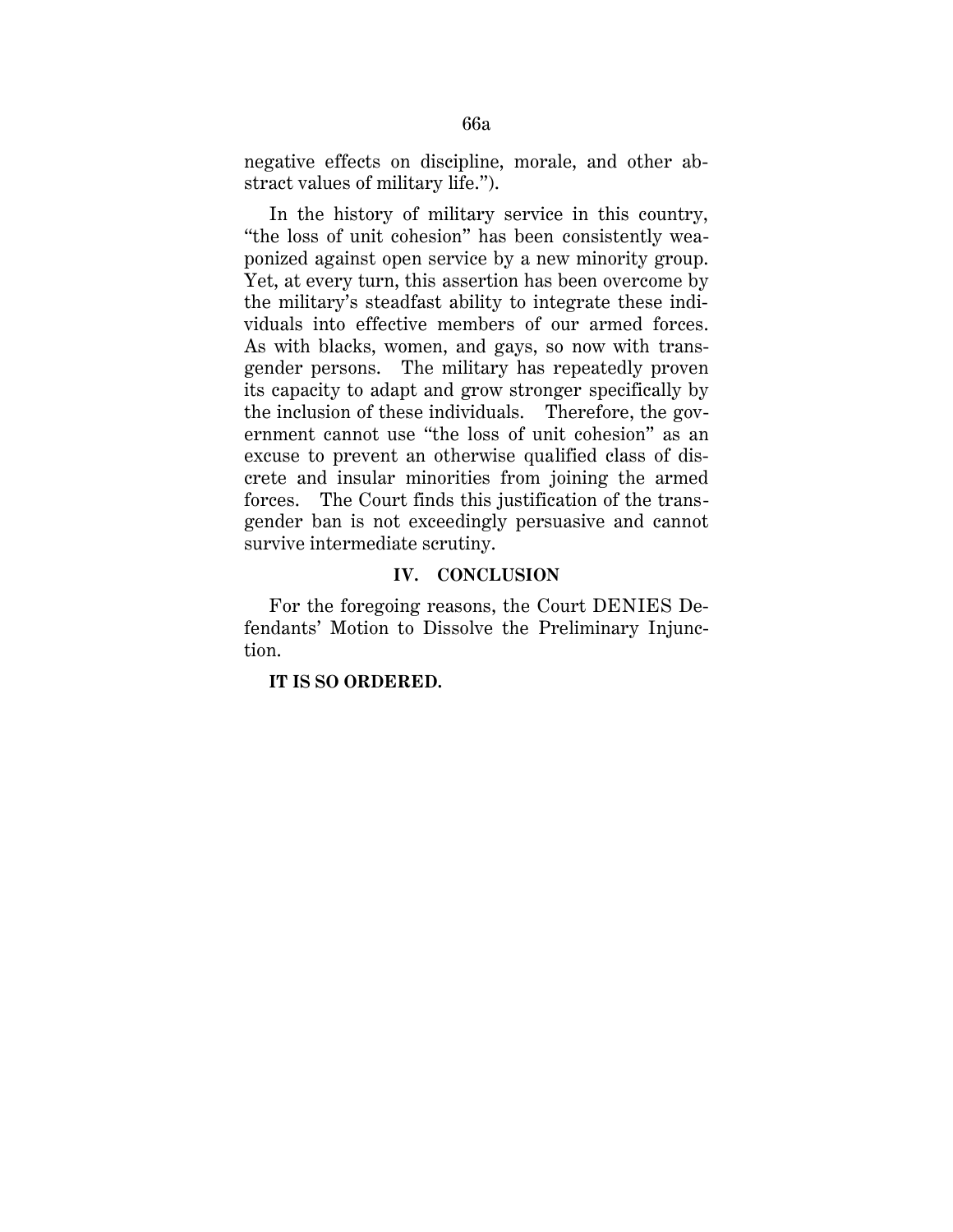negative effects on discipline, morale, and other abstract values of military life.").

In the history of military service in this country, "the loss of unit cohesion" has been consistently weaponized against open service by a new minority group. Yet, at every turn, this assertion has been overcome by the military's steadfast ability to integrate these individuals into effective members of our armed forces. As with blacks, women, and gays, so now with transgender persons. The military has repeatedly proven its capacity to adapt and grow stronger specifically by the inclusion of these individuals. Therefore, the government cannot use "the loss of unit cohesion" as an excuse to prevent an otherwise qualified class of discrete and insular minorities from joining the armed forces. The Court finds this justification of the transgender ban is not exceedingly persuasive and cannot survive intermediate scrutiny.

## **IV. CONCLUSION**

For the foregoing reasons, the Court DENIES Defendants' Motion to Dissolve the Preliminary Injunction.

**IT IS SO ORDERED.**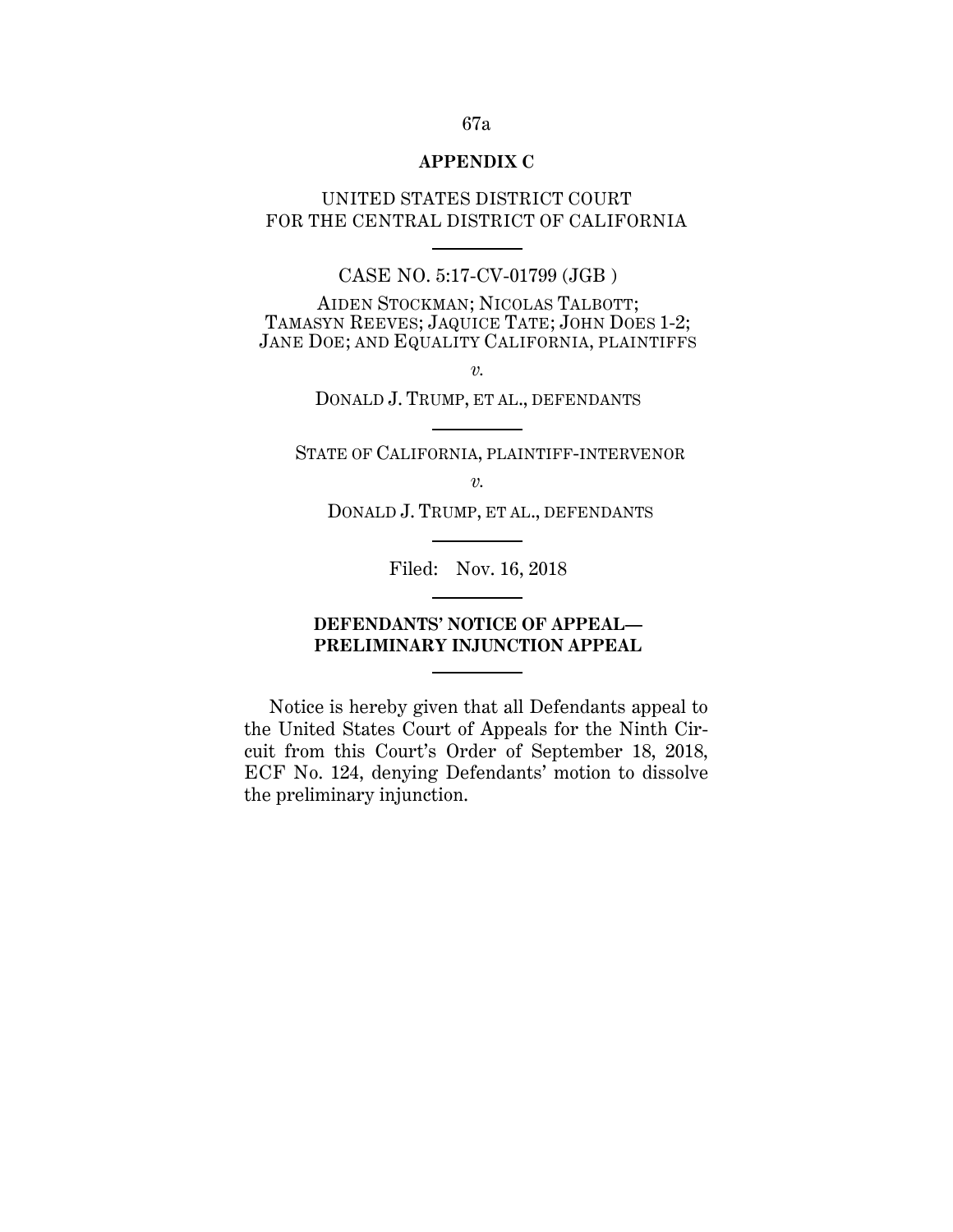#### **APPENDIX C**

UNITED STATES DISTRICT COURT FOR THE CENTRAL DISTRICT OF CALIFORNIA

## CASE NO. 5:17-CV-01799 (JGB )

AIDEN STOCKMAN; NICOLAS TALBOTT; TAMASYN REEVES; JAQUICE TATE; JOHN DOES 1-2; JANE DOE; AND EQUALITY CALIFORNIA, PLAINTIFFS

*v.*

DONALD J. TRUMP, ET AL., DEFENDANTS

STATE OF CALIFORNIA, PLAINTIFF-INTERVENOR

*v.*

DONALD J. TRUMP, ET AL., DEFENDANTS

Filed: Nov. 16, 2018

# **DEFENDANTS' NOTICE OF APPEAL— PRELIMINARY INJUNCTION APPEAL**

Notice is hereby given that all Defendants appeal to the United States Court of Appeals for the Ninth Circuit from this Court's Order of September 18, 2018, ECF No. 124, denying Defendants' motion to dissolve the preliminary injunction.

#### 67a